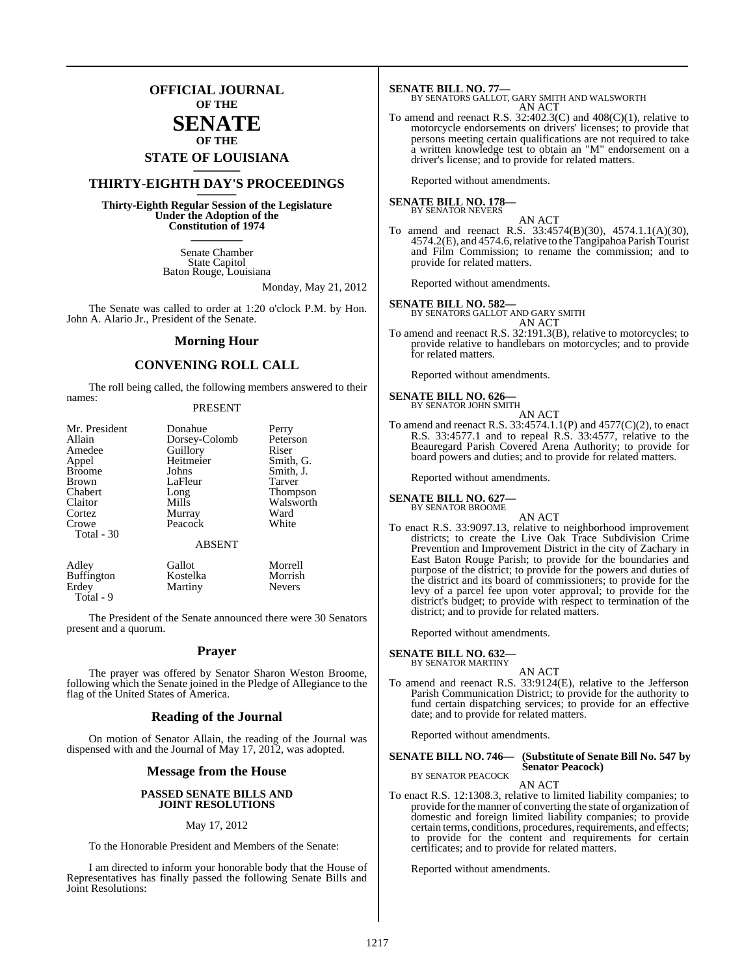### **OFFICIAL JOURNAL OF THE**

### **SENATE OF THE**

# **STATE OF LOUISIANA \_\_\_\_\_\_\_**

## **THIRTY-EIGHTH DAY'S PROCEEDINGS \_\_\_\_\_\_\_**

**Thirty-Eighth Regular Session of the Legislature Under the Adoption of the Constitution of 1974 \_\_\_\_\_\_\_**

> Senate Chamber State Capitol Baton Rouge, Louisiana

> > Monday, May 21, 2012

The Senate was called to order at 1:20 o'clock P.M. by Hon. John A. Alario Jr., President of the Senate.

### **Morning Hour**

### **CONVENING ROLL CALL**

The roll being called, the following members answered to their names:

### PRESENT

| Mr. President       | Donahue                  | Perry           |
|---------------------|--------------------------|-----------------|
| Allain              | Dorsey-Colomb            | Peterson        |
| Amedee              | Guillory                 | Riser           |
| Appel               | Heitmeier                | Smith, G.       |
| <b>Broome</b>       | Johns                    | Smith, J.       |
| <b>Brown</b>        | LaFleur                  | <b>Tarver</b>   |
| Chabert             | Long                     | <b>Thompson</b> |
| Claitor             | Mills                    | Walsworth       |
| Cortez              | Murray                   | Ward            |
| Crowe<br>Total - 30 | Peacock<br><b>ABSENT</b> | White           |
| Adley               | Gallot                   | Morrell         |
| <b>Buffington</b>   | Kostelka                 | Morrish         |

Erdey Martiny Nevers

Total - 9

The President of the Senate announced there were 30 Senators present and a quorum.

### **Prayer**

The prayer was offered by Senator Sharon Weston Broome, following which the Senate joined in the Pledge of Allegiance to the flag of the United States of America.

### **Reading of the Journal**

On motion of Senator Allain, the reading of the Journal was dispensed with and the Journal of May 17, 2012, was adopted.

### **Message from the House**

### **PASSED SENATE BILLS AND JOINT RESOLUTIONS**

### May 17, 2012

To the Honorable President and Members of the Senate:

I am directed to inform your honorable body that the House of Representatives has finally passed the following Senate Bills and Joint Resolutions:

### **SENATE BILL NO. 77—** BY SENATORS GALLOT, GARY SMITH AND WALSWORTH AN ACT

To amend and reenact R.S.  $32:402.3(C)$  and  $408(C)(1)$ , relative to motorcycle endorsements on drivers' licenses; to provide that persons meeting certain qualifications are not required to take a written knowledge test to obtain an "M" endorsement on a driver's license; and to provide for related matters.

Reported without amendments.

### **SENATE BILL NO. 178—** BY SENATOR NEVERS

### AN ACT

To amend and reenact R.S. 33:4574(B)(30), 4574.1.1(A)(30), 4574.2(E), and 4574.6, relative to the Tangipahoa Parish Tourist and Film Commission; to rename the commission; and to provide for related matters.

Reported without amendments.

**SENATE BILL NO. 582—** BY SENATORS GALLOT AND GARY SMITH AN ACT

To amend and reenact R.S. 32:191.3(B), relative to motorcycles; to provide relative to handlebars on motorcycles; and to provide for related matters.

Reported without amendments.

### **SENATE BILL NO. 626—** BY SENATOR JOHN SMITH

- AN ACT
- To amend and reenact R.S. 33:4574.1.1(P) and 4577(C)(2), to enact R.S.  $33:4577.1$  and to repeal R.S.  $33:4577$ , relative to the Beauregard Parish Covered Arena Authority; to provide for board powers and duties; and to provide for related matters.

Reported without amendments.

### **SENATE BILL NO. 627—** BY SENATOR BROOME

AN ACT

To enact R.S. 33:9097.13, relative to neighborhood improvement districts; to create the Live Oak Trace Subdivision Crime Prevention and Improvement District in the city of Zachary in East Baton Rouge Parish; to provide for the boundaries and purpose of the district; to provide for the powers and duties of the district and its board of commissioners; to provide for the levy of a parcel fee upon voter approval; to provide for the district's budget; to provide with respect to termination of the district; and to provide for related matters.

Reported without amendments.

### **SENATE BILL NO. 632—**

BY SENATOR MARTINY AN ACT

To amend and reenact R.S. 33:9124(E), relative to the Jefferson Parish Communication District; to provide for the authority to fund certain dispatching services; to provide for an effective date; and to provide for related matters.

Reported without amendments.

### **SENATE BILL NO. 746— (Substitute of Senate Bill No. 547 by Senator Peacock)** BY SENATOR PEACOCK

AN ACT

To enact R.S. 12:1308.3, relative to limited liability companies; to provide for the manner of converting the state of organization of domestic and foreign limited liability companies; to provide certain terms, conditions, procedures, requirements, and effects; to provide for the content and requirements for certain certificates; and to provide for related matters.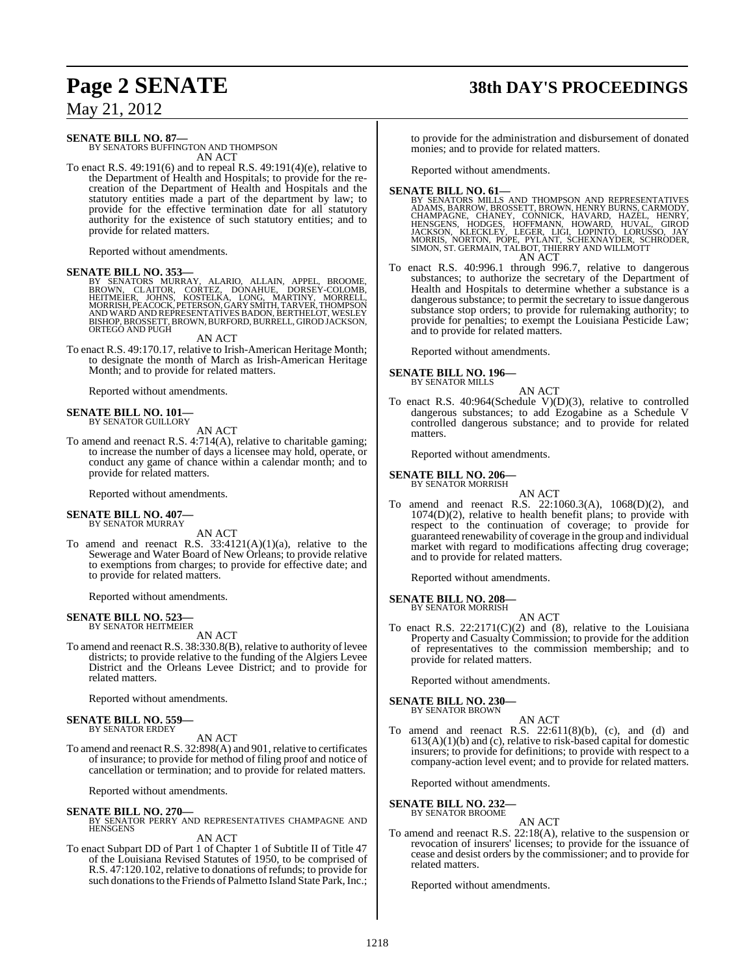# **Page 2 SENATE 38th DAY'S PROCEEDINGS**

May 21, 2012

### **SENATE BILL NO. 87—**

BY SENATORS BUFFINGTON AND THOMPSON AN ACT

To enact R.S. 49:191(6) and to repeal R.S. 49:191(4)(e), relative to the Department of Health and Hospitals; to provide for the recreation of the Department of Health and Hospitals and the statutory entities made a part of the department by law; to provide for the effective termination date for all statutory authority for the existence of such statutory entities; and to provide for related matters.

Reported without amendments.

### **SENATE BILL NO. 353—**

BY SENATORS MURRAY, ALARIO, ALLAIN, APPEL, BROOME,<br>BROWN, CLAITOR, CORTEZ, DONAHUE, DORSEY-COLOMB,<br>HEITMEIER, JOHNS, KOSTELKA, LONG, MARTINY, MORRELL,<br>MORRISH,PEACOCK,PETERSON,GARY SMITH,TARVER,THOMPSON<br>AND WARD AND REPRES BISHOP, BROSSETT, BROWN, BURFORD, BURRELL, GIROD JACKSON, ORTEGO AND PUGH

AN ACT

To enact R.S. 49:170.17, relative to Irish-American Heritage Month; to designate the month of March as Irish-American Heritage Month; and to provide for related matters.

Reported without amendments.

### **SENATE BILL NO. 101—** BY SENATOR GUILLORY

AN ACT

To amend and reenact R.S. 4:714(A), relative to charitable gaming; to increase the number of days a licensee may hold, operate, or conduct any game of chance within a calendar month; and to provide for related matters.

Reported without amendments.

# **SENATE BILL NO. 407—** BY SENATOR MURRAY

AN ACT

To amend and reenact R.S.  $33:4121(A)(1)(a)$ , relative to the Sewerage and Water Board of New Orleans; to provide relative to exemptions from charges; to provide for effective date; and to provide for related matters.

Reported without amendments.

### **SENATE BILL NO. 523** BY SENATOR HEITMEIER

AN ACT

To amend and reenact R.S.  $38:330.8(B)$ , relative to authority of levee districts; to provide relative to the funding of the Algiers Levee District and the Orleans Levee District; and to provide for related matters.

Reported without amendments.

# **SENATE BILL NO. 559—** BY SENATOR ERDEY

AN ACT

To amend and reenact R.S. 32:898(A) and 901, relative to certificates of insurance; to provide for method of filing proof and notice of cancellation or termination; and to provide for related matters.

Reported without amendments.

### **SENATE BILL NO. 270—**

BY SENATOR PERRY AND REPRESENTATIVES CHAMPAGNE AND HENSGENS AN ACT

To enact Subpart DD of Part 1 of Chapter 1 of Subtitle II of Title 47 of the Louisiana Revised Statutes of 1950, to be comprised of R.S. 47:120.102, relative to donations of refunds; to provide for such donations to the Friends of Palmetto Island State Park, Inc.; to provide for the administration and disbursement of donated monies; and to provide for related matters.

Reported without amendments.

- SENATE BILL NO. 61—<br>BY SENATORS MILLS AND THOMPSON AND REPRESENTATIVES ADAMS, BARROW, BROSSETT, BROWN, HENRY BURNS, CARMODY, CHAMPAGNE, CHANEY, CONNICK, HAVARD, HAZEL, HENRY, HENRY, HENRY, BENSCHNS, HODGES, HOFFMANN, HOWA
- To enact R.S. 40:996.1 through 996.7, relative to dangerous To enact R.S. 40:996.1 through 996.7, relative to dangerous substances; to authorize the secretary of the Department of Health and Hospitals to determine whether a substance is a dangerous substance; to permit the secretary to issue dangerous substance stop orders; to provide for rulemaking authority; to provide for penalties; to exempt the Louisiana Pesticide Law; and to provide for related matters.

Reported without amendments.

**SENATE BILL NO. 196—**

BY SENATOR MILLS

AN ACT To enact R.S. 40:964(Schedule V)(D)(3), relative to controlled dangerous substances; to add Ezogabine as a Schedule V controlled dangerous substance; and to provide for related matters.

Reported without amendments.

### **SENATE BILL NO. 206—** BY SENATOR MORRISH

AN ACT

To amend and reenact R.S. 22:1060.3(A), 1068(D)(2), and 1074(D)(2), relative to health benefit plans; to provide with respect to the continuation of coverage; to provide for guaranteed renewability of coverage in the group and individual market with regard to modifications affecting drug coverage; and to provide for related matters.

Reported without amendments.

### **SENATE BILL NO. 208—** BY SENATOR MORRISH

- AN ACT To enact R.S. 22:2171(C)(2) and (8), relative to the Louisiana
- Property and Casualty Commission; to provide for the addition of representatives to the commission membership; and to provide for related matters.

Reported without amendments.

### **SENATE BILL NO. 230—** BY SENATOR BROWN

AN ACT To amend and reenact R.S.  $22:611(8)(b)$ , (c), and (d) and  $613(A)(1)(b)$  and (c), relative to risk-based capital for domestic insurers; to provide for definitions; to provide with respect to a company-action level event; and to provide for related matters.

Reported without amendments.

**SENATE BILL NO. 232—** BY SENATOR BROOME

AN ACT

To amend and reenact R.S. 22:18(A), relative to the suspension or revocation of insurers' licenses; to provide for the issuance of cease and desist orders by the commissioner; and to provide for related matters.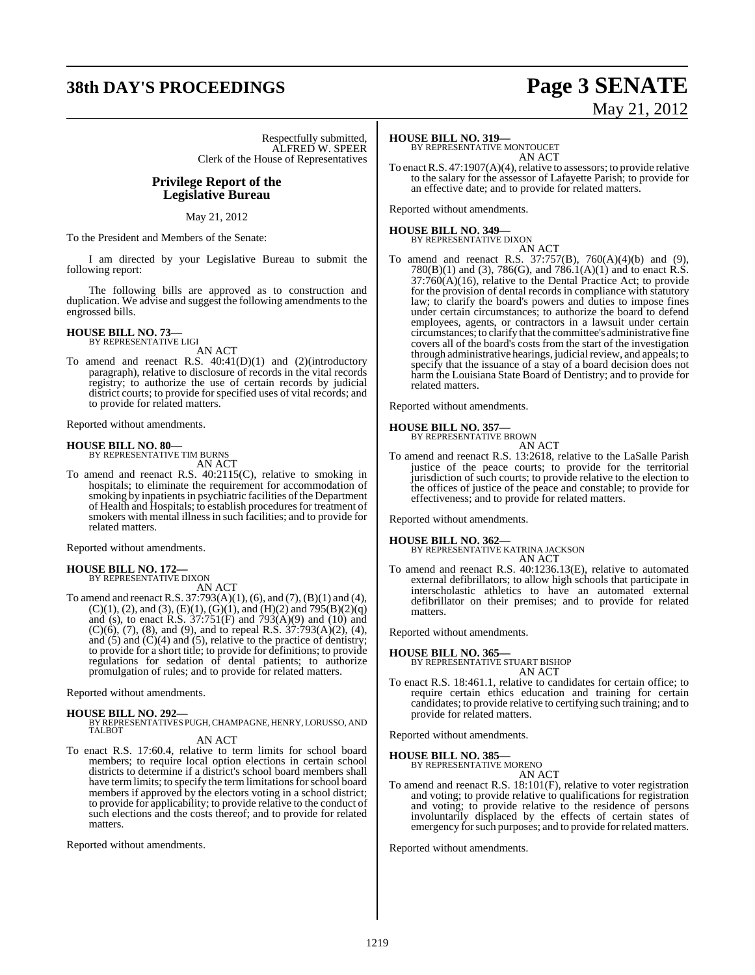# **38th DAY'S PROCEEDINGS Page 3 SENATE**

Respectfully submitted, ALFRED W. SPEER Clerk of the House of Representatives

### **Privilege Report of the Legislative Bureau**

May 21, 2012

To the President and Members of the Senate:

I am directed by your Legislative Bureau to submit the following report:

The following bills are approved as to construction and duplication. We advise and suggest the following amendments to the engrossed bills.

# **HOUSE BILL NO. 73—** BY REPRESENTATIVE LIGI

AN ACT

To amend and reenact R.S. 40:41(D)(1) and (2)(introductory paragraph), relative to disclosure of records in the vital records registry; to authorize the use of certain records by judicial district courts; to provide for specified uses of vital records; and to provide for related matters.

Reported without amendments.

**HOUSE BILL NO. 80—** BY REPRESENTATIVE TIM BURNS

AN ACT

To amend and reenact R.S. 40:2115(C), relative to smoking in hospitals; to eliminate the requirement for accommodation of smoking by inpatients in psychiatric facilities of the Department of Health and Hospitals; to establish proceduresfor treatment of smokers with mental illnessin such facilities; and to provide for related matters.

Reported without amendments.

### **HOUSE BILL NO. 172—** BY REPRESENTATIVE DIXON

AN ACT

To amend and reenact R.S. 37:793(A)(1), (6), and (7), (B)(1) and (4),  $(C)(1)$ ,  $(2)$ , and  $(3)$ ,  $(E)(1)$ ,  $(G)(1)$ , and  $(H)(2)$  and  $795(B)(2)(q)$ and (s), to enact R.S.  $37:751(F)$  and  $793(A)(9)$  and (10) and  $(C)(6)$ ,  $(7)$ ,  $(8)$ , and  $(9)$ , and to repeal R.S.  $37:793(A)(2)$ ,  $(4)$ , and  $(5)$  and  $(C)(4)$  and  $(5)$ , relative to the practice of dentistry; to provide for a short title; to provide for definitions; to provide regulations for sedation of dental patients; to authorize promulgation of rules; and to provide for related matters.

Reported without amendments.

### **HOUSE BILL NO. 292—**

BY REPRESENTATIVES PUGH, CHAMPAGNE, HENRY,LORUSSO, AND TALBOT

- AN ACT
- To enact R.S. 17:60.4, relative to term limits for school board members; to require local option elections in certain school districts to determine if a district's school board members shall have term limits; to specify the term limitations for school board members if approved by the electors voting in a school district; to provide for applicability; to provide relative to the conduct of such elections and the costs thereof; and to provide for related matters.

Reported without amendments.

# May 21, 2012

### **HOUSE BILL NO. 319—**

BY REPRESENTATIVE MONTOUCET AN ACT

To enact R.S. 47:1907(A)(4), relative to assessors; to provide relative to the salary for the assessor of Lafayette Parish; to provide for an effective date; and to provide for related matters.

Reported without amendments.

### **HOUSE BILL NO. 349—** BY REPRESENTATIVE DIXON

AN ACT

To amend and reenact R.S. 37:757(B), 760(A)(4)(b) and (9), 780(B)(1) and (3), 786(G), and 786.1(A)(1) and to enact R.S.  $37:760(A)(16)$ , relative to the Dental Practice Act; to provide for the provision of dental records in compliance with statutory law; to clarify the board's powers and duties to impose fines under certain circumstances; to authorize the board to defend employees, agents, or contractors in a lawsuit under certain circumstances; to clarify that the committee's administrative fine covers all of the board's costs from the start of the investigation through administrative hearings, judicial review, and appeals; to specify that the issuance of a stay of a board decision does not harm the Louisiana State Board of Dentistry; and to provide for related matters.

Reported without amendments.

### **HOUSE BILL NO. 357—**

BY REPRESENTATIVE BROWN AN ACT

To amend and reenact R.S. 13:2618, relative to the LaSalle Parish justice of the peace courts; to provide for the territorial jurisdiction of such courts; to provide relative to the election to the offices of justice of the peace and constable; to provide for effectiveness; and to provide for related matters.

Reported without amendments.

**HOUSE BILL NO. 362—** BY REPRESENTATIVE KATRINA JACKSON AN ACT

To amend and reenact R.S. 40:1236.13(E), relative to automated external defibrillators; to allow high schools that participate in interscholastic athletics to have an automated external defibrillator on their premises; and to provide for related matters.

Reported without amendments.

### **HOUSE BILL NO. 365—**

BY REPRESENTATIVE STUART BISHOP

- AN ACT
- To enact R.S. 18:461.1, relative to candidates for certain office; to require certain ethics education and training for certain candidates; to provide relative to certifying such training; and to provide for related matters.

Reported without amendments.

# **HOUSE BILL NO. 385—** BY REPRESENTATIVE MORENO

AN ACT

To amend and reenact R.S. 18:101(F), relative to voter registration and voting; to provide relative to qualifications for registration and voting; to provide relative to the residence of persons involuntarily displaced by the effects of certain states of emergency for such purposes; and to provide for related matters.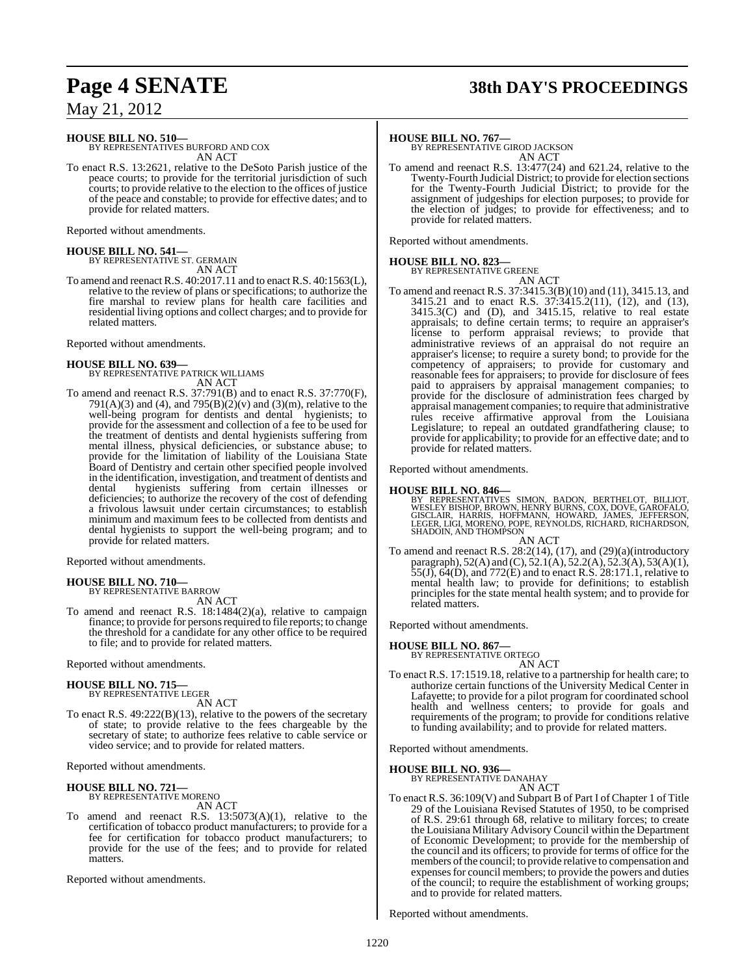# **Page 4 SENATE 38th DAY'S PROCEEDINGS**

May 21, 2012

**HOUSE BILL NO. 510—**

BY REPRESENTATIVES BURFORD AND COX AN ACT

To enact R.S. 13:2621, relative to the DeSoto Parish justice of the peace courts; to provide for the territorial jurisdiction of such courts; to provide relative to the election to the offices of justice of the peace and constable; to provide for effective dates; and to provide for related matters.

Reported without amendments.

# **HOUSE BILL NO. 541—** BY REPRESENTATIVE ST. GERMAIN

AN ACT

To amend and reenact R.S. 40:2017.11 and to enact R.S. 40:1563(L), relative to the review of plans or specifications; to authorize the fire marshal to review plans for health care facilities and residential living options and collect charges; and to provide for related matters.

Reported without amendments.

### **HOUSE BILL NO. 639—** BY REPRESENTATIVE PATRICK WILLIAMS AN ACT

To amend and reenact R.S. 37:791(B) and to enact R.S. 37:770(F), 791(A)(3) and (4), and 795(B)(2)(v) and (3)(m), relative to the well-being program for dentists and dental hygienists; to provide for the assessment and collection of a fee to be used for the treatment of dentists and dental hygienists suffering from mental illness, physical deficiencies, or substance abuse; to provide for the limitation of liability of the Louisiana State Board of Dentistry and certain other specified people involved in the identification, investigation, and treatment of dentists and dental hygienists suffering from certain illnesses or deficiencies; to authorize the recovery of the cost of defending a frivolous lawsuit under certain circumstances; to establish minimum and maximum fees to be collected from dentists and dental hygienists to support the well-being program; and to provide for related matters.

Reported without amendments.

### **HOUSE BILL NO. 710—** BY REPRESENTATIVE BARROW

AN ACT

To amend and reenact R.S. 18:1484(2)(a), relative to campaign finance; to provide for persons required to file reports; to change the threshold for a candidate for any other office to be required to file; and to provide for related matters.

Reported without amendments.

### **HOUSE BILL NO. 715—** BY REPRESENTATIVE LEGER

AN ACT

To enact R.S. 49:222(B)(13), relative to the powers of the secretary of state; to provide relative to the fees chargeable by the secretary of state; to authorize fees relative to cable service or video service; and to provide for related matters.

Reported without amendments.

# **HOUSE BILL NO. 721—** BY REPRESENTATIVE MORENO

AN ACT

To amend and reenact R.S.  $13:5073(A)(1)$ , relative to the certification of tobacco product manufacturers; to provide for a fee for certification for tobacco product manufacturers; to provide for the use of the fees; and to provide for related **matters** 

Reported without amendments.

### **HOUSE BILL NO. 767—**

BY REPRESENTATIVE GIROD JACKSON AN ACT

To amend and reenact R.S. 13:477(24) and 621.24, relative to the Twenty-Fourth Judicial District; to provide for election sections for the Twenty-Fourth Judicial District; to provide for the assignment of judgeships for election purposes; to provide for the election of judges; to provide for effectiveness; and to provide for related matters.

Reported without amendments.

### **HOUSE BILL NO. 823—**

BY REPRESENTATIVE GREENE AN ACT

To amend and reenact R.S. 37:3415.3(B)(10) and (11), 3415.13, and 3415.21 and to enact R.S. 37:3415.2(11), (12), and (13), 3415.3(C) and (D), and 3415.15, relative to real estate appraisals; to define certain terms; to require an appraiser's license to perform appraisal reviews; to provide that administrative reviews of an appraisal do not require an appraiser's license; to require a surety bond; to provide for the competency of appraisers; to provide for customary and reasonable fees for appraisers; to provide for disclosure of fees paid to appraisers by appraisal management companies; to provide for the disclosure of administration fees charged by appraisal management companies; to require that administrative rules receive affirmative approval from the Louisiana Legislature; to repeal an outdated grandfathering clause; to provide for applicability; to provide for an effective date; and to provide for related matters.

Reported without amendments.

### **HOUSE BILL NO. 846—**

BY REPRESENTATIVES SIMON, BADON, BERTHELOT, BILLIOT,<br>WESLEYBISHOP,BROWN,HENRYBURNS,COX,DOVE,GAROFALO,<br>GISCLAIR, HARRIS, HOFFMANN, HOWARD, JAMES, JEFFERSON,<br>LEGER,LIGI,MORENO,POPE,REYNOLDS,RICHARD,RICHARDSON,<br>SHADOIN,AND TH AN ACT

To amend and reenact R.S. 28:2(14), (17), and (29)(a)(introductory paragraph), 52(A) and (C), 52.1(A), 52.2(A), 52.3(A), 53(A)(1), 55(J), 64(D), and 772(E) and to enact R.S. 28:171.1, relative to mental health law; to provide for definitions; to establish principles for the state mental health system; and to provide for related matters.

Reported without amendments.

### **HOUSE BILL NO. 867—**

BY REPRESENTATIVE ORTEGO AN ACT

To enact R.S. 17:1519.18, relative to a partnership for health care; to authorize certain functions of the University Medical Center in Lafayette; to provide for a pilot program for coordinated school health and wellness centers; to provide for goals and requirements of the program; to provide for conditions relative to funding availability; and to provide for related matters.

Reported without amendments.

**HOUSE BILL NO. 936—**

BY REPRESENTATIVE DANAHAY AN ACT

To enact R.S. 36:109(V) and Subpart B of Part I of Chapter 1 of Title 29 of the Louisiana Revised Statutes of 1950, to be comprised of R.S. 29:61 through 68, relative to military forces; to create the Louisiana Military AdvisoryCouncil within the Department of Economic Development; to provide for the membership of the council and its officers; to provide for terms of office for the members of the council; to provide relative to compensation and expensesfor council members; to provide the powers and duties of the council; to require the establishment of working groups; and to provide for related matters.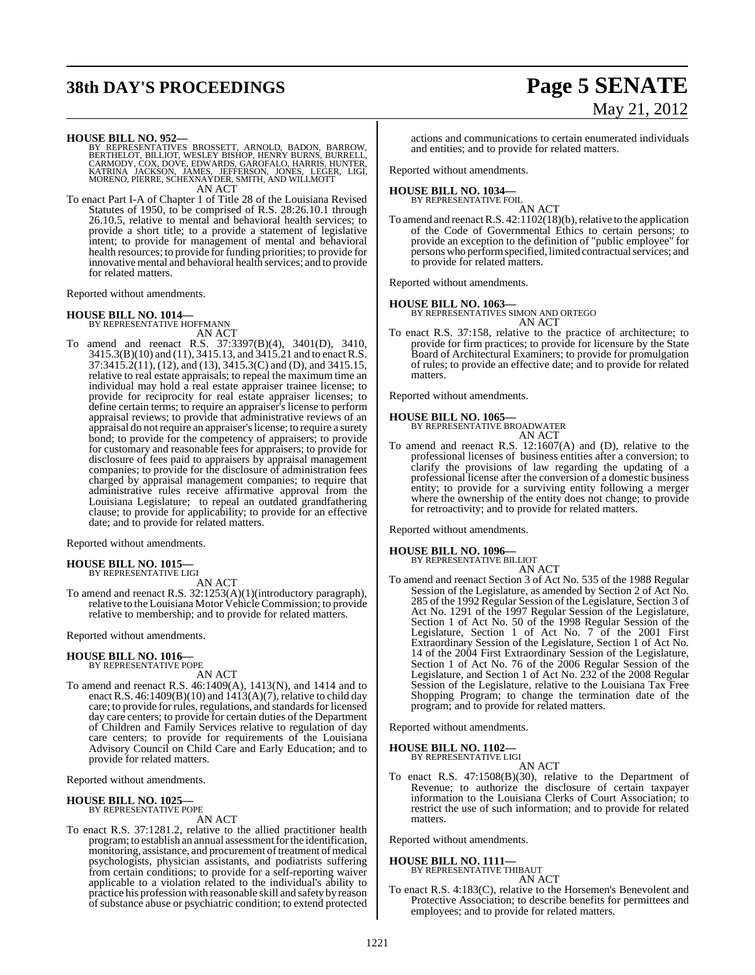# **38th DAY'S PROCEEDINGS Page 5 SENATE**

# May 21, 2012

**HOUSE BILL NO. 952—**<br>BY REPRESENTATIVES BROSSETT, ARNOLD, BADON, BARROW, BERTHELOT, BILLIOT, WESLEY BISHOP, HENRY BURNS, BURRELL,<br>CARMODY, COX, DOVE, EDWARDS, GAROFALO, HARRIS, HUNTER,<br>KATRINA JACKSON, JAMES, JEFFERSON, J AN ACT

To enact Part I-A of Chapter 1 of Title 28 of the Louisiana Revised Statutes of 1950, to be comprised of R.S. 28:26.10.1 through 26.10.5, relative to mental and behavioral health services; to provide a short title; to a provide a statement of legislative intent; to provide for management of mental and behavioral health resources; to provide for funding priorities; to provide for innovative mental and behavioral health services; and to provide for related matters.

Reported without amendments.

### **HOUSE BILL NO. 1014—**

BY REPRESENTATIVE HOFFMANN

AN ACT To amend and reenact R.S. 37:3397(B)(4), 3401(D), 3410, 3415.3(B)(10) and (11), 3415.13, and 3415.21 and to enact R.S. 37:3415.2(11), (12), and (13), 3415.3(C) and (D), and 3415.15, relative to real estate appraisals; to repeal the maximum time an individual may hold a real estate appraiser trainee license; to provide for reciprocity for real estate appraiser licenses; to define certain terms; to require an appraiser's license to perform appraisal reviews; to provide that administrative reviews of an appraisal do notrequire an appraiser'slicense; to require a surety bond; to provide for the competency of appraisers; to provide for customary and reasonable fees for appraisers; to provide for disclosure of fees paid to appraisers by appraisal management companies; to provide for the disclosure of administration fees charged by appraisal management companies; to require that administrative rules receive affirmative approval from the Louisiana Legislature; to repeal an outdated grandfathering clause; to provide for applicability; to provide for an effective date; and to provide for related matters.

Reported without amendments.

### **HOUSE BILL NO. 1015—** BY REPRESENTATIVE LIGI

AN ACT

To amend and reenact R.S. 32:1253(A)(1)(introductory paragraph), relative to the Louisiana Motor Vehicle Commission; to provide relative to membership; and to provide for related matters.

Reported without amendments.

# **HOUSE BILL NO. 1016—** BY REPRESENTATIVE POPE

AN ACT

To amend and reenact R.S. 46:1409(A), 1413(N), and 1414 and to enact R.S. 46:1409(B)(10) and  $1413(A)(7)$ , relative to child day care; to provide for rules, regulations, and standards for licensed day care centers; to provide for certain duties of the Department of Children and Family Services relative to regulation of day care centers; to provide for requirements of the Louisiana Advisory Council on Child Care and Early Education; and to provide for related matters.

Reported without amendments.

# **HOUSE BILL NO. 1025—** BY REPRESENTATIVE POPE

AN ACT

To enact R.S. 37:1281.2, relative to the allied practitioner health program; to establish an annual assessment for the identification, monitoring, assistance, and procurement of treatment of medical psychologists, physician assistants, and podiatrists suffering from certain conditions; to provide for a self-reporting waiver applicable to a violation related to the individual's ability to practice his profession with reasonable skill and safety by reason of substance abuse or psychiatric condition; to extend protected

actions and communications to certain enumerated individuals and entities; and to provide for related matters.

Reported without amendments.

### **HOUSE BILL NO. 1034—** BY REPRESENTATIVE FOIL

AN ACT

To amend and reenact R.S. 42:1102(18)(b), relative to the application of the Code of Governmental Ethics to certain persons; to provide an exception to the definition of "public employee" for persons who performspecified, limited contractual services; and to provide for related matters.

Reported without amendments.

**HOUSE BILL NO. 1063—**

BY REPRESENTATIVES SIMON AND ORTEGO AN ACT

To enact R.S. 37:158, relative to the practice of architecture; to provide for firm practices; to provide for licensure by the State Board of Architectural Examiners; to provide for promulgation of rules; to provide an effective date; and to provide for related matters.

Reported without amendments.

**HOUSE BILL NO. 1065—** BY REPRESENTATIVE BROADWATER AN ACT

To amend and reenact R.S. 12:1607(A) and (D), relative to the professional licenses of business entities after a conversion; to clarify the provisions of law regarding the updating of a professional license after the conversion of a domestic business entity; to provide for a surviving entity following a merger where the ownership of the entity does not change; to provide for retroactivity; and to provide for related matters.

Reported without amendments.

# **HOUSE BILL NO. 1096—** BY REPRESENTATIVE BILLIOT

AN ACT

To amend and reenact Section 3 of Act No. 535 of the 1988 Regular Session of the Legislature, as amended by Section 2 of Act No. 285 of the 1992 Regular Session of the Legislature, Section 3 of Act No. 1291 of the 1997 Regular Session of the Legislature, Section 1 of Act No. 50 of the 1998 Regular Session of the Legislature, Section 1 of Act No. 7 of the 2001 First Extraordinary Session of the Legislature, Section 1 of Act No. 14 of the 2004 First Extraordinary Session of the Legislature, Section 1 of Act No. 76 of the 2006 Regular Session of the Legislature, and Section 1 of Act No. 232 of the 2008 Regular Session of the Legislature, relative to the Louisiana Tax Free Shopping Program; to change the termination date of the program; and to provide for related matters.

Reported without amendments.

### **HOUSE BILL NO. 1102—**

BY REPRESENTATIVE LIGI AN ACT

To enact R.S. 47:1508(B)(30), relative to the Department of Revenue; to authorize the disclosure of certain taxpayer information to the Louisiana Clerks of Court Association; to restrict the use of such information; and to provide for related matters.

Reported without amendments.

### **HOUSE BILL NO. 1111—** BY REPRESENTATIVE THIBAUT

AN ACT

To enact R.S. 4:183(C), relative to the Horsemen's Benevolent and Protective Association; to describe benefits for permittees and employees; and to provide for related matters.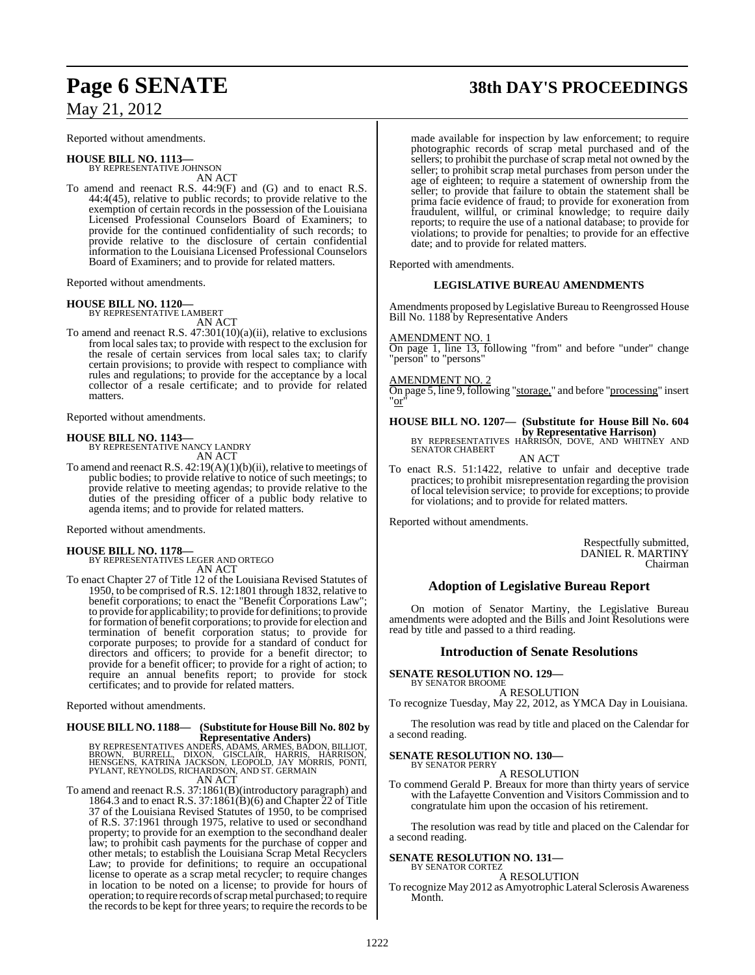Reported without amendments.

### **HOUSE BILL NO. 1113—**

BY REPRESENTATIVE JOHNSON AN ACT

To amend and reenact R.S. 44:9(F) and (G) and to enact R.S. 44:4(45), relative to public records; to provide relative to the exemption of certain records in the possession of the Louisiana Licensed Professional Counselors Board of Examiners; to provide for the continued confidentiality of such records; to provide relative to the disclosure of certain confidential information to the Louisiana Licensed Professional Counselors Board of Examiners; and to provide for related matters.

Reported without amendments.

# **HOUSE BILL NO. 1120—** BY REPRESENTATIVE LAMBERT

AN ACT

To amend and reenact R.S. 47:301(10)(a)(ii), relative to exclusions from local sales tax; to provide with respect to the exclusion for the resale of certain services from local sales tax; to clarify certain provisions; to provide with respect to compliance with rules and regulations; to provide for the acceptance by a local collector of a resale certificate; and to provide for related matters.

Reported without amendments.

### **HOUSE BILL NO. 1143—**

BY REPRESENTATIVE NANCY LANDRY AN ACT

To amend and reenact R.S. 42:19(A)(1)(b)(ii), relative to meetings of public bodies; to provide relative to notice of such meetings; to provide relative to meeting agendas; to provide relative to the duties of the presiding officer of a public body relative to agenda items; and to provide for related matters.

Reported without amendments.

**HOUSE BILL NO. 1178—** BY REPRESENTATIVES LEGER AND ORTEGO AN ACT

To enact Chapter 27 of Title 12 of the Louisiana Revised Statutes of 1950, to be comprised of R.S. 12:1801 through 1832, relative to benefit corporations; to enact the "Benefit Corporations Law"; to provide for applicability; to provide for definitions; to provide for formation of benefit corporations; to provide for election and termination of benefit corporation status; to provide for corporate purposes; to provide for a standard of conduct for directors and officers; to provide for a benefit director; to provide for a benefit officer; to provide for a right of action; to require an annual benefits report; to provide for stock certificates; and to provide for related matters.

Reported without amendments.

# **HOUSE BILL NO. 1188— (Substitute for HouseBill No. 802 by**

**Representative Anders)**<br>BY REPRESENTATIVES ANDERS, ADAMS, ARMES, BADON, BILLIOT,<br>BROWN, BURRELL, DIXON, GISCLAIR, HARRISON,<br>HENSGENS, KATRINA JACKSON, LEOPOLD, JAY MORRIS, PONTI,<br>PYLANT, REYNOLDS, RICHARDSON, AND ST. GERM AN ACT

To amend and reenact R.S. 37:1861(B)(introductory paragraph) and 1864.3 and to enact R.S. 37:1861(B)(6) and Chapter 22 of Title 37 of the Louisiana Revised Statutes of 1950, to be comprised of R.S. 37:1961 through 1975, relative to used or secondhand property; to provide for an exemption to the secondhand dealer law; to prohibit cash payments for the purchase of copper and other metals; to establish the Louisiana Scrap Metal Recyclers Law; to provide for definitions; to require an occupational license to operate as a scrap metal recycler; to require changes in location to be noted on a license; to provide for hours of operation; to require records ofscrapmetal purchased; to require the records to be kept for three years; to require the records to be

# **Page 6 SENATE 38th DAY'S PROCEEDINGS**

made available for inspection by law enforcement; to require photographic records of scrap metal purchased and of the sellers; to prohibit the purchase of scrap metal not owned by the seller; to prohibit scrap metal purchases from person under the age of eighteen; to require a statement of ownership from the seller; to provide that failure to obtain the statement shall be prima facie evidence of fraud; to provide for exoneration from fraudulent, willful, or criminal knowledge; to require daily reports; to require the use of a national database; to provide for violations; to provide for penalties; to provide for an effective date; and to provide for related matters.

Reported with amendments.

### **LEGISLATIVE BUREAU AMENDMENTS**

Amendments proposed by Legislative Bureau to Reengrossed House Bill No. 1188 by Representative Anders

AMENDMENT NO

On page 1, line 13, following "from" and before "under" change "person" to "persons"

### AMENDMENT NO. 2

On page 5, line 9, following "storage," and before "processing" insert "or"

**HOUSE BILL NO. 1207— (Substitute for House Bill No. 604 by Representative Harrison)**<br>BY REPRESENTATIVES HARRISON, DOVE, AND WHITNEY AND<br>SENATOR CHABERT

AN ACT

To enact R.S. 51:1422, relative to unfair and deceptive trade practices; to prohibit misrepresentation regarding the provision of local television service; to provide for exceptions; to provide for violations; and to provide for related matters.

Reported without amendments.

Respectfully submitted, DANIEL R. MARTINY Chairman

### **Adoption of Legislative Bureau Report**

On motion of Senator Martiny, the Legislative Bureau amendments were adopted and the Bills and Joint Resolutions were read by title and passed to a third reading.

### **Introduction of Senate Resolutions**

**SENATE RESOLUTION NO. 129—** BY SENATOR BROOME

### A RESOLUTION

To recognize Tuesday, May 22, 2012, as YMCA Day in Louisiana.

The resolution was read by title and placed on the Calendar for a second reading.

### **SENATE RESOLUTION NO. 130—** BY SENATOR PERRY

A RESOLUTION

To commend Gerald P. Breaux for more than thirty years of service with the Lafayette Convention and Visitors Commission and to congratulate him upon the occasion of his retirement.

The resolution was read by title and placed on the Calendar for a second reading.

### **SENATE RESOLUTION NO. 131—** BY SENATOR CORTEZ

A RESOLUTION

To recognize May 2012 as Amyotrophic Lateral Sclerosis Awareness Month.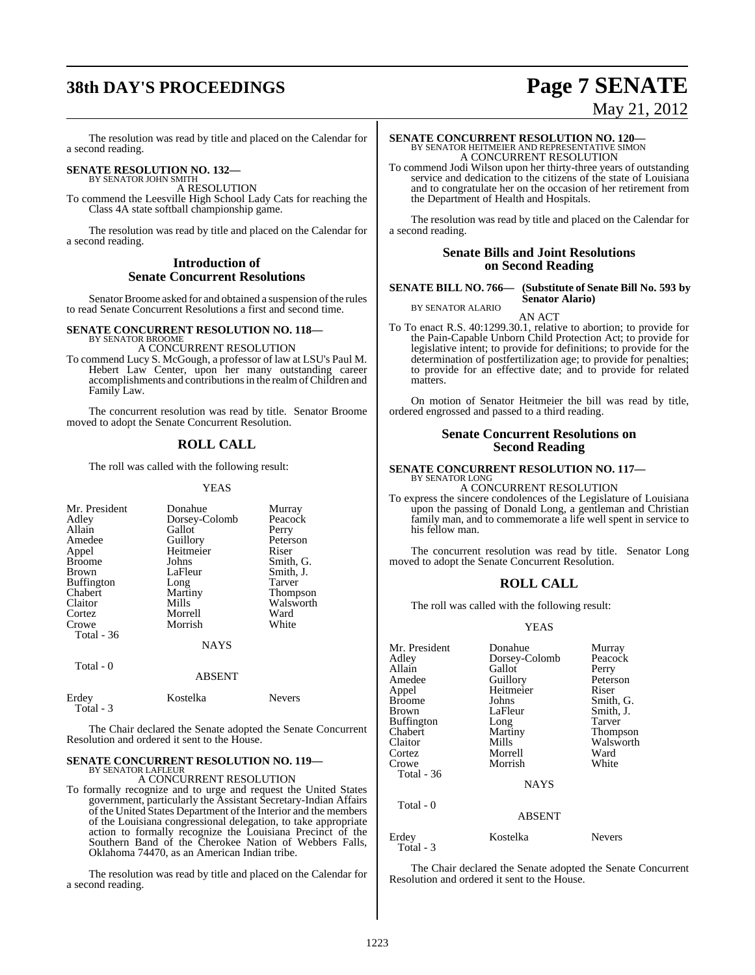# **38th DAY'S PROCEEDINGS Page 7 SENATE**

# May 21, 2012

The resolution was read by title and placed on the Calendar for a second reading.

# **SENATE RESOLUTION NO. 132—** BY SENATOR JOHN SMITH

A RESOLUTION To commend the Leesville High School Lady Cats for reaching the Class 4A state softball championship game.

The resolution was read by title and placed on the Calendar for a second reading.

### **Introduction of Senate Concurrent Resolutions**

Senator Broome asked for and obtained a suspension of the rules to read Senate Concurrent Resolutions a first and second time.

# **SENATE CONCURRENT RESOLUTION NO. 118—** BY SENATOR BROOME

A CONCURRENT RESOLUTION

To commend Lucy S. McGough, a professor of law at LSU's Paul M. Hebert Law Center, upon her many outstanding career accomplishments and contributionsin the realmofChildren and Family Law.

The concurrent resolution was read by title. Senator Broome moved to adopt the Senate Concurrent Resolution.

### **ROLL CALL**

The roll was called with the following result:

YEAS

| Mr. President<br>Adley<br>Allain<br>Amedee<br>Appel<br><b>Broome</b><br><b>Brown</b><br><b>Buffington</b><br>Chabert<br>Claitor | Donahue<br>Dorsey-Colomb<br>Gallot<br>Guillory<br>Heitmeier<br>Johns<br>LaFleur<br>Long<br>Martiny<br>Mills | Murray<br>Peacock<br>Perry<br>Peterson<br>Riser<br>Smith, G.<br>Smith, J.<br>Tarver<br><b>Thompson</b><br>Walsworth |
|---------------------------------------------------------------------------------------------------------------------------------|-------------------------------------------------------------------------------------------------------------|---------------------------------------------------------------------------------------------------------------------|
| Cortez                                                                                                                          | Morrell                                                                                                     | Ward                                                                                                                |
| Crowe<br><b>Total - 36</b>                                                                                                      | Morrish                                                                                                     | White                                                                                                               |
|                                                                                                                                 | <b>NAYS</b>                                                                                                 |                                                                                                                     |
| Total - 0                                                                                                                       | <b>ABSENT</b>                                                                                               |                                                                                                                     |

| Erdey     | Kostelka | <b>Nevers</b> |
|-----------|----------|---------------|
| Total - 3 |          |               |

The Chair declared the Senate adopted the Senate Concurrent Resolution and ordered it sent to the House.

### **SENATE CONCURRENT RESOLUTION NO. 119—** BY SENATOR LAFLEUR

A CONCURRENT RESOLUTION

To formally recognize and to urge and request the United States government, particularly the Assistant Secretary-Indian Affairs of the United States Department of the Interior and the members of the Louisiana congressional delegation, to take appropriate action to formally recognize the Louisiana Precinct of the Southern Band of the Cherokee Nation of Webbers Falls, Oklahoma 74470, as an American Indian tribe.

The resolution was read by title and placed on the Calendar for a second reading.

# **SENATE CONCURRENT RESOLUTION NO. 120—**<br>BY SENATOR HEITMEIER AND REPRESENTATIVE SIMON A CONCURRENT RESOLUTION

To commend Jodi Wilson upon her thirty-three years of outstanding service and dedication to the citizens of the state of Louisiana and to congratulate her on the occasion of her retirement from the Department of Health and Hospitals.

The resolution was read by title and placed on the Calendar for a second reading.

### **Senate Bills and Joint Resolutions on Second Reading**

### **SENATE BILL NO. 766— (Substitute of Senate Bill No. 593 by Senator Alario)** BY SENATOR ALARIO

AN ACT

To To enact R.S. 40:1299.30.1, relative to abortion; to provide for the Pain-Capable Unborn Child Protection Act; to provide for legislative intent; to provide for definitions; to provide for the determination of postfertilization age; to provide for penalties; to provide for an effective date; and to provide for related matters.

On motion of Senator Heitmeier the bill was read by title, ordered engrossed and passed to a third reading.

### **Senate Concurrent Resolutions on Second Reading**

# **SENATE CONCURRENT RESOLUTION NO. 117—** BY SENATOR LONG

A CONCURRENT RESOLUTION

To express the sincere condolences of the Legislature of Louisiana upon the passing of Donald Long, a gentleman and Christian family man, and to commemorate a life well spent in service to his fellow man.

The concurrent resolution was read by title. Senator Long moved to adopt the Senate Concurrent Resolution.

### **ROLL CALL**

The roll was called with the following result:

### YEAS

| Mr. President<br>Adley<br>Allain<br>Amedee<br>Appel<br>Broome<br>Brown<br>Buffington<br>Chabert<br>Claitor | Donahue<br>Dorsey-Colomb<br>Gallot<br>Guillory<br>Heitmeier<br>Johns<br>LaFleur<br>Long<br>Martiny<br>Mills | Murray<br>Peacock<br>Perry<br>Peterson<br>Riser<br>Smith, G.<br>Smith, J.<br>Tarver<br>Thompson<br>Walsworth |
|------------------------------------------------------------------------------------------------------------|-------------------------------------------------------------------------------------------------------------|--------------------------------------------------------------------------------------------------------------|
| Cortez<br>Crowe                                                                                            | Morrell<br>Morrish                                                                                          | Ward<br>White                                                                                                |
| Total - 36                                                                                                 | <b>NAYS</b>                                                                                                 |                                                                                                              |
| Total $-0$                                                                                                 | <b>ABSENT</b>                                                                                               |                                                                                                              |
| Erdey<br>Total - 3                                                                                         | Kostelka                                                                                                    | <b>Nevers</b>                                                                                                |

The Chair declared the Senate adopted the Senate Concurrent Resolution and ordered it sent to the House.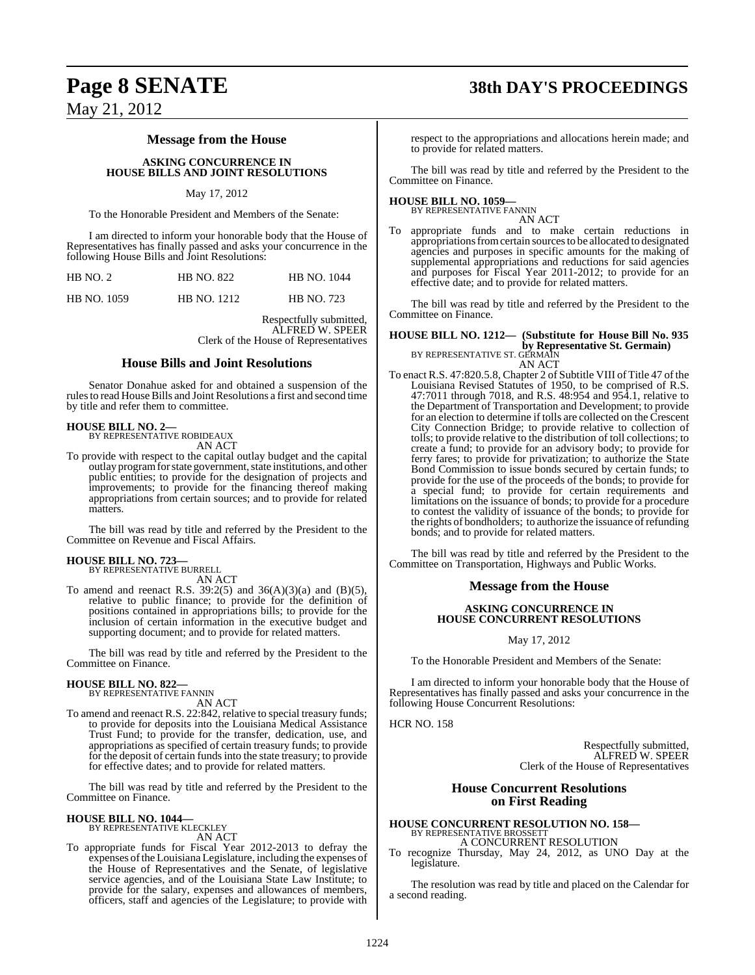# **Page 8 SENATE 38th DAY'S PROCEEDINGS**

May 21, 2012

### **Message from the House**

### **ASKING CONCURRENCE IN HOUSE BILLS AND JOINT RESOLUTIONS**

### May 17, 2012

To the Honorable President and Members of the Senate:

I am directed to inform your honorable body that the House of Representatives has finally passed and asks your concurrence in the following House Bills and Joint Resolutions:

| HB NO. 2           | <b>HB NO. 822</b>  | <b>HB NO. 1044</b> |
|--------------------|--------------------|--------------------|
| <b>HB NO. 1059</b> | <b>HB NO. 1212</b> | <b>HB NO. 723</b>  |

Respectfully submitted, ALFRED W. SPEER Clerk of the House of Representatives

### **House Bills and Joint Resolutions**

Senator Donahue asked for and obtained a suspension of the rules to read House Bills and Joint Resolutions a first and second time by title and refer them to committee.

**HOUSE BILL NO. 2—** BY REPRESENTATIVE ROBIDEAUX AN ACT

To provide with respect to the capital outlay budget and the capital outlay programforstate government, state institutions, and other public entities; to provide for the designation of projects and improvements; to provide for the financing thereof making appropriations from certain sources; and to provide for related matters.

The bill was read by title and referred by the President to the Committee on Revenue and Fiscal Affairs.

# **HOUSE BILL NO. 723—** BY REPRESENTATIVE BURRELL

AN ACT

To amend and reenact R.S. 39:2(5) and 36(A)(3)(a) and (B)(5), relative to public finance; to provide for the definition of positions contained in appropriations bills; to provide for the inclusion of certain information in the executive budget and supporting document; and to provide for related matters.

The bill was read by title and referred by the President to the Committee on Finance.

# **HOUSE BILL NO. 822—** BY REPRESENTATIVE FANNIN

AN ACT

To amend and reenact R.S. 22:842, relative to special treasury funds; to provide for deposits into the Louisiana Medical Assistance Trust Fund; to provide for the transfer, dedication, use, and appropriations as specified of certain treasury funds; to provide for the deposit of certain fundsinto the state treasury; to provide for effective dates; and to provide for related matters.

The bill was read by title and referred by the President to the Committee on Finance.

### **HOUSE BILL NO. 1044—** BY REPRESENTATIVE KLECKLEY

AN ACT

To appropriate funds for Fiscal Year 2012-2013 to defray the expenses of the Louisiana Legislature, including the expenses of the House of Representatives and the Senate, of legislative service agencies, and of the Louisiana State Law Institute; to provide for the salary, expenses and allowances of members, officers, staff and agencies of the Legislature; to provide with

respect to the appropriations and allocations herein made; and to provide for related matters.

The bill was read by title and referred by the President to the Committee on Finance.

### **HOUSE BILL NO. 1059—**

BY REPRESENTATIVE FANNIN AN ACT

To appropriate funds and to make certain reductions in appropriationsfromcertain sourcesto be allocated to designated agencies and purposes in specific amounts for the making of supplemental appropriations and reductions for said agencies and purposes for Fiscal Year 2011-2012; to provide for an effective date; and to provide for related matters.

The bill was read by title and referred by the President to the Committee on Finance.

### **HOUSE BILL NO. 1212— (Substitute for House Bill No. 935 by Representative St. Germain)**<br>BY REPRESENTATIVE ST. GERMAIN AN ACT

To enact R.S. 47:820.5.8, Chapter 2 of Subtitle VIII of Title 47 of the Louisiana Revised Statutes of 1950, to be comprised of R.S. 47:7011 through 7018, and R.S. 48:954 and 954.1, relative to the Department of Transportation and Development; to provide for an election to determine if tolls are collected on the Crescent City Connection Bridge; to provide relative to collection of tolls; to provide relative to the distribution of toll collections; to create a fund; to provide for an advisory body; to provide for ferry fares; to provide for privatization; to authorize the State Bond Commission to issue bonds secured by certain funds; to provide for the use of the proceeds of the bonds; to provide for a special fund; to provide for certain requirements and limitations on the issuance of bonds; to provide for a procedure to contest the validity of issuance of the bonds; to provide for the rights of bondholders; to authorize the issuance of refunding bonds; and to provide for related matters.

The bill was read by title and referred by the President to the Committee on Transportation, Highways and Public Works.

### **Message from the House**

### **ASKING CONCURRENCE IN HOUSE CONCURRENT RESOLUTIONS**

May 17, 2012

To the Honorable President and Members of the Senate:

I am directed to inform your honorable body that the House of Representatives has finally passed and asks your concurrence in the following House Concurrent Resolutions:

HCR NO. 158

Respectfully submitted, ALFRED W. SPEER Clerk of the House of Representatives

### **House Concurrent Resolutions on First Reading**

### **HOUSE CONCURRENT RESOLUTION NO. 158—** BY REPRESENTATIVE BROSSETT A CONCURRENT RESOLUTION

To recognize Thursday, May 24, 2012, as UNO Day at the legislature.

The resolution was read by title and placed on the Calendar for a second reading.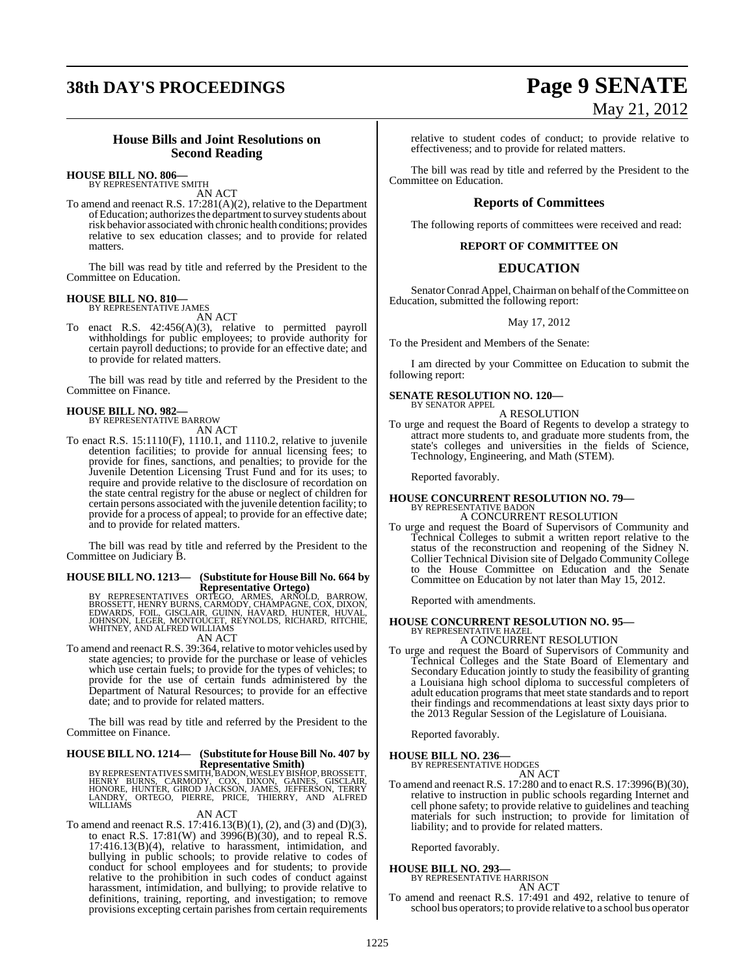# **38th DAY'S PROCEEDINGS Page 9 SENATE**

# May 21, 2012

### **House Bills and Joint Resolutions on Second Reading**

### **HOUSE BILL NO. 806—**

BY REPRESENTATIVE SMITH AN ACT

To amend and reenact R.S. 17:281(A)(2), relative to the Department ofEducation; authorizesthe department to survey students about risk behavior associated with chronic health conditions; provides relative to sex education classes; and to provide for related matters.

The bill was read by title and referred by the President to the Committee on Education.

### **HOUSE BILL NO. 810—** BY REPRESENTATIVE JAMES

AN ACT

To enact R.S. 42:456(A)(3), relative to permitted payroll withholdings for public employees; to provide authority for certain payroll deductions; to provide for an effective date; and to provide for related matters.

The bill was read by title and referred by the President to the Committee on Finance.

# **HOUSE BILL NO. 982—** BY REPRESENTATIVE BARROW

AN ACT

To enact R.S. 15:1110(F), 1110.1, and 1110.2, relative to juvenile detention facilities; to provide for annual licensing fees; to provide for fines, sanctions, and penalties; to provide for the Juvenile Detention Licensing Trust Fund and for its uses; to require and provide relative to the disclosure of recordation on the state central registry for the abuse or neglect of children for certain persons associated with the juvenile detention facility; to provide for a process of appeal; to provide for an effective date; and to provide for related matters.

The bill was read by title and referred by the President to the Committee on Judiciary B.

# **HOUSE BILL NO. 1213— (Substitute for HouseBill No. 664 by**

Representative Ortego)<br>
BROSSETT, HENRY BURNS, CARMODY, CHAMPAGNE, ARNOLD, BARROW,<br>
EDWARDS, FOIL, GISCLAIR, GUINN, HAVARD, HUNTER, HUVAL,<br>
JOHNSON, LEGER, MONTOUCET, REYNOLDS, RICHARD, RITCHIE,<br>
WHITNEY, AND ALFRED WILLIA

To amend and reenact R.S. 39:364, relative to motor vehicles used by state agencies; to provide for the purchase or lease of vehicles which use certain fuels; to provide for the types of vehicles; to provide for the use of certain funds administered by the Department of Natural Resources; to provide for an effective date; and to provide for related matters.

The bill was read by title and referred by the President to the Committee on Finance.

### **HOUSE BILL NO. 1214— (Substitute for HouseBill No. 407 by Representative Smith)**

BY REPRESENTATIVES SMITH, BADON, WESLEY BISHOP, BROSSETT,<br>HENRY BURNS, CARMODY, COX, DIXON, GAINES, GISCLAIR,<br>HONORE, HUNTER, GIROD JACKSON, JAMES, JEFFERSON, TERRY<br>LANDRY, ORTEGO, PIERRE, PRICE, THIERRY, AND ALFRED<br>WILLIA

### AN ACT

To amend and reenact R.S. 17:416.13(B)(1), (2), and (3) and (D)(3), to enact R.S. 17:81(W) and 3996(B)(30), and to repeal R.S.  $17:416.13(B)(4)$ , relative to harassment, intimidation, and bullying in public schools; to provide relative to codes of conduct for school employees and for students; to provide relative to the prohibition in such codes of conduct against harassment, intimidation, and bullying; to provide relative to definitions, training, reporting, and investigation; to remove provisions excepting certain parishes from certain requirements

relative to student codes of conduct; to provide relative to effectiveness; and to provide for related matters.

The bill was read by title and referred by the President to the Committee on Education.

### **Reports of Committees**

The following reports of committees were received and read:

### **REPORT OF COMMITTEE ON**

### **EDUCATION**

Senator Conrad Appel, Chairman on behalf of the Committee on Education, submitted the following report:

### May 17, 2012

To the President and Members of the Senate:

I am directed by your Committee on Education to submit the following report:

### **SENATE RESOLUTION NO. 120—** BY SENATOR APPEL

A RESOLUTION

To urge and request the Board of Regents to develop a strategy to attract more students to, and graduate more students from, the state's colleges and universities in the fields of Science, Technology, Engineering, and Math (STEM).

Reported favorably.

### **HOUSE CONCURRENT RESOLUTION NO. 79—** BY REPRESENTATIVE BADON A CONCURRENT RESOLUTION

To urge and request the Board of Supervisors of Community and Technical Colleges to submit a written report relative to the status of the reconstruction and reopening of the Sidney N. Collier Technical Division site of Delgado Community College to the House Committee on Education and the Senate Committee on Education by not later than May 15, 2012.

Reported with amendments.

# **HOUSE CONCURRENT RESOLUTION NO. 95—** BY REPRESENTATIVE HAZEL

A CONCURRENT RESOLUTION

To urge and request the Board of Supervisors of Community and Technical Colleges and the State Board of Elementary and Secondary Education jointly to study the feasibility of granting a Louisiana high school diploma to successful completers of adult education programs that meet state standards and to report their findings and recommendations at least sixty days prior to the 2013 Regular Session of the Legislature of Louisiana.

Reported favorably.

**HOUSE BILL NO. 236—** BY REPRESENTATIVE HODGES

AN ACT

To amend and reenact R.S. 17:280 and to enact R.S. 17:3996(B)(30), relative to instruction in public schools regarding Internet and cell phone safety; to provide relative to guidelines and teaching materials for such instruction; to provide for limitation of liability; and to provide for related matters.

Reported favorably.

### **HOUSE BILL NO. 293—**

BY REPRESENTATIVE HARRISON AN ACT

To amend and reenact R.S. 17:491 and 492, relative to tenure of school bus operators; to provide relative to a school bus operator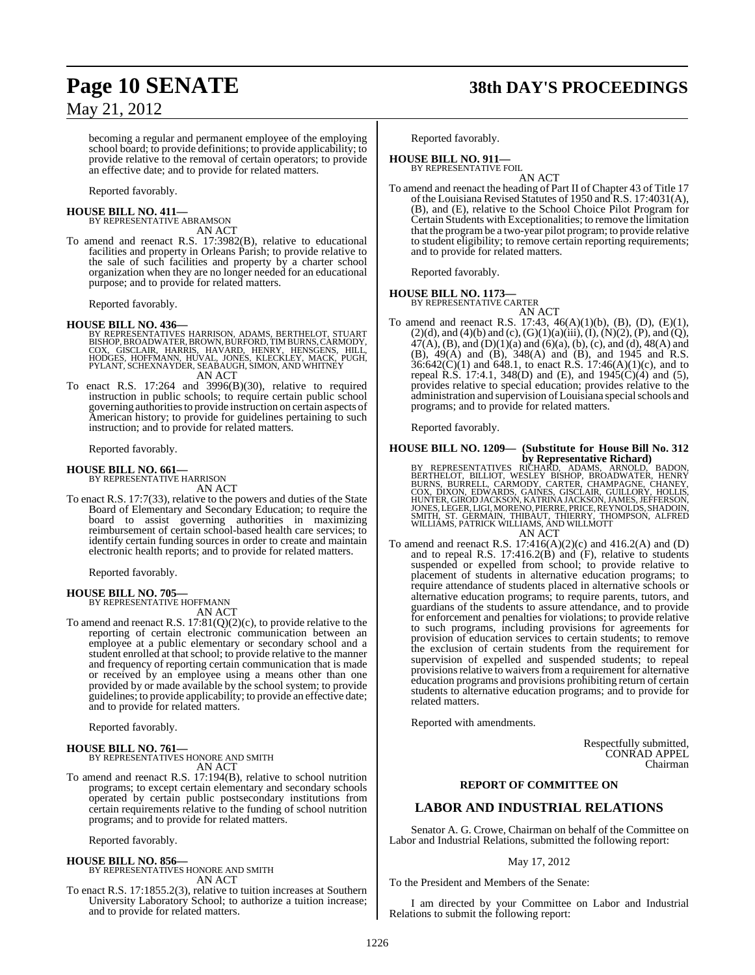becoming a regular and permanent employee of the employing school board; to provide definitions; to provide applicability; to provide relative to the removal of certain operators; to provide an effective date; and to provide for related matters.

Reported favorably.

### **HOUSE BILL NO. 411—** BY REPRESENTATIVE ABRAMSON

AN ACT

To amend and reenact R.S. 17:3982(B), relative to educational facilities and property in Orleans Parish; to provide relative to the sale of such facilities and property by a charter school organization when they are no longer needed for an educational purpose; and to provide for related matters.

Reported favorably.

### **HOUSE BILL NO. 436—**

BY REPRESENTATIVES HARRISON, ADAMS, BERTHELOT, STUART<br>BISHOP,BROADWATER,BROWN,BURFORD,TIMBURNS,CARMODY,<br>COX, GISCLAIR, HARRIS, HAVARD, HENRY, HENSGENS, HILL,<br>HODGES, HOFFMANN, HUVAL, JONES, KLECKLEY, MACK, PUGH,<br>PYLANT,SCH AN ACT

To enact R.S. 17:264 and 3996(B)(30), relative to required instruction in public schools; to require certain public school governing authoritiesto provide instruction on certain aspects of American history; to provide for guidelines pertaining to such instruction; and to provide for related matters.

Reported favorably.

### **HOUSE BILL NO. 661—**

BY REPRESENTATIVE HARRISON AN ACT

To enact R.S. 17:7(33), relative to the powers and duties of the State Board of Elementary and Secondary Education; to require the board to assist governing authorities in maximizing reimbursement of certain school-based health care services; to identify certain funding sources in order to create and maintain electronic health reports; and to provide for related matters.

Reported favorably.

### **HOUSE BILL NO. 705—**

BY REPRESENTATIVE HOFFMANN AN ACT

To amend and reenact R.S. 17:81(Q)(2)(c), to provide relative to the reporting of certain electronic communication between an employee at a public elementary or secondary school and a student enrolled at that school; to provide relative to the manner and frequency of reporting certain communication that is made or received by an employee using a means other than one provided by or made available by the school system; to provide guidelines; to provide applicability; to provide an effective date; and to provide for related matters.

Reported favorably.

### **HOUSE BILL NO. 761—** BY REPRESENTATIVES HONORE AND SMITH AN ACT

To amend and reenact R.S. 17:194(B), relative to school nutrition programs; to except certain elementary and secondary schools operated by certain public postsecondary institutions from certain requirements relative to the funding of school nutrition programs; and to provide for related matters.

Reported favorably.

### **HOUSE BILL NO. 856—**

BY REPRESENTATIVES HONORE AND SMITH AN ACT

To enact R.S. 17:1855.2(3), relative to tuition increases at Southern University Laboratory School; to authorize a tuition increase; and to provide for related matters.

# **Page 10 SENATE 38th DAY'S PROCEEDINGS**

Reported favorably.

## **HOUSE BILL NO. 911—**

BY REPRESENTATIVE FOIL AN ACT

To amend and reenact the heading of Part II of Chapter 43 of Title 17 of the Louisiana Revised Statutes of 1950 and R.S. 17:4031(A), (B), and (E), relative to the School Choice Pilot Program for Certain Students with Exceptionalities; to remove the limitation that the programbe a two-year pilot program; to provide relative to student eligibility; to remove certain reporting requirements; and to provide for related matters.

Reported favorably.

### **HOUSE BILL NO. 1173—**

BY REPRESENTATIVE CARTER AN ACT

To amend and reenact R.S. 17:43, 46(A)(1)(b), (B), (D), (E)(1),  $(2)(d)$ , and  $(4)(b)$  and  $(c)$ ,  $(G)(1)(a)(iii)$ ,  $(I)$ ,  $(N)(2)$ ,  $(P)$ , and  $(Q)$ , 47(A), (B), and (D)(1)(a) and (6)(a), (b), (c), and (d), 48(A) and (B), 49(A) and (B), 348(A) and (B), and 1945 and R.S.  $36:642(C)(1)$  and  $648.1$ , to enact R.S. 17:46(A)(1)(c), and to repeal R.S. 17:4.1, 348(D) and (E), and 1945(C)(4) and (5), provides relative to special education; provides relative to the administration and supervision of Louisiana special schools and programs; and to provide for related matters.

Reported favorably.

# **HOUSE BILL NO. 1209— (Substitute for House Bill No. 312**

**by Representative Richard)**<br>BERTHELOT, BILLIOT, WESLEY BISHOP, BROADS, ARNOLD, BADON,<br>BERTHELOT, BILLIOT, WESLEY BISHOP, BROADWATER, HENRY<br>BURNS, BURRELL, CARMODY, CARTER, CHAMPAGNE, CHANEY,<br>COX, DIXON, EDWARDS, GAINES, G AN ACT

To amend and reenact R.S.  $17:416(A)(2)(c)$  and  $416.2(A)$  and  $(D)$ and to repeal R.S. 17:416.2(B) and (F), relative to students suspended or expelled from school; to provide relative to placement of students in alternative education programs; to require attendance of students placed in alternative schools or alternative education programs; to require parents, tutors, and guardians of the students to assure attendance, and to provide for enforcement and penalties for violations; to provide relative to such programs, including provisions for agreements for provision of education services to certain students; to remove the exclusion of certain students from the requirement for supervision of expelled and suspended students; to repeal provisions relative to waivers from a requirement for alternative education programs and provisions prohibiting return of certain students to alternative education programs; and to provide for related matters.

Reported with amendments.

Respectfully submitted, CONRAD APPEL Chairman

### **REPORT OF COMMITTEE ON**

### **LABOR AND INDUSTRIAL RELATIONS**

Senator A. G. Crowe, Chairman on behalf of the Committee on Labor and Industrial Relations, submitted the following report:

### May 17, 2012

To the President and Members of the Senate:

I am directed by your Committee on Labor and Industrial Relations to submit the following report: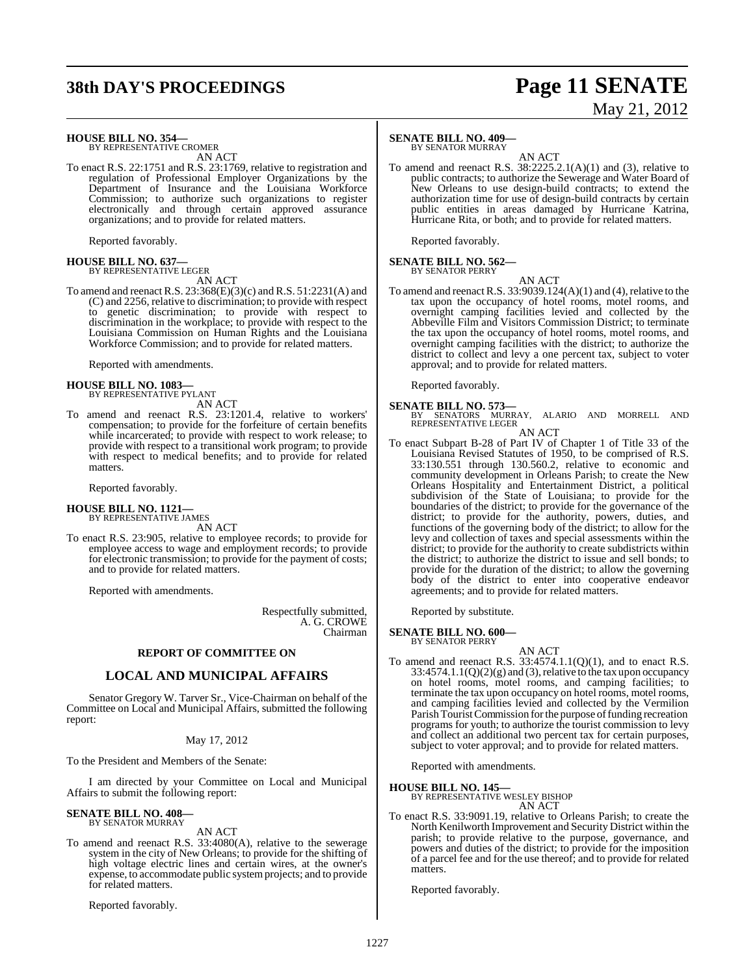# **38th DAY'S PROCEEDINGS Page 11 SENATE**

# May 21, 2012

### **HOUSE BILL NO. 354—**

BY REPRESENTATIVE CROMER AN ACT

To enact R.S. 22:1751 and R.S. 23:1769, relative to registration and regulation of Professional Employer Organizations by the Department of Insurance and the Louisiana Workforce Commission; to authorize such organizations to register electronically and through certain approved assurance organizations; and to provide for related matters.

Reported favorably.

### **HOUSE BILL NO. 637—** BY REPRESENTATIVE LEGER

AN ACT

To amend and reenact R.S. 23:368(E)(3)(c) and R.S. 51:2231(A) and (C) and 2256, relative to discrimination; to provide with respect to genetic discrimination; to provide with respect to discrimination in the workplace; to provide with respect to the Louisiana Commission on Human Rights and the Louisiana Workforce Commission; and to provide for related matters.

Reported with amendments.

### **HOUSE BILL NO. 1083—** BY REPRESENTATIVE PYLANT

AN ACT

To amend and reenact R.S. 23:1201.4, relative to workers' compensation; to provide for the forfeiture of certain benefits while incarcerated; to provide with respect to work release; to provide with respect to a transitional work program; to provide with respect to medical benefits; and to provide for related matters.

Reported favorably.

### **HOUSE BILL NO. 1121—** BY REPRESENTATIVE JAMES

AN ACT

To enact R.S. 23:905, relative to employee records; to provide for employee access to wage and employment records; to provide for electronic transmission; to provide for the payment of costs; and to provide for related matters.

Reported with amendments.

Respectfully submitted, A. G. CROWE Chairman

### **REPORT OF COMMITTEE ON**

### **LOCAL AND MUNICIPAL AFFAIRS**

Senator Gregory W. Tarver Sr., Vice-Chairman on behalf of the Committee on Local and Municipal Affairs, submitted the following report:

### May 17, 2012

To the President and Members of the Senate:

I am directed by your Committee on Local and Municipal Affairs to submit the following report:

### **SENATE BILL NO. 408—** BY SENATOR MURRAY

AN ACT

To amend and reenact R.S. 33:4080(A), relative to the sewerage system in the city of New Orleans; to provide for the shifting of high voltage electric lines and certain wires, at the owner's expense, to accommodate public systemprojects; and to provide for related matters.

Reported favorably.

### **SENATE BILL NO. 409—**

BY SENATOR MURRAY

AN ACT To amend and reenact R.S.  $38:2225.2.1(A)(1)$  and (3), relative to public contracts; to authorize the Sewerage and Water Board of New Orleans to use design-build contracts; to extend the authorization time for use of design-build contracts by certain public entities in areas damaged by Hurricane Katrina, Hurricane Rita, or both; and to provide for related matters.

Reported favorably.

### **SENATE BILL NO. 562—**

BY SENATOR PERRY AN ACT

To amend and reenact R.S.  $33:9039.124(A)(1)$  and (4), relative to the tax upon the occupancy of hotel rooms, motel rooms, and overnight camping facilities levied and collected by the Abbeville Film and Visitors Commission District; to terminate the tax upon the occupancy of hotel rooms, motel rooms, and overnight camping facilities with the district; to authorize the district to collect and levy a one percent tax, subject to voter approval; and to provide for related matters.

Reported favorably.

**SENATE BILL NO. 573—** BY SENATORS MURRAY, ALARIO AND MORRELL AND REPRESENTATIVE LEGER AN ACT

To enact Subpart B-28 of Part IV of Chapter 1 of Title 33 of the Louisiana Revised Statutes of 1950, to be comprised of R.S. 33:130.551 through 130.560.2, relative to economic and community development in Orleans Parish; to create the New Orleans Hospitality and Entertainment District, a political subdivision of the State of Louisiana; to provide for the boundaries of the district; to provide for the governance of the district; to provide for the authority, powers, duties, and functions of the governing body of the district; to allow for the levy and collection of taxes and special assessments within the district; to provide for the authority to create subdistricts within the district; to authorize the district to issue and sell bonds; to provide for the duration of the district; to allow the governing body of the district to enter into cooperative endeavor agreements; and to provide for related matters.

Reported by substitute.

### **SENATE BILL NO. 600—** BY SENATOR PERRY

AN ACT

To amend and reenact R.S. 33:4574.1.1(Q)(1), and to enact R.S.  $33:4574.1.1(Q)(2)(g)$  and (3), relative to the tax upon occupancy on hotel rooms, motel rooms, and camping facilities; to terminate the tax upon occupancy on hotel rooms, motel rooms, and camping facilities levied and collected by the Vermilion Parish Tourist Commission for the purpose of funding recreation programs for youth; to authorize the tourist commission to levy and collect an additional two percent tax for certain purposes, subject to voter approval; and to provide for related matters.

Reported with amendments.

**HOUSE BILL NO. 145—** BY REPRESENTATIVE WESLEY BISHOP AN ACT

To enact R.S. 33:9091.19, relative to Orleans Parish; to create the North Kenilworth Improvement and Security District within the parish; to provide relative to the purpose, governance, and powers and duties of the district; to provide for the imposition of a parcel fee and for the use thereof; and to provide for related matters.

Reported favorably.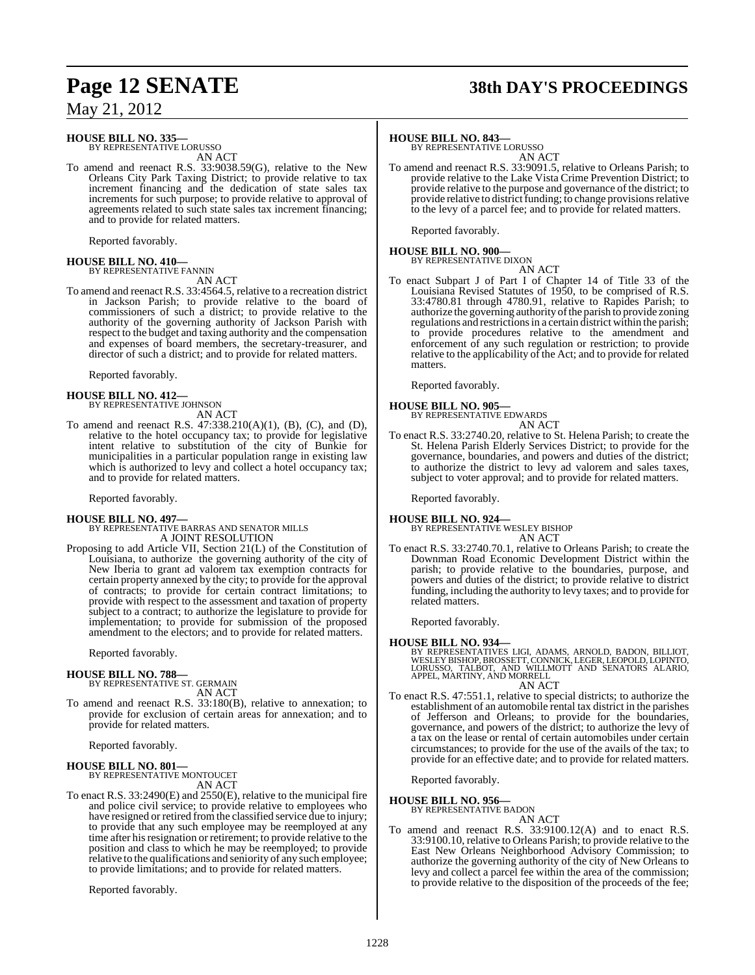# **Page 12 SENATE 38th DAY'S PROCEEDINGS**

May 21, 2012

### **HOUSE BILL NO. 335—**

BY REPRESENTATIVE LORUSSO AN ACT

To amend and reenact R.S. 33:9038.59(G), relative to the New Orleans City Park Taxing District; to provide relative to tax increment financing and the dedication of state sales tax increments for such purpose; to provide relative to approval of agreements related to such state sales tax increment financing; and to provide for related matters.

Reported favorably.

### **HOUSE BILL NO. 410—** BY REPRESENTATIVE FANNIN

AN ACT

To amend and reenact R.S. 33:4564.5, relative to a recreation district in Jackson Parish; to provide relative to the board of commissioners of such a district; to provide relative to the authority of the governing authority of Jackson Parish with respect to the budget and taxing authority and the compensation and expenses of board members, the secretary-treasurer, and director of such a district; and to provide for related matters.

Reported favorably.

- **HOUSE BILL NO. 412—** BY REPRESENTATIVE JOHNSON AN ACT
- To amend and reenact R.S. 47:338.210(A)(1), (B), (C), and (D), relative to the hotel occupancy tax; to provide for legislative intent relative to substitution of the city of Bunkie for municipalities in a particular population range in existing law which is authorized to levy and collect a hotel occupancy tax; and to provide for related matters.

Reported favorably.

### **HOUSE BILL NO. 497—**

BY REPRESENTATIVE BARRAS AND SENATOR MILLS A JOINT RESOLUTION

Proposing to add Article VII, Section 21(L) of the Constitution of Louisiana, to authorize the governing authority of the city of New Iberia to grant ad valorem tax exemption contracts for certain property annexed by the city; to provide for the approval of contracts; to provide for certain contract limitations; to provide with respect to the assessment and taxation of property subject to a contract; to authorize the legislature to provide for implementation; to provide for submission of the proposed amendment to the electors; and to provide for related matters.

Reported favorably.

### **HOUSE BILL NO. 788—**

BY REPRESENTATIVE ST. GERMAIN AN ACT

To amend and reenact R.S. 33:180(B), relative to annexation; to provide for exclusion of certain areas for annexation; and to provide for related matters.

Reported favorably.

### **HOUSE BILL NO. 801—** BY REPRESENTATIVE MONTOUCET AN ACT

To enact R.S. 33:2490(E) and 2550(E), relative to the municipal fire and police civil service; to provide relative to employees who have resigned or retired from the classified service due to injury; to provide that any such employee may be reemployed at any time after his resignation or retirement; to provide relative to the position and class to which he may be reemployed; to provide relative to the qualifications and seniority of any such employee; to provide limitations; and to provide for related matters.

Reported favorably.

### **HOUSE BILL NO. 843—**

BY REPRESENTATIVE LORUSSO AN ACT

To amend and reenact R.S. 33:9091.5, relative to Orleans Parish; to provide relative to the Lake Vista Crime Prevention District; to provide relative to the purpose and governance of the district; to provide relative to district funding; to change provisions relative to the levy of a parcel fee; and to provide for related matters.

Reported favorably.

# **HOUSE BILL NO. 900—** BY REPRESENTATIVE DIXON

AN ACT To enact Subpart J of Part I of Chapter 14 of Title 33 of the Louisiana Revised Statutes of 1950, to be comprised of R.S. 33:4780.81 through 4780.91, relative to Rapides Parish; to authorize the governing authority ofthe parish to provide zoning regulations and restrictions in a certain district within the parish; to provide procedures relative to the amendment and enforcement of any such regulation or restriction; to provide relative to the applicability of the Act; and to provide for related matters.

Reported favorably.

### **HOUSE BILL NO. 905—**

BY REPRESENTATIVE EDWARDS

- AN ACT
- To enact R.S. 33:2740.20, relative to St. Helena Parish; to create the St. Helena Parish Elderly Services District; to provide for the governance, boundaries, and powers and duties of the district; to authorize the district to levy ad valorem and sales taxes, subject to voter approval; and to provide for related matters.

Reported favorably.

### **HOUSE BILL NO. 924—**

BY REPRESENTATIVE WESLEY BISHOP AN ACT

To enact R.S. 33:2740.70.1, relative to Orleans Parish; to create the Downman Road Economic Development District within the parish; to provide relative to the boundaries, purpose, and powers and duties of the district; to provide relative to district funding, including the authority to levy taxes; and to provide for related matters.

Reported favorably.

**HOUSE BILL NO. 934—** BY REPRESENTATIVES LIGI, ADAMS, ARNOLD, BADON, BILLIOT, WESLEY BISHOP, BROSSETT, CONNICK, LEGER, LEOPOLD, LOPINTO, LORUSSO, TALBOT, AND WILLMOTT AND SENATORS ALARIO, APPEL, MARTINY, AND MORRELL AN ACT

To enact R.S. 47:551.1, relative to special districts; to authorize the establishment of an automobile rental tax district in the parishes of Jefferson and Orleans; to provide for the boundaries, governance, and powers of the district; to authorize the levy of a tax on the lease or rental of certain automobiles under certain circumstances; to provide for the use of the avails of the tax; to provide for an effective date; and to provide for related matters.

Reported favorably.

### **HOUSE BILL NO. 956—**

- BY REPRESENTATIVE BADON AN ACT
- To amend and reenact R.S. 33:9100.12(A) and to enact R.S. 33:9100.10, relative to Orleans Parish; to provide relative to the East New Orleans Neighborhood Advisory Commission; to authorize the governing authority of the city of New Orleans to levy and collect a parcel fee within the area of the commission; to provide relative to the disposition of the proceeds of the fee;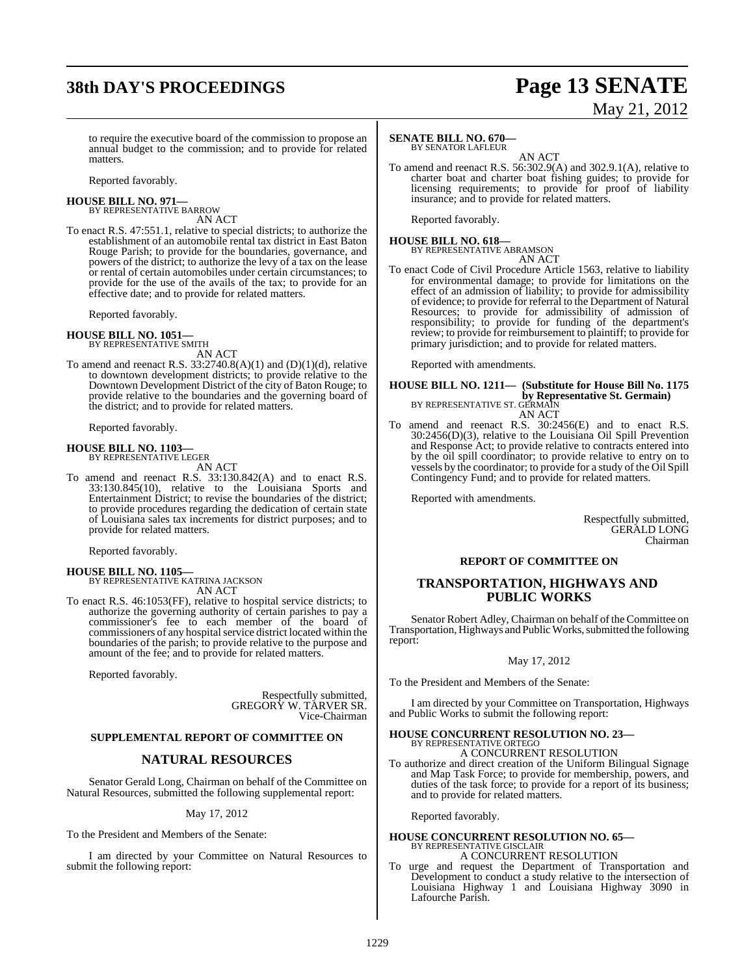# **38th DAY'S PROCEEDINGS Page 13 SENATE**

# May 21, 2012

to require the executive board of the commission to propose an annual budget to the commission; and to provide for related matters.

Reported favorably.

### **HOUSE BILL NO. 971—** BY REPRESENTATIVE BARROW

AN ACT

To enact R.S. 47:551.1, relative to special districts; to authorize the establishment of an automobile rental tax district in East Baton Rouge Parish; to provide for the boundaries, governance, and powers of the district; to authorize the levy of a tax on the lease or rental of certain automobiles under certain circumstances; to provide for the use of the avails of the tax; to provide for an effective date; and to provide for related matters.

Reported favorably.

### **HOUSE BILL NO. 1051—** BY REPRESENTATIVE SMITH

AN ACT

To amend and reenact R.S.  $33:2740.8(A)(1)$  and  $(D)(1)(d)$ , relative to downtown development districts; to provide relative to the Downtown Development District of the city of Baton Rouge; to provide relative to the boundaries and the governing board of the district; and to provide for related matters.

Reported favorably.

### **HOUSE BILL NO. 1103—** BY REPRESENTATIVE LEGER

AN ACT

To amend and reenact R.S. 33:130.842(A) and to enact R.S. 33:130.845(10), relative to the Louisiana Sports and Entertainment District; to revise the boundaries of the district; to provide procedures regarding the dedication of certain state of Louisiana sales tax increments for district purposes; and to provide for related matters.

Reported favorably.

### **HOUSE BILL NO. 1105—**

BY REPRESENTATIVE KATRINA JACKSON AN ACT

To enact R.S. 46:1053(FF), relative to hospital service districts; to authorize the governing authority of certain parishes to pay a commissioner's fee to each member of the board of commissioners of any hospital service district located within the boundaries of the parish; to provide relative to the purpose and amount of the fee; and to provide for related matters.

Reported favorably.

Respectfully submitted, GREGORY W. TARVER SR. Vice-Chairman

### **SUPPLEMENTAL REPORT OF COMMITTEE ON**

### **NATURAL RESOURCES**

Senator Gerald Long, Chairman on behalf of the Committee on Natural Resources, submitted the following supplemental report:

May 17, 2012

To the President and Members of the Senate:

I am directed by your Committee on Natural Resources to submit the following report:

### **SENATE BILL NO. 670—** BY SENATOR LAFLEUR

AN ACT

To amend and reenact R.S. 56:302.9(A) and 302.9.1(A), relative to charter boat and charter boat fishing guides; to provide for licensing requirements; to provide for proof of liability insurance; and to provide for related matters.

Reported favorably.

### **HOUSE BILL NO. 618—** BY REPRESENTATIVE ABRAMSON AN ACT

To enact Code of Civil Procedure Article 1563, relative to liability for environmental damage; to provide for limitations on the effect of an admission of liability; to provide for admissibility of evidence; to provide for referral to the Department of Natural Resources; to provide for admissibility of admission of responsibility; to provide for funding of the department's review; to provide for reimbursement to plaintiff; to provide for primary jurisdiction; and to provide for related matters.

Reported with amendments.

### **HOUSE BILL NO. 1211— (Substitute for House Bill No. 1175 by Representative St. Germain)** BY REPRESENTATIVE ST. GERMAIN AN ACT

To amend and reenact R.S. 30:2456(E) and to enact R.S. 30:2456(D)(3), relative to the Louisiana Oil Spill Prevention and Response Act; to provide relative to contracts entered into by the oil spill coordinator; to provide relative to entry on to vessels by the coordinator; to provide for a study of the Oil Spill Contingency Fund; and to provide for related matters.

Reported with amendments.

Respectfully submitted, GERALD LONG Chairman

### **REPORT OF COMMITTEE ON**

### **TRANSPORTATION, HIGHWAYS AND PUBLIC WORKS**

Senator Robert Adley, Chairman on behalf of the Committee on Transportation, Highways and Public Works, submitted the following report:

### May 17, 2012

To the President and Members of the Senate:

I am directed by your Committee on Transportation, Highways and Public Works to submit the following report:

### **HOUSE CONCURRENT RESOLUTION NO. 23—** BY REPRESENTATIVE ORTEGO

A CONCURRENT RESOLUTION

To authorize and direct creation of the Uniform Bilingual Signage and Map Task Force; to provide for membership, powers, and duties of the task force; to provide for a report of its business; and to provide for related matters.

Reported favorably.

# **HOUSE CONCURRENT RESOLUTION NO. 65—**<br>BY REPRESENTATIVE GISCLAIR<br>A CONCURRENT RESOLUTION

To urge and request the Department of Transportation and Development to conduct a study relative to the intersection of Louisiana Highway 1 and Louisiana Highway 3090 in Lafourche Parish.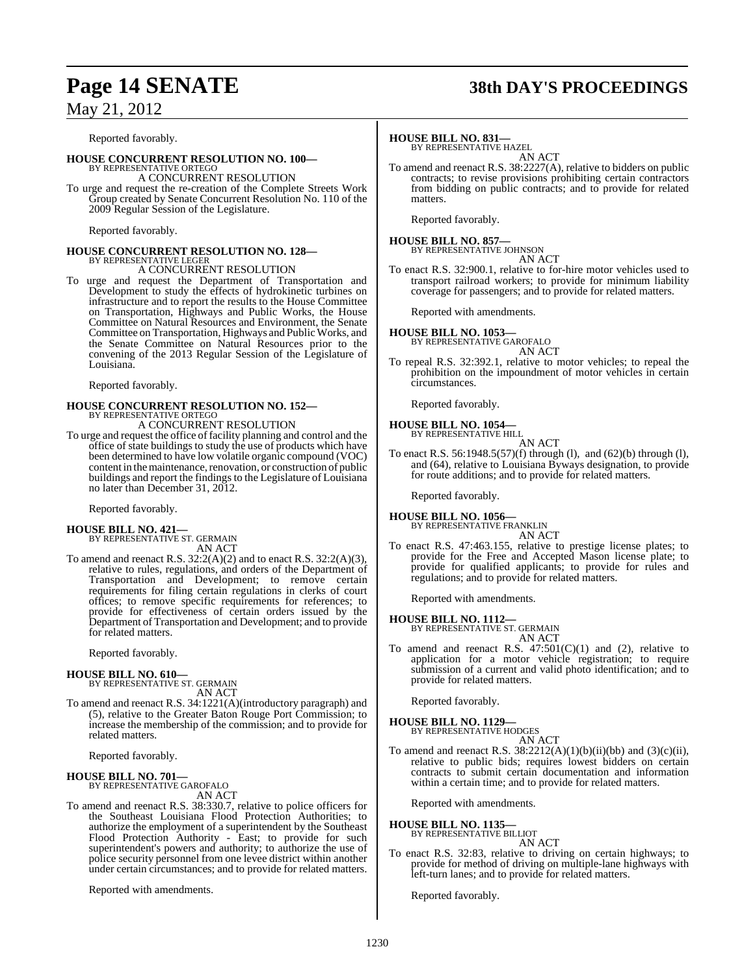### Reported favorably.

### **HOUSE CONCURRENT RESOLUTION NO. 100—**

BY REPRESENTATIVE ORTEGO A CONCURRENT RESOLUTION

To urge and request the re-creation of the Complete Streets Work Group created by Senate Concurrent Resolution No. 110 of the 2009 Regular Session of the Legislature.

Reported favorably.

# **HOUSE CONCURRENT RESOLUTION NO. 128—** BY REPRESENTATIVE LEGER

A CONCURRENT RESOLUTION

To urge and request the Department of Transportation and Development to study the effects of hydrokinetic turbines on infrastructure and to report the results to the House Committee on Transportation, Highways and Public Works, the House Committee on Natural Resources and Environment, the Senate Committee on Transportation, Highways and PublicWorks, and the Senate Committee on Natural Resources prior to the convening of the 2013 Regular Session of the Legislature of Louisiana.

Reported favorably.

# **HOUSE CONCURRENT RESOLUTION NO. 152—** BY REPRESENTATIVE ORTEGO

A CONCURRENT RESOLUTION

To urge and request the office of facility planning and control and the office of state buildings to study the use of products which have been determined to have low volatile organic compound (VOC) content in the maintenance, renovation, or construction of public buildings and report the findings to the Legislature of Louisiana no later than December 31, 2012.

Reported favorably.

### **HOUSE BILL NO. 421—**

BY REPRESENTATIVE ST. GERMAIN AN ACT

To amend and reenact R.S.  $32:2(A)(2)$  and to enact R.S.  $32:2(A)(3)$ , relative to rules, regulations, and orders of the Department of Transportation and Development; to remove certain requirements for filing certain regulations in clerks of court offices; to remove specific requirements for references; to provide for effectiveness of certain orders issued by the Department of Transportation and Development; and to provide for related matters.

Reported favorably.

### **HOUSE BILL NO. 610—**

BY REPRESENTATIVE ST. GERMAIN AN ACT

To amend and reenact R.S. 34:1221(A)(introductory paragraph) and (5), relative to the Greater Baton Rouge Port Commission; to increase the membership of the commission; and to provide for related matters.

Reported favorably.

### **HOUSE BILL NO. 701—**

BY REPRESENTATIVE GAROFALO AN ACT

To amend and reenact R.S. 38:330.7, relative to police officers for the Southeast Louisiana Flood Protection Authorities; to authorize the employment of a superintendent by the Southeast Flood Protection Authority - East; to provide for such superintendent's powers and authority; to authorize the use of police security personnel from one levee district within another under certain circumstances; and to provide for related matters.

Reported with amendments.

# **Page 14 SENATE 38th DAY'S PROCEEDINGS**

### **HOUSE BILL NO. 831—**

BY REPRESENTATIVE HAZEL AN ACT

To amend and reenact R.S. 38:2227(A), relative to bidders on public contracts; to revise provisions prohibiting certain contractors from bidding on public contracts; and to provide for related matters.

Reported favorably.

# **HOUSE BILL NO. 857—** BY REPRESENTATIVE JOHNSON

AN ACT

To enact R.S. 32:900.1, relative to for-hire motor vehicles used to transport railroad workers; to provide for minimum liability coverage for passengers; and to provide for related matters.

Reported with amendments.

# **HOUSE BILL NO. 1053—** BY REPRESENTATIVE GAROFALO

AN ACT

To repeal R.S. 32:392.1, relative to motor vehicles; to repeal the prohibition on the impoundment of motor vehicles in certain circumstances.

Reported favorably.

### **HOUSE BILL NO. 1054—** BY REPRESENTATIVE HILL

AN ACT

To enact R.S. 56:1948.5(57)(f) through (l), and (62)(b) through (l), and (64), relative to Louisiana Byways designation, to provide for route additions; and to provide for related matters.

Reported favorably.

### **HOUSE BILL NO. 1056—** BY REPRESENTATIVE FRANKLIN

AN ACT

To enact R.S. 47:463.155, relative to prestige license plates; to provide for the Free and Accepted Mason license plate; to provide for qualified applicants; to provide for rules and regulations; and to provide for related matters.

Reported with amendments.

### **HOUSE BILL NO. 1112—**

BY REPRESENTATIVE ST. GERMAIN AN ACT

To amend and reenact R.S.  $47:501(C)(1)$  and (2), relative to application for a motor vehicle registration; to require submission of a current and valid photo identification; and to provide for related matters.

Reported favorably.

### **HOUSE BILL NO. 1129—** BY REPRESENTATIVE HODGES

AN ACT

To amend and reenact R.S.  $38:2212(A)(1)(b)(ii)(bb)$  and  $(3)(c)(ii)$ , relative to public bids; requires lowest bidders on certain contracts to submit certain documentation and information within a certain time; and to provide for related matters.

Reported with amendments.

# **HOUSE BILL NO. 1135—** BY REPRESENTATIVE BILLIOT

AN ACT

To enact R.S. 32:83, relative to driving on certain highways; to provide for method of driving on multiple-lane highways with left-turn lanes; and to provide for related matters.

Reported favorably.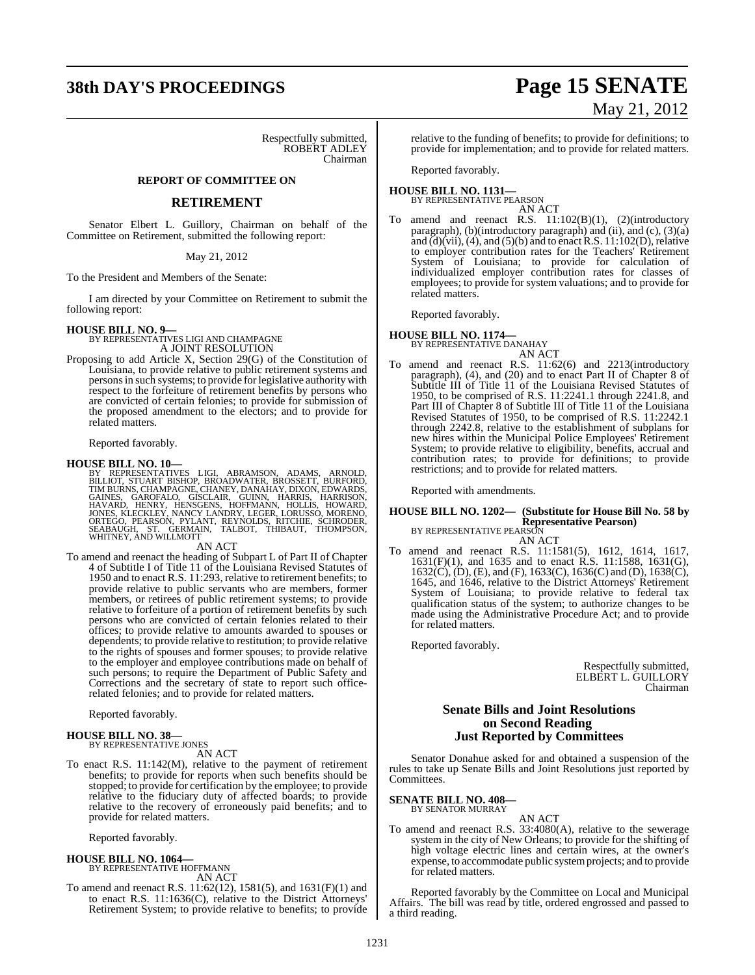# **38th DAY'S PROCEEDINGS Page 15 SENATE**

Respectfully submitted, ROBERT ADLEY Chairman

### **REPORT OF COMMITTEE ON**

### **RETIREMENT**

Senator Elbert L. Guillory, Chairman on behalf of the Committee on Retirement, submitted the following report:

### May 21, 2012

To the President and Members of the Senate:

I am directed by your Committee on Retirement to submit the following report:

### **HOUSE BILL NO. 9—**

BY REPRESENTATIVES LIGI AND CHAMPAGNE A JOINT RESOLUTION

Proposing to add Article X, Section 29(G) of the Constitution of Louisiana, to provide relative to public retirement systems and persons in such systems; to provide for legislative authority with respect to the forfeiture of retirement benefits by persons who are convicted of certain felonies; to provide for submission of the proposed amendment to the electors; and to provide for related matters.

Reported favorably.

### **HOUSE BILL NO. 10—**

BY REPRESENTATIVES LIGI, ABRAMSON, ADAMS, ARNOLD,<br>BILLIOT, STUART BISHOP, BROADWATER, BROSSETT, BURFORD,<br>TIMBURNS, CHAMPAGNE, CHANEY, DANAHAY, DIXON, EDWARDS,<br>GAINES, GAROFALO, GISCLAIR, GUINN, HARRIS, HARRISON,<br>HAVARD, HE

AN ACT

To amend and reenact the heading of Subpart L of Part II of Chapter 4 of Subtitle I of Title 11 of the Louisiana Revised Statutes of 1950 and to enact R.S. 11:293, relative to retirement benefits; to provide relative to public servants who are members, former members, or retirees of public retirement systems; to provide relative to forfeiture of a portion of retirement benefits by such persons who are convicted of certain felonies related to their offices; to provide relative to amounts awarded to spouses or dependents; to provide relative to restitution; to provide relative to the rights of spouses and former spouses; to provide relative to the employer and employee contributions made on behalf of such persons; to require the Department of Public Safety and Corrections and the secretary of state to report such officerelated felonies; and to provide for related matters.

Reported favorably.

# **HOUSE BILL NO. 38—** BY REPRESENTATIVE JONES

AN ACT

To enact R.S. 11:142(M), relative to the payment of retirement benefits; to provide for reports when such benefits should be stopped; to provide for certification by the employee; to provide relative to the fiduciary duty of affected boards; to provide relative to the recovery of erroneously paid benefits; and to provide for related matters.

Reported favorably.

# **HOUSE BILL NO. 1064—** BY REPRESENTATIVE HOFFMANN

AN ACT

To amend and reenact R.S. 11:62(12), 1581(5), and 1631(F)(1) and to enact R.S. 11:1636(C), relative to the District Attorneys' Retirement System; to provide relative to benefits; to provide

### relative to the funding of benefits; to provide for definitions; to provide for implementation; and to provide for related matters.

Reported favorably.

### **HOUSE BILL NO. 1131—** BY REPRESENTATIVE PEARSON

AN ACT

To amend and reenact R.S. 11:102(B)(1), (2)(introductory paragraph), (b)(introductory paragraph) and (ii), and (c),  $(3)(a)$ and (d)(vii), (4), and (5)(b) and to enact R.S.  $11:102(D)$ , relative to employer contribution rates for the Teachers' Retirement System of Louisiana; to provide for calculation of individualized employer contribution rates for classes of employees; to provide for system valuations; and to provide for related matters.

Reported favorably.

### **HOUSE BILL NO. 1174—**

BY REPRESENTATIVE DANAHAY AN ACT

To amend and reenact R.S. 11:62(6) and 2213(introductory paragraph), (4), and (20) and to enact Part II of Chapter 8 of Subtitle III of Title 11 of the Louisiana Revised Statutes of 1950, to be comprised of R.S. 11:2241.1 through 2241.8, and Part III of Chapter 8 of Subtitle III of Title 11 of the Louisiana Revised Statutes of 1950, to be comprised of R.S. 11:2242.1 through 2242.8, relative to the establishment of subplans for new hires within the Municipal Police Employees' Retirement System; to provide relative to eligibility, benefits, accrual and contribution rates; to provide for definitions; to provide restrictions; and to provide for related matters.

Reported with amendments.

### **HOUSE BILL NO. 1202— (Substitute for House Bill No. 58 by Representative Pearson)** BY REPRESENTATIVE PEARSON

AN ACT

To amend and reenact R.S. 11:1581(5), 1612, 1614, 1617, 1631(F)(1), and 1635 and to enact R.S. 11:1588, 1631(G), 1632(C), (D), (E), and (F), 1633(C), 1636(C) and (D), 1638(C), 1645, and 1646, relative to the District Attorneys' Retirement System of Louisiana; to provide relative to federal tax qualification status of the system; to authorize changes to be made using the Administrative Procedure Act; and to provide for related matters.

Reported favorably.

Respectfully submitted, ELBERT L. GUILLORY Chairman

### **Senate Bills and Joint Resolutions on Second Reading Just Reported by Committees**

Senator Donahue asked for and obtained a suspension of the rules to take up Senate Bills and Joint Resolutions just reported by Committees.

**SENATE BILL NO. 408—** BY SENATOR MURRAY

AN ACT

To amend and reenact R.S. 33:4080(A), relative to the sewerage system in the city of New Orleans; to provide for the shifting of high voltage electric lines and certain wires, at the owner's expense, to accommodate public systemprojects; and to provide for related matters.

Reported favorably by the Committee on Local and Municipal Affairs. The bill was read by title, ordered engrossed and passed to a third reading.

# May 21, 2012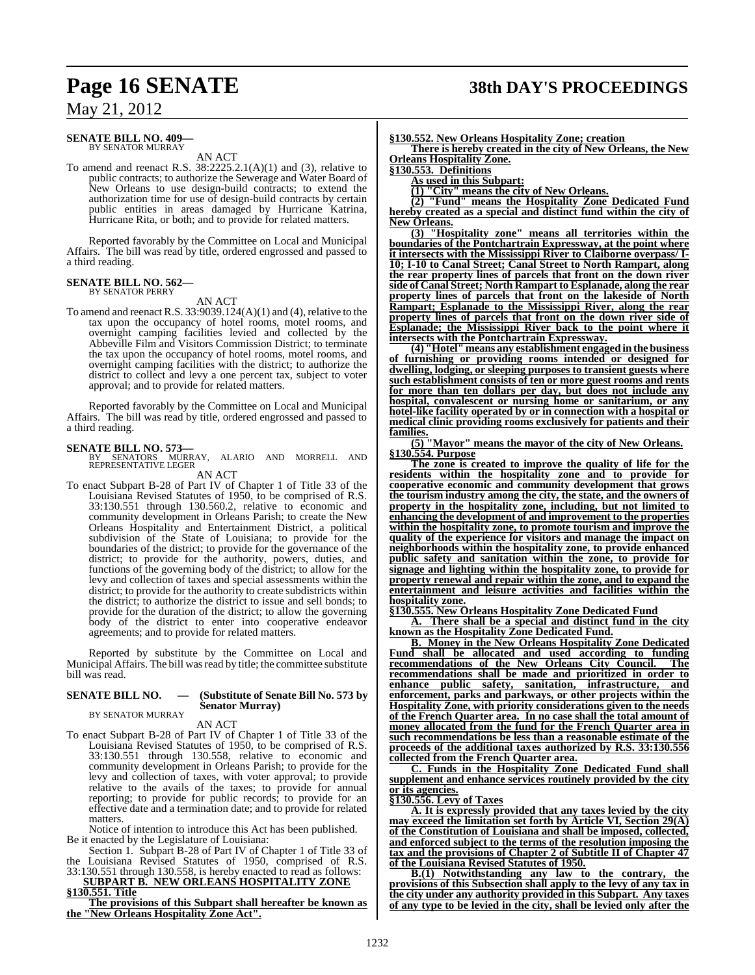### **SENATE BILL NO. 409—** BY SENATOR MURRAY

AN ACT

To amend and reenact R.S.  $38:2225.2.1(A)(1)$  and (3), relative to public contracts; to authorize the Sewerage and Water Board of New Orleans to use design-build contracts; to extend the authorization time for use of design-build contracts by certain public entities in areas damaged by Hurricane Katrina, Hurricane Rita, or both; and to provide for related matters.

Reported favorably by the Committee on Local and Municipal Affairs. The bill was read by title, ordered engrossed and passed to a third reading.

### **SENATE BILL NO. 562—** BY SENATOR PERRY

AN ACT

To amend and reenact R.S. 33:9039.124(A)(1) and (4), relative to the tax upon the occupancy of hotel rooms, motel rooms, and overnight camping facilities levied and collected by the Abbeville Film and Visitors Commission District; to terminate the tax upon the occupancy of hotel rooms, motel rooms, and overnight camping facilities with the district; to authorize the district to collect and levy a one percent tax, subject to voter approval; and to provide for related matters.

Reported favorably by the Committee on Local and Municipal Affairs. The bill was read by title, ordered engrossed and passed to a third reading.

### **SENATE BILL NO. 573—**

BY SENATORS MURRAY, ALARIO AND MORRELL AND REPRESENTATIVE LEGER AN ACT

To enact Subpart B-28 of Part IV of Chapter 1 of Title 33 of the Louisiana Revised Statutes of 1950, to be comprised of R.S. 33:130.551 through 130.560.2, relative to economic and community development in Orleans Parish; to create the New Orleans Hospitality and Entertainment District, a political subdivision of the State of Louisiana; to provide for the boundaries of the district; to provide for the governance of the district; to provide for the authority, powers, duties, and functions of the governing body of the district; to allow for the levy and collection of taxes and special assessments within the district; to provide for the authority to create subdistricts within the district; to authorize the district to issue and sell bonds; to provide for the duration of the district; to allow the governing body of the district to enter into cooperative endeavor agreements; and to provide for related matters.

Reported by substitute by the Committee on Local and Municipal Affairs. The bill wasread by title; the committee substitute bill was read.

### **SENATE BILL NO. — (Substitute of Senate Bill No. 573 by Senator Murray)**

BY SENATOR MURRAY AN ACT

To enact Subpart B-28 of Part IV of Chapter 1 of Title 33 of the Louisiana Revised Statutes of 1950, to be comprised of R.S. 33:130.551 through 130.558, relative to economic and community development in Orleans Parish; to provide for the levy and collection of taxes, with voter approval; to provide relative to the avails of the taxes; to provide for annual reporting; to provide for public records; to provide for an effective date and a termination date; and to provide for related matters.

Notice of intention to introduce this Act has been published. Be it enacted by the Legislature of Louisiana:

- Section 1. Subpart B-28 of Part IV of Chapter 1 of Title 33 of the Louisiana Revised Statutes of 1950, comprised of R.S.
- 33:130.551 through 130.558, is hereby enacted to read as follows: **SUBPART B. NEW ORLEANS HOSPITALITY ZONE §130.551. Title**

**The provisions of this Subpart shall hereafter be known as the "New Orleans Hospitality Zone Act".**

### **§130.552. New Orleans Hospitality Zone; creation**

**There is hereby created in the city of New Orleans, the New Orleans Hospitality Zone.**

**§130.553. Definitions**

**As used in this Subpart:**

**(1) "City" means the city of New Orleans.**

**(2) "Fund" means the Hospitality Zone Dedicated Fund hereby created as a special and distinct fund within the city of New Orleans.**

**(3) "Hospitality zone" means all territories within the boundaries of the Pontchartrain Expressway, at the point where it intersects with the Mississippi River to Claiborne overpass/ I-10; I-10 to Canal Street; Canal Street to North Rampart, along the rear property lines of parcels that front on the down river side of Canal Street; North Rampart to Esplanade, along the rear property lines of parcels that front on the lakeside of North Rampart; Esplanade to the Mississippi River, along the rear property lines of parcels that front on the down river side of Esplanade; the Mississippi River back to the point where it intersects with the Pontchartrain Expressway.**

**(4) "Hotel" means any establishment engaged in the business of furnishing or providing rooms intended or designed for dwelling, lodging, or sleeping purposes to transient guests where such establishment consists of ten or more guest rooms and rents for more than ten dollars per day, but does not include any hospital, convalescent or nursing home or sanitarium, or any hotel-like facility operated by or in connection with a hospital or medical clinic providing rooms exclusively for patients and their families.**

**(5) "Mayor" means the mayor of the city of New Orleans. §130.554. Purpose**

**The zone is created to improve the quality of life for the residents within the hospitality zone and to provide for cooperative economic and community development that grows the tourism industry among the city, the state, and the owners of property in the hospitality zone, including, but not limited to enhancing the development of and improvement to the properties within the hospitality zone, to promote tourism and improve the quality of the experience for visitors and manage the impact on neighborhoods within the hospitality zone, to provide enhanced public safety and sanitation within the zone, to provide for signage and lighting within the hospitality zone, to provide for property renewal and repair within the zone, and to expand the entertainment and leisure activities and facilities within the hospitality zone.**

**§130.555. New Orleans Hospitality Zone Dedicated Fund**

**A. There shall be a special and distinct fund in the city known as the Hospitality Zone Dedicated Fund.**

**B. Money in the New Orleans Hospitality Zone Dedicated Fund shall be allocated and used according to funding recommendations of the New Orleans City Council. The recommendations shall be made and prioritized in order to enhance public safety, sanitation, infrastructure, and enforcement, parks and parkways, or other projects within the Hospitality Zone, with priority considerations given to the needs of the French Quarter area. In no case shall the total amount of money allocated from the fund for the French Quarter area in such recommendations be less than a reasonable estimate of the proceeds of the additional taxes authorized by R.S. 33:130.556 collected from the French Quarter area.**

**C. Funds in the Hospitality Zone Dedicated Fund shall supplement and enhance services routinely provided by the city or its agencies.**

**§130.556. Levy of Taxes**

**A. It is expressly provided that any taxes levied by the city may exceed the limitation set forth by Article VI, Section 29(A) of the Constitution of Louisiana and shall be imposed, collected, and enforced subject to the terms of the resolution imposing the tax and the provisions of Chapter 2 of Subtitle II of Chapter 47 of the Louisiana Revised Statutes of 1950.**

**B.(1) Notwithstanding any law to the contrary, the provisions of this Subsection shall apply to the levy of any tax in the city under any authority provided in this Subpart. Any taxes of any type to be levied in the city, shall be levied only after the**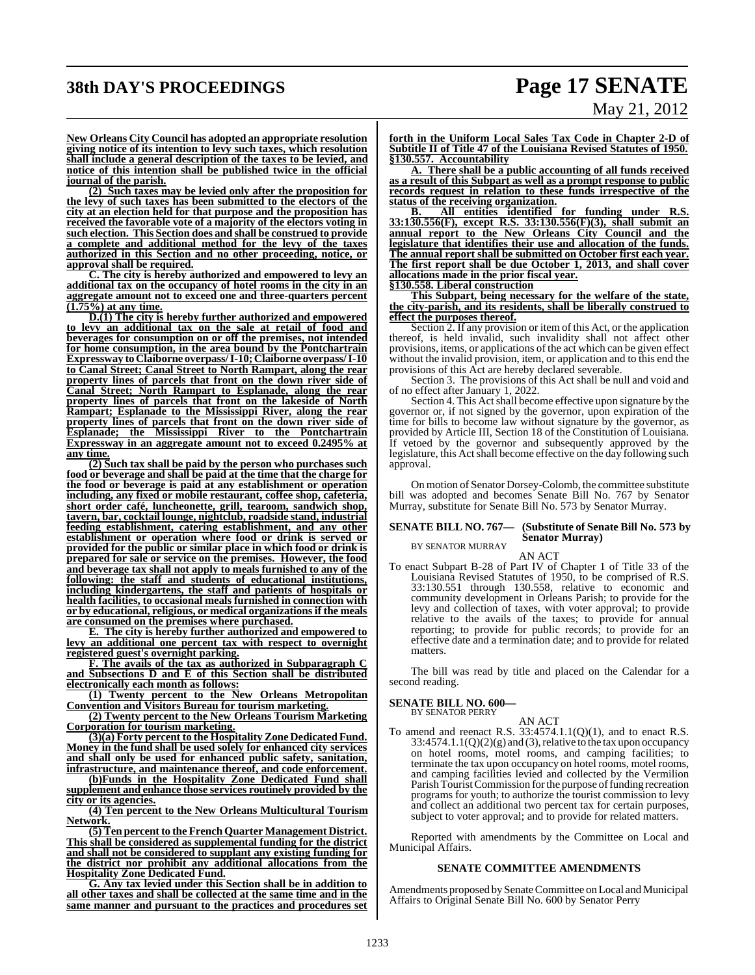# **38th DAY'S PROCEEDINGS Page 17 SENATE**

# May 21, 2012

**New Orleans City Council has adopted an appropriate resolution giving notice of its intention to levy such taxes, which resolution shall include a general description of the taxes to be levied, and notice of this intention shall be published twice in the official journal of the parish.**

**(2) Such taxes may be levied only after the proposition for the levy of such taxes has been submitted to the electors of the city at an election held for that purpose and the proposition has received the favorable vote of a majority of the electors voting in such election. This Section does and shall be construed to provide a complete and additional method for the levy of the taxes authorized in this Section and no other proceeding, notice, or approval shall be required.**

**C. The city is hereby authorized and empowered to levy an additional tax on the occupancy of hotel rooms in the city in an aggregate amount not to exceed one and three-quarters percent (1.75%) at any time.**

**D.(1) The city is hereby further authorized and empowered to levy an additional tax on the sale at retail of food and beverages for consumption on or off the premises, not intended for home consumption, in the area bound by the Pontchartrain Expressway toClaiborne overpass/ I-10; Claiborne overpass/ I-10 to Canal Street; Canal Street to North Rampart, along the rear property lines of parcels that front on the down river side of Canal Street; North Rampart to Esplanade, along the rear property lines of parcels that front on the lakeside of North Rampart; Esplanade to the Mississippi River, along the rear property lines of parcels that front on the down river side of Esplanade; the Mississippi River to the Pontchartrain Expressway in an aggregate amount not to exceed 0.2495% at any time.**

**(2) Such tax shall be paid by the person who purchases such food or beverage and shall be paid at the time that the charge for the food or beverage is paid at any establishment or operation including, any fixed or mobile restaurant, coffee shop, cafeteria, short order café, luncheonette, grill, tearoom, sandwich shop, tavern, bar, cocktail lounge, nightclub, roadside stand, industrial feeding establishment, catering establishment, and any other establishment or operation where food or drink is served or provided for the public or similar place in which food or drink is prepared for sale or service on the premises. However, the food and beverage tax shall not apply to meals furnished to any of the following: the staff and students of educational institutions, including kindergartens, the staff and patients of hospitals or health facilities, to occasional meals furnished in connection with or by educational, religious, or medical organizations if the meals are consumed on the premises where purchased.**

**E. The city is hereby further authorized and empowered to levy an additional one percent tax with respect to overnight registered guest's overnight parking.**

**F. The avails of the tax as authorized in Subparagraph C and Subsections D and E of this Section shall be distributed electronically each month as follows:**

**(1) Twenty percent to the New Orleans Metropolitan Convention and Visitors Bureau for tourism marketing.**

**(2) Twenty percent to the New Orleans Tourism Marketing Corporation for tourism marketing.**

**(3)(a) Forty percent to the Hospitality Zone Dedicated Fund. Money in the fund shall be used solely for enhanced city services and shall only be used for enhanced public safety, sanitation, infrastructure, and maintenance thereof, and code enforcement.**

**(b)Funds in the Hospitality Zone Dedicated Fund shall supplement and enhance those services routinely provided by the city or its agencies.**

**(4) Ten percent to the New Orleans Multicultural Tourism Network.**

**(5) Ten percent to the French Quarter Management District. This shall be considered as supplemental funding for the district and shall not be considered to supplant any existing funding for the district nor prohibit any additional allocations from the Hospitality Zone Dedicated Fund.**

**G. Any tax levied under this Section shall be in addition to all other taxes and shall be collected at the same time and in the same manner and pursuant to the practices and procedures set** **forth in the Uniform Local Sales Tax Code in Chapter 2-D of Subtitle II of Title 47 of the Louisiana Revised Statutes of 1950. §130.557. Accountability**

**A. There shall be a public accounting of all funds received as a result of this Subpart as well as a prompt response to public records request in relation to these funds irrespective of the status of the receiving organization.**

**B. All entities identified for funding under R.S. 33:130.556(F), except R.S. 33:130.556(F)(3), shall submit an annual report to the New Orleans City Council and the legislature that identifies their use and allocation of the funds. The annual report shall be submitted on October first each year. The first report shall be due October 1, 2013, and shall cover allocations made in the prior fiscal year.**

**§130.558. Liberal construction**

**This Subpart, being necessary for the welfare of the state, the city-parish, and its residents, shall be liberally construed to effect the purposes thereof.**

Section 2. If any provision or item of this Act, or the application thereof, is held invalid, such invalidity shall not affect other provisions, items, or applications of the act which can be given effect without the invalid provision, item, or application and to this end the provisions of this Act are hereby declared severable.

Section 3. The provisions of this Act shall be null and void and of no effect after January 1, 2022.

Section 4. This Act shall become effective upon signature by the governor or, if not signed by the governor, upon expiration of the time for bills to become law without signature by the governor, as provided by Article III, Section 18 of the Constitution of Louisiana. If vetoed by the governor and subsequently approved by the legislature, this Act shall become effective on the day following such approval.

On motion of Senator Dorsey-Colomb, the committee substitute bill was adopted and becomes Senate Bill No. 767 by Senator Murray, substitute for Senate Bill No. 573 by Senator Murray.

### **SENATE BILL NO. 767— (Substitute of Senate Bill No. 573 by Senator Murray)** BY SENATOR MURRAY

AN ACT

To enact Subpart B-28 of Part IV of Chapter 1 of Title 33 of the Louisiana Revised Statutes of 1950, to be comprised of R.S. 33:130.551 through 130.558, relative to economic and community development in Orleans Parish; to provide for the levy and collection of taxes, with voter approval; to provide relative to the avails of the taxes; to provide for annual reporting; to provide for public records; to provide for an effective date and a termination date; and to provide for related matters.

The bill was read by title and placed on the Calendar for a second reading.

# **SENATE BILL NO. 600—** BY SENATOR PERRY

AN ACT To amend and reenact R.S. 33:4574.1.1(Q)(1), and to enact R.S.  $33:4574.1.1(Q)(2)(g)$  and (3), relative to the tax upon occupancy on hotel rooms, motel rooms, and camping facilities; to terminate the tax upon occupancy on hotel rooms, motel rooms, and camping facilities levied and collected by the Vermilion Parish Tourist Commission for the purpose of funding recreation programs for youth; to authorize the tourist commission to levy and collect an additional two percent tax for certain purposes, subject to voter approval; and to provide for related matters.

Reported with amendments by the Committee on Local and Municipal Affairs.

### **SENATE COMMITTEE AMENDMENTS**

Amendments proposed by Senate Committee on Local and Municipal Affairs to Original Senate Bill No. 600 by Senator Perry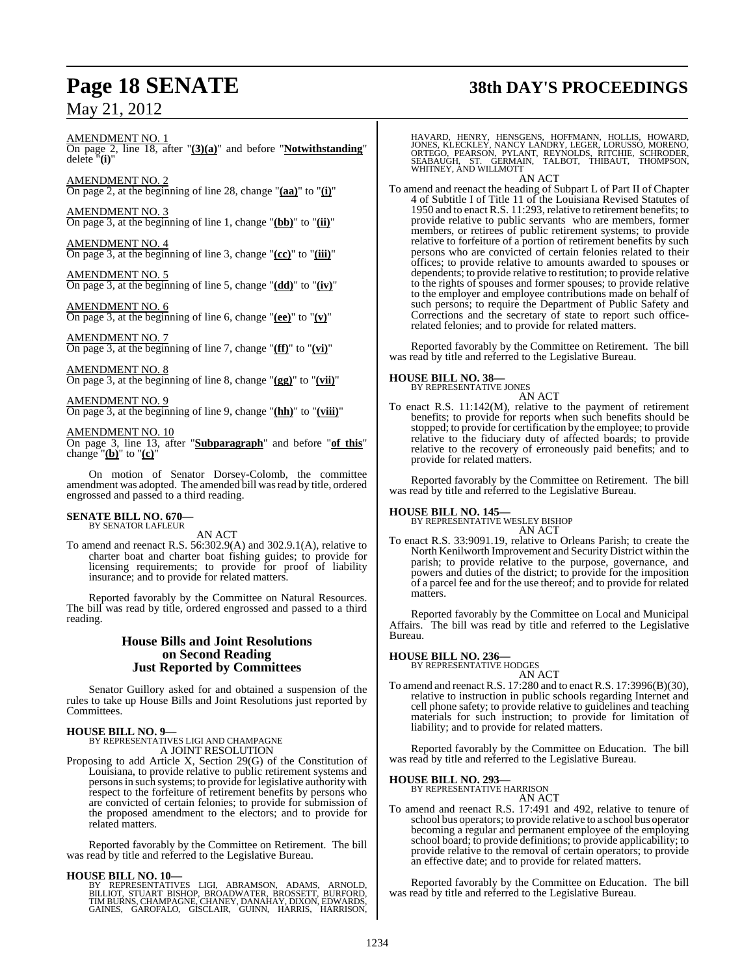# **Page 18 SENATE 38th DAY'S PROCEEDINGS**

AMENDMENT NO. 1

On page 2, line 18, after "**(3)(a)**" and before "**Notwithstanding**" delete "**(i)**"

AMENDMENT NO. 2 On page 2, at the beginning of line 28, change "**(aa)**" to "**(i)**"

AMENDMENT NO. 3 On page 3, at the beginning of line 1, change "**(bb)**" to "**(ii)**"

AMENDMENT NO. 4 On page 3, at the beginning of line 3, change "**(cc)**" to "**(iii)**"

AMENDMENT NO. 5 On page 3, at the beginning of line 5, change "**(dd)**" to "**(iv)**"

<u>AMENDMENT NO. 6</u> On page 3, at the beginning of line 6, change "**(ee)**" to "**(v)**"

AMENDMENT NO. 7 On page 3, at the beginning of line 7, change "**(ff)**" to "**(vi)**"

AMENDMENT NO. 8 On page 3, at the beginning of line 8, change "**(gg)**" to "**(vii)**"

AMENDMENT NO. 9 On page 3, at the beginning of line 9, change "**(hh)**" to "**(viii)**"

AMENDMENT NO. 10

On page 3, line 13, after "**Subparagraph**" and before "**of this**" change "**(b)**" to "**(c)**"

On motion of Senator Dorsey-Colomb, the committee amendment was adopted. The amended bill was read by title, ordered engrossed and passed to a third reading.

### **SENATE BILL NO. 670—** BY SENATOR LAFLEUR

AN ACT

To amend and reenact R.S. 56:302.9(A) and 302.9.1(A), relative to charter boat and charter boat fishing guides; to provide for licensing requirements; to provide for proof of liability insurance; and to provide for related matters.

Reported favorably by the Committee on Natural Resources. The bill was read by title, ordered engrossed and passed to a third reading.

### **House Bills and Joint Resolutions on Second Reading Just Reported by Committees**

Senator Guillory asked for and obtained a suspension of the rules to take up House Bills and Joint Resolutions just reported by Committees.

**HOUSE BILL NO. 9—** BY REPRESENTATIVES LIGI AND CHAMPAGNE A JOINT RESOLUTION

Proposing to add Article X, Section 29(G) of the Constitution of Louisiana, to provide relative to public retirement systems and personsin such systems; to provide forlegislative authority with respect to the forfeiture of retirement benefits by persons who are convicted of certain felonies; to provide for submission of the proposed amendment to the electors; and to provide for related matters.

Reported favorably by the Committee on Retirement. The bill was read by title and referred to the Legislative Bureau.

### **HOUSE BILL NO. 10—**

BY REPRESENTATIVES LIGI, ABRAMSON, ADAMS, ARNOLD,<br>BILLIOT, STUART BISHOP, BROADWATER, BROSSETT, BURFORD,<br>TIMBURNS,CHAMPAGNE,CHANEY, DANAHAY, DIXON, EDWARDS,<br>GAINES, GAROFALO, GISCLAIR, GUINN, HARRIS, HARRISON,

HAVARD, HENRY, HENSGENS, HOFFMANN, HOLLIS, HOWARD,<br>JONES, KLECKLEY, NANCY LANDRY, LEGER, LORUSSO, MORENO,<br>ORTEGO, PEARSON, PYLANT, REYNOLDS, RITCHIE, SCHRODER,<br>SEABAUGH, ST. GERMAIN, TALBOT, THIBAUT, THOMPSON, WHITNEY, AND WILLMOTT

AN ACT

To amend and reenact the heading of Subpart L of Part II of Chapter 4 of Subtitle I of Title 11 of the Louisiana Revised Statutes of 1950 and to enact R.S. 11:293, relative to retirement benefits; to provide relative to public servants who are members, former members, or retirees of public retirement systems; to provide relative to forfeiture of a portion of retirement benefits by such persons who are convicted of certain felonies related to their offices; to provide relative to amounts awarded to spouses or dependents; to provide relative to restitution; to provide relative to the rights of spouses and former spouses; to provide relative to the employer and employee contributions made on behalf of such persons; to require the Department of Public Safety and Corrections and the secretary of state to report such officerelated felonies; and to provide for related matters.

Reported favorably by the Committee on Retirement. The bill was read by title and referred to the Legislative Bureau.

# **HOUSE BILL NO. 38—** BY REPRESENTATIVE JONES

AN ACT

To enact R.S. 11:142(M), relative to the payment of retirement benefits; to provide for reports when such benefits should be stopped; to provide for certification by the employee; to provide relative to the fiduciary duty of affected boards; to provide relative to the recovery of erroneously paid benefits; and to provide for related matters.

Reported favorably by the Committee on Retirement. The bill was read by title and referred to the Legislative Bureau.

**HOUSE BILL NO. 145—** BY REPRESENTATIVE WESLEY BISHOP AN ACT

To enact R.S. 33:9091.19, relative to Orleans Parish; to create the North Kenilworth Improvement and Security District within the parish; to provide relative to the purpose, governance, and powers and duties of the district; to provide for the imposition of a parcel fee and for the use thereof; and to provide for related matters.

Reported favorably by the Committee on Local and Municipal Affairs. The bill was read by title and referred to the Legislative Bureau.

**HOUSE BILL NO. 236—** BY REPRESENTATIVE HODGES

### AN ACT

To amend and reenact R.S. 17:280 and to enact R.S. 17:3996(B)(30), relative to instruction in public schools regarding Internet and cell phone safety; to provide relative to guidelines and teaching materials for such instruction; to provide for limitation of liability; and to provide for related matters.

Reported favorably by the Committee on Education. The bill was read by title and referred to the Legislative Bureau.

**HOUSE BILL NO. 293—**

BY REPRESENTATIVE HARRISON AN ACT

To amend and reenact R.S. 17:491 and 492, relative to tenure of school bus operators; to provide relative to a school bus operator becoming a regular and permanent employee of the employing school board; to provide definitions; to provide applicability; to provide relative to the removal of certain operators; to provide an effective date; and to provide for related matters.

Reported favorably by the Committee on Education. The bill was read by title and referred to the Legislative Bureau.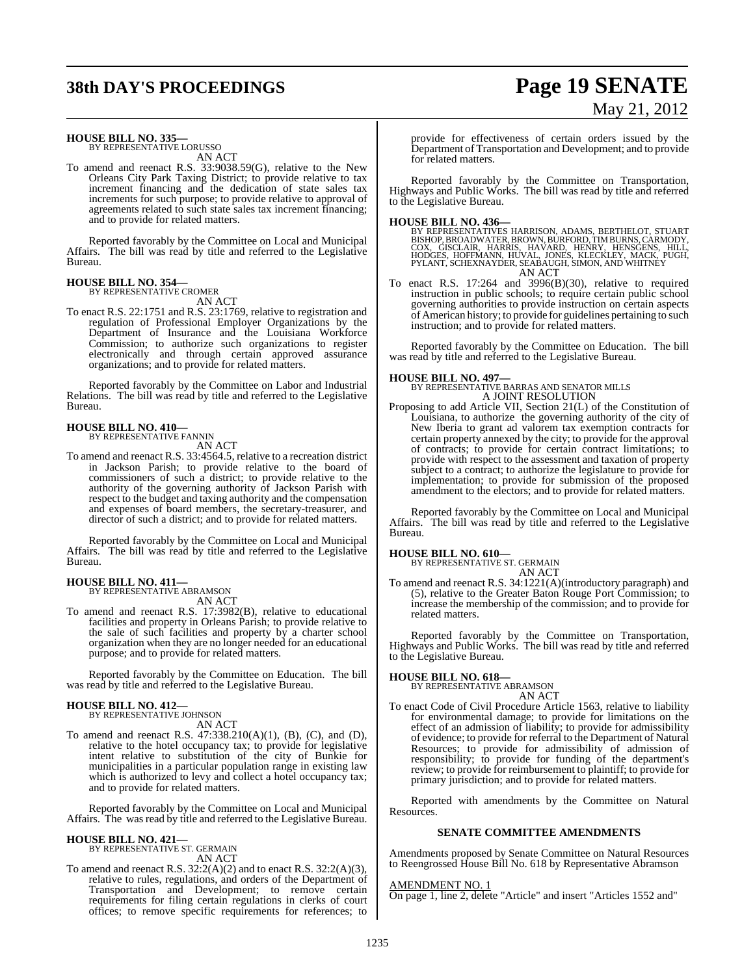# **38th DAY'S PROCEEDINGS Page 19 SENATE**

# May 21, 2012

**HOUSE BILL NO. 335—** BY REPRESENTATIVE LORUSSO

AN ACT

To amend and reenact R.S. 33:9038.59(G), relative to the New Orleans City Park Taxing District; to provide relative to tax increment financing and the dedication of state sales tax increments for such purpose; to provide relative to approval of agreements related to such state sales tax increment financing; and to provide for related matters.

Reported favorably by the Committee on Local and Municipal Affairs. The bill was read by title and referred to the Legislative Bureau.

### **HOUSE BILL NO. 354—** BY REPRESENTATIVE CROMER

AN ACT

To enact R.S. 22:1751 and R.S. 23:1769, relative to registration and regulation of Professional Employer Organizations by the Department of Insurance and the Louisiana Workforce Commission; to authorize such organizations to register electronically and through certain approved assurance organizations; and to provide for related matters.

Reported favorably by the Committee on Labor and Industrial Relations. The bill was read by title and referred to the Legislative Bureau.

### **HOUSE BILL NO. 410—**

BY REPRESENTATIVE FANNIN

AN ACT

To amend and reenact R.S. 33:4564.5, relative to a recreation district in Jackson Parish; to provide relative to the board of commissioners of such a district; to provide relative to the authority of the governing authority of Jackson Parish with respect to the budget and taxing authority and the compensation and expenses of board members, the secretary-treasurer, and director of such a district; and to provide for related matters.

Reported favorably by the Committee on Local and Municipal Affairs. The bill was read by title and referred to the Legislative Bureau.

# **HOUSE BILL NO. 411—** BY REPRESENTATIVE ABRAMSON

AN ACT

To amend and reenact R.S. 17:3982(B), relative to educational facilities and property in Orleans Parish; to provide relative to the sale of such facilities and property by a charter school organization when they are no longer needed for an educational purpose; and to provide for related matters.

Reported favorably by the Committee on Education. The bill was read by title and referred to the Legislative Bureau.

# **HOUSE BILL NO. 412—** BY REPRESENTATIVE JOHNSON

AN ACT

To amend and reenact R.S.  $47:338.210(A)(1)$ , (B), (C), and (D), relative to the hotel occupancy tax; to provide for legislative intent relative to substitution of the city of Bunkie for municipalities in a particular population range in existing law which is authorized to levy and collect a hotel occupancy tax; and to provide for related matters.

Reported favorably by the Committee on Local and Municipal Affairs. The was read by title and referred to the Legislative Bureau.

# **HOUSE BILL NO. 421—** BY REPRESENTATIVE ST. GERMAIN

AN ACT

To amend and reenact R.S. 32:2(A)(2) and to enact R.S. 32:2(A)(3), relative to rules, regulations, and orders of the Department of Transportation and Development; to remove certain requirements for filing certain regulations in clerks of court offices; to remove specific requirements for references; to provide for effectiveness of certain orders issued by the Department of Transportation and Development; and to provide for related matters.

Reported favorably by the Committee on Transportation, Highways and Public Works. The bill was read by title and referred to the Legislative Bureau.

**HOUSE BILL NO. 436—**<br>BY REPRESENTATIVES HARRISON, ADAMS, BERTHELOT, STUART<br>BISHOP, BROADWATER, BROWN, BURFORD, TIMBURNS, CARMODY,<br>COX, GISCLAIR, HARRIS, HAVARD, HENRY, HENSGENS, HILL,<br>HODGES, HOFFMANN, HUVAL, JONES, KLECK AN ACT

To enact R.S. 17:264 and 3996(B)(30), relative to required instruction in public schools; to require certain public school governing authorities to provide instruction on certain aspects of American history; to provide for guidelines pertaining to such instruction; and to provide for related matters.

Reported favorably by the Committee on Education. The bill was read by title and referred to the Legislative Bureau.

**HOUSE BILL NO. 497—** BY REPRESENTATIVE BARRAS AND SENATOR MILLS A JOINT RESOLUTION

Proposing to add Article VII, Section 21(L) of the Constitution of Louisiana, to authorize the governing authority of the city of New Iberia to grant ad valorem tax exemption contracts for certain property annexed by the city; to provide for the approval of contracts; to provide for certain contract limitations; to provide with respect to the assessment and taxation of property subject to a contract; to authorize the legislature to provide for implementation; to provide for submission of the proposed amendment to the electors; and to provide for related matters.

Reported favorably by the Committee on Local and Municipal Affairs. The bill was read by title and referred to the Legislative Bureau.

**HOUSE BILL NO. 610—** BY REPRESENTATIVE ST. GERMAIN AN ACT

To amend and reenact R.S. 34:1221(A)(introductory paragraph) and (5), relative to the Greater Baton Rouge Port Commission; to increase the membership of the commission; and to provide for related matters.

Reported favorably by the Committee on Transportation, Highways and Public Works. The bill was read by title and referred to the Legislative Bureau.

**HOUSE BILL NO. 618—** BY REPRESENTATIVE ABRAMSON AN ACT

To enact Code of Civil Procedure Article 1563, relative to liability for environmental damage; to provide for limitations on the effect of an admission of liability; to provide for admissibility of evidence; to provide for referral to the Department of Natural Resources; to provide for admissibility of admission of responsibility; to provide for funding of the department's review; to provide for reimbursement to plaintiff; to provide for primary jurisdiction; and to provide for related matters.

Reported with amendments by the Committee on Natural Resources.

### **SENATE COMMITTEE AMENDMENTS**

Amendments proposed by Senate Committee on Natural Resources to Reengrossed House Bill No. 618 by Representative Abramson

### AMENDMENT NO. 1

On page 1, line 2, delete "Article" and insert "Articles 1552 and"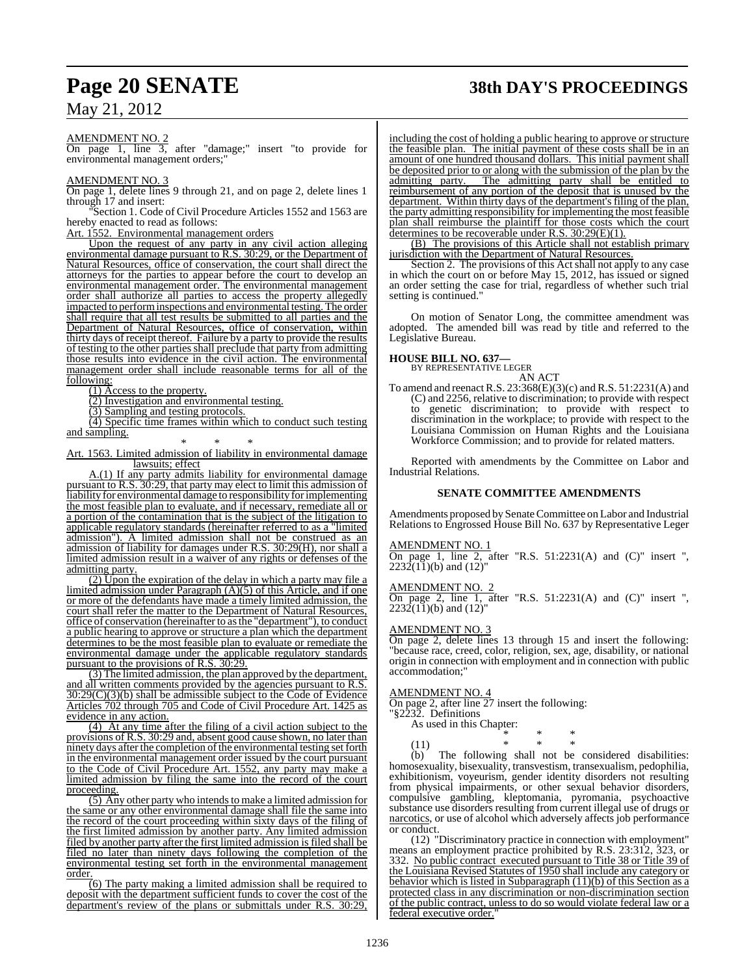# **Page 20 SENATE 38th DAY'S PROCEEDINGS**

AMENDMENT NO. 2

On page 1, line 3, after "damage;" insert "to provide for environmental management orders;"

### AMENDMENT NO. 3

On page 1, delete lines 9 through 21, and on page 2, delete lines 1 through 17 and insert:

Section 1. Code of Civil Procedure Articles 1552 and 1563 are hereby enacted to read as follows:

Art. 1552. Environmental management orders

Upon the request of any party in any civil action alleging environmental damage pursuant to R.S. 30:29, or the Department of Natural Resources, office of conservation, the court shall direct the attorneys for the parties to appear before the court to develop an environmental management order. The environmental management order shall authorize all parties to access the property allegedly impacted to performinspections and environmental testing. The order shall require that all test results be submitted to all parties and the Department of Natural Resources, office of conservation, within thirty days of receipt thereof. Failure by a party to provide the results of testing to the other parties shall preclude that party from admitting those results into evidence in the civil action. The environmental management order shall include reasonable terms for all of the following:

(1) Access to the property.

(2) Investigation and environmental testing.

(3) Sampling and testing protocols.

(4) Specific time frames within which to conduct such testing and sampling.

\* \* \*

Art. 1563. Limited admission of liability in environmental damage lawsuits; effect

A.(1) If any party admits liability for environmental damage pursuant to  $\overline{R.S.}$  30:29, that party may elect to limit this admission of liability for environmental damage to responsibility for implementing the most feasible plan to evaluate, and if necessary, remediate all or a portion of the contamination that is the subject of the litigation to applicable regulatory standards (hereinafter referred to as a "limited admission"). A limited admission shall not be construed as an admission of liability for damages under R.S. 30:29(H), nor shall a limited admission result in a waiver of any rights or defenses of the admitting party.

(2) Upon the expiration of the delay in which a party may file a limited admission under Paragraph (A)(5) of this Article, and if one or more of the defendants have made a timely limited admission, the court shall refer the matter to the Department of Natural Resources, office of conservation (hereinafter to as the "department"), to conduct a public hearing to approve or structure a plan which the department determines to be the most feasible plan to evaluate or remediate the environmental damage under the applicable regulatory standards pursuant to the provisions of R.S. 30:29.

(3) The limited admission, the plan approved by the department, and all written comments provided by the agencies pursuant to R.S.  $30:29(C)(3)$ (b) shall be admissible subject to the Code of Evidence Articles 702 through 705 and Code of Civil Procedure Art. 1425 as evidence in any action.

(4) At any time after the filing of a civil action subject to the provisions of R.S. 30:29 and, absent good cause shown, no later than ninety days after the completion of the environmental testing set forth in the environmental management order issued by the court pursuant to the Code of Civil Procedure Art. 1552, any party may make a limited admission by filing the same into the record of the court proceeding.

(5) Any other party who intends to make a limited admission for the same or any other environmental damage shall file the same into the record of the court proceeding within sixty days of the filing of the first limited admission by another party. Any limited admission filed by another party after the first limited admission is filed shall be filed no later than ninety days following the completion of the environmental testing set forth in the environmental management order.

(6) The party making a limited admission shall be required to deposit with the department sufficient funds to cover the cost of the department's review of the plans or submittals under R.S. 30:29,

including the cost of holding a public hearing to approve or structure the feasible plan. The initial payment of these costs shall be in an amount of one hundred thousand dollars. This initial payment shall be deposited prior to or along with the submission of the plan by the admitting party. The admitting party shall be entitled to reimbursement of any portion of the deposit that is unused by the department. Within thirty days of the department's filing of the plan, the party admitting responsibility for implementing the most feasible plan shall reimburse the plaintiff for those costs which the court determines to be recoverable under R.S.  $30:29(E)(1)$ .

 $(B)$  The provisions of this Article shall not establish primary jurisdiction with the Department of Natural Resources.

Section 2. The provisions of this Act shall not apply to any case in which the court on or before May 15, 2012, has issued or signed an order setting the case for trial, regardless of whether such trial setting is continued."

On motion of Senator Long, the committee amendment was adopted. The amended bill was read by title and referred to the Legislative Bureau.

**HOUSE BILL NO. 637—** BY REPRESENTATIVE LEGER AN ACT

To amend and reenactR.S. 23:368(E)(3)(c) and R.S. 51:2231(A) and (C) and 2256, relative to discrimination; to provide with respect to genetic discrimination; to provide with respect to discrimination in the workplace; to provide with respect to the Louisiana Commission on Human Rights and the Louisiana Workforce Commission; and to provide for related matters.

Reported with amendments by the Committee on Labor and Industrial Relations.

### **SENATE COMMITTEE AMENDMENTS**

Amendments proposed by Senate Committee on Labor and Industrial Relations to Engrossed House Bill No. 637 by Representative Leger

### AMENDMENT NO. 1

On page 1, line 2, after "R.S.  $51:2231(A)$  and  $(C)$ " insert ",  $2232(11)$ (b) and  $(12)$ "

AMENDMENT NO. 2

On page 2, line 1, after "R.S.  $51:2231(A)$  and  $(C)$ " insert ",  $2232(11)$ (b) and  $(12)$ "

### AMENDMENT NO. 3

On page 2, delete lines 13 through 15 and insert the following: "because race, creed, color, religion, sex, age, disability, or national origin in connection with employment and in connection with public accommodation;"

### AMENDMENT NO. 4

On page 2, after line 27 insert the following:

"§2232. Definitions

| As used in this Chapter: |   |   |
|--------------------------|---|---|
|                          | × | ∗ |
| (11)                     |   |   |

(11) \* \* \* (b) The following shall not be considered disabilities: homosexuality, bisexuality, transvestism, transexualism, pedophilia, exhibitionism, voyeurism, gender identity disorders not resulting from physical impairments, or other sexual behavior disorders, compulsive gambling, kleptomania, pyromania, psychoactive substance use disorders resulting from current illegal use of drugs or narcotics, or use of alcohol which adversely affects job performance or conduct.

(12) "Discriminatory practice in connection with employment" means an employment practice prohibited by R.S. 23:312, 323, or 332. No public contract executed pursuant to Title 38 or Title 39 of the Louisiana Revised Statutes of 1950 shall include any category or behavior which is listed in Subparagraph (11)(b) of this Section as a protected class in any discrimination or non-discrimination section of the public contract, unless to do so would violate federal law or a federal executive order."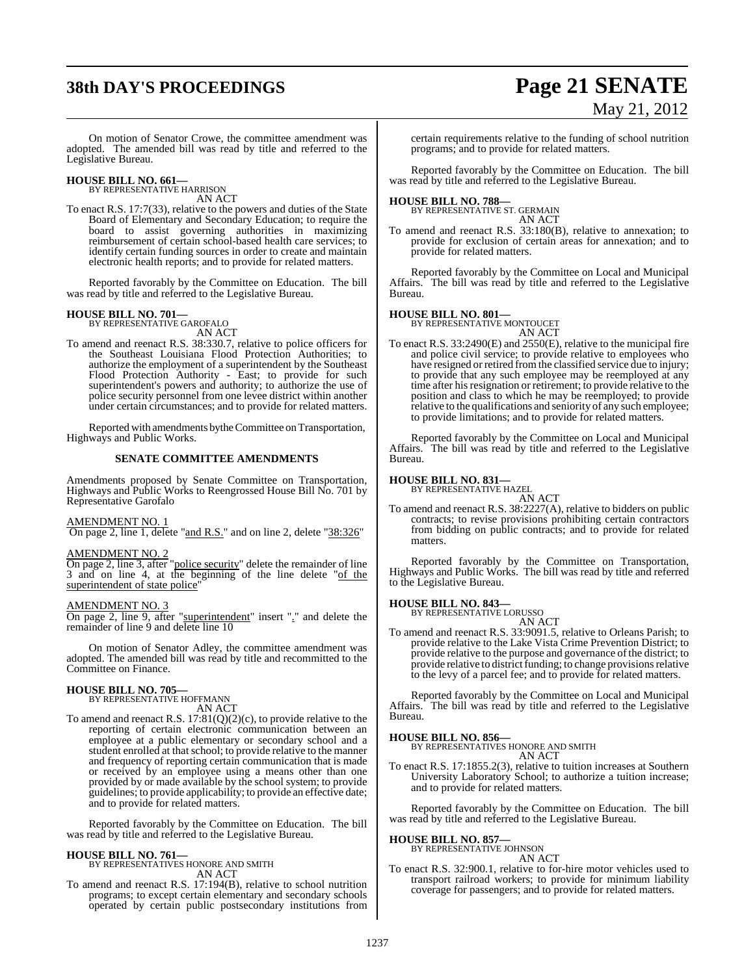# **38th DAY'S PROCEEDINGS Page 21 SENATE**

# May 21, 2012

On motion of Senator Crowe, the committee amendment was adopted. The amended bill was read by title and referred to the Legislative Bureau.

# **HOUSE BILL NO. 661—** BY REPRESENTATIVE HARRISON

AN ACT

To enact R.S. 17:7(33), relative to the powers and duties of the State Board of Elementary and Secondary Education; to require the board to assist governing authorities in maximizing reimbursement of certain school-based health care services; to identify certain funding sources in order to create and maintain electronic health reports; and to provide for related matters.

Reported favorably by the Committee on Education. The bill was read by title and referred to the Legislative Bureau.

### **HOUSE BILL NO. 701—** BY REPRESENTATIVE GAROFALO

AN ACT

To amend and reenact R.S. 38:330.7, relative to police officers for the Southeast Louisiana Flood Protection Authorities; to authorize the employment of a superintendent by the Southeast Flood Protection Authority - East; to provide for such superintendent's powers and authority; to authorize the use of police security personnel from one levee district within another under certain circumstances; and to provide for related matters.

Reported with amendments by the Committee on Transportation, Highways and Public Works.

### **SENATE COMMITTEE AMENDMENTS**

Amendments proposed by Senate Committee on Transportation, Highways and Public Works to Reengrossed House Bill No. 701 by Representative Garofalo

### AMENDMENT NO. 1

On page 2, line 1, delete "and R.S." and on line 2, delete "38:326"

### AMENDMENT NO. 2

On page 2, line 3, after "police security" delete the remainder of line 3 and on line 4, at the beginning of the line delete "of the superintendent of state police"

### AMENDMENT NO. 3

On page 2, line 9, after "superintendent" insert "." and delete the remainder of line 9 and delete line 10

On motion of Senator Adley, the committee amendment was adopted. The amended bill was read by title and recommitted to the Committee on Finance.

# **HOUSE BILL NO. 705—** BY REPRESENTATIVE HOFFMANN

AN ACT

To amend and reenact R.S. 17:81(Q)(2)(c), to provide relative to the reporting of certain electronic communication between an employee at a public elementary or secondary school and a student enrolled at that school; to provide relative to the manner and frequency of reporting certain communication that is made or received by an employee using a means other than one provided by or made available by the school system; to provide guidelines; to provide applicability; to provide an effective date; and to provide for related matters.

Reported favorably by the Committee on Education. The bill was read by title and referred to the Legislative Bureau.

**HOUSE BILL NO. 761—** BY REPRESENTATIVES HONORE AND SMITH AN ACT

To amend and reenact R.S. 17:194(B), relative to school nutrition programs; to except certain elementary and secondary schools operated by certain public postsecondary institutions from

certain requirements relative to the funding of school nutrition programs; and to provide for related matters.

Reported favorably by the Committee on Education. The bill was read by title and referred to the Legislative Bureau.

# **HOUSE BILL NO. 788—** BY REPRESENTATIVE ST. GERMAIN

AN ACT

To amend and reenact R.S. 33:180(B), relative to annexation; to provide for exclusion of certain areas for annexation; and to provide for related matters.

Reported favorably by the Committee on Local and Municipal Affairs. The bill was read by title and referred to the Legislative Bureau.

### **HOUSE BILL NO. 801—**

BY REPRESENTATIVE MONTOUCET AN ACT

To enact R.S. 33:2490(E) and 2550(E), relative to the municipal fire and police civil service; to provide relative to employees who have resigned or retired from the classified service due to injury; to provide that any such employee may be reemployed at any time after his resignation or retirement; to provide relative to the position and class to which he may be reemployed; to provide relative to the qualifications and seniority of any such employee; to provide limitations; and to provide for related matters.

Reported favorably by the Committee on Local and Municipal Affairs. The bill was read by title and referred to the Legislative Bureau.

# **HOUSE BILL NO. 831—** BY REPRESENTATIVE HAZEL

AN ACT

To amend and reenact R.S. 38:2227(A), relative to bidders on public contracts; to revise provisions prohibiting certain contractors from bidding on public contracts; and to provide for related matters.

Reported favorably by the Committee on Transportation, Highways and Public Works. The bill was read by title and referred to the Legislative Bureau.

# **HOUSE BILL NO. 843—** BY REPRESENTATIVE LORUSSO

AN ACT

To amend and reenact R.S. 33:9091.5, relative to Orleans Parish; to provide relative to the Lake Vista Crime Prevention District; to provide relative to the purpose and governance of the district; to provide relative to district funding; to change provisions relative to the levy of a parcel fee; and to provide for related matters.

Reported favorably by the Committee on Local and Municipal Affairs. The bill was read by title and referred to the Legislative Bureau.

### **HOUSE BILL NO. 856—**

BY REPRESENTATIVES HONORE AND SMITH AN ACT

To enact R.S. 17:1855.2(3), relative to tuition increases at Southern University Laboratory School; to authorize a tuition increase; and to provide for related matters.

Reported favorably by the Committee on Education. The bill was read by title and referred to the Legislative Bureau.

# **HOUSE BILL NO. 857—** BY REPRESENTATIVE JOHNSON

AN ACT

To enact R.S. 32:900.1, relative to for-hire motor vehicles used to transport railroad workers; to provide for minimum liability coverage for passengers; and to provide for related matters.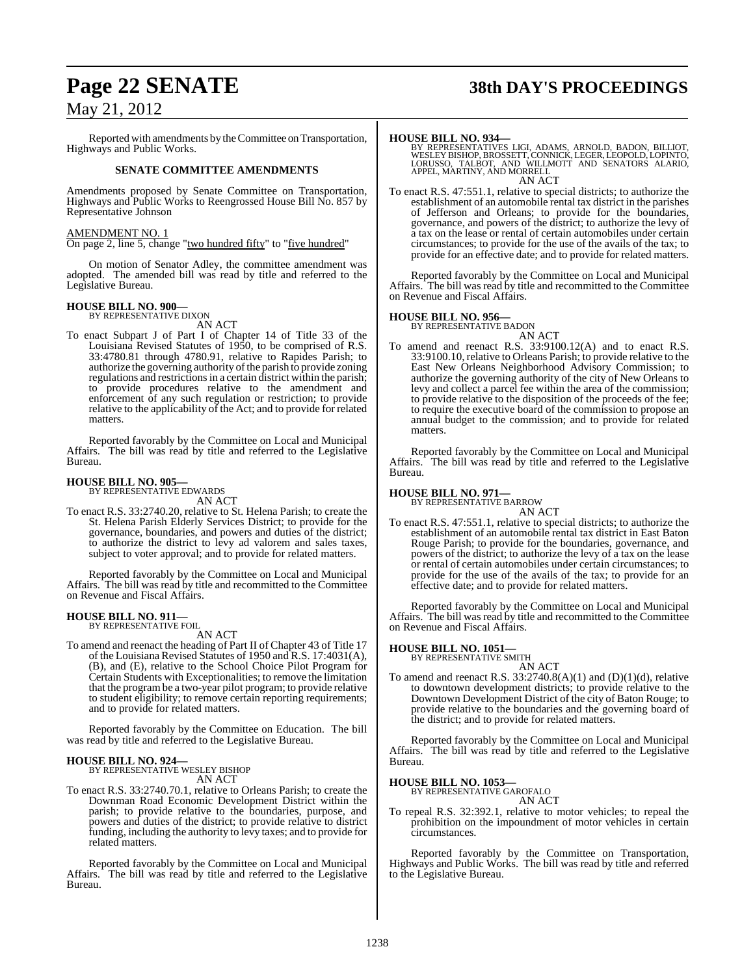# **Page 22 SENATE 38th DAY'S PROCEEDINGS**

## May 21, 2012

Reported with amendments by theCommittee on Transportation, Highways and Public Works.

### **SENATE COMMITTEE AMENDMENTS**

Amendments proposed by Senate Committee on Transportation, Highways and Public Works to Reengrossed House Bill No. 857 by Representative Johnson

### AMENDMENT NO. 1

On page 2, line 5, change "two hundred fifty" to "five hundred"

On motion of Senator Adley, the committee amendment was adopted. The amended bill was read by title and referred to the Legislative Bureau.

# **HOUSE BILL NO. 900—** BY REPRESENTATIVE DIXON

AN ACT

To enact Subpart J of Part I of Chapter 14 of Title 33 of the Louisiana Revised Statutes of 1950, to be comprised of R.S. 33:4780.81 through 4780.91, relative to Rapides Parish; to authorize the governing authority of the parish to provide zoning regulations and restrictions in a certain district within the parish; to provide procedures relative to the amendment and enforcement of any such regulation or restriction; to provide relative to the applicability of the Act; and to provide for related matters.

Reported favorably by the Committee on Local and Municipal Affairs. The bill was read by title and referred to the Legislative Bureau.

# **HOUSE BILL NO. 905—** BY REPRESENTATIVE EDWARDS

AN ACT

To enact R.S. 33:2740.20, relative to St. Helena Parish; to create the St. Helena Parish Elderly Services District; to provide for the governance, boundaries, and powers and duties of the district; to authorize the district to levy ad valorem and sales taxes, subject to voter approval; and to provide for related matters.

Reported favorably by the Committee on Local and Municipal Affairs. The bill was read by title and recommitted to the Committee on Revenue and Fiscal Affairs.

# **HOUSE BILL NO. 911—** BY REPRESENTATIVE FOIL

AN ACT

To amend and reenact the heading of Part II of Chapter 43 of Title 17 of the Louisiana Revised Statutes of 1950 and R.S. 17:4031(A), (B), and (E), relative to the School Choice Pilot Program for Certain Students with Exceptionalities; to remove the limitation that the programbe a two-year pilot program; to provide relative to student eligibility; to remove certain reporting requirements; and to provide for related matters.

Reported favorably by the Committee on Education. The bill was read by title and referred to the Legislative Bureau.

### **HOUSE BILL NO. 924—**

BY REPRESENTATIVE WESLEY BISHOP AN ACT

To enact R.S. 33:2740.70.1, relative to Orleans Parish; to create the Downman Road Economic Development District within the parish; to provide relative to the boundaries, purpose, and powers and duties of the district; to provide relative to district funding, including the authority to levy taxes; and to provide for related matters.

Reported favorably by the Committee on Local and Municipal Affairs. The bill was read by title and referred to the Legislative Bureau.

**HOUSE BILL NO. 934—** BY REPRESENTATIVES LIGI, ADAMS, ARNOLD, BADON, BILLIOT, WESLEY BISHOP, BROSSETT, CONNICK, LEGER, LEOPOLD, LOPINTO, LORUSSO, TALBOT, AND WILLMOTT AND SENATORS ALARIO, APPEL, MARTINY, AND MORRELL AN ACT

To enact R.S. 47:551.1, relative to special districts; to authorize the establishment of an automobile rental tax district in the parishes of Jefferson and Orleans; to provide for the boundaries, governance, and powers of the district; to authorize the levy of a tax on the lease or rental of certain automobiles under certain circumstances; to provide for the use of the avails of the tax; to provide for an effective date; and to provide for related matters.

Reported favorably by the Committee on Local and Municipal Affairs. The bill was read by title and recommitted to the Committee on Revenue and Fiscal Affairs.

### **HOUSE BILL NO. 956—**

BY REPRESENTATIVE BADON AN ACT

To amend and reenact R.S. 33:9100.12(A) and to enact R.S. 33:9100.10, relative to Orleans Parish; to provide relative to the East New Orleans Neighborhood Advisory Commission; to authorize the governing authority of the city of New Orleans to levy and collect a parcel fee within the area of the commission; to provide relative to the disposition of the proceeds of the fee; to require the executive board of the commission to propose an annual budget to the commission; and to provide for related matters.

Reported favorably by the Committee on Local and Municipal Affairs. The bill was read by title and referred to the Legislative Bureau.

### **HOUSE BILL NO. 971—**

BY REPRESENTATIVE BARROW

AN ACT To enact R.S. 47:551.1, relative to special districts; to authorize the establishment of an automobile rental tax district in East Baton Rouge Parish; to provide for the boundaries, governance, and powers of the district; to authorize the levy of a tax on the lease or rental of certain automobiles under certain circumstances; to provide for the use of the avails of the tax; to provide for an effective date; and to provide for related matters.

Reported favorably by the Committee on Local and Municipal Affairs. The bill was read by title and recommitted to the Committee on Revenue and Fiscal Affairs.

### **HOUSE BILL NO. 1051—**

BY REPRESENTATIVE SMITH

AN ACT To amend and reenact R.S. 33:2740.8(A)(1) and (D)(1)(d), relative to downtown development districts; to provide relative to the Downtown Development District of the city of Baton Rouge; to provide relative to the boundaries and the governing board of the district; and to provide for related matters.

Reported favorably by the Committee on Local and Municipal Affairs. The bill was read by title and referred to the Legislative Bureau.

**HOUSE BILL NO. 1053—**

BY REPRESENTATIVE GAROFALO AN ACT

To repeal R.S. 32:392.1, relative to motor vehicles; to repeal the prohibition on the impoundment of motor vehicles in certain circumstances.

Reported favorably by the Committee on Transportation, Highways and Public Works. The bill was read by title and referred to the Legislative Bureau.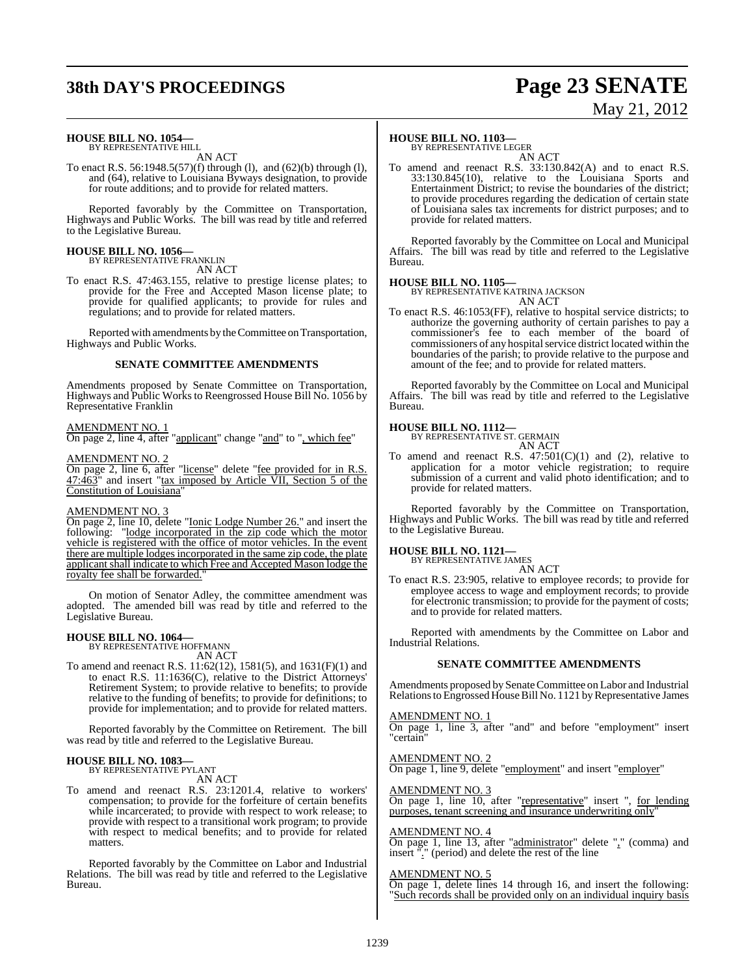# **38th DAY'S PROCEEDINGS Page 23 SENATE**

# May 21, 2012

### **HOUSE BILL NO. 1054—**

BY REPRESENTATIVE HILL AN ACT

To enact R.S. 56:1948.5(57)(f) through (l), and (62)(b) through (l), and (64), relative to Louisiana Byways designation, to provide for route additions; and to provide for related matters.

Reported favorably by the Committee on Transportation, Highways and Public Works. The bill was read by title and referred to the Legislative Bureau.

# **HOUSE BILL NO. 1056—** BY REPRESENTATIVE FRANKLIN

AN ACT

To enact R.S. 47:463.155, relative to prestige license plates; to provide for the Free and Accepted Mason license plate; to provide for qualified applicants; to provide for rules and regulations; and to provide for related matters.

Reported with amendments by the Committee on Transportation, Highways and Public Works.

### **SENATE COMMITTEE AMENDMENTS**

Amendments proposed by Senate Committee on Transportation, Highways and Public Works to Reengrossed House Bill No. 1056 by Representative Franklin

### AMENDMENT NO. 1

On page 2, line 4, after "applicant" change "and" to ", which fee"

### AMENDMENT NO. 2

On page 2, line 6, after "license" delete "fee provided for in R.S.  $47:\overline{463}$ " and insert "tax imposed by Article VII, Section 5 of the Constitution of Louisiana"

### AMENDMENT NO. 3

On page 2, line 10, delete "Ionic Lodge Number 26." and insert the "lodge incorporated in the zip code which the motor vehicle is registered with the office of motor vehicles. In the event there are multiple lodges incorporated in the same zip code, the plate applicant shall indicate to which Free and Accepted Mason lodge the royalty fee shall be forwarded.

On motion of Senator Adley, the committee amendment was adopted. The amended bill was read by title and referred to the Legislative Bureau.

# **HOUSE BILL NO. 1064—** BY REPRESENTATIVE HOFFMANN

AN ACT

To amend and reenact R.S. 11:62(12), 1581(5), and 1631(F)(1) and to enact R.S. 11:1636(C), relative to the District Attorneys' Retirement System; to provide relative to benefits; to provide relative to the funding of benefits; to provide for definitions; to provide for implementation; and to provide for related matters.

Reported favorably by the Committee on Retirement. The bill was read by title and referred to the Legislative Bureau.

### **HOUSE BILL NO. 1083—**

BY REPRESENTATIVE PYLANT AN ACT

To amend and reenact R.S. 23:1201.4, relative to workers' compensation; to provide for the forfeiture of certain benefits while incarcerated; to provide with respect to work release; to provide with respect to a transitional work program; to provide with respect to medical benefits; and to provide for related matters.

Reported favorably by the Committee on Labor and Industrial Relations. The bill was read by title and referred to the Legislative Bureau.

### **HOUSE BILL NO. 1103—**

BY REPRESENTATIVE LEGER AN ACT

To amend and reenact R.S. 33:130.842(A) and to enact R.S. 33:130.845(10), relative to the Louisiana Sports and Entertainment District; to revise the boundaries of the district; to provide procedures regarding the dedication of certain state of Louisiana sales tax increments for district purposes; and to provide for related matters.

Reported favorably by the Committee on Local and Municipal Affairs. The bill was read by title and referred to the Legislative Bureau.

### **HOUSE BILL NO. 1105—**

BY REPRESENTATIVE KATRINA JACKSON AN ACT

To enact R.S. 46:1053(FF), relative to hospital service districts; to authorize the governing authority of certain parishes to pay a commissioner's fee to each member of the board of commissioners of any hospital service district located within the boundaries of the parish; to provide relative to the purpose and amount of the fee; and to provide for related matters.

Reported favorably by the Committee on Local and Municipal Affairs. The bill was read by title and referred to the Legislative Bureau.

### **HOUSE BILL NO. 1112—**

BY REPRESENTATIVE ST. GERMAIN AN ACT

To amend and reenact R.S.  $47:501(C)(1)$  and (2), relative to application for a motor vehicle registration; to require submission of a current and valid photo identification; and to provide for related matters.

Reported favorably by the Committee on Transportation, Highways and Public Works. The bill was read by title and referred to the Legislative Bureau.

# **HOUSE BILL NO. 1121—** BY REPRESENTATIVE JAMES

AN ACT

To enact R.S. 23:905, relative to employee records; to provide for employee access to wage and employment records; to provide for electronic transmission; to provide for the payment of costs; and to provide for related matters.

Reported with amendments by the Committee on Labor and Industrial Relations.

### **SENATE COMMITTEE AMENDMENTS**

Amendments proposed by Senate Committee on Labor and Industrial Relations to Engrossed House Bill No. 1121 by Representative James

### AMENDMENT NO. 1

On page 1, line 3, after "and" and before "employment" insert "certain"

**MENDMENT NO. 2** On page 1, line 9, delete "employment" and insert "employer"

AMENDMENT NO. 3

On page 1, line 10, after "representative" insert ", for lending purposes, tenant screening and insurance underwriting only"

### AMENDMENT NO. 4

On page 1, line 13, after "administrator" delete "," (comma) and insert "." (period) and delete the rest of the line

### AMENDMENT NO. 5

On page 1, delete lines 14 through 16, and insert the following: Such records shall be provided only on an individual inquiry basis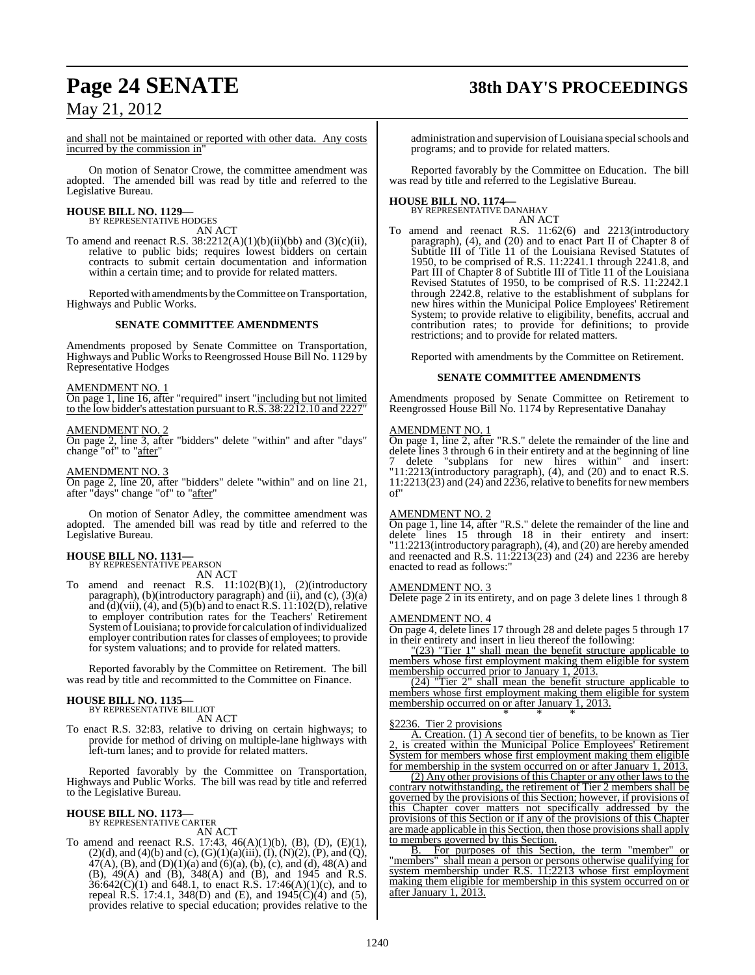# **Page 24 SENATE 38th DAY'S PROCEEDINGS**

May 21, 2012

and shall not be maintained or reported with other data. Any costs incurred by the commission in"

On motion of Senator Crowe, the committee amendment was adopted. The amended bill was read by title and referred to the Legislative Bureau.

### **HOUSE BILL NO. 1129—** BY REPRESENTATIVE HODGES

AN ACT

To amend and reenact R.S.  $38:2212(A)(1)(b)(ii)(bb)$  and  $(3)(c)(ii)$ , relative to public bids; requires lowest bidders on certain contracts to submit certain documentation and information within a certain time; and to provide for related matters.

Reported with amendments by the Committee on Transportation, Highways and Public Works.

### **SENATE COMMITTEE AMENDMENTS**

Amendments proposed by Senate Committee on Transportation, Highways and Public Works to Reengrossed House Bill No. 1129 by Representative Hodges

### AMENDMENT NO. 1

On page 1, line 16, after "required" insert "including but not limited to the low bidder's attestation pursuant to R.S. 38:2212.10 and 2227"

### AMENDMENT NO. 2

On page 2, line 3, after "bidders" delete "within" and after "days" change "of" to "after"

### AMENDMENT NO. 3

On page 2, line 20, after "bidders" delete "within" and on line 21, after "days" change "of" to "after"

On motion of Senator Adley, the committee amendment was adopted. The amended bill was read by title and referred to the Legislative Bureau.

# **HOUSE BILL NO. 1131—** BY REPRESENTATIVE PEARSON

AN ACT

To amend and reenact R.S. 11:102(B)(1), (2)(introductory paragraph), (b)(introductory paragraph) and (ii), and (c), (3)(a) and  $(d)$ (vii), (4), and (5)(b) and to enact R.S.  $11:102(D)$ , relative to employer contribution rates for the Teachers' Retirement System of Louisiana; to provide for calculation of individualized employer contribution rates for classes of employees; to provide for system valuations; and to provide for related matters.

Reported favorably by the Committee on Retirement. The bill was read by title and recommitted to the Committee on Finance.

### **HOUSE BILL NO. 1135—** BY REPRESENTATIVE BILLIOT

AN ACT

To enact R.S. 32:83, relative to driving on certain highways; to provide for method of driving on multiple-lane highways with left-turn lanes; and to provide for related matters.

Reported favorably by the Committee on Transportation, Highways and Public Works. The bill was read by title and referred to the Legislative Bureau.

# **HOUSE BILL NO. 1173—** BY REPRESENTATIVE CARTER

AN ACT

To amend and reenact R.S. 17:43, 46(A)(1)(b), (B), (D), (E)(1),  $(2)(d)$ , and  $(4)(b)$  and  $(c)$ ,  $(G)(1)(a)(iii)$ ,  $(I)$ ,  $(N)(2)$ ,  $(P)$ , and  $(Q)$ ,  $47(A)$ , (B), and (D)(1)(a) and (6)(a), (b), (c), and (d), 48(A) and (B), 49(A) and (B), 348(A) and (B), and 1945 and R.S.  $36:642(C)(1)$  and  $648.1$ , to enact R.S. 17:46(A)(1)(c), and to repeal R.S. 17:4.1, 348(D) and (E), and  $1945(C)(4)$  and (5), provides relative to special education; provides relative to the administration and supervision of Louisiana special schools and programs; and to provide for related matters.

Reported favorably by the Committee on Education. The bill was read by title and referred to the Legislative Bureau.

### **HOUSE BILL NO. 1174—** BY REPRESENTATIVE DANAHAY

AN ACT

To amend and reenact R.S. 11:62(6) and 2213(introductory paragraph), (4), and (20) and to enact Part II of Chapter 8 of Subtitle III of Title 11 of the Louisiana Revised Statutes of 1950, to be comprised of R.S. 11:2241.1 through 2241.8, and Part III of Chapter 8 of Subtitle III of Title 11 of the Louisiana Revised Statutes of 1950, to be comprised of R.S. 11:2242.1 through 2242.8, relative to the establishment of subplans for new hires within the Municipal Police Employees' Retirement System; to provide relative to eligibility, benefits, accrual and contribution rates; to provide for definitions; to provide restrictions; and to provide for related matters.

Reported with amendments by the Committee on Retirement.

### **SENATE COMMITTEE AMENDMENTS**

Amendments proposed by Senate Committee on Retirement to Reengrossed House Bill No. 1174 by Representative Danahay

### AMENDMENT NO. 1

On page 1, line 2, after "R.S." delete the remainder of the line and delete lines 3 through 6 in their entirety and at the beginning of line 7 delete "subplans for new hires within" and insert: "11:2213(introductory paragraph), (4), and (20) and to enact R.S.  $11:2213(23)$  and  $(24)$  and  $2236$ , relative to benefits for new members of"

### AMENDMENT NO. 2

On page 1, line 14, after "R.S." delete the remainder of the line and delete lines 15 through 18 in their entirety and insert: "11:2213(introductory paragraph), (4), and (20) are hereby amended and reenacted and R.S.  $11:2213(23)$  and  $(24)$  and  $2236$  are hereby enacted to read as follows:"

### AMENDMENT NO. 3

Delete page 2 in its entirety, and on page 3 delete lines 1 through 8

### AMENDMENT NO. 4

On page 4, delete lines 17 through 28 and delete pages 5 through 17 in their entirety and insert in lieu thereof the following:

"(23) <u>"Tier 1" shall mean the benefit structure</u> applicable to members whose first employment making them eligible for system membership occurred prior to January 1, 2013.<br>(24) "Tier 2" shall mean the benefit stru

shall mean the benefit structure applicable to members whose first employment making them eligible for system membership occurred on or after January 1, 2013. \* \* \*

### §2236. Tier 2 provisions

A. Creation. (1) A second tier of benefits, to be known as Tier 2, is created within the Municipal Police Employees' Retirement System for members whose first employment making them eligible for membership in the system occurred on or after January 1, 2013.

(2) Any other provisions of this Chapter or any other laws to the contrary notwithstanding, the retirement of Tier 2 members shall be governed by the provisions of this Section; however, if provisions of this Chapter cover matters not specifically addressed by the provisions of this Section or if any of the provisions of this Chapter are made applicable in this Section, then those provisions shall apply to members governed by this Section.

B. For purposes of this Section, the term "member" or "members" shall mean a person or persons otherwise qualifying for system membership under R.S. 11:2213 whose first employment making them eligible for membership in this system occurred on or after January 1, 2013.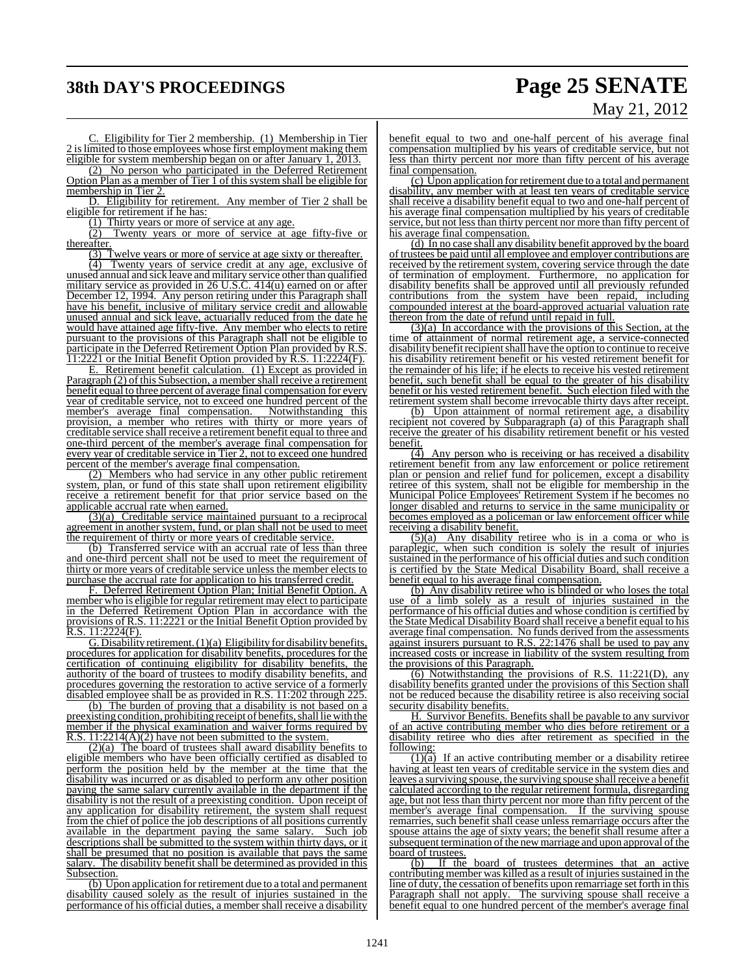# **38th DAY'S PROCEEDINGS Page 25 SENATE**

# May 21, 2012

C. Eligibility for Tier 2 membership. (1) Membership in Tier 2 islimited to those employees whose first employment making them eligible for system membership began on or after January 1, 2013.

(2) No person who participated in the Deferred Retirement Option Plan as a member of Tier 1 of this system shall be eligible for membership in Tier 2.

D. Eligibility for retirement. Any member of Tier 2 shall be eligible for retirement if he has:

(1) Thirty years or more of service at any age.

Twenty years or more of service at age fifty-five or thereafter.

(3) Twelve years or more of service at age sixty or thereafter.

(4) Twenty years of service credit at any age, exclusive of unused annual and sick leave and military service other than qualified military service as provided in 26 U.S.C. 414(u) earned on or after December 12, 1994. Any person retiring under this Paragraph shall have his benefit, inclusive of military service credit and allowable unused annual and sick leave, actuarially reduced from the date he would have attained age fifty-five. Any member who elects to retire pursuant to the provisions of this Paragraph shall not be eligible to participate in the Deferred Retirement Option Plan provided by R.S. 11:2221 or the Initial Benefit Option provided by R.S. 11:2224(F).

E. Retirement benefit calculation. (1) Except as provided in Paragraph (2) of this Subsection, a member shall receive a retirement benefit equal to three percent of average final compensation for every year of creditable service, not to exceed one hundred percent of the member's average final compensation. Notwithstanding this provision, a member who retires with thirty or more years of creditable service shall receive a retirement benefit equal to three and one-third percent of the member's average final compensation for every year of creditable service in Tier 2, not to exceed one hundred percent of the member's average final compensation.

(2) Members who had service in any other public retirement system, plan, or fund of this state shall upon retirement eligibility receive a retirement benefit for that prior service based on the applicable accrual rate when earned.

(3)(a) Creditable service maintained pursuant to a reciprocal agreement in another system, fund, or plan shall not be used to meet the requirement of thirty or more years of creditable service.

(b) Transferred service with an accrual rate of less than three and one-third percent shall not be used to meet the requirement of thirty or more years of creditable service unless the member elects to purchase the accrual rate for application to his transferred credit.

F. Deferred Retirement Option Plan; Initial Benefit Option. A member who is eligible for regular retirement may elect to participate in the Deferred Retirement Option Plan in accordance with the provisions of R.S. 11:2221 or the Initial Benefit Option provided by  $R.S. 11:2224(F).$ 

G. Disability retirement.  $(1)(a)$  Eligibility for disability benefits, procedures for application for disability benefits, procedures for the certification of continuing eligibility for disability benefits, the authority of the board of trustees to modify disability benefits, and procedures governing the restoration to active service of a formerly disabled employee shall be as provided in R.S. 11:202 through 2

(b) The burden of proving that a disability is not based on a preexisting condition, prohibiting receipt of benefits, shall lie with the member if the physical examination and waiver forms required by R.S.  $11:2214(\overline{A})(2)$  have not been submitted to the system.

(2)(a) The board of trustees shall award disability benefits to eligible members who have been officially certified as disabled to perform the position held by the member at the time that the disability was incurred or as disabled to perform any other position paying the same salary currently available in the department if the disability is not the result of a preexisting condition. Upon receipt of any application for disability retirement, the system shall request from the chief of police the job descriptions of all positions currently available in the department paying the same salary. Such job descriptions shall be submitted to the system within thirty days, or it shall be presumed that no position is available that pays the same salary. The disability benefit shall be determined as provided in this Subsection.

(b) Upon application for retirement due to a total and permanent disability caused solely as the result of injuries sustained in the performance of his official duties, a member shall receive a disability benefit equal to two and one-half percent of his average final compensation multiplied by his years of creditable service, but not less than thirty percent nor more than fifty percent of his average final compensation.

(c) Upon application for retirement due to a total and permanent disability, any member with at least ten years of creditable service shall receive a disability benefit equal to two and one-half percent of his average final compensation multiplied by his years of creditable service, but not less than thirty percent nor more than fifty percent of his average final compensation.

(d) In no case shall any disability benefit approved by the board of trustees be paid until all employee and employer contributions are received by the retirement system, covering service through the date of termination of employment. Furthermore, no application for disability benefits shall be approved until all previously refunded contributions from the system have been repaid, including compounded interest at the board-approved actuarial valuation rate thereon from the date of refund until repaid in full.

(3)(a) In accordance with the provisions of this Section, at the time of attainment of normal retirement age, a service-connected disability benefit recipient shall have the option to continue to receive his disability retirement benefit or his vested retirement benefit for the remainder of his life; if he elects to receive his vested retirement benefit, such benefit shall be equal to the greater of his disability benefit or his vested retirement benefit. Such election filed with the retirement system shall become irrevocable thirty days after receipt.

(b) Upon attainment of normal retirement age, a disability recipient not covered by Subparagraph (a) of this Paragraph shall receive the greater of his disability retirement benefit or his vested benefit.

(4) Any person who is receiving or has received a disability retirement benefit from any law enforcement or police retirement plan or pension and relief fund for policemen, except a disability retiree of this system, shall not be eligible for membership in the Municipal Police Employees' Retirement System if he becomes no longer disabled and returns to service in the same municipality or becomes employed as a policeman or law enforcement officer while receiving a disability benefit.

(5)(a) Any disability retiree who is in a coma or who is paraplegic, when such condition is solely the result of injuries sustained in the performance of his official duties and such condition is certified by the State Medical Disability Board, shall receive a benefit equal to his average final compensation.

(b) Any disability retiree who is blinded or who loses the total use of a limb solely as a result of injuries sustained in the performance of his official duties and whose condition is certified by the State Medical Disability Board shall receive a benefit equal to his average final compensation. No funds derived from the assessments against insurers pursuant to R.S. 22:1476 shall be used to pay any increased costs or increase in liability of the system resulting from the provisions of this Paragraph.

(6) Notwithstanding the provisions of R.S. 11:221(D), any disability benefits granted under the provisions of this Section shall not be reduced because the disability retiree is also receiving social security disability benefits.

H. Survivor Benefits. Benefits shall be payable to any survivor of an active contributing member who dies before retirement or a disability retiree who dies after retirement as specified in the following:

 $(1)(a)$  If an active contributing member or a disability retiree having at least ten years of creditable service in the system dies and leaves a surviving spouse, the surviving spouse shall receive a benefit calculated according to the regular retirement formula, disregarding age, but not less than thirty percent nor more than fifty percent of the member's average final compensation. If the surviving spouse remarries, such benefit shall cease unless remarriage occurs after the spouse attains the age of sixty years; the benefit shall resume after a subsequent termination of the new marriage and upon approval of the board of trustees.

(b) If the board of trustees determines that an active contributing member was killed as a result of injuries sustained in the line of duty, the cessation of benefits upon remarriage set forth in this Paragraph shall not apply. The surviving spouse shall receive a benefit equal to one hundred percent of the member's average final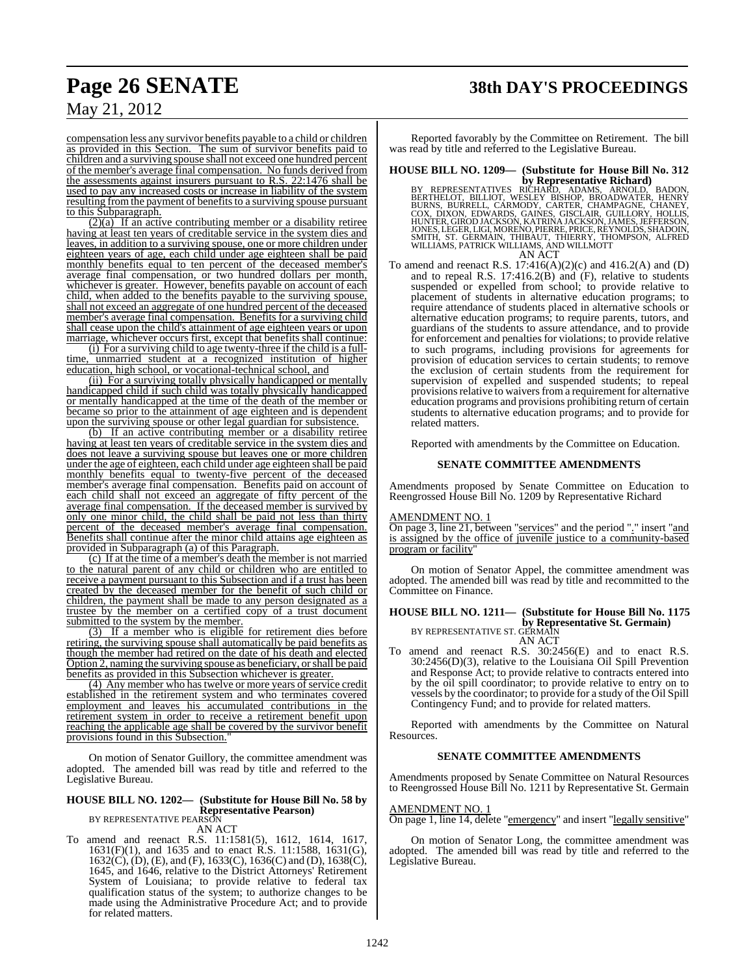# **Page 26 SENATE 38th DAY'S PROCEEDINGS**

May 21, 2012

compensation less any survivor benefits payable to a child or children as provided in this Section. The sum of survivor benefits paid to children and a surviving spouse shall not exceed one hundred percent of the member's average final compensation. No funds derived from the assessments against insurers pursuant to R.S. 22:1476 shall be used to pay any increased costs or increase in liability of the system resulting from the payment of benefits to a surviving spouse pursuant to this Subparagraph.

 $(2)(a)$  If an active contributing member or a disability retiree having at least ten years of creditable service in the system dies and leaves, in addition to a surviving spouse, one or more children under eighteen years of age, each child under age eighteen shall be paid monthly benefits equal to ten percent of the deceased member's average final compensation, or two hundred dollars per month, whichever is greater. However, benefits payable on account of each child, when added to the benefits payable to the surviving spouse, shall not exceed an aggregate of one hundred percent of the deceased member's average final compensation. Benefits for a surviving child shall cease upon the child's attainment of age eighteen years or upon marriage, whichever occurs first, except that benefits shall continue:

(i) For a surviving child to age twenty-three if the child is a fulltime, unmarried student at a recognized institution of higher education, high school, or vocational-technical school, and

(ii) For a surviving totally physically handicapped or mentally handicapped child if such child was totally physically handicapped or mentally handicapped at the time of the death of the member or became so prior to the attainment of age eighteen and is dependent upon the surviving spouse or other legal guardian for subsistence.

(b) If an active contributing member or a disability retiree having at least ten years of creditable service in the system dies and does not leave a surviving spouse but leaves one or more children under the age of eighteen, each child under age eighteen shall be paid monthly benefits equal to twenty-five percent of the deceased member's average final compensation. Benefits paid on account of each child shall not exceed an aggregate of fifty percent of the average final compensation. If the deceased member is survived by only one minor child, the child shall be paid not less than thirty percent of the deceased member's average final compensation. Benefits shall continue after the minor child attains age eighteen as provided in Subparagraph (a) of this Paragraph.

(c) If at the time of a member's death the member is not married to the natural parent of any child or children who are entitled to receive a payment pursuant to this Subsection and if a trust has been created by the deceased member for the benefit of such child or children, the payment shall be made to any person designated as a trustee by the member on a certified copy of a trust document submitted to the system by the member.

(3) If a member who is eligible for retirement dies before retiring, the surviving spouse shall automatically be paid benefits as though the member had retired on the date of his death and elected Option 2, naming the surviving spouse as beneficiary, orshall be paid benefits as provided in this Subsection whichever is greater.

(4) Any member who has twelve or more years of service credit established in the retirement system and who terminates covered employment and leaves his accumulated contributions in the retirement system in order to receive a retirement benefit upon reaching the applicable age shall be covered by the survivor benefit provisions found in this Subsection.

On motion of Senator Guillory, the committee amendment was adopted. The amended bill was read by title and referred to the Legislative Bureau.

### **HOUSE BILL NO. 1202— (Substitute for House Bill No. 58 by Representative Pearson)**

BY REPRESENTATIVE PEARSON

AN ACT To amend and reenact R.S. 11:1581(5), 1612, 1614, 1617, 1631(F)(1), and 1635 and to enact R.S. 11:1588, 1631(G),  $1632(C)$ , (D), (E), and (F), 1633(C), 1636(C) and (D), 1638(C), 1645, and 1646, relative to the District Attorneys' Retirement System of Louisiana; to provide relative to federal tax qualification status of the system; to authorize changes to be made using the Administrative Procedure Act; and to provide for related matters.

Reported favorably by the Committee on Retirement. The bill was read by title and referred to the Legislative Bureau.

### **HOUSE BILL NO. 1209— (Substitute for House Bill No. 312**

**by Representative Richard)**<br>BERTHELOT, BILLIOT, WESLEY BISHOP, BROADS, ARNOLD, BADON,<br>BERTHELOT, BILLIOT, WESLEY BISHOP, BROADWATER, HENRY<br>BURNS, BURRELL, CARMODY, CARTER, CHAMPAGNE, CHANEY,<br>COX, DIXON, EDWARDS, GAINES, G AN ACT

To amend and reenact R.S.  $17:416(A)(2)(c)$  and  $416.2(A)$  and  $(D)$ and to repeal R.S.  $17:416.2(B)$  and  $(F)$ , relative to students suspended or expelled from school; to provide relative to placement of students in alternative education programs; to require attendance of students placed in alternative schools or alternative education programs; to require parents, tutors, and guardians of the students to assure attendance, and to provide for enforcement and penalties for violations; to provide relative to such programs, including provisions for agreements for provision of education services to certain students; to remove the exclusion of certain students from the requirement for supervision of expelled and suspended students; to repeal provisions relative to waivers from a requirement for alternative education programs and provisions prohibiting return of certain students to alternative education programs; and to provide for related matters.

Reported with amendments by the Committee on Education.

### **SENATE COMMITTEE AMENDMENTS**

Amendments proposed by Senate Committee on Education to Reengrossed House Bill No. 1209 by Representative Richard

### AMENDMENT NO. 1

On page 3, line 21, between "services" and the period "." insert "and is assigned by the office of juvenile justice to a community-based program or facility

On motion of Senator Appel, the committee amendment was adopted. The amended bill was read by title and recommitted to the Committee on Finance.

### **HOUSE BILL NO. 1211— (Substitute for House Bill No. 1175 by Representative St. Germain)** BY REPRESENTATIVE ST. GERMAIN

AN ACT To amend and reenact R.S. 30:2456(E) and to enact R.S. 30:2456(D)(3), relative to the Louisiana Oil Spill Prevention and Response Act; to provide relative to contracts entered into by the oil spill coordinator; to provide relative to entry on to vessels by the coordinator; to provide for a study of the Oil Spill Contingency Fund; and to provide for related matters.

Reported with amendments by the Committee on Natural Resources.

### **SENATE COMMITTEE AMENDMENTS**

Amendments proposed by Senate Committee on Natural Resources to Reengrossed House Bill No. 1211 by Representative St. Germain

### AMENDMENT NO. 1

On page 1, line 14, delete "emergency" and insert "legally sensitive"

On motion of Senator Long, the committee amendment was adopted. The amended bill was read by title and referred to the Legislative Bureau.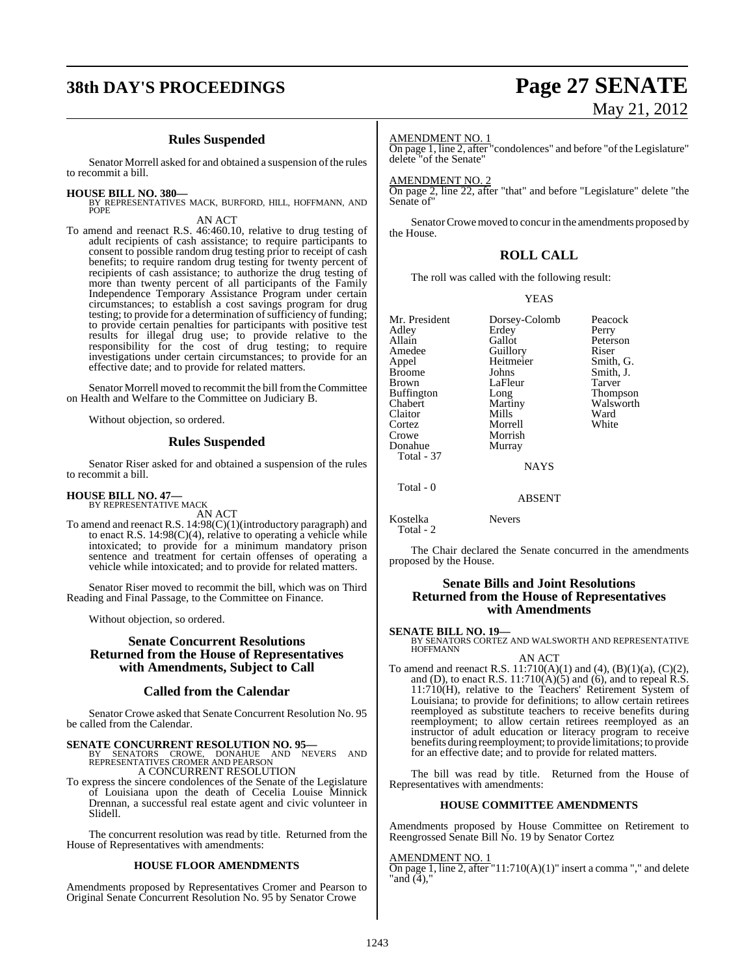# **38th DAY'S PROCEEDINGS Page 27 SENATE**

### **Rules Suspended**

Senator Morrell asked for and obtained a suspension of the rules to recommit a bill.

### **HOUSE BILL NO. 380—**

BY REPRESENTATIVES MACK, BURFORD, HILL, HOFFMANN, AND POPE

AN ACT

To amend and reenact R.S. 46:460.10, relative to drug testing of adult recipients of cash assistance; to require participants to consent to possible random drug testing prior to receipt of cash benefits; to require random drug testing for twenty percent of recipients of cash assistance; to authorize the drug testing of more than twenty percent of all participants of the Family Independence Temporary Assistance Program under certain circumstances; to establish a cost savings program for drug testing; to provide for a determination of sufficiency of funding; to provide certain penalties for participants with positive test results for illegal drug use; to provide relative to the responsibility for the cost of drug testing; to require investigations under certain circumstances; to provide for an effective date; and to provide for related matters.

Senator Morrell moved to recommit the bill fromtheCommittee on Health and Welfare to the Committee on Judiciary B.

Without objection, so ordered.

### **Rules Suspended**

Senator Riser asked for and obtained a suspension of the rules to recommit a bill.

# **HOUSE BILL NO. 47—** BY REPRESENTATIVE MACK

AN ACT

To amend and reenact R.S. 14:98(C)(1)(introductory paragraph) and to enact R.S.  $14:98(C)(4)$ , relative to operating a vehicle while intoxicated; to provide for a minimum mandatory prison sentence and treatment for certain offenses of operating a vehicle while intoxicated; and to provide for related matters.

Senator Riser moved to recommit the bill, which was on Third Reading and Final Passage, to the Committee on Finance.

Without objection, so ordered.

### **Senate Concurrent Resolutions Returned from the House of Representatives with Amendments, Subject to Call**

### **Called from the Calendar**

Senator Crowe asked that Senate Concurrent Resolution No. 95 be called from the Calendar.

**SENATE CONCURRENT RESOLUTION NO. 95—**<br>
BY SENATORS CROWE, DONAHUE AND NEVERS AND<br>
REPRESENTATIVES CROMER AND PEARSON<br>
A CONCURRENT RESOLUTION

To express the sincere condolences of the Senate of the Legislature of Louisiana upon the death of Cecelia Louise Minnick Drennan, a successful real estate agent and civic volunteer in Slidell.

The concurrent resolution was read by title. Returned from the House of Representatives with amendments:

### **HOUSE FLOOR AMENDMENTS**

Amendments proposed by Representatives Cromer and Pearson to Original Senate Concurrent Resolution No. 95 by Senator Crowe

# May 21, 2012

### AMENDMENT NO. 1

On page 1, line 2, after "condolences" and before "of the Legislature" delete "of the Senate"

### AMENDMENT NO. 2

On page 2, line 22, after "that" and before "Legislature" delete "the Senate of

Senator Crowe moved to concur in the amendments proposed by the House.

### **ROLL CALL**

The roll was called with the following result:

### YEAS

| Dorsey-Colomb<br>Erdey<br>Gallot                                                                                     | Peacock<br>Perry                                                                                |
|----------------------------------------------------------------------------------------------------------------------|-------------------------------------------------------------------------------------------------|
| Guillory<br>Heitmeier<br>Johns<br>LaFleur<br>Long<br>Martiny<br>Mills<br>Morrell<br>Morrish<br>Murray<br><b>NAYS</b> | Peterson<br>Riser<br>Smith, G.<br>Smith, J.<br>Tarver<br>Thompson<br>Walsworth<br>Ward<br>White |
| <b>ABSENT</b>                                                                                                        |                                                                                                 |
|                                                                                                                      |                                                                                                 |

Kostelka Nevers Total - 2

The Chair declared the Senate concurred in the amendments proposed by the House.

### **Senate Bills and Joint Resolutions Returned from the House of Representatives with Amendments**

**SENATE BILL NO. 19—**<br>BY SENATORS CORTEZ AND WALSWORTH AND REPRESENTATIVE<br>HOFFMANN

AN ACT To amend and reenact R.S.  $11:710(A)(1)$  and  $(4)$ ,  $(B)(1)(a)$ ,  $(C)(2)$ , and (D), to enact R.S.  $11:710(A)(5)$  and (6), and to repeal R.S. 11:710(H), relative to the Teachers' Retirement System of Louisiana; to provide for definitions; to allow certain retirees reemployed as substitute teachers to receive benefits during reemployment; to allow certain retirees reemployed as an instructor of adult education or literacy program to receive benefits during reemployment; to provide limitations; to provide for an effective date; and to provide for related matters.

The bill was read by title. Returned from the House of Representatives with amendments:

### **HOUSE COMMITTEE AMENDMENTS**

Amendments proposed by House Committee on Retirement to Reengrossed Senate Bill No. 19 by Senator Cortez

### AMENDMENT NO. 1

On page 1, line 2, after "11:710(A)(1)" insert a comma "," and delete "and (4),'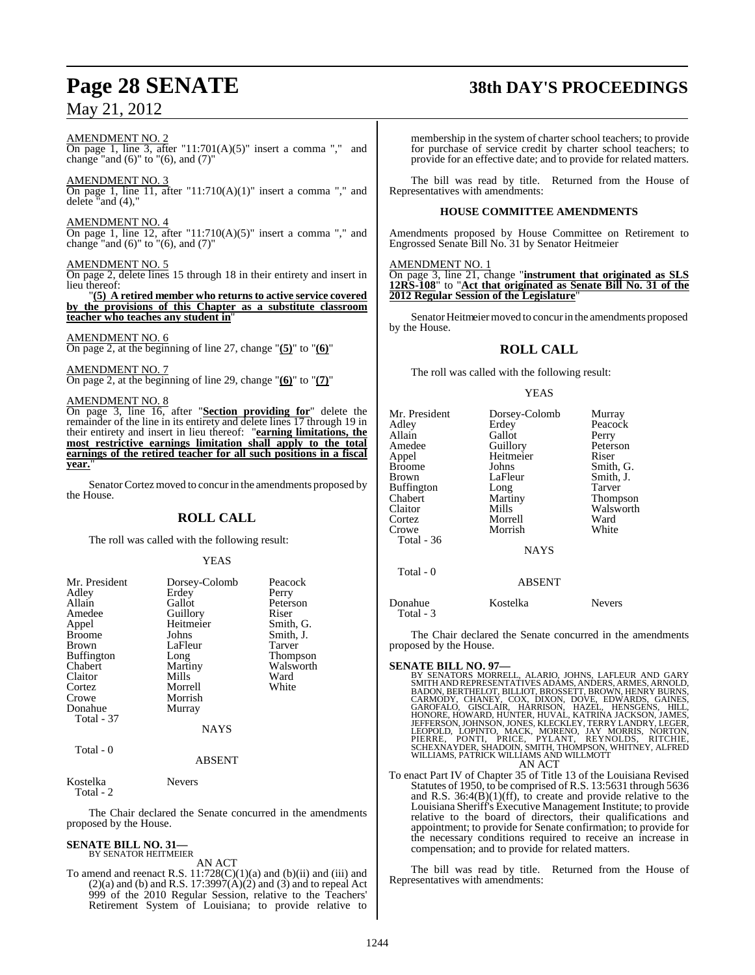# **Page 28 SENATE 38th DAY'S PROCEEDINGS**

## May 21, 2012

### AMENDMENT NO. 2

On page 1, line 3, after "11:701(A)(5)" insert a comma "," and change "and  $(6)$ " to " $(6)$ , and  $(7)$ "

### AMENDMENT NO. 3

On page 1, line 11, after "11:710(A)(1)" insert a comma "," and delete "and  $(4)$ ,

### AMENDMENT NO. 4

On page 1, line 12, after "11:710(A)(5)" insert a comma "," and change "and  $(6)$ " to " $(6)$ , and  $(7)$ "

### AMENDMENT NO. 5

On page 2, delete lines 15 through 18 in their entirety and insert in lieu thereof:

"**(5) A retired member who returns to active service covered by the provisions of this Chapter as a substitute classroom teacher who teaches any student in**"

### AMENDMENT NO. 6

On page 2, at the beginning of line 27, change "**(5)**" to "**(6)**"

### AMENDMENT NO. 7

On page 2, at the beginning of line 29, change "**(6)**" to "**(7)**"

### AMENDMENT NO. 8

On page 3, line 16, after "**Section providing for**" delete the remainder of the line in its entirety and delete lines 17 through 19 in their entirety and insert in lieu thereof: "**earning limitations, the most restrictive earnings limitation shall apply to the total earnings of the retired teacher for all such positions in a fiscal year.**"

Senator Cortez moved to concur in the amendments proposed by the House.

### **ROLL CALL**

The roll was called with the following result:

### YEAS

| Mr. President     | Dorsey-Colomb | Peacock         |
|-------------------|---------------|-----------------|
| Adley             | Erdey         | Perry           |
| Allain            | Gallot        | Peterson        |
| Amedee            | Guillory      | Riser           |
| Appel             | Heitmeier     | Smith, G.       |
| <b>Broome</b>     | Johns         | Smith, J.       |
| <b>Brown</b>      | LaFleur       | Tarver          |
| <b>Buffington</b> | Long          | <b>Thompson</b> |
| Chabert           | Martiny       | Walsworth       |
| Claitor           | Mills         | Ward            |
| Cortez            | Morrell       | White           |
| Crowe             | Morrish       |                 |
| Donahue           | Murray        |                 |
| Total - 37        |               |                 |
|                   | <b>NAYS</b>   |                 |
| Total - 0         |               |                 |
|                   | ABSENT        |                 |

Kostelka Nevers

Total - 2

The Chair declared the Senate concurred in the amendments proposed by the House.

### **SENATE BILL NO. 31—**

BY SENATOR HEITMEIER

AN ACT To amend and reenact R.S.  $11:728(C)(1)(a)$  and (b)(ii) and (iii) and  $(2)(a)$  and (b) and R.S. 17:3997 $(A)(2)$  and (3) and to repeal Act 999 of the 2010 Regular Session, relative to the Teachers' Retirement System of Louisiana; to provide relative to

membership in the system of charter school teachers; to provide for purchase of service credit by charter school teachers; to provide for an effective date; and to provide for related matters.

The bill was read by title. Returned from the House of Representatives with amendments:

### **HOUSE COMMITTEE AMENDMENTS**

Amendments proposed by House Committee on Retirement to Engrossed Senate Bill No. 31 by Senator Heitmeier

### AMENDMENT NO. 1

On page 3, line 21, change "**instrument that originated as SLS 12RS-108**" to "**Act that originated as Senate Bill No. 31 of the 2012 Regular Session of the Legislature**"

Senator Heitmeier moved to concur in the amendments proposed by the House.

### **ROLL CALL**

The roll was called with the following result:

### YEAS

| Mr. President<br>Adley<br>Allain<br>Amedee<br>Appel<br><b>Broome</b><br>Brown<br>Buffington<br>Chabert<br>Claitor<br>Cortez<br>Crowe<br>Total - 36 | Dorsey-Colomb<br>Erdey<br>Gallot<br>Guillory<br>Heitmeier<br>Johns<br>LaFleur<br>Long<br>Martiny<br>Mills<br>Morrell<br>Morrish<br><b>NAYS</b> | Murray<br>Peacock<br>Perry<br>Peterson<br>Riser<br>Smith, G.<br>Smith, J.<br>Tarver<br>Thompson<br>Walsworth<br>Ward<br>White |
|----------------------------------------------------------------------------------------------------------------------------------------------------|------------------------------------------------------------------------------------------------------------------------------------------------|-------------------------------------------------------------------------------------------------------------------------------|
| Total - 0                                                                                                                                          | <b>ABSENT</b>                                                                                                                                  |                                                                                                                               |
| Donahue                                                                                                                                            | Kostelka                                                                                                                                       | <b>Nevers</b>                                                                                                                 |

The Chair declared the Senate concurred in the amendments proposed by the House.

### **SENATE BILL NO. 97—**

Total - 3

BY SENATORS MORRELL, ALARIO, JOHNS, LAFLEUR AND GARY<br>SMITHANDREPRESENTATIVES ADAMS, ANDERS, ARMES, ARNOLD,<br>BADON, BERTHELOT, BILLIOT, BROSSETT, BROWN, HENRY BURNS,<br>CARMODY, CHANEY, COX, DIXON, DOVE, EDWARDS, GARDES,<br>GAROFA AN ACT

To enact Part IV of Chapter 35 of Title 13 of the Louisiana Revised Statutes of 1950, to be comprised of R.S. 13:5631 through 5636 and R.S.  $36:4(B)(1)(ff)$ , to create and provide relative to the Louisiana Sheriff's Executive Management Institute; to provide relative to the board of directors, their qualifications and appointment; to provide for Senate confirmation; to provide for the necessary conditions required to receive an increase in compensation; and to provide for related matters.

The bill was read by title. Returned from the House of Representatives with amendments: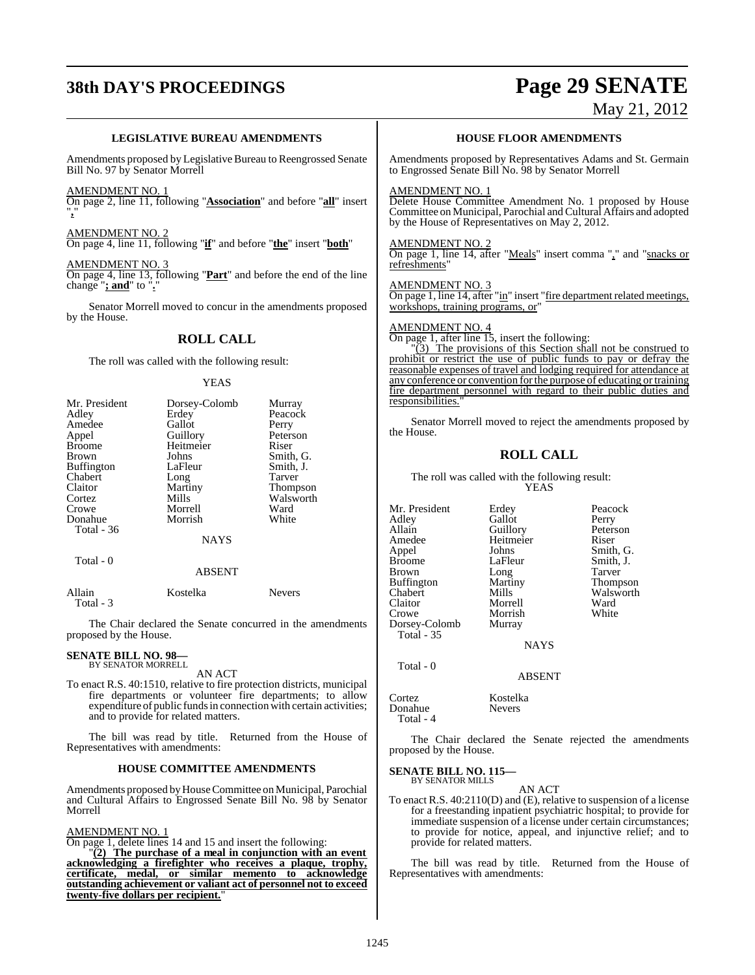# **38th DAY'S PROCEEDINGS Page 29 SENATE**

## May 21, 2012

### **LEGISLATIVE BUREAU AMENDMENTS**

Amendments proposed by Legislative Bureau to Reengrossed Senate Bill No. 97 by Senator Morrell

### AMENDMENT NO. 1

On page 2, line 11, following "**Association**" and before "**all**" insert "**,**"

### AMENDMENT NO. 2

On page 4, line 11, following "**if**" and before "**the**" insert "**both**"

### AMENDMENT NO. 3

On page 4, line 13, following "**Part**" and before the end of the line change "**; and**" to "**.**"

Senator Morrell moved to concur in the amendments proposed by the House.

### **ROLL CALL**

The roll was called with the following result:

### YEAS

| Mr. President     | Dorsey-Colomb | Murray          |
|-------------------|---------------|-----------------|
| Adley             | Erdey         | Peacock         |
| Amedee            | Gallot        | Perry           |
| Appel             | Guillory      | Peterson        |
| <b>Broome</b>     | Heitmeier     | Riser           |
| <b>Brown</b>      | Johns         | Smith, G.       |
| <b>Buffington</b> | LaFleur       | Smith, J.       |
| Chabert           | Long          | Tarver          |
| Claitor           | Martiny       | <b>Thompson</b> |
| Cortez            | Mills         | Walsworth       |
| Crowe             | Morrell       | Ward            |
| Donahue           | Morrish       | White           |
| <b>Total - 36</b> |               |                 |
|                   | <b>NAYS</b>   |                 |
| Total - 0         |               |                 |

### ABSENT

| Allain    | Kostelka | <b>Nevers</b> |
|-----------|----------|---------------|
| Total - 3 |          |               |

The Chair declared the Senate concurred in the amendments proposed by the House.

### **SENATE BILL NO. 98—** BY SENATOR MORRELL

AN ACT

To enact R.S. 40:1510, relative to fire protection districts, municipal fire departments or volunteer fire departments; to allow expenditure of public funds in connection with certain activities; and to provide for related matters.

The bill was read by title. Returned from the House of Representatives with amendments:

### **HOUSE COMMITTEE AMENDMENTS**

Amendments proposed by House Committee on Municipal, Parochial and Cultural Affairs to Engrossed Senate Bill No. 98 by Senator Morrell

### AMENDMENT NO. 1

On page 1, delete lines 14 and 15 and insert the following:

"**(2) The purchase of a meal in conjunction with an event acknowledging a firefighter who receives a plaque, trophy, certificate, medal, or similar memento to acknowledge outstanding achievement or valiant act of personnel not to exceed twenty-five dollars per recipient.** 

### **HOUSE FLOOR AMENDMENTS**

Amendments proposed by Representatives Adams and St. Germain to Engrossed Senate Bill No. 98 by Senator Morrell

### AMENDMENT NO. 1

Delete House Committee Amendment No. 1 proposed by House Committee on Municipal, Parochial and Cultural Affairs and adopted by the House of Representatives on May 2, 2012.

### AMENDMENT NO. 2

On page 1, line 14, after "Meals" insert comma "," and "snacks or refreshments"

### AMENDMENT NO. 3 On page 1, line 14, after "in" insert "fire department related meetings, workshops, training programs, or"

### AMENDMENT NO. 4

On page 1, after line 15, insert the following:

 $\frac{12}{3}$  The provisions of this Section shall not be construed to prohibit or restrict the use of public funds to pay or defray the reasonable expenses of travel and lodging required for attendance at any conference or convention forthe purpose of educating ortraining fire department personnel with regard to their public duties and responsibilities."

Senator Morrell moved to reject the amendments proposed by the House.

### **ROLL CALL**

The roll was called with the following result: YEAS

Mr. President Erdey Peacock<br>Adley Gallot Perry Adley Gallot<br>Allain Guillory Allain Guillory Peterson<br>Amedee Heitmeier Riser Appel Johns Smith, G.<br>Broome LaFleur Smith, J. Brown Long Tarver<br>
Buffington Martiny Thompson Buffington Marti<br>Chabert Mills Chabert Mills Walsworth<br>Claitor Morrell Ward Claitor Morrell Ward<br>Crowe Morrish White Dorsey-Colomb Total - 35

Heitmeier<br>Johns LaFleur Smith, J.<br>
Long Tarver Morrish<br>Murray

**NAYS** 

ABSENT

Donahue Total - 4

Total - 0

The Chair declared the Senate rejected the amendments proposed by the House.

### **SENATE BILL NO. 115—** BY SENATOR MILLS

AN ACT

To enact R.S. 40:2110(D) and (E), relative to suspension of a license for a freestanding inpatient psychiatric hospital; to provide for immediate suspension of a license under certain circumstances; to provide for notice, appeal, and injunctive relief; and to provide for related matters.

The bill was read by title. Returned from the House of Representatives with amendments:

Cortez Kostelka<br>Donahue Nevers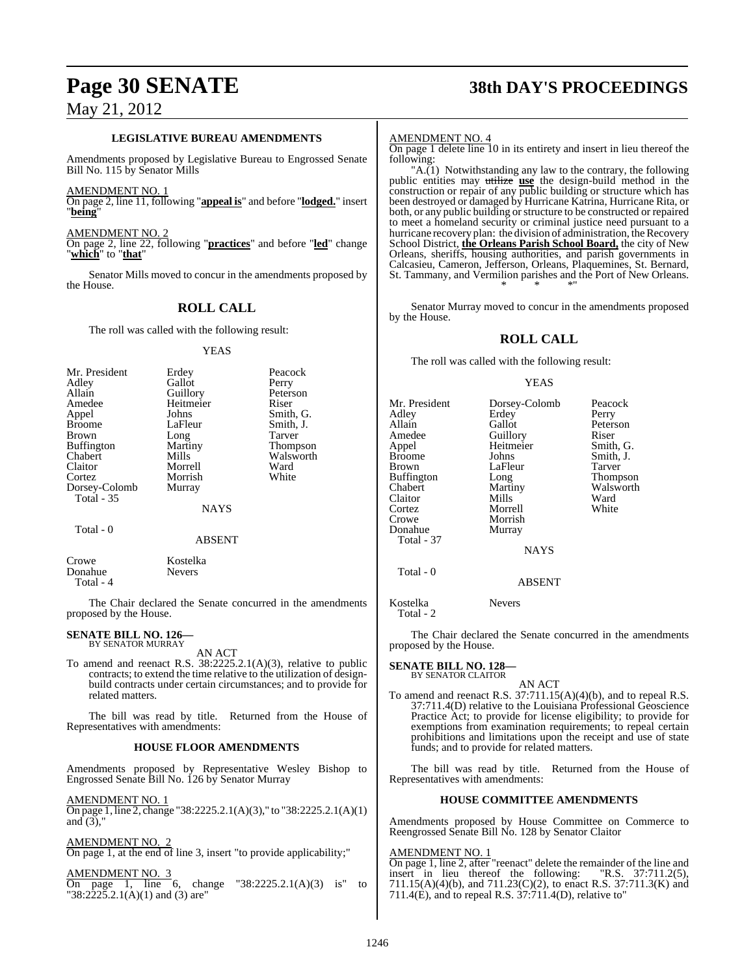# **Page 30 SENATE 38th DAY'S PROCEEDINGS**

### **LEGISLATIVE BUREAU AMENDMENTS**

Amendments proposed by Legislative Bureau to Engrossed Senate Bill No. 115 by Senator Mills

AMENDMENT NO. 1

On page 2, line 11, following "**appeal is**" and before "**lodged.**" insert "**being**"

AMENDMENT NO. 2

On page 2, line 22, following "**practices**" and before "**led**" change "**which**" to "**that**"

Senator Mills moved to concur in the amendments proposed by the House.

### **ROLL CALL**

The roll was called with the following result:

### YEAS

| Mr. President<br>Adley<br>Allain<br>Amedee<br>Appel<br><b>Broome</b><br><b>Brown</b><br><b>Buffington</b><br>Chabert<br>Claitor<br>Cortez<br>Dorsey-Colomb<br><b>Total - 35</b> | Erdey<br>Gallot<br>Guillory<br>Heitmeier<br>Johns<br>LaFleur<br>Long<br>Martiny<br>Mills<br>Morrell<br>Morrish<br>Murray | Peacock<br>Perry<br>Peterson<br>Riser<br>Smith, G.<br>Smith, J.<br>Tarver<br>Thompson<br>Walsworth<br>Ward<br>White |
|---------------------------------------------------------------------------------------------------------------------------------------------------------------------------------|--------------------------------------------------------------------------------------------------------------------------|---------------------------------------------------------------------------------------------------------------------|
|                                                                                                                                                                                 | <b>NAYS</b>                                                                                                              |                                                                                                                     |
| Total - 0                                                                                                                                                                       | <b>ABSENT</b>                                                                                                            |                                                                                                                     |

 Total - 4 The Chair declared the Senate concurred in the amendments proposed by the House.

# **SENATE BILL NO. 126—** BY SENATOR MURRAY

Crowe Kostelka<br>Donahue Nevers

Donahue

AN ACT

To amend and reenact R.S. 38:2225.2.1(A)(3), relative to public contracts; to extend the time relative to the utilization of designbuild contracts under certain circumstances; and to provide for related matters.

The bill was read by title. Returned from the House of Representatives with amendments:

### **HOUSE FLOOR AMENDMENTS**

Amendments proposed by Representative Wesley Bishop to Engrossed Senate Bill No. 126 by Senator Murray

AMENDMENT NO. 1 On page 1, line 2, change "38:2225.2.1(A)(3)," to "38:2225.2.1(A)(1) and  $(3)$ ,"

AMENDMENT NO. 2 On page 1, at the end of line 3, insert "to provide applicability;"

AMENDMENT NO. 3 change "38:2225.2.1(A)(3) is" to  $\overline{On}$  page 1, line 6, cha<br>"38:2225.2.1(A)(1) and (3) are"

### AMENDMENT NO. 4

On page 1 delete line 10 in its entirety and insert in lieu thereof the following:

" $A(1)$  Notwithstanding any law to the contrary, the following public entities may utilize **use** the design-build method in the construction or repair of any public building or structure which has been destroyed or damaged by Hurricane Katrina, Hurricane Rita, or both, or any public building or structure to be constructed or repaired to meet a homeland security or criminal justice need pursuant to a hurricane recovery plan: the division of administration, the Recovery School District, **the Orleans Parish School Board,** the city of New Orleans, sheriffs, housing authorities, and parish governments in Calcasieu, Cameron, Jefferson, Orleans, Plaquemines, St. Bernard, St. Tammany, and Vermilion parishes and the Port of New Orleans. \* \* \*"

Senator Murray moved to concur in the amendments proposed by the House.

### **ROLL CALL**

The roll was called with the following result:

### YEAS

| Mr. President<br>Adley<br>Allain<br>Amedee<br>Appel<br>Broome<br>Brown<br>Buffington<br>Chabert<br>Claitor<br>Cortez<br>Crowe | Dorsey-Colomb<br>Erdey<br>Gallot<br>Guillory<br>Heitmeier<br>Johns<br>LaFleur<br>Long<br>Martiny<br>Mills<br>Morrell<br>Morrish | Peacock<br>Perry<br>Peterson<br>Riser<br>Smith, G.<br>Smith, J.<br>Tarver<br>Thompson<br>Walsworth<br>Ward<br>White |
|-------------------------------------------------------------------------------------------------------------------------------|---------------------------------------------------------------------------------------------------------------------------------|---------------------------------------------------------------------------------------------------------------------|
| Donahue<br>Total - 37                                                                                                         | Murray                                                                                                                          |                                                                                                                     |
|                                                                                                                               | <b>NAYS</b>                                                                                                                     |                                                                                                                     |
| Total - 0                                                                                                                     | <b>ABSENT</b>                                                                                                                   |                                                                                                                     |
|                                                                                                                               |                                                                                                                                 |                                                                                                                     |

Kostelka Nevers Total - 2

The Chair declared the Senate concurred in the amendments proposed by the House.

### **SENATE BILL NO. 128—** BY SENATOR CLAITOR

AN ACT To amend and reenact R.S. 37:711.15(A)(4)(b), and to repeal R.S. 37:711.4(D) relative to the Louisiana Professional Geoscience Practice Act; to provide for license eligibility; to provide for exemptions from examination requirements; to repeal certain prohibitions and limitations upon the receipt and use of state funds; and to provide for related matters.

The bill was read by title. Returned from the House of Representatives with amendments:

### **HOUSE COMMITTEE AMENDMENTS**

Amendments proposed by House Committee on Commerce to Reengrossed Senate Bill No. 128 by Senator Claitor

### AMENDMENT NO. 1

On page 1, line 2, after "reenact" delete the remainder of the line and insert in lieu thereof the following: "R.S. 37:711.2(5), 711.15(A)(4)(b), and 711.23(C)(2), to enact R.S. 37:711.3(K) and 711.4(E), and to repeal R.S. 37:711.4(D), relative to"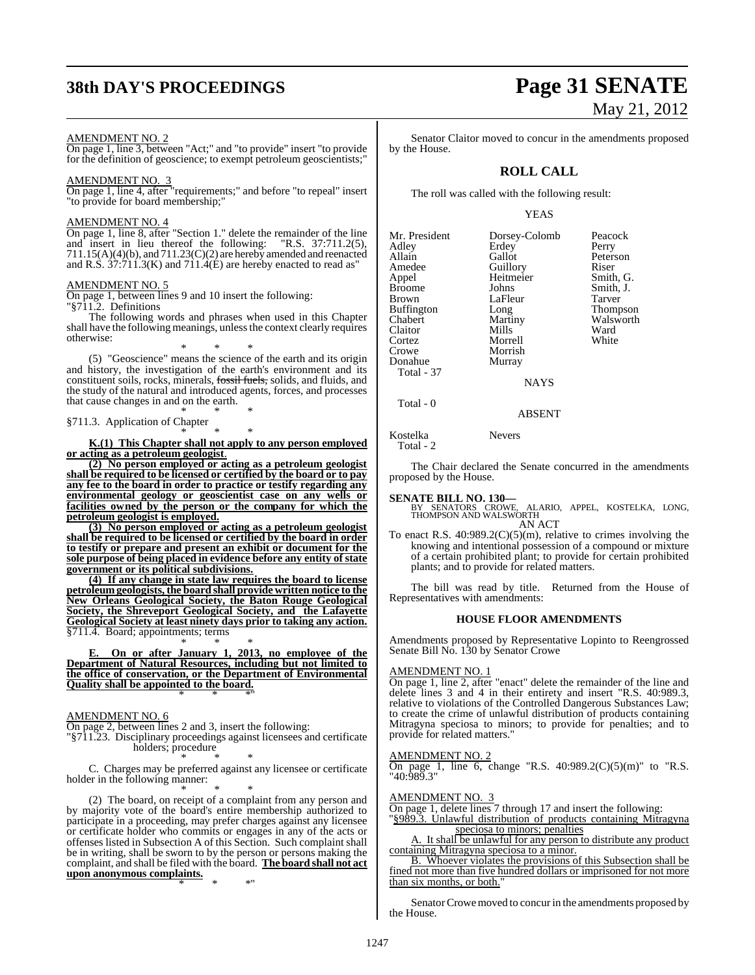# **38th DAY'S PROCEEDINGS Page 31 SENATE**

### AMENDMENT NO. 2

On page 1, line 3, between "Act;" and "to provide" insert "to provide for the definition of geoscience; to exempt petroleum geoscientists;"

### AMENDMENT NO. 3

On page 1, line 4, after "requirements;" and before "to repeal" insert "to provide for board membership;"

### AMENDMENT NO. 4

On page 1, line 8, after "Section 1." delete the remainder of the line and insert in lieu thereof the following: "R.S. 37:711.2(5), 711.15(A)(4)(b), and 711.23(C)(2) are hereby amended and reenacted and R.S. 37:711.3(K) and 711.4(E) are hereby enacted to read as"

### AMENDMENT NO. 5

On page 1, between lines 9 and 10 insert the following: "§711.2. Definitions

The following words and phrases when used in this Chapter shall have the following meanings, unless the context clearly requires otherwise:

\* \* \* (5) "Geoscience" means the science of the earth and its origin and history, the investigation of the earth's environment and its constituent soils, rocks, minerals, fossil fuels, solids, and fluids, and the study of the natural and introduced agents, forces, and processes that cause changes in and on the earth. \* \* \*

### §711.3. Application of Chapter \* \* \*

**K.(1) This Chapter shall not apply to any person employed or acting as a petroleum geologist**.

**(2) No person employed or acting as a petroleum geologist shall be required to be licensed or certified by the board or to pay any fee to the board in order to practice or testify regarding any environmental geology or geoscientist case on any wells or facilities owned by the person or the company for which the petroleum geologist is employed.**

**(3) No person employed or acting as a petroleum geologist shall be required to be licensed or certified by the board in order to testify or prepare and present an exhibit or document for the sole purpose of being placed in evidence before any entity of state government or its political subdivisions.**

**(4) If any change in state law requires the board to license petroleum geologists, the board shall provide written notice to the New Orleans Geological Society, the Baton Rouge Geological Society, the Shreveport Geological Society, and the Lafayette Geological Society at least ninety days prior to taking any action.** §711.4. Board; appointments; terms

\* \* \* **E. On or after January 1, 2013, no employee of the Department of Natural Resources, including but not limited to the office of conservation, or the Department of Environmental Quality shall be appointed to the board.** \* \* \*"

### AMENDMENT NO. 6

On page 2, between lines 2 and 3, insert the following:

"§711.23. Disciplinary proceedings against licensees and certificate holders; procedure \* \* \*

C. Charges may be preferred against any licensee or certificate holder in the following manner:

\* \* \* (2) The board, on receipt of a complaint from any person and by majority vote of the board's entire membership authorized to participate in a proceeding, may prefer charges against any licensee or certificate holder who commits or engages in any of the acts or offenses listed in Subsection A of this Section. Such complaint shall be in writing, shall be sworn to by the person or persons making the complaint, and shall be filed with the board. **The board shall not act upon anonymous complaints.**

\* \* \*"

# May 21, 2012

Senator Claitor moved to concur in the amendments proposed by the House.

### **ROLL CALL**

The roll was called with the following result:

### YEAS

| Mr. President | Dorsey-Colomb | Peacock   |
|---------------|---------------|-----------|
| Adlev         | Erdey         | Perry     |
| Allain        | Gallot        | Peterson  |
| Amedee        | Guillory      | Riser     |
| Appel         | Heitmeier     | Smith, G  |
| Broome        | Johns         | Smith, J. |
| Brown         | LaFleur       | Tarver    |
| Buffington    | Long          | Thompso   |
| Chabert       | Martiny       | Walswor   |
| Claitor       | Mills         | Ward      |
| Cortez        | Morrell       | White     |
| Crowe         | Morrish       |           |
| Donahue       | Murray        |           |
| Total - 37    |               |           |
|               | NAYS          |           |
|               |               |           |

ith, G.<br>ith, J. b<sub>mpson</sub> lsworth<br>rd

### ABSENT

Kostelka Nevers Total - 2

The Chair declared the Senate concurred in the amendments proposed by the House.

Total - 0

**SENATE BILL NO. 130—** BY SENATORS CROWE, ALARIO, APPEL, KOSTELKA, LONG, THOMPSON AND WALSWORTH AN ACT

To enact R.S.  $40:989.2(C)(5)(m)$ , relative to crimes involving the knowing and intentional possession of a compound or mixture of a certain prohibited plant; to provide for certain prohibited plants; and to provide for related matters.

The bill was read by title. Returned from the House of Representatives with amendments:

### **HOUSE FLOOR AMENDMENTS**

Amendments proposed by Representative Lopinto to Reengrossed Senate Bill No. 130 by Senator Crowe

### AMENDMENT NO. 1

On page 1, line 2, after "enact" delete the remainder of the line and delete lines 3 and 4 in their entirety and insert "R.S. 40:989.3, relative to violations of the Controlled Dangerous Substances Law; to create the crime of unlawful distribution of products containing Mitragyna speciosa to minors; to provide for penalties; and to provide for related matters."

### AMENDMENT NO. 2

On page 1, line 6, change "R.S.  $40:989.2(C)(5)(m)$ " to "R.S. "40:989.3"

### AMENDMENT NO. 3

On page 1, delete lines 7 through 17 and insert the following:

"§989.3. Unlawful distribution of products containing Mitragyna speciosa to minors; penalties

A. It shall be unlawful for any person to distribute any product containing Mitragyna speciosa to a minor.

B. Whoever violates the provisions of this Subsection shall be fined not more than five hundred dollars or imprisoned for not more than six months, or both."

Senator Crowe moved to concur in the amendments proposed by the House.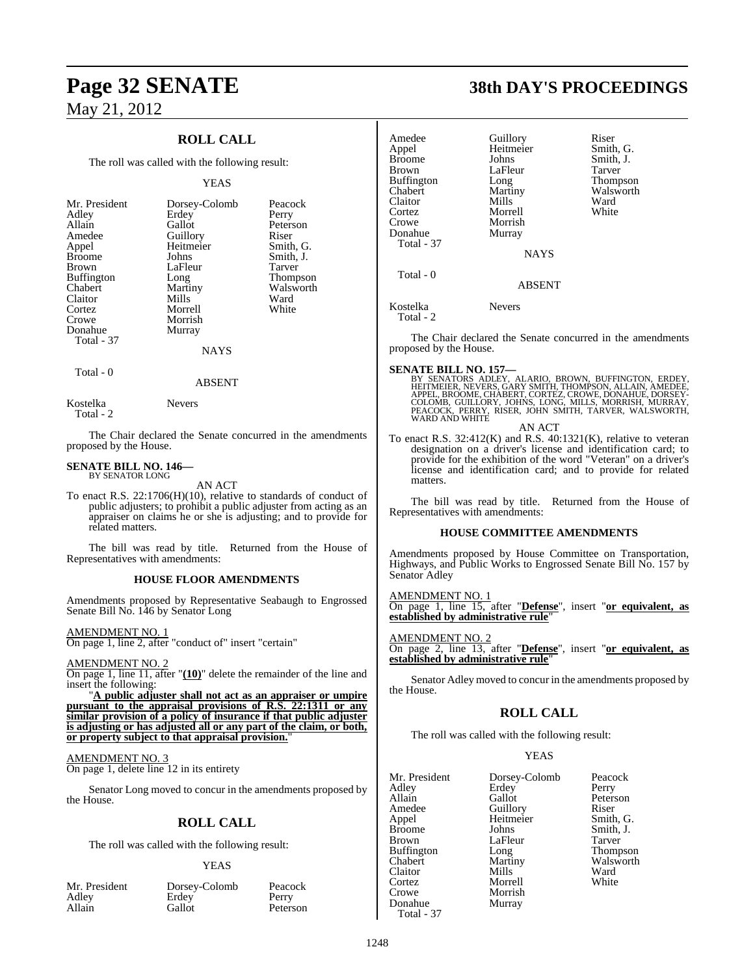### **ROLL CALL**

The roll was called with the following result:

### YEAS

| Mr. President<br>Adley<br>Allain<br>Amedee<br>Appel<br><b>Broome</b> | Dorsey-Colomb<br>Erdey<br>Gallot<br>Guillory<br>Heitmeier<br>Johns | Peacock<br>Perry<br>Peterson<br>Riser<br>Smith, G.<br>Smith, J. |
|----------------------------------------------------------------------|--------------------------------------------------------------------|-----------------------------------------------------------------|
| <b>Brown</b>                                                         | LaFleur                                                            | <b>Tarver</b>                                                   |
| <b>Buffington</b><br>Chabert                                         | Long<br>Martiny                                                    | <b>Thompson</b><br>Walsworth                                    |
| Claitor                                                              | Mills                                                              | Ward                                                            |
| Cortez                                                               | Morrell                                                            | White                                                           |
| Crowe                                                                | Morrish                                                            |                                                                 |
| Donahue                                                              | Murray                                                             |                                                                 |
| Total - 37                                                           |                                                                    |                                                                 |
|                                                                      | NAYS                                                               |                                                                 |

Total - 0

Kostelka Nevers

Total - 2

The Chair declared the Senate concurred in the amendment proposed by the House.

ABSENT

### **SENATE BILL NO. 146—** BY SENATOR LONG

AN ACT

To enact R.S.  $22:1706(H)(10)$ , relative to standards of conduct public adjusters; to prohibit a public adjuster from acting as appraiser on claims he or she is adjusting; and to provide for related matters.

The bill was read by title. Returned from the House Representatives with amendments:

### **HOUSE FLOOR AMENDMENTS**

Amendments proposed by Representative Seabaugh to Engrossed Senate Bill No. 146 by Senator Long

### AMENDMENT NO. 1

On page 1, line 2, after "conduct of" insert "certain"

### AMENDMENT NO. 2

On page 1, line 11, after "**(10)**" delete the remainder of the line and insert the following:

"**A public adjuster shall not act as an appraiser or umpire pursuant to the appraisal provisions of R.S. 22:1311 or any similar provision of a policy of insurance if that public adjuster is adjusting or has adjusted all or any part of the claim, or both, or property subject to that appraisal provision.**"

### AMENDMENT NO. 3

On page 1, delete line 12 in its entirety

Senator Long moved to concur in the amendments proposed the House.

### **ROLL CALL**

The roll was called with the following result:

### YEAS

|        | Mr. Preside |
|--------|-------------|
| Adley  |             |
| Allain |             |

nt Dorsey-Colomb Peacock<br>Erdey Perry Erdey<br>Gallot

Peterson

# **Page 32 SENATE 38th DAY'S PROCEEDINGS**

|           | Amedee                           | Guillory                                       | Riser                                                                                                                                                                                                                          |
|-----------|----------------------------------|------------------------------------------------|--------------------------------------------------------------------------------------------------------------------------------------------------------------------------------------------------------------------------------|
|           | Appel                            | Heitmeier                                      | Smith, G.                                                                                                                                                                                                                      |
|           | <b>Broome</b>                    | Johns                                          | Smith, J.                                                                                                                                                                                                                      |
|           | Brown                            | LaFleur                                        | Tarver                                                                                                                                                                                                                         |
|           | <b>Buffington</b>                | Long                                           | Thompson                                                                                                                                                                                                                       |
|           | Chabert                          | Martiny                                        | Walsworth                                                                                                                                                                                                                      |
|           | Claitor                          | Mills                                          | Ward                                                                                                                                                                                                                           |
|           | Cortez                           | Morrell                                        | White                                                                                                                                                                                                                          |
|           | Crowe                            | Morrish                                        |                                                                                                                                                                                                                                |
|           | Donahue                          | Murray                                         |                                                                                                                                                                                                                                |
|           | Total - 37                       |                                                |                                                                                                                                                                                                                                |
|           |                                  | <b>NAYS</b>                                    |                                                                                                                                                                                                                                |
|           |                                  |                                                |                                                                                                                                                                                                                                |
|           | Total - 0                        | <b>ABSENT</b>                                  |                                                                                                                                                                                                                                |
|           |                                  |                                                |                                                                                                                                                                                                                                |
|           | Kostelka                         | <b>Nevers</b>                                  |                                                                                                                                                                                                                                |
|           | Total - 2                        |                                                |                                                                                                                                                                                                                                |
|           |                                  |                                                |                                                                                                                                                                                                                                |
|           | proposed by the House.           |                                                | The Chair declared the Senate concurred in the amendments                                                                                                                                                                      |
|           |                                  |                                                |                                                                                                                                                                                                                                |
|           | <b>SENATE BILL NO. 157—</b>      |                                                |                                                                                                                                                                                                                                |
|           |                                  |                                                |                                                                                                                                                                                                                                |
|           |                                  |                                                | A A BALLA IVO LOTER ALARIO, BROWN, BUFFINGTON, ERDEY, HEITMEIER, NEVERS, GARY SMITH, THOMPSON, ALLAIN, AMEDEE, APPEL, BROOME, CHABERT, CORTEZ, CROWE, DONAHUE, DORSEY-COLOMB, GUILLORY, JOHNS, LONG, MILLS, MORRISH, MURRAY, T |
|           |                                  |                                                |                                                                                                                                                                                                                                |
|           |                                  |                                                |                                                                                                                                                                                                                                |
|           |                                  | <b>AN ACT</b>                                  |                                                                                                                                                                                                                                |
| ıts       |                                  |                                                | To enact R.S. $32:412(K)$ and R.S. $40:1321(K)$ , relative to veteran                                                                                                                                                          |
|           |                                  |                                                | designation on a driver's license and identification card; to                                                                                                                                                                  |
|           |                                  |                                                | provide for the exhibition of the word "Veteran" on a driver's                                                                                                                                                                 |
|           |                                  |                                                | license and identification card; and to provide for related                                                                                                                                                                    |
|           | matters.                         |                                                |                                                                                                                                                                                                                                |
|           |                                  |                                                |                                                                                                                                                                                                                                |
| οf        |                                  |                                                | The bill was read by title. Returned from the House of                                                                                                                                                                         |
| an        | Representatives with amendments: |                                                |                                                                                                                                                                                                                                |
| or        |                                  |                                                |                                                                                                                                                                                                                                |
|           |                                  | <b>HOUSE COMMITTEE AMENDMENTS</b>              |                                                                                                                                                                                                                                |
| οf        |                                  |                                                |                                                                                                                                                                                                                                |
|           |                                  |                                                | Amendments proposed by House Committee on Transportation,                                                                                                                                                                      |
|           |                                  |                                                | Highways, and Public Works to Engrossed Senate Bill No. 157 by                                                                                                                                                                 |
|           | Senator Adley                    |                                                |                                                                                                                                                                                                                                |
|           |                                  |                                                |                                                                                                                                                                                                                                |
| ed        | AMENDMENT NO. 1                  |                                                | On page 1, line 15, after "Defense", insert "or equivalent, as                                                                                                                                                                 |
|           |                                  | established by administrative rule'            |                                                                                                                                                                                                                                |
|           |                                  |                                                |                                                                                                                                                                                                                                |
|           | AMENDMENT NO. 2                  |                                                |                                                                                                                                                                                                                                |
|           |                                  |                                                | On page 2, line 13, after "Defense", insert "or equivalent, as                                                                                                                                                                 |
|           |                                  | established by administrative rule"            |                                                                                                                                                                                                                                |
|           |                                  |                                                |                                                                                                                                                                                                                                |
| nd        |                                  |                                                | Senator Adley moved to concur in the amendments proposed by                                                                                                                                                                    |
|           | the House.                       |                                                |                                                                                                                                                                                                                                |
| <u>re</u> |                                  |                                                |                                                                                                                                                                                                                                |
| ny<br>er  |                                  | <b>ROLL CALL</b>                               |                                                                                                                                                                                                                                |
| h,        |                                  |                                                |                                                                                                                                                                                                                                |
|           |                                  | The roll was called with the following result: |                                                                                                                                                                                                                                |
|           |                                  |                                                |                                                                                                                                                                                                                                |
|           |                                  | <b>YEAS</b>                                    |                                                                                                                                                                                                                                |
|           | Mr. President                    |                                                | Peacock                                                                                                                                                                                                                        |
|           |                                  | Dorsey-Colomb                                  |                                                                                                                                                                                                                                |
| by        | Adley<br>Allain                  | Erdey<br>Gallot                                | Perry                                                                                                                                                                                                                          |
|           |                                  |                                                | Peterson<br>Riser                                                                                                                                                                                                              |
|           | Amedee                           | Guillory                                       |                                                                                                                                                                                                                                |
|           | Appel                            | Heitmeier                                      | Smith, G.                                                                                                                                                                                                                      |
|           | <b>Broome</b>                    | Johns                                          | Smith, J.                                                                                                                                                                                                                      |
|           | <b>Brown</b>                     | LaFleur                                        | Tarver                                                                                                                                                                                                                         |
|           | <b>Buffington</b><br>Chabert     | Long                                           | Thompson<br>Walsworth                                                                                                                                                                                                          |
|           |                                  | Martiny                                        |                                                                                                                                                                                                                                |

Martiny Walsworth<br>
Mills Ward

Claitor Mills Ward<br>Cortez Morrell White

Morrish<br>Murray

Cortez Morrell<br>Crowe Morrish

Donahue Total - 37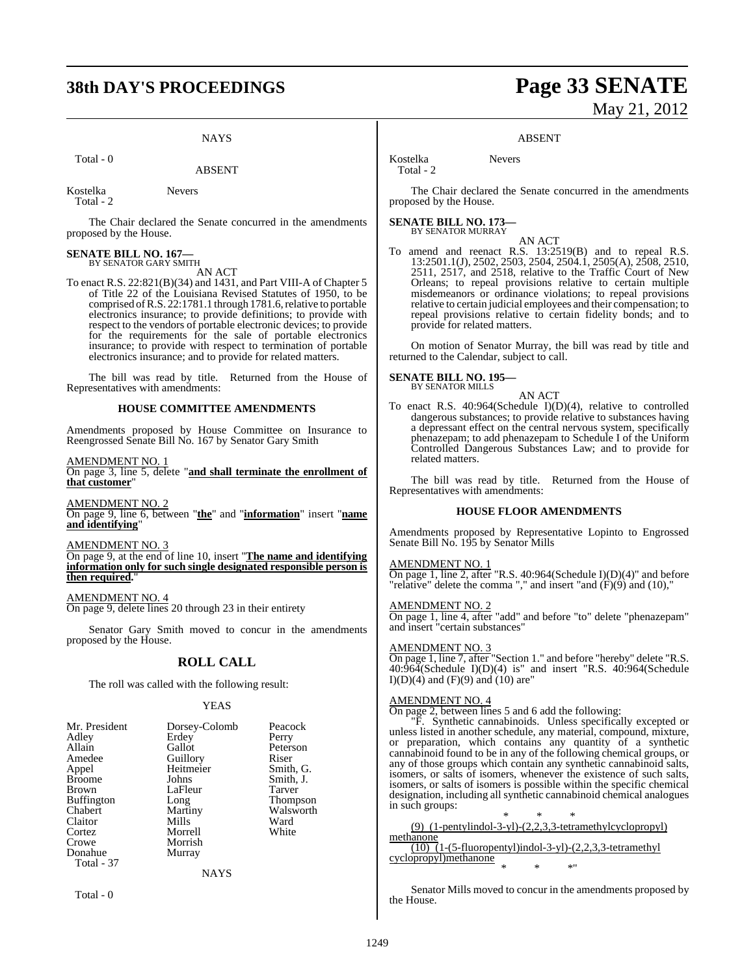# **38th DAY'S PROCEEDINGS Page 33 SENATE**

### **NAYS**

Total - 0

Kostelka Nevers Total - 2

The Chair declared the Senate concurred in the amendments proposed by the House.

# **SENATE BILL NO. 167—** BY SENATOR GARY SMITH

AN ACT

To enact R.S. 22:821(B)(34) and 1431, and Part VIII-A of Chapter 5 of Title 22 of the Louisiana Revised Statutes of 1950, to be comprised of R.S. 22:1781.1 through 1781.6, relative to portable electronics insurance; to provide definitions; to provide with respect to the vendors of portable electronic devices; to provide for the requirements for the sale of portable electronics insurance; to provide with respect to termination of portable electronics insurance; and to provide for related matters.

The bill was read by title. Returned from the House of Representatives with amendments:

### **HOUSE COMMITTEE AMENDMENTS**

Amendments proposed by House Committee on Insurance to Reengrossed Senate Bill No. 167 by Senator Gary Smith

AMENDMENT NO. 1

On page 3, line 5, delete "**and shall terminate the enrollment of that customer**"

AMENDMENT NO. 2 On page 9, line 6, between "**the**" and "**information**" insert "**name and identifying**"

AMENDMENT NO. 3

On page 9, at the end of line 10, insert "**The name and identifying information only for such single designated responsible person is then required.** 

AMENDMENT NO. 4 On page 9, delete lines 20 through 23 in their entirety

Senator Gary Smith moved to concur in the amendments proposed by the House.

### **ROLL CALL**

The roll was called with the following result:

### YEAS

| Erdey<br>Gallot<br>Guillory<br>Heitmeier<br>Johns<br>LaFleur<br>Long<br>Martiny<br>Mills<br>Morrell<br>Morrish<br>Murray | Perry<br>Peterson<br>Riser<br>Smith, G.<br>Smith, J.<br>Tarver<br><b>Thompson</b><br>Walsworth<br>Ward<br>White |
|--------------------------------------------------------------------------------------------------------------------------|-----------------------------------------------------------------------------------------------------------------|
| NAYS                                                                                                                     |                                                                                                                 |
|                                                                                                                          |                                                                                                                 |

Total - 0

# May 21, 2012

### ABSENT

Kostelka Nevers Total - 2

The Chair declared the Senate concurred in the amendments proposed by the House.

**SENATE BILL NO. 173—** BY SENATOR MURRAY

AN ACT

To amend and reenact R.S. 13:2519(B) and to repeal R.S. 13:2501.1(J), 2502, 2503, 2504, 2504.1, 2505(A), 2508, 2510, 2511, 2517, and 2518, relative to the Traffic Court of New Orleans; to repeal provisions relative to certain multiple misdemeanors or ordinance violations; to repeal provisions relative to certain judicial employees and their compensation; to repeal provisions relative to certain fidelity bonds; and to provide for related matters.

On motion of Senator Murray, the bill was read by title and returned to the Calendar, subject to call.

### **SENATE BILL NO. 195—**

- BY SENATOR MILLS
- To enact R.S. 40:964(Schedule I)(D)(4), relative to controlled dangerous substances; to provide relative to substances having a depressant effect on the central nervous system, specifically phenazepam; to add phenazepam to Schedule I of the Uniform Controlled Dangerous Substances Law; and to provide for related matters.

AN ACT

The bill was read by title. Returned from the House of Representatives with amendments:

### **HOUSE FLOOR AMENDMENTS**

Amendments proposed by Representative Lopinto to Engrossed Senate Bill No. 195 by Senator Mills

### AMENDMENT NO. 1

On page 1, line 2, after "R.S. 40:964(Schedule I)(D)(4)" and before "relative" delete the comma "," and insert "and  $(F)(9)$  and  $(10)$ ,"

AMENDMENT NO. 2

On page 1, line 4, after "add" and before "to" delete "phenazepam" and insert "certain substances"

### AMENDMENT NO. 3

On page 1, line 7, after "Section 1." and before "hereby" delete "R.S. 40:964(Schedule I)(D)(4) is" and insert "R.S. 40:964(Schedule  $I(D)(4)$  and  $(F)(9)$  and  $(10)$  are"

### AMENDMENT NO. 4

On page 2, between lines 5 and 6 add the following:

"F. Synthetic cannabinoids. Unless specifically excepted or unless listed in another schedule, any material, compound, mixture, or preparation, which contains any quantity of a synthetic cannabinoid found to be in any of the following chemical groups, or any of those groups which contain any synthetic cannabinoid salts, isomers, or salts of isomers, whenever the existence of such salts, isomers, or salts of isomers is possible within the specific chemical designation, including all synthetic cannabinoid chemical analogues in such groups:

\* \* \* (9) (1-pentylindol-3-yl)-(2,2,3,3-tetramethylcyclopropyl) methanone  $\overline{(10)}$   $\overline{(1-(5-fluoropentyl)indol-3-yl)-(2,2,3,3-tetramethyl)}$ cyclopropyl)methanone \* \* \*"

Senator Mills moved to concur in the amendments proposed by the House.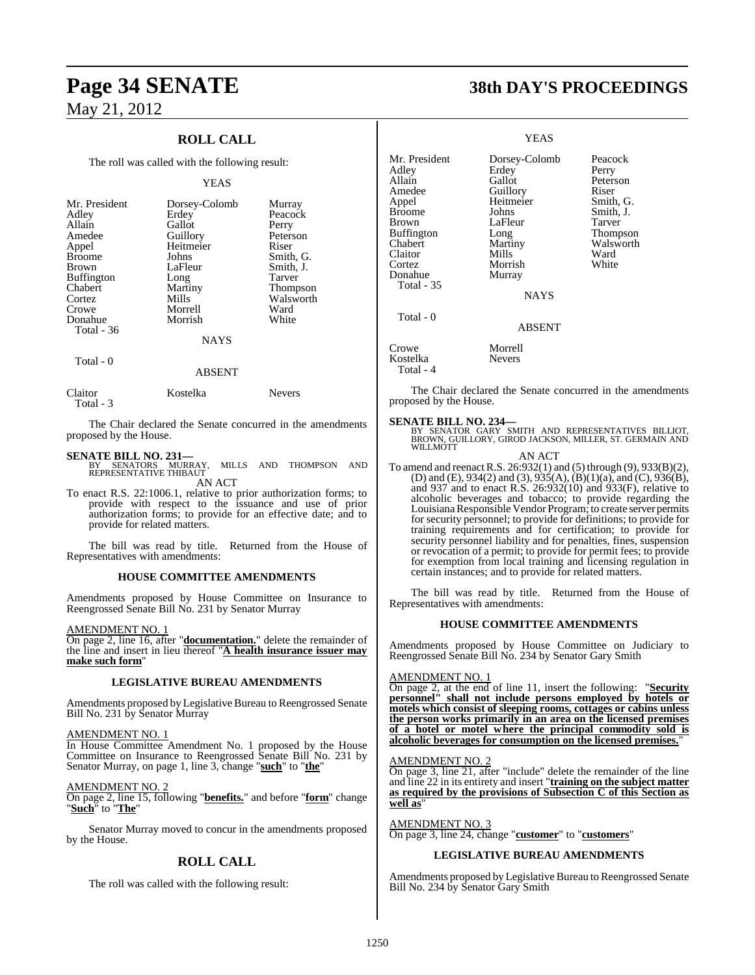### **ROLL CALL**

The roll was called with the following result:

### YEAS

| Mr. President<br>Adley<br>Allain<br>Amedee<br>Appel<br><b>Broome</b><br><b>Brown</b><br><b>Buffington</b><br>Chabert<br>Cortez<br>Crowe | Dorsey-Colomb<br>Erdey<br>Gallot<br>Guillory<br>Heitmeier<br>Johns<br>LaFleur<br>Long<br>Martiny<br>Mills<br>Morrell | Murray<br>Peacock<br>Perry<br>Peterson<br>Riser<br>Smith, G.<br>Smith, J.<br>Tarver<br><b>Thompson</b><br>Walsworth<br>Ward |
|-----------------------------------------------------------------------------------------------------------------------------------------|----------------------------------------------------------------------------------------------------------------------|-----------------------------------------------------------------------------------------------------------------------------|
| Donahue                                                                                                                                 | Morrish                                                                                                              | White                                                                                                                       |
| Total - 36                                                                                                                              | <b>NAYS</b>                                                                                                          |                                                                                                                             |

Total - 0

### ABSENT

| Claitor   | Kostelka | <b>Nevers</b> |
|-----------|----------|---------------|
| Total - 3 |          |               |

The Chair declared the Senate concurred in the amendments proposed by the House.

**SENATE BILL NO. 231—**<br>BY SENATORS MURRAY, MILLS AND THOMPSON AND<br>REPRESENTATIVE THIBAUT AN ACT

To enact R.S. 22:1006.1, relative to prior authorization forms; to provide with respect to the issuance and use of prior authorization forms; to provide for an effective date; and to provide for related matters.

The bill was read by title. Returned from the House of Representatives with amendments:

### **HOUSE COMMITTEE AMENDMENTS**

Amendments proposed by House Committee on Insurance to Reengrossed Senate Bill No. 231 by Senator Murray

AMENDMENT NO. 1

On page 2, line 16, after "**documentation.**" delete the remainder of the line and insert in lieu thereof "**A health insurance issuer may make such form**"

### **LEGISLATIVE BUREAU AMENDMENTS**

Amendments proposed by Legislative Bureau to Reengrossed Senate Bill No. 231 by Senator Murray

### AMENDMENT NO. 1

In House Committee Amendment No. 1 proposed by the House Committee on Insurance to Reengrossed Senate Bill No. 231 by Senator Murray, on page 1, line 3, change "**such**" to "**the**"

AMENDMENT NO. 2

On page 2, line 15, following "**benefits.**" and before "**form**" change "**Such**" to "**The**"

Senator Murray moved to concur in the amendments proposed by the House.

### **ROLL CALL**

The roll was called with the following result:

# **Page 34 SENATE 38th DAY'S PROCEEDINGS**

### YEAS

Mr. President Dorsey-Colomb Peacock<br>Adley Erdey Perry Adley Erdey<br>Allain Gallot Amedee Guillory Riser<br>
Appel Heitmeier Smith, G. Heitmeier Smith, G.<br>Johns Smith, J. Broome Brown LaFleur Tarver<br>
Buffington Long Thompson Buffington Long<br>
Chabert Martiny Martiny Walsworth<br>
Mills Ward Claitor Mills Ward<br>Cortez Morrish White Cortez Morrish<br>
Donahue Murray Murray Total - 35 NAYS Total - 0 ABSENT Crowe Morrell Kostelka Nevers

Peterson

Total - 4

The Chair declared the Senate concurred in the amendments proposed by the House.

**SENATE BILL NO. 234—**<br>BY SENATOR GARY SMITH AND REPRESENTATIVES BILLIOT,<br>BROWN, GUILLORY, GIROD JACKSON, MILLER, ST. GERMAIN AND WILLMOTT

AN ACT

To amend and reenact R.S. 26:932(1) and (5) through (9), 933(B)(2), (D) and (E), 934(2) and (3), 935(A), (B)(1)(a), and (C), 936(B), and 937 and to enact R.S. 26:932(10) and 933(F), relative to alcoholic beverages and tobacco; to provide regarding the Louisiana Responsible Vendor Program; to create server permits for security personnel; to provide for definitions; to provide for training requirements and for certification; to provide for security personnel liability and for penalties, fines, suspension or revocation of a permit; to provide for permit fees; to provide for exemption from local training and licensing regulation in certain instances; and to provide for related matters.

The bill was read by title. Returned from the House of Representatives with amendments:

### **HOUSE COMMITTEE AMENDMENTS**

Amendments proposed by House Committee on Judiciary to Reengrossed Senate Bill No. 234 by Senator Gary Smith

### AMENDMENT NO. 1

On page 2, at the end of line 11, insert the following: "**Security personnel" shall not include persons employed by hotels or motels which consist of sleeping rooms, cottages or cabins unless the person works primarily in an area on the licensed premises of a hotel or motel where the principal commodity sold is alcoholic beverages for consumption on the licensed premises.**"

### AMENDMENT NO. 2

On page 3, line 21, after "include" delete the remainder of the line and line 22 in its entirety and insert "**training on the subject matter as required by the provisions of Subsection C of this Section as well as**"

AMENDMENT NO. 3 On page 3, line 24, change "**customer**" to "**customers**"

### **LEGISLATIVE BUREAU AMENDMENTS**

Amendments proposed by Legislative Bureau to Reengrossed Senate Bill No. 234 by Senator Gary Smith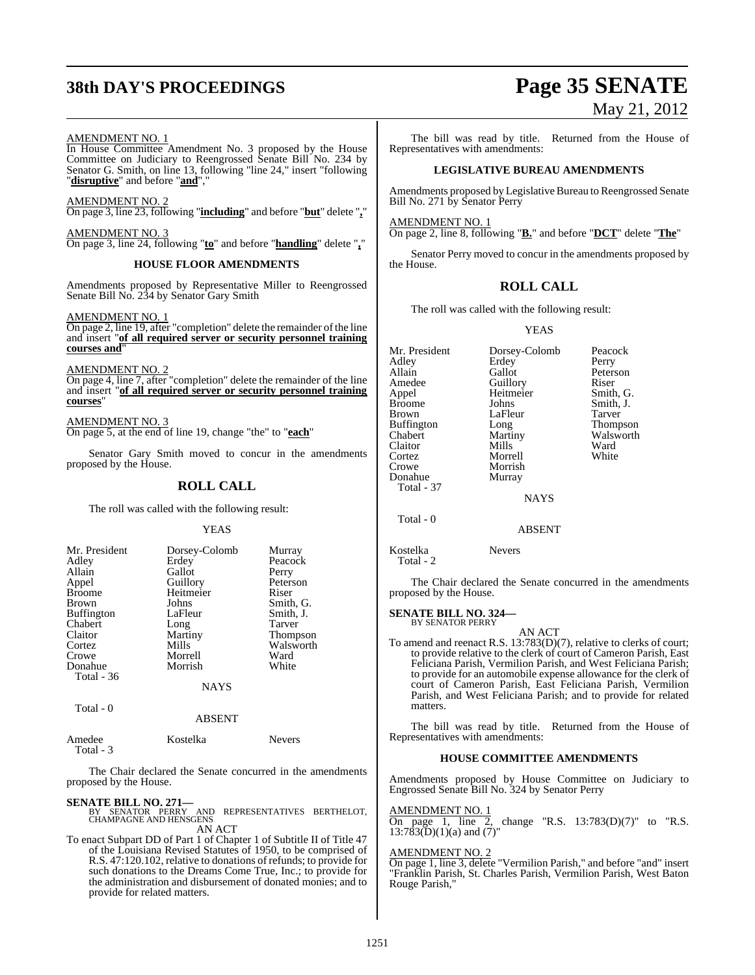# **38th DAY'S PROCEEDINGS Page 35 SENATE**

# May 21, 2012

### AMENDMENT NO. 1

In House Committee Amendment No. 3 proposed by the House Committee on Judiciary to Reengrossed Senate Bill No. 234 by Senator G. Smith, on line 13, following "line 24," insert "following "**disruptive**" and before "**and**","

AMENDMENT NO. 2 On page 3, line 23, following "**including**" and before "**but**" delete "**,**"

AMENDMENT NO. 3 On page 3, line 24, following "**to**" and before "**handling**" delete "**,**"

### **HOUSE FLOOR AMENDMENTS**

Amendments proposed by Representative Miller to Reengrossed Senate Bill No. 234 by Senator Gary Smith

AMENDMENT NO. 1

 $\overline{\text{On page 2, line 19, after}}$  "completion" delete the remainder of the line and insert "**of all required server or security personnel training courses and**"

AMENDMENT NO. 2

On page 4, line 7, after "completion" delete the remainder of the line and insert "**of all required server or security personnel training courses**"

### AMENDMENT NO. 3

On page 5, at the end of line 19, change "the" to "**each**"

Senator Gary Smith moved to concur in the amendments proposed by the House.

### **ROLL CALL**

The roll was called with the following result:

### YEAS

| Mr. President<br>Adley<br>Allain<br>Appel<br><b>Broome</b><br><b>Brown</b><br><b>Buffington</b><br>Chabert<br>Claitor | Dorsey-Colomb<br>Erdey<br>Gallot<br>Guillory<br>Heitmeier<br>Johns<br>LaFleur<br>Long<br>Martiny | Murray<br>Peacock<br>Perry<br>Peterson<br>Riser<br>Smith, G.<br>Smith, J.<br>Tarver<br>Thompson |
|-----------------------------------------------------------------------------------------------------------------------|--------------------------------------------------------------------------------------------------|-------------------------------------------------------------------------------------------------|
| Cortez                                                                                                                | Mills                                                                                            | Walsworth                                                                                       |
| Crowe                                                                                                                 | Morrell                                                                                          | Ward                                                                                            |
| Donahue<br>Total - 36                                                                                                 | Morrish                                                                                          | White                                                                                           |
|                                                                                                                       | <b>NAYS</b>                                                                                      |                                                                                                 |

Total - 0

### ABSENT

| Amedee    | Kostelka | <b>Nevers</b> |
|-----------|----------|---------------|
| Total - 3 |          |               |

The Chair declared the Senate concurred in the amendments proposed by the House.

### **SENATE BILL NO. 271—**

BY SENATOR PERRY AND REPRESENTATIVES BERTHELOT, CHAMPAGNE AND HENSGENS AN ACT

To enact Subpart DD of Part 1 of Chapter 1 of Subtitle II of Title 47 of the Louisiana Revised Statutes of 1950, to be comprised of R.S. 47:120.102, relative to donations of refunds; to provide for such donations to the Dreams Come True, Inc.; to provide for the administration and disbursement of donated monies; and to provide for related matters.

The bill was read by title. Returned from the House of Representatives with amendments:

### **LEGISLATIVE BUREAU AMENDMENTS**

Amendments proposed by Legislative Bureau to Reengrossed Senate Bill No. 271 by Senator Perry

AMENDMENT NO. 1

On page 2, line 8, following "**B.**" and before "**DCT**" delete "**The**"

Senator Perry moved to concur in the amendments proposed by the House.

### **ROLL CALL**

The roll was called with the following result:

### YEAS

| Mr. President | Dorsey-Colomb | Peacock   |
|---------------|---------------|-----------|
| Adley         | Erdey         | Perry     |
| Allain        | Gallot        | Peterson  |
| Amedee        | Guillory      | Riser     |
| Appel         | Heitmeier     | Smith, G. |
| <b>Broome</b> | Johns         | Smith, J. |
| Brown         | LaFleur       | Tarver    |
| Buffington    | Long          | Thompson  |
| Chabert       | Martiny       | Walsworth |
| Claitor       | Mills         | Ward      |
| Cortez        | Morrell       | White     |
| Crowe         | Morrish       |           |
| Donahue       | Murray        |           |
| Total - 37    |               |           |
|               | <b>NAYS</b>   |           |
| Total - 0     |               |           |

ABSENT

Kostelka Nevers

Total - 2

The Chair declared the Senate concurred in the amendments proposed by the House.

### **SENATE BILL NO. 324—** BY SENATOR PERRY

AN ACT

To amend and reenact R.S. 13:783(D)(7), relative to clerks of court; to provide relative to the clerk of court of Cameron Parish, East Feliciana Parish, Vermilion Parish, and West Feliciana Parish; to provide for an automobile expense allowance for the clerk of court of Cameron Parish, East Feliciana Parish, Vermilion Parish, and West Feliciana Parish; and to provide for related matters.

The bill was read by title. Returned from the House of Representatives with amendments:

### **HOUSE COMMITTEE AMENDMENTS**

Amendments proposed by House Committee on Judiciary to Engrossed Senate Bill No. 324 by Senator Perry

### AMENDMENT NO. 1

On page 1, line 2, change "R.S.  $13:783(D)(7)$ " to "R.S.  $13:783(D)(1)(a)$  and  $(7)$ "

### AMENDMENT NO. 2

On page 1, line 3, delete "Vermilion Parish," and before "and" insert "Franklin Parish, St. Charles Parish, Vermilion Parish, West Baton Rouge Parish,"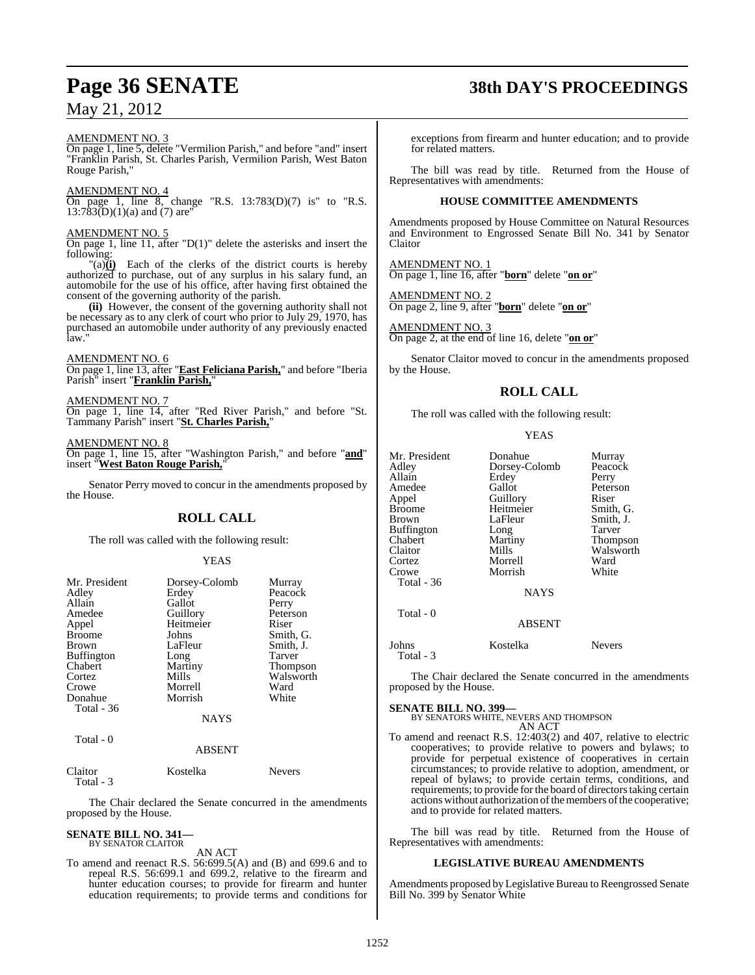### AMENDMENT NO. 3

On page 1, line 5, delete "Vermilion Parish," and before "and" insert "Franklin Parish, St. Charles Parish, Vermilion Parish, West Baton Rouge Parish,"

### AMENDMENT NO. 4

On page 1, line  $\overline{8}$ , change "R.S. 13:783(D)(7) is" to "R.S.  $13:783(D)(1)(a)$  and (7) are"

### AMENDMENT NO. 5

On page 1, line 11, after "D(1)" delete the asterisks and insert the following:

 $\lim_{h \to 0}$  Each of the clerks of the district courts is hereby authorized to purchase, out of any surplus in his salary fund, an automobile for the use of his office, after having first obtained the consent of the governing authority of the parish.

**(ii)** However, the consent of the governing authority shall not be necessary as to any clerk of court who prior to July 29, 1970, has purchased an automobile under authority of any previously enacted law."

### AMENDMENT NO. 6

On page 1, line 13, after "**East Feliciana Parish,**" and before "Iberia Parish" insert "**Franklin Parish,**"

### AMENDMENT NO. 7

On page 1, line 14, after "Red River Parish," and before "St. Tammany Parish" insert "**St. Charles Parish,**"

AMENDMENT NO. 8

On page 1, line 15, after "Washington Parish," and before "**and**" insert "**West Baton Rouge Parish,**"

Senator Perry moved to concur in the amendments proposed by the House.

### **ROLL CALL**

The roll was called with the following result:

### YEAS

| Mr. President     | Dorsey-Colomb | Murray        |
|-------------------|---------------|---------------|
| Adley             | Erdey         | Peacock       |
| Allain            | Gallot        | Perry         |
| Amedee            | Guillory      | Peterson      |
| Appel             | Heitmeier     | Riser         |
| <b>Broome</b>     | Johns         | Smith, G.     |
| <b>Brown</b>      | LaFleur       | Smith, J.     |
| <b>Buffington</b> | Long          | <b>Tarver</b> |
| Chabert           | Martiny       | Thompson      |
| Cortez            | Mills         | Walsworth     |
| Crowe             | Morrell       | Ward          |
| Donahue           | Morrish       | White         |
| Total - 36        |               |               |
|                   | <b>NAYS</b>   |               |

### Total - 0 ABSENT

Claitor Kostelka Nevers Total - 3

The Chair declared the Senate concurred in the amendments proposed by the House.

### **SENATE BILL NO. 341—** BY SENATOR CLAITOR

AN ACT

To amend and reenact R.S. 56:699.5(A) and (B) and 699.6 and to repeal R.S. 56:699.1 and 699.2, relative to the firearm and hunter education courses; to provide for firearm and hunter education requirements; to provide terms and conditions for

# **Page 36 SENATE 38th DAY'S PROCEEDINGS**

exceptions from firearm and hunter education; and to provide for related matters.

The bill was read by title. Returned from the House of Representatives with amendments:

### **HOUSE COMMITTEE AMENDMENTS**

Amendments proposed by House Committee on Natural Resources and Environment to Engrossed Senate Bill No. 341 by Senator Claitor

AMENDMENT NO. 1 On page 1, line 16, after "**born**" delete "**on or**"

AMENDMENT NO. 2 On page 2, line 9, after "**born**" delete "**on or**"

AMENDMENT NO. 3 On page 2, at the end of line 16, delete "**on or**"

Senator Claitor moved to concur in the amendments proposed by the House.

### **ROLL CALL**

The roll was called with the following result:

| v |
|---|
|---|

| Mr. President<br>Adlev<br>Allain<br>Amedee<br>Appel<br>Broome<br>Brown<br>Buffington<br>Chabert<br>Claitor<br>Cortez<br>Crowe<br>Total - 36<br>Total - 0 | Donahue<br>Dorsey-Colomb<br>Erdey<br>Gallot<br>Guillory<br>Heitmeier<br>LaFleur<br>Long<br>Martiny<br>Mills<br>Morrell<br>Morrish<br><b>NAYS</b><br><b>ABSENT</b> | Murray<br>Peacock<br>Perry<br>Peterson<br>Riser<br>Smith, G.<br>Smith, J.<br>Tarver<br>Thompson<br>Walsworth<br>Ward<br>White |
|----------------------------------------------------------------------------------------------------------------------------------------------------------|-------------------------------------------------------------------------------------------------------------------------------------------------------------------|-------------------------------------------------------------------------------------------------------------------------------|
| Johns                                                                                                                                                    | Kostelka                                                                                                                                                          | Nevers                                                                                                                        |
| Total - 3                                                                                                                                                |                                                                                                                                                                   |                                                                                                                               |

The Chair declared the Senate concurred in the amendments proposed by the House.

**SENATE BILL NO. 399—** BY SENATORS WHITE, NEVERS AND THOMPSON AN ACT

To amend and reenact R.S. 12:403(2) and 407, relative to electric cooperatives; to provide relative to powers and bylaws; to provide for perpetual existence of cooperatives in certain circumstances; to provide relative to adoption, amendment, or repeal of bylaws; to provide certain terms, conditions, and requirements; to provide forthe board of directorstaking certain actionswithout authorization of the members of the cooperative; and to provide for related matters.

The bill was read by title. Returned from the House of Representatives with amendments:

### **LEGISLATIVE BUREAU AMENDMENTS**

Amendments proposed by Legislative Bureau to Reengrossed Senate Bill No. 399 by Senator White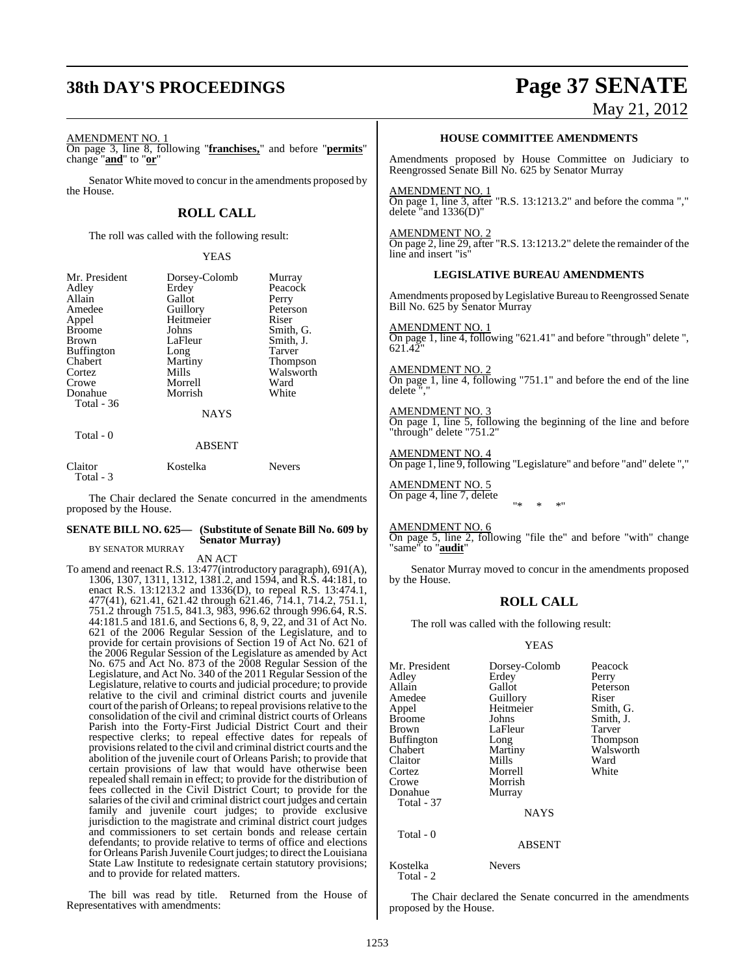# **38th DAY'S PROCEEDINGS Page 37 SENATE**

# May 21, 2012

AMENDMENT NO. 1

On page 3, line 8, following "**franchises,**" and before "**permits**" change "**and**" to "**or**"

Senator White moved to concur in the amendments proposed by the House.

#### **ROLL CALL**

The roll was called with the following result:

#### YEAS

| Mr. President<br>Adley<br>Allain<br>Amedee<br>Appel<br><b>Broome</b><br><b>Brown</b><br>Buffington<br>Chabert<br>Cortez | Dorsey-Colomb<br>Erdey<br>Gallot<br>Guillory<br>Heitmeier<br>Johns<br>LaFleur<br>Long<br>Martiny<br>Mills | Murray<br>Peacock<br>Perry<br>Peterson<br>Riser<br>Smith, G.<br>Smith, J.<br><b>Tarver</b><br><b>Thompson</b><br>Walsworth |
|-------------------------------------------------------------------------------------------------------------------------|-----------------------------------------------------------------------------------------------------------|----------------------------------------------------------------------------------------------------------------------------|
| Crowe<br>Donahue                                                                                                        | Morrell<br>Morrish                                                                                        | Ward<br>White                                                                                                              |
| Total - 36                                                                                                              |                                                                                                           |                                                                                                                            |
|                                                                                                                         | <b>NAYS</b>                                                                                               |                                                                                                                            |
| Total - 0                                                                                                               | ABSENT                                                                                                    |                                                                                                                            |

### Claitor Kostelka Nevers Total - 3

The Chair declared the Senate concurred in the amendments proposed by the House.

#### **SENATE BILL NO. 625— (Substitute of Senate Bill No. 609 by Senator Murray)**

BY SENATOR MURRAY AN ACT

To amend and reenact R.S. 13:477(introductory paragraph), 691(A), 1306, 1307, 1311, 1312, 1381.2, and 1594, and R.S. 44:181, to enact R.S. 13:1213.2 and 1336(D), to repeal R.S. 13:474.1, 477(41), 621.41, 621.42 through 621.46, 714.1, 714.2, 751.1, 751.2 through 751.5, 841.3, 983, 996.62 through 996.64, R.S. 44:181.5 and 181.6, and Sections 6, 8, 9, 22, and 31 of Act No. 621 of the 2006 Regular Session of the Legislature, and to provide for certain provisions of Section 19 of Act No. 621 of the 2006 Regular Session of the Legislature as amended by Act No. 675 and Act No. 873 of the 2008 Regular Session of the Legislature, and Act No. 340 of the 2011 Regular Session of the Legislature, relative to courts and judicial procedure; to provide relative to the civil and criminal district courts and juvenile court of the parish of Orleans; to repeal provisions relative to the consolidation of the civil and criminal district courts of Orleans Parish into the Forty-First Judicial District Court and their respective clerks; to repeal effective dates for repeals of provisions related to the civil and criminal district courts and the abolition of the juvenile court of Orleans Parish; to provide that certain provisions of law that would have otherwise been repealed shall remain in effect; to provide for the distribution of fees collected in the Civil District Court; to provide for the salaries of the civil and criminal district court judges and certain family and juvenile court judges; to provide exclusive jurisdiction to the magistrate and criminal district court judges and commissioners to set certain bonds and release certain defendants; to provide relative to terms of office and elections for Orleans Parish Juvenile Court judges; to direct the Louisiana State Law Institute to redesignate certain statutory provisions; and to provide for related matters.

The bill was read by title. Returned from the House of Representatives with amendments:

#### **HOUSE COMMITTEE AMENDMENTS**

Amendments proposed by House Committee on Judiciary to Reengrossed Senate Bill No. 625 by Senator Murray

AMENDMENT NO. 1 On page 1, line 3, after "R.S. 13:1213.2" and before the comma "," delete "and 1336(D)"

#### AMENDMENT NO. 2

On page 2, line 29, after "R.S. 13:1213.2" delete the remainder of the line and insert "is"

#### **LEGISLATIVE BUREAU AMENDMENTS**

Amendments proposed byLegislative Bureau to Reengrossed Senate Bill No. 625 by Senator Murray

#### AMENDMENT NO. 1

On page 1, line 4, following "621.41" and before "through" delete ", 621.42

#### AMENDMENT NO. 2

On page 1, line 4, following "751.1" and before the end of the line delete<sup>"</sup>

#### AMENDMENT NO. 3

On page 1, line 5, following the beginning of the line and before "through" delete "751.2"

#### AMENDMENT NO. 4 On page 1, line 9, following "Legislature" and before "and" delete ","

AMENDMENT NO. 5 On page 4, line 7, delete "\* \* \*"

#### AMENDMENT NO. 6

On page 5, line 2, following "file the" and before "with" change "same" to "**audit**"

Senator Murray moved to concur in the amendments proposed by the House.

## **ROLL CALL**

The roll was called with the following result:

#### YEAS

| Dorsey-Colomb | Peacock   |
|---------------|-----------|
| Erdey         | Perry     |
| Gallot        | Peterson  |
|               | Riser     |
| Heitmeier     | Smith, G. |
| Johns         | Smith, J. |
| LaFleur       | Tarver    |
| Long          | Thompson  |
| Martiny       | Walsworth |
| Mills         | Ward      |
| Morrell       | White     |
| Morrish       |           |
| Murray        |           |
|               |           |
| <b>NAYS</b>   |           |
|               |           |
| <b>ABSENT</b> |           |
|               | Guillory  |

#### Kostelka Nevers Total - 2

The Chair declared the Senate concurred in the amendments proposed by the House.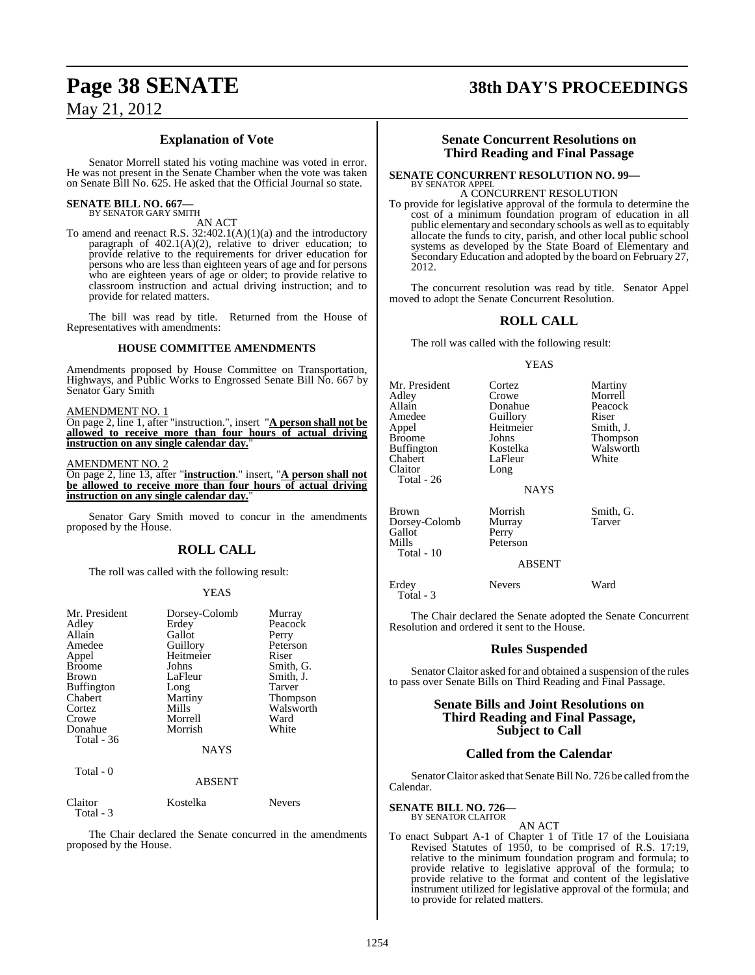### **Explanation of Vote**

Senator Morrell stated his voting machine was voted in error. He was not present in the Senate Chamber when the vote was taken on Senate Bill No. 625. He asked that the Official Journal so state.

#### **SENATE BILL NO. 667—** BY SENATOR GARY SMITH

AN ACT

To amend and reenact R.S. 32:402.1(A)(1)(a) and the introductory paragraph of 402.1(A)(2), relative to driver education; to provide relative to the requirements for driver education for persons who are less than eighteen years of age and for persons who are eighteen years of age or older; to provide relative to classroom instruction and actual driving instruction; and to provide for related matters.

The bill was read by title. Returned from the House of Representatives with amendments:

#### **HOUSE COMMITTEE AMENDMENTS**

Amendments proposed by House Committee on Transportation, Highways, and Public Works to Engrossed Senate Bill No. 667 by Senator Gary Smith

#### AMENDMENT NO. 1

On page 2, line 1, after "instruction.", insert "**A person shall not be allowed to receive more than four hours of actual driving** instruction on any single calendar day.

#### AMENDMENT NO. 2

On page 2, line 13, after "**instruction**." insert, "**A person shall not be allowed to receive more than four hours of actual driving instruction on any single calendar day.** 

Senator Gary Smith moved to concur in the amendments proposed by the House.

#### **ROLL CALL**

The roll was called with the following result:

#### YEAS

| Mr. President | Dorsey-Colomb | Murray          |
|---------------|---------------|-----------------|
| Adley         | Erdey         | Peacock         |
| Allain        | Gallot        | Perry           |
| Amedee        | Guillory      | Peterson        |
|               |               |                 |
| Appel         | Heitmeier     | Riser           |
| <b>Broome</b> | Johns         | Smith, G.       |
| <b>Brown</b>  | LaFleur       | Smith, J.       |
| Buffington    | Long          | Tarver          |
| Chabert       | Martiny       | <b>Thompson</b> |
| Cortez        | Mills         | Walsworth       |
| Crowe         | Morrell       | Ward            |
| Donahue       | Morrish       | White           |
| Total - 36    |               |                 |
|               | <b>NAYS</b>   |                 |
| Total - 0     |               |                 |
|               | ABSENT        |                 |

| Claitor    | Kostelka | <b>Nevers</b> |
|------------|----------|---------------|
| Total $-3$ |          |               |

The Chair declared the Senate concurred in the amendments proposed by the House.

# **Page 38 SENATE 38th DAY'S PROCEEDINGS**

#### **Senate Concurrent Resolutions on Third Reading and Final Passage**

#### **SENATE CONCURRENT RESOLUTION NO. 99—** BY SENATOR APPEL

A CONCURRENT RESOLUTION

To provide for legislative approval of the formula to determine the cost of a minimum foundation program of education in all public elementary and secondary schools as well as to equitably allocate the funds to city, parish, and other local public school systems as developed by the State Board of Elementary and Secondary Education and adopted by the board on February 27, 2012.

The concurrent resolution was read by title. Senator Appel moved to adopt the Senate Concurrent Resolution.

## **ROLL CALL**

The roll was called with the following result:

#### YEAS

| Mr. President<br>Adley<br>Allain<br>Amedee<br>Appel<br><b>Broome</b><br><b>Buffington</b><br>Chabert<br>Claitor<br>Total - 26 | Cortez<br>Crowe<br>Donahue<br>Guillory<br>Heitmeier<br>Johns<br>Kostelka<br>LaFleur<br>Long<br><b>NAYS</b> | Martiny<br>Morrell<br>Peacock<br>Riser<br>Smith, J.<br>Thompson<br>Walsworth<br>White |
|-------------------------------------------------------------------------------------------------------------------------------|------------------------------------------------------------------------------------------------------------|---------------------------------------------------------------------------------------|
|                                                                                                                               |                                                                                                            |                                                                                       |
|                                                                                                                               |                                                                                                            |                                                                                       |

Gallot<br>Mills

Brown Morrish Smith, G.<br>
Dorsey-Colomb Murray Tarver Dorsey-Colomb Murra<br>Gallot Perry Peterson Total - 10

#### ABSENT

Erdey Nevers Ward Total - 3

The Chair declared the Senate adopted the Senate Concurrent Resolution and ordered it sent to the House.

#### **Rules Suspended**

Senator Claitor asked for and obtained a suspension of the rules to pass over Senate Bills on Third Reading and Final Passage.

#### **Senate Bills and Joint Resolutions on Third Reading and Final Passage, Subject to Call**

#### **Called from the Calendar**

Senator Claitor asked that Senate Bill No. 726 be called from the Calendar.

# **SENATE BILL NO. 726—** BY SENATOR CLAITOR

AN ACT

To enact Subpart A-1 of Chapter 1 of Title 17 of the Louisiana Revised Statutes of 1950, to be comprised of R.S. 17:19, relative to the minimum foundation program and formula; to provide relative to legislative approval of the formula; to provide relative to the format and content of the legislative instrument utilized for legislative approval of the formula; and to provide for related matters.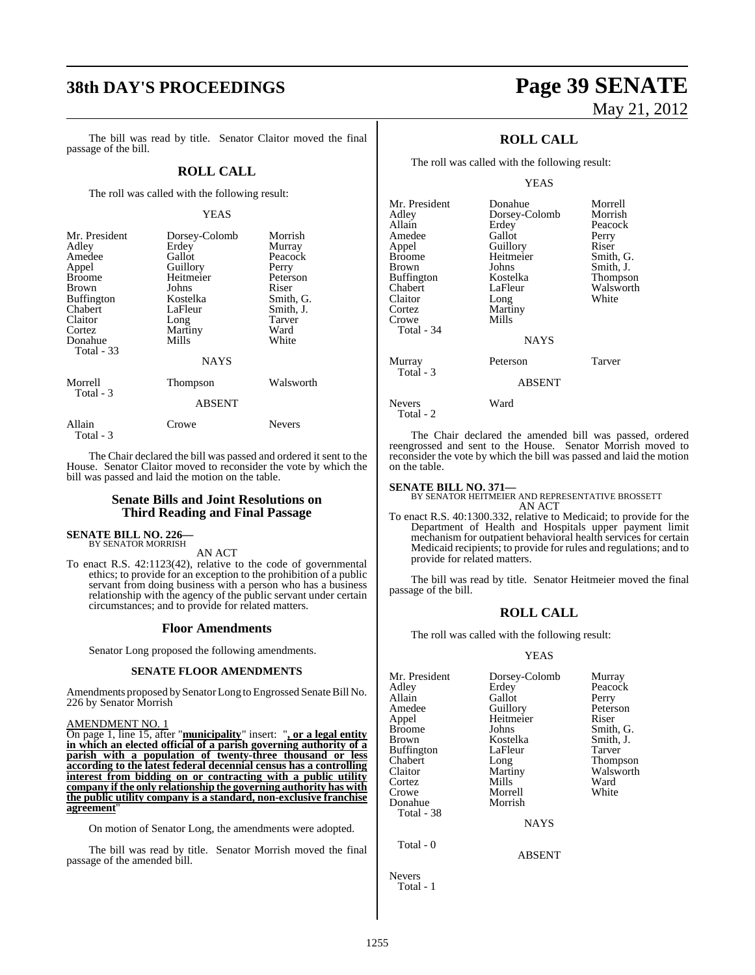# **38th DAY'S PROCEEDINGS Page 39 SENATE**

The bill was read by title. Senator Claitor moved the final passage of the bill.

#### **ROLL CALL**

The roll was called with the following result:

#### YEAS

| Mr. President<br>Adley<br>Amedee<br>Appel<br><b>Broome</b><br><b>Brown</b><br><b>Buffington</b><br>Chabert<br>Claitor<br>Cortez<br>Donahue<br><b>Total - 33</b> | Dorsey-Colomb<br>Erdey<br>Gallot<br>Guillory<br>Heitmeier<br>Johns<br>Kostelka<br>LaFleur<br>Long<br>Martiny<br>Mills<br><b>NAYS</b> | Morrish<br>Murray<br>Peacock<br>Perry<br>Peterson<br>Riser<br>Smith, G.<br>Smith, J.<br>Tarver<br>Ward<br>White |
|-----------------------------------------------------------------------------------------------------------------------------------------------------------------|--------------------------------------------------------------------------------------------------------------------------------------|-----------------------------------------------------------------------------------------------------------------|
| Morrell<br>Total - 3                                                                                                                                            | Thompson<br><b>ABSENT</b>                                                                                                            | Walsworth                                                                                                       |
|                                                                                                                                                                 |                                                                                                                                      |                                                                                                                 |
| Allain                                                                                                                                                          | Crowe                                                                                                                                | <b>Nevers</b>                                                                                                   |

The Chair declared the bill was passed and ordered it sent to the House. Senator Claitor moved to reconsider the vote by which the bill was passed and laid the motion on the table.

#### **Senate Bills and Joint Resolutions on Third Reading and Final Passage**

# **SENATE BILL NO. 226—** BY SENATOR MORRISH

Total - 3

AN ACT

To enact R.S. 42:1123(42), relative to the code of governmental ethics; to provide for an exception to the prohibition of a public servant from doing business with a person who has a business relationship with the agency of the public servant under certain circumstances; and to provide for related matters.

#### **Floor Amendments**

Senator Long proposed the following amendments.

#### **SENATE FLOOR AMENDMENTS**

Amendments proposed by Senator Long to Engrossed Senate Bill No. 226 by Senator Morrish

#### AMENDMENT NO. 1

On page 1, line 15, after "**municipality**" insert: "**, or a legal entity in which an elected official of a parish governing authority of a parish with a population of twenty-three thousand or less according to the latest federal decennial census has a controlling interest from bidding on or contracting with a public utility company if the only relationship the governing authority has with the public utility company is a standard, non-exclusive franchise agreement**"

On motion of Senator Long, the amendments were adopted.

The bill was read by title. Senator Morrish moved the final passage of the amended bill.

# May 21, 2012

### **ROLL CALL**

The roll was called with the following result:

YEAS

| Mr. President<br>Adley | Donahue<br>Dorsey-Colomb | Morrell<br>Morrish |
|------------------------|--------------------------|--------------------|
| Allain                 | Erdey                    | Peacock            |
| Amedee                 | Gallot                   | Perry              |
| Appel                  | Guillory                 | Riser              |
| Broome                 | Heitmeier                | Smith, G.          |
| Brown                  | Johns                    | Smith, J.          |
| Buffington             | Kostelka                 | Thompson           |
| Chabert                | LaFleur                  | Walsworth          |
| Claitor                | Long                     | White              |
| Cortez                 | Martiny                  |                    |
| Crowe                  | Mills                    |                    |
| Total - 34             |                          |                    |
|                        | <b>NAYS</b>              |                    |
| Murray                 | Peterson                 | Tarver             |
| Total - 3              | <b>ABSENT</b>            |                    |
| Nevers<br>Total - 2    | Ward                     |                    |

The Chair declared the amended bill was passed, ordered reengrossed and sent to the House. Senator Morrish moved to reconsider the vote by which the bill was passed and laid the motion on the table.

**SENATE BILL NO. 371—** BY SENATOR HEITMEIER AND REPRESENTATIVE BROSSETT AN ACT

To enact R.S. 40:1300.332, relative to Medicaid; to provide for the Department of Health and Hospitals upper payment limit mechanism for outpatient behavioral health services for certain Medicaid recipients; to provide for rules and regulations; and to provide for related matters.

The bill was read by title. Senator Heitmeier moved the final passage of the bill.

#### **ROLL CALL**

The roll was called with the following result:

#### **YEAS**

| Mr. President | Dorsey-Colomb | Murray          |
|---------------|---------------|-----------------|
| Adley         | Erdey         | Peacock         |
| Allain        | Gallot        | Perry           |
| Amedee        | Guillory      | Peterson        |
| Appel         | Heitmeier     | Riser           |
| <b>Broome</b> | Johns         | Smith, G.       |
| Brown         | Kostelka      | Smith, J.       |
| Buffington    | LaFleur       | Tarver          |
| Chabert       | Long          | <b>Thompson</b> |
| Claitor       | Martiny       | Walsworth       |
| Cortez        | Mills         | Ward            |
| Crowe         | Morrell       | White           |
| Donahue       | Morrish       |                 |
| Total - 38    |               |                 |
|               | <b>NAYS</b>   |                 |
| Total - 0     |               |                 |

ABSENT

Total - 1

Nevers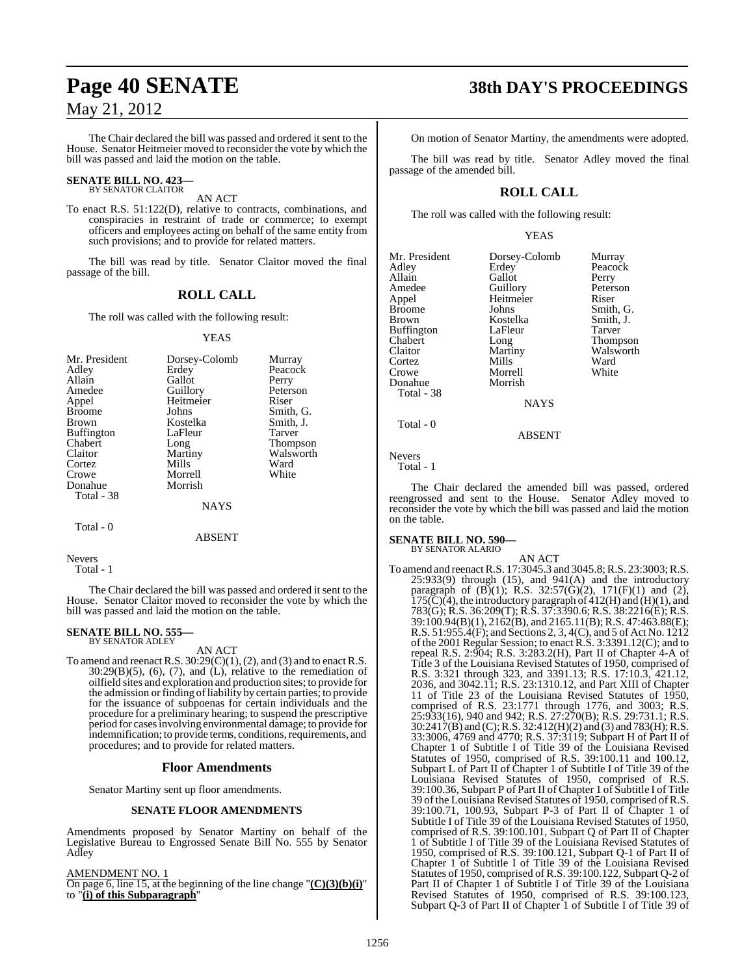The Chair declared the bill was passed and ordered it sent to the House. Senator Heitmeier moved to reconsider the vote by which the bill was passed and laid the motion on the table.

# **SENATE BILL NO. 423—** BY SENATOR CLAITOR

AN ACT

To enact R.S. 51:122(D), relative to contracts, combinations, and conspiracies in restraint of trade or commerce; to exempt officers and employees acting on behalf of the same entity from such provisions; and to provide for related matters.

The bill was read by title. Senator Claitor moved the final passage of the bill.

## **ROLL CALL**

The roll was called with the following result:

#### YEAS

| Mr. President     | Dorsey-Colomb | Murray          |
|-------------------|---------------|-----------------|
| Adley             | Erdey         | Peacock         |
| Allain            | Gallot        | Perry           |
| Amedee            | Guillory      | Peterson        |
| Appel             | Heitmeier     | Riser           |
| <b>Broome</b>     | Johns         | Smith, G.       |
| <b>Brown</b>      | Kostelka      | Smith, J.       |
| <b>Buffington</b> | LaFleur       | Tarver          |
| Chabert           | Long          | <b>Thompson</b> |
| Claitor           | Martiny       | Walsworth       |
| Cortez            | Mills         | Ward            |
| Crowe             | Morrell       | White           |
| Donahue           | Morrish       |                 |
| Total - 38        |               |                 |
|                   | <b>NAYS</b>   |                 |
|                   |               |                 |

#### ABSENT

Nevers

Total - 1

Total - 0

The Chair declared the bill was passed and ordered it sent to the House. Senator Claitor moved to reconsider the vote by which the bill was passed and laid the motion on the table.

# **SENATE BILL NO. 555—** BY SENATOR ADLEY

AN ACT

To amend and reenact R.S.  $30:29(C)(1)$ , (2), and (3) and to enact R.S.  $30:29(B)(5)$ ,  $(6)$ ,  $(7)$ , and  $(L)$ , relative to the remediation of oilfield sites and exploration and production sites; to provide for the admission or finding of liability by certain parties; to provide for the issuance of subpoenas for certain individuals and the procedure for a preliminary hearing; to suspend the prescriptive period for casesinvolving environmental damage; to provide for indemnification; to provide terms, conditions, requirements, and procedures; and to provide for related matters.

#### **Floor Amendments**

Senator Martiny sent up floor amendments.

#### **SENATE FLOOR AMENDMENTS**

Amendments proposed by Senator Martiny on behalf of the Legislative Bureau to Engrossed Senate Bill No. 555 by Senator Adley

AMENDMENT NO. 1

On page 6, line 15, at the beginning of the line change "**(C)(3)(b)(i)**" to "**(i) of this Subparagraph**"

# **Page 40 SENATE 38th DAY'S PROCEEDINGS**

On motion of Senator Martiny, the amendments were adopted.

The bill was read by title. Senator Adley moved the final passage of the amended bill.

### **ROLL CALL**

The roll was called with the following result:

#### YEAS

| Mr. President | Dorsey-Colomb | Murray          |
|---------------|---------------|-----------------|
| Adley         | Erdey         | Peacock         |
|               |               |                 |
| Allain        | Gallot        | Perry           |
| Amedee        | Guillory      | Peterson        |
| Appel         | Heitmeier     | Riser           |
| Broome        | Johns         | Smith, G.       |
| Brown         | Kostelka      | Smith, J.       |
| Buffington    | LaFleur       | Tarver          |
| Chabert       | Long          | <b>Thompson</b> |
| Claitor       | Martiny       | Walsworth       |
| Cortez        | Mills         | Ward            |
| Crowe         | Morrell       | White           |
| Donahue       | Morrish       |                 |
| Total - 38    |               |                 |
|               | <b>NAYS</b>   |                 |
|               |               |                 |

Nevers Total - 1

Total - 0

The Chair declared the amended bill was passed, ordered reengrossed and sent to the House. Senator Adley moved to reconsider the vote by which the bill was passed and laid the motion on the table.

ABSENT

#### **SENATE BILL NO. 590—**

BY SENATOR ALARIO

AN ACT To amend and reenactR.S. 17:3045.3 and 3045.8;R.S. 23:3003;R.S.  $25:933(9)$  through  $(15)$ , and  $941(A)$  and the introductory paragraph of  $(B)(1)$ ; R.S. 32:57 $(\dot{G})(2)$ , 171 $(F)(1)$  and  $(2)$ ,  $175(\text{C})(4)$ , the introductory paragraph of  $412(\text{H})$  and  $(\text{H})(1)$ , and 783(G); R.S. 36:209(T); R.S. 37:3390.6; R.S. 38:2216(E); R.S. 39:100.94(B)(1), 2162(B), and 2165.11(B); R.S. 47:463.88(E); R.S. 51:955.4(F); and Sections 2, 3, 4(C), and 5 of Act No. 1212 of the 2001 Regular Session; to enact R.S. 3:3391.12(C); and to repeal R.S. 2:904; R.S. 3:283.2(H), Part II of Chapter 4-A of Title 3 of the Louisiana Revised Statutes of 1950, comprised of R.S. 3:321 through 323, and 3391.13; R.S. 17:10.3, 421.12, 2036, and 3042.11; R.S. 23:1310.12, and Part XIII of Chapter 11 of Title 23 of the Louisiana Revised Statutes of 1950, comprised of R.S. 23:1771 through 1776, and 3003; R.S. 25:933(16), 940 and 942; R.S. 27:270(B); R.S. 29:731.1; R.S. 30:2417(B) and (C);R.S. 32:412(H)(2) and (3) and 783(H); R.S. 33:3006, 4769 and 4770; R.S. 37:3119; Subpart H of Part II of Chapter 1 of Subtitle I of Title 39 of the Louisiana Revised Statutes of 1950, comprised of R.S. 39:100.11 and 100.12, Subpart L of Part II of Chapter 1 of Subtitle I of Title 39 of the Louisiana Revised Statutes of 1950, comprised of R.S. 39:100.36, Subpart P of Part II of Chapter 1 of Subtitle I of Title 39 of the Louisiana Revised Statutes of 1950, comprised ofR.S. 39:100.71, 100.93, Subpart P-3 of Part II of Chapter 1 of Subtitle I of Title 39 of the Louisiana Revised Statutes of 1950, comprised of R.S. 39:100.101, Subpart Q of Part II of Chapter 1 of Subtitle I of Title 39 of the Louisiana Revised Statutes of 1950, comprised of R.S. 39:100.121, Subpart Q-1 of Part II of Chapter 1 of Subtitle I of Title 39 of the Louisiana Revised Statutes of 1950, comprised of R.S. 39:100.122, Subpart Q-2 of Part II of Chapter 1 of Subtitle I of Title 39 of the Louisiana Revised Statutes of 1950, comprised of R.S. 39:100.123, Subpart Q-3 of Part II of Chapter<sup>1</sup> of Subtitle I of Title 39 of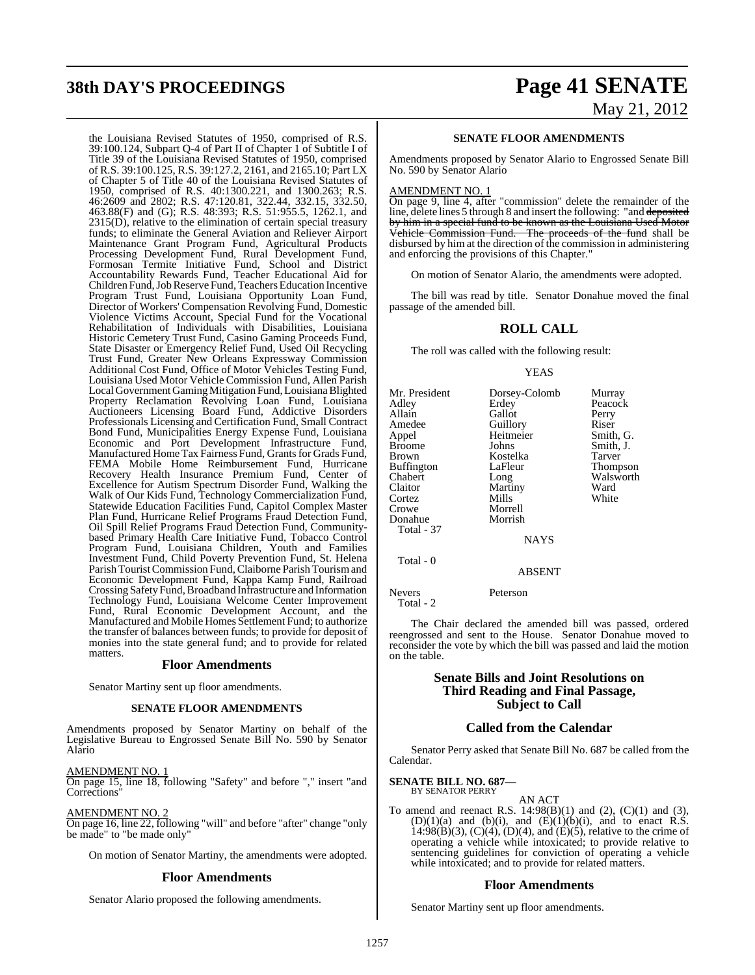# **38th DAY'S PROCEEDINGS Page 41 SENATE**

the Louisiana Revised Statutes of 1950, comprised of R.S. 39:100.124, Subpart Q-4 of Part II of Chapter 1 of Subtitle I of Title 39 of the Louisiana Revised Statutes of 1950, comprised of R.S. 39:100.125, R.S. 39:127.2, 2161, and 2165.10; Part LX of Chapter 5 of Title 40 of the Louisiana Revised Statutes of 1950, comprised of R.S. 40:1300.221, and 1300.263; R.S. 46:2609 and 2802; R.S. 47:120.81, 322.44, 332.15, 332.50, 463.88(F) and (G); R.S. 48:393; R.S. 51:955.5, 1262.1, and 2315(D), relative to the elimination of certain special treasury funds; to eliminate the General Aviation and Reliever Airport Maintenance Grant Program Fund, Agricultural Products Processing Development Fund, Rural Development Fund, Formosan Termite Initiative Fund, School and District Accountability Rewards Fund, Teacher Educational Aid for Children Fund, Job Reserve Fund, Teachers Education Incentive Program Trust Fund, Louisiana Opportunity Loan Fund, Director of Workers' Compensation Revolving Fund, Domestic Violence Victims Account, Special Fund for the Vocational Rehabilitation of Individuals with Disabilities, Louisiana Historic Cemetery Trust Fund, Casino Gaming Proceeds Fund, State Disaster or Emergency Relief Fund, Used Oil Recycling Trust Fund, Greater New Orleans Expressway Commission Additional Cost Fund, Office of Motor Vehicles Testing Fund, Louisiana Used Motor Vehicle Commission Fund, Allen Parish Local Government Gaming Mitigation Fund, Louisiana Blighted Property Reclamation Revolving Loan Fund, Louisiana Auctioneers Licensing Board Fund, Addictive Disorders Professionals Licensing and Certification Fund, Small Contract Bond Fund, Municipalities Energy Expense Fund, Louisiana Economic and Port Development Infrastructure Fund, Manufactured Home Tax Fairness Fund, Grantsfor Grads Fund, FEMA Mobile Home Reimbursement Fund, Hurricane Recovery Health Insurance Premium Fund, Center of Excellence for Autism Spectrum Disorder Fund, Walking the Walk of Our Kids Fund, Technology Commercialization Fund, Statewide Education Facilities Fund, Capitol Complex Master Plan Fund, Hurricane Relief Programs Fraud Detection Fund, Oil Spill Relief Programs Fraud Detection Fund, Communitybased Primary Health Care Initiative Fund, Tobacco Control Program Fund, Louisiana Children, Youth and Families Investment Fund, Child Poverty Prevention Fund, St. Helena Parish TouristCommission Fund,Claiborne Parish Tourism and Economic Development Fund, Kappa Kamp Fund, Railroad Crossing SafetyFund,Broadband Infrastructure and Information Technology Fund, Louisiana Welcome Center Improvement Fund, Rural Economic Development Account, and the Manufactured and Mobile Homes Settlement Fund; to authorize the transfer of balances between funds; to provide for deposit of monies into the state general fund; and to provide for related matters.

#### **Floor Amendments**

Senator Martiny sent up floor amendments.

#### **SENATE FLOOR AMENDMENTS**

Amendments proposed by Senator Martiny on behalf of the Legislative Bureau to Engrossed Senate Bill No. 590 by Senator Alario

#### AMENDMENT NO. 1

On page 15, line 18, following "Safety" and before "," insert "and Corrections"

#### AMENDMENT NO. 2

On page 16, line 22, following "will" and before "after" change "only be made" to "be made only"

On motion of Senator Martiny, the amendments were adopted.

#### **Floor Amendments**

Senator Alario proposed the following amendments.

# May 21, 2012

#### **SENATE FLOOR AMENDMENTS**

Amendments proposed by Senator Alario to Engrossed Senate Bill No. 590 by Senator Alario

#### AMENDMENT NO. 1

On page 9, line 4, after "commission" delete the remainder of the line, delete lines 5 through 8 and insert the following: "and deposited by him in a special fund to be known as the Louisiana Used Motor Vehicle Commission Fund. The proceeds of the fund shall be disbursed by him at the direction of the commission in administering and enforcing the provisions of this Chapter."

On motion of Senator Alario, the amendments were adopted.

The bill was read by title. Senator Donahue moved the final passage of the amended bill.

#### **ROLL CALL**

The roll was called with the following result:

#### YEAS

| Mr. President<br>Adley<br>Allain<br>Amedee<br>Appel<br><b>Broome</b><br><b>Brown</b><br><b>Buffington</b> | Dorsey-Colomb<br>Erdey<br>Gallot<br>Guillory<br>Heitmeier<br>Johns<br>Kostelka<br>LaFleur | Murray<br>Peacock<br>Perry<br>Riser<br>Smith, G.<br>Smith, J.<br><b>Tarver</b><br>Thompson |
|-----------------------------------------------------------------------------------------------------------|-------------------------------------------------------------------------------------------|--------------------------------------------------------------------------------------------|
| Chabert                                                                                                   | Long                                                                                      | Walsworth                                                                                  |
| Claitor                                                                                                   | Martiny                                                                                   | Ward                                                                                       |
| Cortez                                                                                                    | Mills                                                                                     | White                                                                                      |
| Crowe                                                                                                     | Morrell                                                                                   |                                                                                            |
| Donahue                                                                                                   | Morrish                                                                                   |                                                                                            |
| Total - 37                                                                                                |                                                                                           |                                                                                            |
|                                                                                                           | <b>NAYS</b>                                                                               |                                                                                            |
| Total - 0                                                                                                 |                                                                                           |                                                                                            |
|                                                                                                           | ABSENT                                                                                    |                                                                                            |

Nevers Peterson

Total - 2

The Chair declared the amended bill was passed, ordered reengrossed and sent to the House. Senator Donahue moved to reconsider the vote by which the bill was passed and laid the motion on the table.

#### **Senate Bills and Joint Resolutions on Third Reading and Final Passage, Subject to Call**

#### **Called from the Calendar**

Senator Perry asked that Senate Bill No. 687 be called from the Calendar.

# **SENATE BILL NO. 687—** BY SENATOR PERRY

AN ACT To amend and reenact R.S.  $14:98(B)(1)$  and  $(2)$ ,  $(C)(1)$  and  $(3)$ ,  $(D)(1)(a)$  and  $(b)(i)$ , and  $(E)(1)(b)(i)$ , and to enact R.S.

 $14:98(B)(3)$ ,  $(C)(4)$ ,  $(D)(4)$ , and  $(E)(5)$ , relative to the crime of operating a vehicle while intoxicated; to provide relative to sentencing guidelines for conviction of operating a vehicle while intoxicated; and to provide for related matters.

#### **Floor Amendments**

Senator Martiny sent up floor amendments.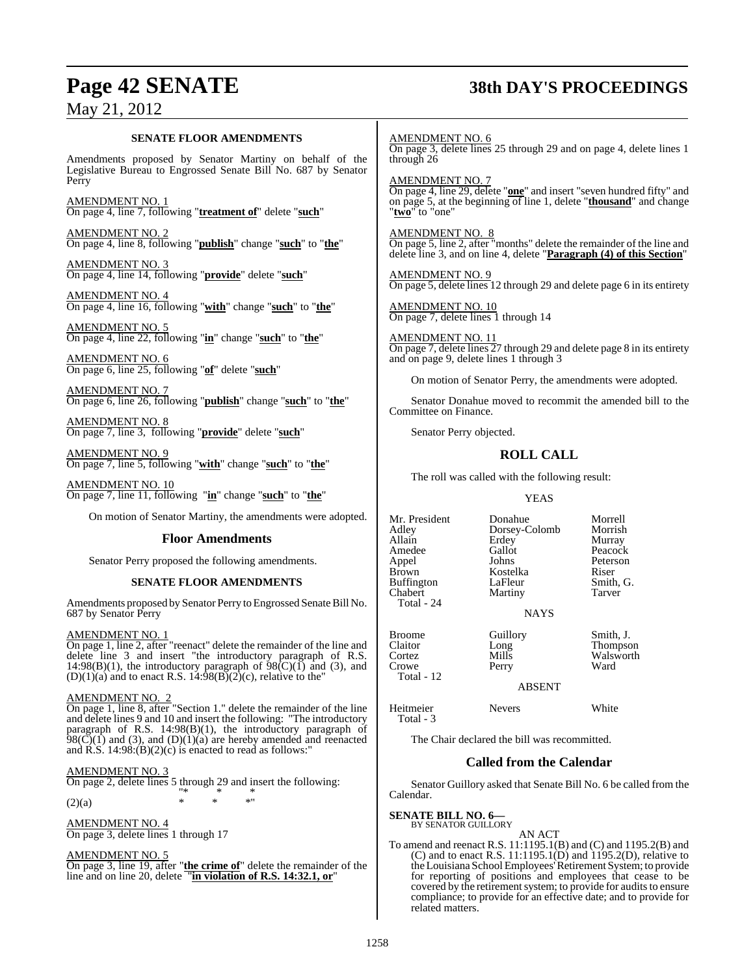# **Page 42 SENATE 38th DAY'S PROCEEDINGS**

## May 21, 2012

#### **SENATE FLOOR AMENDMENTS**

Amendments proposed by Senator Martiny on behalf of the Legislative Bureau to Engrossed Senate Bill No. 687 by Senator Perry

AMENDMENT NO. 1 On page 4, line 7, following "**treatment of**" delete "**such**"

AMENDMENT NO. 2 On page 4, line 8, following "**publish**" change "**such**" to "**the**"

AMENDMENT NO. 3 On page 4, line 14, following "**provide**" delete "**such**"

AMENDMENT NO. 4 On page 4, line 16, following "**with**" change "**such**" to "**the**"

AMENDMENT NO. 5 On page 4, line 22, following "**in**" change "**such**" to "**the**"

AMENDMENT NO. 6 On page 6, line 25, following "**of**" delete "**such**"

AMENDMENT NO. 7 On page 6, line 26, following "**publish**" change "**such**" to "**the**"

AMENDMENT NO. 8 On page 7, line 3, following "**provide**" delete "**such**"

AMENDMENT NO. 9 On page 7, line 5, following "**with**" change "**such**" to "**the**"

AMENDMENT NO. 10 On page 7, line 11, following "**in**" change "**such**" to "**the**"

On motion of Senator Martiny, the amendments were adopted.

#### **Floor Amendments**

Senator Perry proposed the following amendments.

#### **SENATE FLOOR AMENDMENTS**

Amendments proposed by Senator Perry to Engrossed Senate Bill No. 687 by Senator Perry

#### AMENDMENT NO. 1

On page 1, line 2, after "reenact" delete the remainder of the line and delete line 3 and insert "the introductory paragraph of R.S. 14:98(B)(1), the introductory paragraph of  $98(\text{C})(1)$  and (3), and  $(D)(1)(a)$  and to enact R.S. 14:98 $(B)(2)(c)$ , relative to the"

#### AMENDMENT NO. 2

On page 1, line 8, after "Section 1." delete the remainder of the line and delete lines 9 and 10 and insert the following: "The introductory paragraph of R.S. 14:98(B)(1), the introductory paragraph of  $98(\overrightarrow{C})(1)$  and (3), and (D)(1)(a) are hereby amended and reenacted and R.S.  $14:98:(B)(2)(c)$  is enacted to read as follows:"

#### AMENDMENT NO. 3

On page 2, delete lines 5 through 29 and insert the following: "\* \* \*

 $(2)(a)$  \* \* \* \*

AMENDMENT NO. 4

On page 3, delete lines 1 through 17

#### AMENDMENT NO. 5

On page 3, line 19, after "**the crime of**" delete the remainder of the line and on line 20, delete "**in violation of R.S. 14:32.1, or**"

AMENDMENT NO. 6 On page 3, delete lines 25 through 29 and on page 4, delete lines 1 through 26

AMENDMENT NO. 7 On page 4, line 29, delete "**one**" and insert "seven hundred fifty" and on page 5, at the beginning of line 1, delete "**thousand**" and change "**two**" to "one"

AMENDMENT NO. 8 On page 5, line 2, after "months" delete the remainder of the line and delete line 3, and on line 4, delete "**Paragraph (4) of this Section**"

AMENDMENT NO. 9 On page 5, delete lines 12 through 29 and delete page 6 in its entirety

AMENDMENT NO. 10 On page 7, delete lines 1 through 14

AMENDMENT NO. 11 On page 7, delete lines 27 through 29 and delete page 8 in its entirety and on page 9, delete lines 1 through 3

On motion of Senator Perry, the amendments were adopted.

Senator Donahue moved to recommit the amended bill to the Committee on Finance.

Senator Perry objected.

## **ROLL CALL**

The roll was called with the following result:

#### YEAS

| Mr. President | Donahue       | Morrell         |
|---------------|---------------|-----------------|
| Adlev         | Dorsey-Colomb | Morrish         |
| Allain        | Erdey         | Murray          |
| Amedee        | Gallot        | Peacock         |
| Appel         | Johns         | Peterson        |
| Brown         | Kostelka      | Riser           |
| Buffington    | LaFleur       | Smith, G.       |
| Chabert       | Martiny       | <b>Tarver</b>   |
| Total - 24    |               |                 |
|               | <b>NAYS</b>   |                 |
| <b>Broome</b> | Guillory      | Smith, J.       |
| Claitor       | Long          | <b>Thompson</b> |
| Cortez        | Mills         | Walsworth       |
| Crowe         | Perry         | Ward            |
| Total - 12    |               |                 |
|               | A D CENT      |                 |

ABSENT

Heitmeier Nevers White

The Chair declared the bill was recommitted.

#### **Called from the Calendar**

Senator Guillory asked that Senate Bill No. 6 be called from the Calendar.

**SENATE BILL NO. 6—** BY SENATOR GUILLORY

Total - 3

AN ACT

To amend and reenact R.S. 11:1195.1(B) and (C) and 1195.2(B) and (C) and to enact R.S.  $11:1195.1(D)$  and  $1195.2(D)$ , relative to theLouisiana SchoolEmployees'Retirement System; to provide for reporting of positions and employees that cease to be covered by the retirement system; to provide for audits to ensure compliance; to provide for an effective date; and to provide for related matters.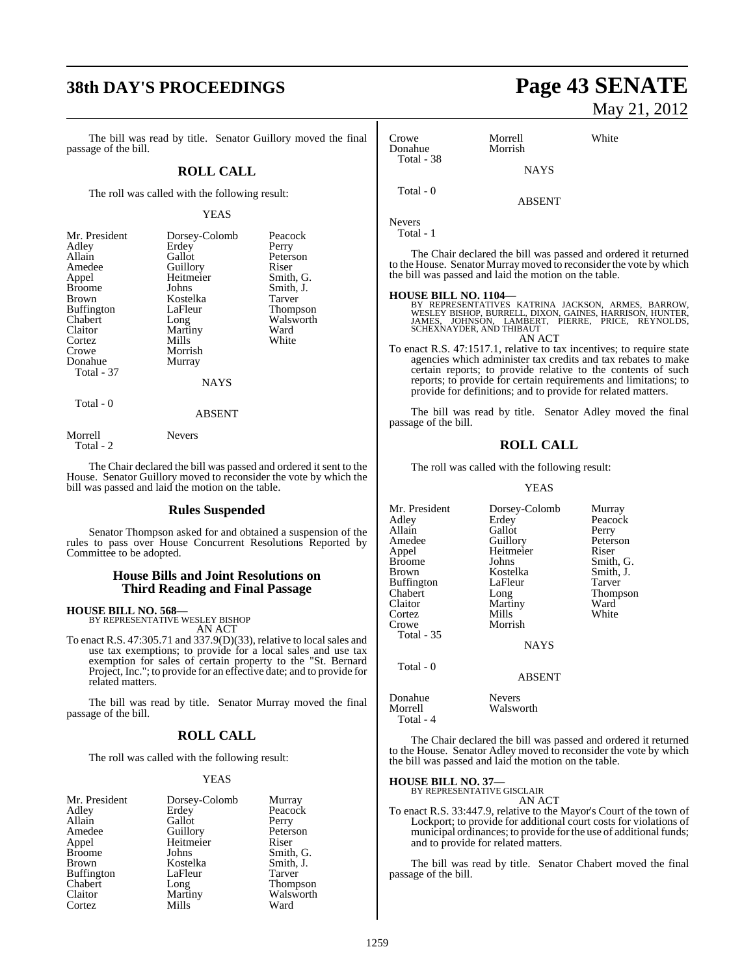# **38th DAY'S PROCEEDINGS Page 43 SENATE**

The bill was read by title. Senator Guillory moved the final passage of the bill.

#### **ROLL CALL**

The roll was called with the following result:

#### YEAS

| Mr. President     | Dorsey-Colomb | Peacock   |
|-------------------|---------------|-----------|
| Adley             | Erdey         | Perry     |
| Allain            | Gallot        | Peterson  |
| Amedee            | Guillory      | Riser     |
| Appel             | Heitmeier     | Smith, G. |
| <b>Broome</b>     | Johns         | Smith, J. |
| <b>Brown</b>      | Kostelka      | Tarver    |
| <b>Buffington</b> | LaFleur       | Thompson  |
| Chabert           | Long          | Walsworth |
| Claitor           | Martiny       | Ward      |
| Cortez            | Mills         | White     |
| Crowe             | Morrish       |           |
| Donahue           | Murray        |           |
| Total - 37        |               |           |
|                   | NAYS          |           |
| Total - 0         |               |           |

## ABSENT

Morrell Nevers Total - 2

The Chair declared the bill was passed and ordered it sent to the House. Senator Guillory moved to reconsider the vote by which the bill was passed and laid the motion on the table.

#### **Rules Suspended**

Senator Thompson asked for and obtained a suspension of the rules to pass over House Concurrent Resolutions Reported by Committee to be adopted.

#### **House Bills and Joint Resolutions on Third Reading and Final Passage**

**HOUSE BILL NO. 568—** BY REPRESENTATIVE WESLEY BISHOP

AN ACT

To enact R.S. 47:305.71 and 337.9(D)(33), relative to localsales and use tax exemptions; to provide for a local sales and use tax exemption for sales of certain property to the "St. Bernard Project, Inc."; to provide for an effective date; and to provide for related matters.

The bill was read by title. Senator Murray moved the final passage of the bill.

#### **ROLL CALL**

The roll was called with the following result:

#### YEAS

| Mr. President     | Dorsey-Colomb         | Murray        |
|-------------------|-----------------------|---------------|
| Adley             | Erdey                 | Peacock       |
| Allain            | Gallot                | Perry         |
| Amedee            | Guillory<br>Heitmeier | Peterson      |
| Appel             |                       | Riser         |
| <b>Broome</b>     | Johns                 | Smith, G.     |
| <b>Brown</b>      | Kostelka              | Smith, J.     |
| <b>Buffington</b> | LaFleur               | <b>Tarver</b> |
| Chabert           | Long                  | Thompson      |
| Claitor           | Martiny               | Walsworth     |
| Cortez            | Mills                 | Ward          |

# May 21, 2012

| Crowe<br>Donahue                                      | Morrell<br>Morrish | White                                                                                                                                |
|-------------------------------------------------------|--------------------|--------------------------------------------------------------------------------------------------------------------------------------|
| Total - 38                                            | <b>NAYS</b>        |                                                                                                                                      |
| Total - 0                                             | <b>ABSENT</b>      |                                                                                                                                      |
| Nevers<br>Total - 1                                   |                    |                                                                                                                                      |
| the bill was passed and laid the motion on the table. |                    | The Chair declared the bill was passed and ordered it returned<br>to the House. Senator Murray moved to reconsider the vote by which |
| HOUSE BILL NO. 1104—                                  |                    | BY REPRESENTATIVES KATRINA JACKSON, ARMES, BARROW,<br>WESLEY BISHOP, BURRELL, DIXON, GAINES, HARRISON, HUNTER,                       |

WESLEY BISHOP, BURRELL, DIXON, GAINES, HARRISON, HUNTER.<br>JAMES, JOHNSON, LAMBERT, PIERRE, PRICE, REYNOLDS,<br>SCHEXNAYDER, AND THIBAUT

AN ACT

To enact R.S. 47:1517.1, relative to tax incentives; to require state agencies which administer tax credits and tax rebates to make certain reports; to provide relative to the contents of such reports; to provide for certain requirements and limitations; to provide for definitions; and to provide for related matters.

The bill was read by title. Senator Adley moved the final passage of the bill.

#### **ROLL CALL**

The roll was called with the following result:

#### YEAS

Mr. President Dorsey-Colomb Murray<br>Adley Erdey Peacocl Adley Erdey Peacock<br>Allain Gallot Perry Allain Gallot<br>Amedee Guillory Amedee Guillory Peterson<br>
Appel Heitmeier Riser Appel Heitmeier<br>Broome Johns Broome Johns Smith, G.<br>Brown Kostelka Smith, J. Kostelka Smith,<br>LaFleur Tarver Buffington Chabert Long Thompson<br>Claitor Martiny Ward Martiny Ward<br>
Mills White Cortez<br>Crowe Morrish Total - 35 NAYS Total - 0 ABSENT Donahue Nevers<br>Morrell Walsw

Walsworth

The Chair declared the bill was passed and ordered it returned to the House. Senator Adley moved to reconsider the vote by which the bill was passed and laid the motion on the table.

**HOUSE BILL NO. 37—** BY REPRESENTATIVE GISCLAIR

Total - 4

AN ACT

To enact R.S. 33:447.9, relative to the Mayor's Court of the town of Lockport; to provide for additional court costs for violations of municipal ordinances; to provide forthe use of additional funds; and to provide for related matters.

The bill was read by title. Senator Chabert moved the final passage of the bill.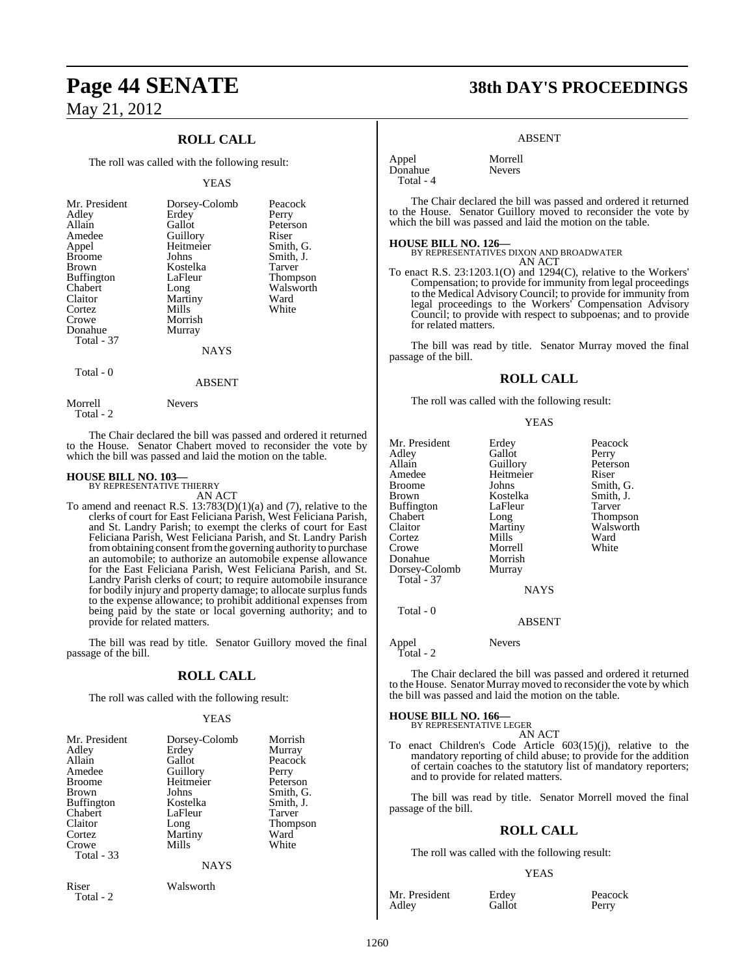## **ROLL CALL**

The roll was called with the following result:

#### YEAS

| Mr. President<br>Adley<br>Allain<br>Amedee<br>Appel<br><b>Broome</b><br>Brown<br>Buffington<br>Chabert<br>Claitor<br>Cortez<br>Crowe<br>Donahue<br>Total - 37 | Dorsey-Colomb<br>Erdey<br>Gallot<br>Guillory<br>Heitmeier<br>Johns<br>Kostelka<br>LaFleur<br>Long<br>Martiny<br>Mills<br>Morrish<br>Murray | Peacock<br>Perry<br>Peterson<br>Riser<br>Smith, G.<br>Smith, J.<br>Tarver<br><b>Thompson</b><br>Walsworth<br>Ward<br>White |
|---------------------------------------------------------------------------------------------------------------------------------------------------------------|--------------------------------------------------------------------------------------------------------------------------------------------|----------------------------------------------------------------------------------------------------------------------------|
| $T_{\alpha \text{tal}}$ 0                                                                                                                                     | <b>NAYS</b>                                                                                                                                |                                                                                                                            |
|                                                                                                                                                               |                                                                                                                                            |                                                                                                                            |

#### Total - 0

Morrell Nevers Total - 2

The Chair declared the bill was passed and ordered it returned to the House. Senator Chabert moved to reconsider the vote by which the bill was passed and laid the motion on the table.

ABSENT

# **HOUSE BILL NO. 103—** BY REPRESENTATIVE THIERRY

AN ACT

To amend and reenact R.S.  $13:783(D)(1)(a)$  and (7), relative to the clerks of court for East Feliciana Parish, West Feliciana Parish, and St. Landry Parish; to exempt the clerks of court for East Feliciana Parish, West Feliciana Parish, and St. Landry Parish from obtaining consent from the governing authority to purchase an automobile; to authorize an automobile expense allowance for the East Feliciana Parish, West Feliciana Parish, and St. Landry Parish clerks of court; to require automobile insurance for bodily injury and property damage; to allocate surplus funds to the expense allowance; to prohibit additional expenses from being paid by the state or local governing authority; and to provide for related matters.

The bill was read by title. Senator Guillory moved the final passage of the bill.

#### **ROLL CALL**

The roll was called with the following result:

#### YEAS

| Mr. President<br>Adley<br>Allain<br>Amedee<br><b>Broome</b><br>Brown<br><b>Buffington</b><br>Chabert<br>Claitor<br>Cortez<br>Crowe<br>Total - 33 | Dorsey-Colomb<br>Erdey<br>Gallot<br>Guillory<br>Heitmeier<br>Johns<br>Kostelka<br>LaFleur<br>Long<br>Martiny<br>Mills | Morrish<br>Murray<br>Peacock<br>Perry<br>Peterson<br>Smith, G.<br>Smith, J.<br>Tarver<br><b>Thompson</b><br>Ward<br>White |
|--------------------------------------------------------------------------------------------------------------------------------------------------|-----------------------------------------------------------------------------------------------------------------------|---------------------------------------------------------------------------------------------------------------------------|
|                                                                                                                                                  | <b>NAYS</b>                                                                                                           |                                                                                                                           |
| Riser<br>Total $-2$                                                                                                                              | Walsworth                                                                                                             |                                                                                                                           |

# **Page 44 SENATE 38th DAY'S PROCEEDINGS**

#### ABSENT

Appel Morrell<br>Donahue Nevers Donahue Total - 4

The Chair declared the bill was passed and ordered it returned to the House. Senator Guillory moved to reconsider the vote by which the bill was passed and laid the motion on the table.

#### **HOUSE BILL NO. 126—**

BY REPRESENTATIVES DIXON AND BROADWATER AN ACT

To enact R.S. 23:1203.1(O) and 1294(C), relative to the Workers' Compensation; to provide for immunity from legal proceedings to the Medical Advisory Council; to provide for immunity from legal proceedings to the Workers' Compensation Advisory Council; to provide with respect to subpoenas; and to provide for related matters.

The bill was read by title. Senator Murray moved the final passage of the bill.

#### **ROLL CALL**

The roll was called with the following result:

#### YEAS

Mr. President Erdey Peacock Adley Gallot Perry<br>Allain Guillory Peters Allain Guillory Peterson<br>Amedee Heitmeier Riser Amedee Heitmeier<br>Broome Johns Broome Johns Smith, G.<br>Brown Kostelka Smith, J. Kostelka Smith,<br>LaFleur Tarver Buffington LaFle<br>Chabert Long Chabert Long Thompson Cortez Mills Ward<br>Crowe Morrell White Morrell<br>Morrish Donahue Morrish<br>Dorsey-Colomb Murray Dorsey-Colomb Total - 37 NAYS

Total - 0

Appel Nevers

Total - 2

The Chair declared the bill was passed and ordered it returned to the House. Senator Murray moved to reconsider the vote by which the bill was passed and laid the motion on the table.

ABSENT

# **HOUSE BILL NO. 166—** BY REPRESENTATIVE LEGER

AN ACT

To enact Children's Code Article 603(15)(j), relative to the mandatory reporting of child abuse; to provide for the addition of certain coaches to the statutory list of mandatory reporters; and to provide for related matters.

The bill was read by title. Senator Morrell moved the final passage of the bill.

#### **ROLL CALL**

The roll was called with the following result:

#### YEAS

Mr. President Erdey Peacock<br>Adley Gallot Perry Adley

Walsworth<br>Ward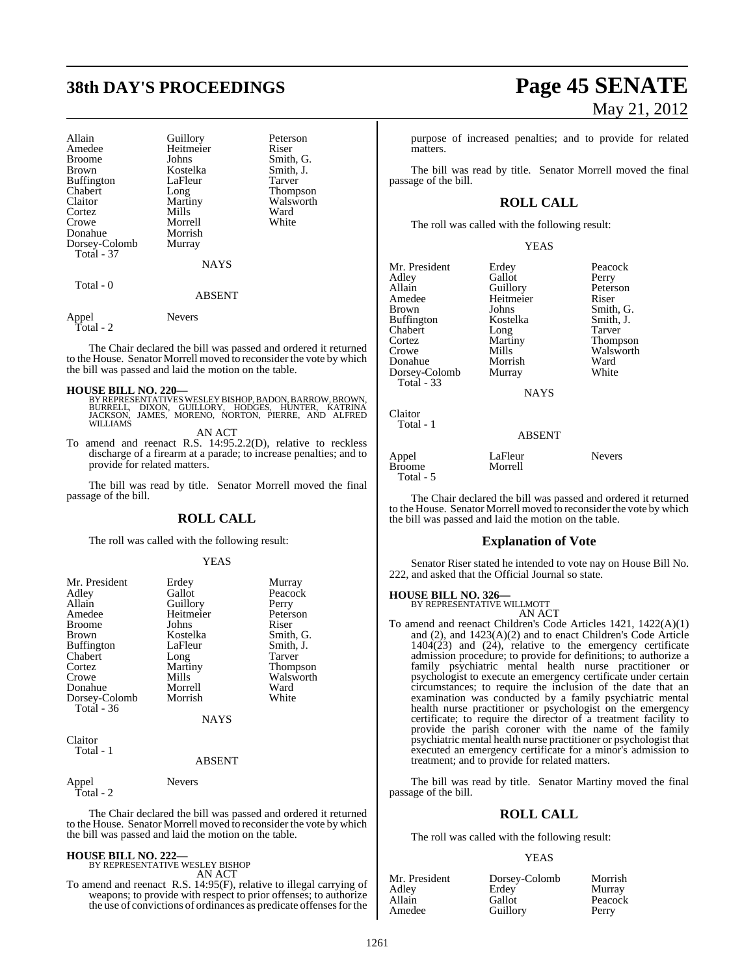# **38th DAY'S PROCEEDINGS Page 45 SENATE**

| Allain<br>Amedee<br><b>Broome</b><br><b>Brown</b><br><b>Buffington</b><br>Chabert<br>Claitor<br>Cortez<br>Crowe<br>Donahue<br>Dorsey-Colomb<br>Total - 37 | Guillory<br>Heitmeier<br>Johns<br>Kostelka<br>LaFleur<br>Long<br>Martiny<br>Mills<br>Morrell<br>Morrish<br>Murray<br><b>NAYS</b> | Peterson<br>Riser<br>Smith, G.<br>Smith, J.<br>Tarver<br>Thompson<br>Walsworth<br>Ward<br>White |
|-----------------------------------------------------------------------------------------------------------------------------------------------------------|----------------------------------------------------------------------------------------------------------------------------------|-------------------------------------------------------------------------------------------------|
| Total - 0                                                                                                                                                 | <b>ABSENT</b>                                                                                                                    |                                                                                                 |
| Appel                                                                                                                                                     | <b>Nevers</b>                                                                                                                    |                                                                                                 |

Total - 2

The Chair declared the bill was passed and ordered it returned to the House. Senator Morrell moved to reconsider the vote by which the bill was passed and laid the motion on the table.

**HOUSE BILL NO. 220—**<br>BY REPRESENTATIVES WESLEY BISHOP, BADON, BARROW, BROWN,<br>BURRELL, DIXON, GUILLORY, HODGES, HUNTER, KATRINA<br>JACKSON, JAMES, MORENO, NORTON, PIERRE, AND ALFRED<br>WILLIAMS

AN ACT

To amend and reenact R.S. 14:95.2.2(D), relative to reckless discharge of a firearm at a parade; to increase penalties; and to provide for related matters.

The bill was read by title. Senator Morrell moved the final passage of the bill.

#### **ROLL CALL**

The roll was called with the following result:

#### YEAS

| Mr. President     | Erdey       | Murray    |
|-------------------|-------------|-----------|
| Adley             | Gallot      | Peacock   |
| Allain            | Guillory    | Perry     |
| Amedee            | Heitmeier   | Peterson  |
| <b>Broome</b>     | Johns       | Riser     |
| <b>Brown</b>      | Kostelka    | Smith, G. |
| <b>Buffington</b> | LaFleur     | Smith, J. |
| Chabert           | Long        | Tarver    |
| Cortez            | Martiny     | Thompson  |
| Crowe             | Mills       | Walsworth |
| Donahue           | Morrell     | Ward      |
| Dorsey-Colomb     | Morrish     | White     |
| Total - 36        |             |           |
|                   | <b>NAYS</b> |           |

Claitor Total - 1

#### ABSENT

Appel Nevers Total - 2

The Chair declared the bill was passed and ordered it returned to the House. Senator Morrell moved to reconsider the vote by which the bill was passed and laid the motion on the table.

#### **HOUSE BILL NO. 222—**

BY REPRESENTATIVE WESLEY BISHOP AN ACT

To amend and reenact R.S. 14:95(F), relative to illegal carrying of weapons; to provide with respect to prior offenses; to authorize the use of convictions of ordinances as predicate offensesfor the

# May 21, 2012

purpose of increased penalties; and to provide for related matters.

The bill was read by title. Senator Morrell moved the final passage of the bill.

### **ROLL CALL**

The roll was called with the following result:

YEAS

| Mr. President | Erdey         | Peacock       |
|---------------|---------------|---------------|
| Adlev         | Gallot        | Perry         |
| Allain        | Guillory      | Peterson      |
| Amedee        | Heitmeier     | Riser         |
| Brown         | Johns         | Smith, G.     |
| Buffington    | Kostelka      | Smith, J.     |
| Chabert       | Long          | Tarver        |
| Cortez        | Martiny       | Thompson      |
| Crowe         | Mills         | Walsworth     |
| Donahue       | Morrish       | Ward          |
| Dorsey-Colomb | Murray        | White         |
| Total - 33    |               |               |
|               | <b>NAYS</b>   |               |
| Claitor       |               |               |
| Total - 1     |               |               |
|               | <b>ABSENT</b> |               |
| Appel         | LaFleur       | <b>Nevers</b> |
| <b>Broome</b> | Morrell       |               |
| Total - 5     |               |               |

The Chair declared the bill was passed and ordered it returned to the House. Senator Morrell moved to reconsider the vote by which the bill was passed and laid the motion on the table.

#### **Explanation of Vote**

Senator Riser stated he intended to vote nay on House Bill No. 222, and asked that the Official Journal so state.

#### **HOUSE BILL NO. 326—** BY REPRESENTATIVE WILLMOTT

AN ACT

To amend and reenact Children's Code Articles 1421, 1422(A)(1) and (2), and 1423(A)(2) and to enact Children's Code Article 1404(23) and (24), relative to the emergency certificate admission procedure; to provide for definitions; to authorize a family psychiatric mental health nurse practitioner or psychologist to execute an emergency certificate under certain circumstances; to require the inclusion of the date that an examination was conducted by a family psychiatric mental health nurse practitioner or psychologist on the emergency certificate; to require the director of a treatment facility to provide the parish coroner with the name of the family psychiatric mental health nurse practitioner or psychologist that executed an emergency certificate for a minor's admission to treatment; and to provide for related matters.

The bill was read by title. Senator Martiny moved the final passage of the bill.

#### **ROLL CALL**

The roll was called with the following result:

#### YEAS

| Mr. President | Dorsey-Colomb | Morrish |
|---------------|---------------|---------|
| Adlev         | Erdey         | Murray  |
| Allain        | Gallot        | Peacock |
| Amedee        | Guillory      | Perry   |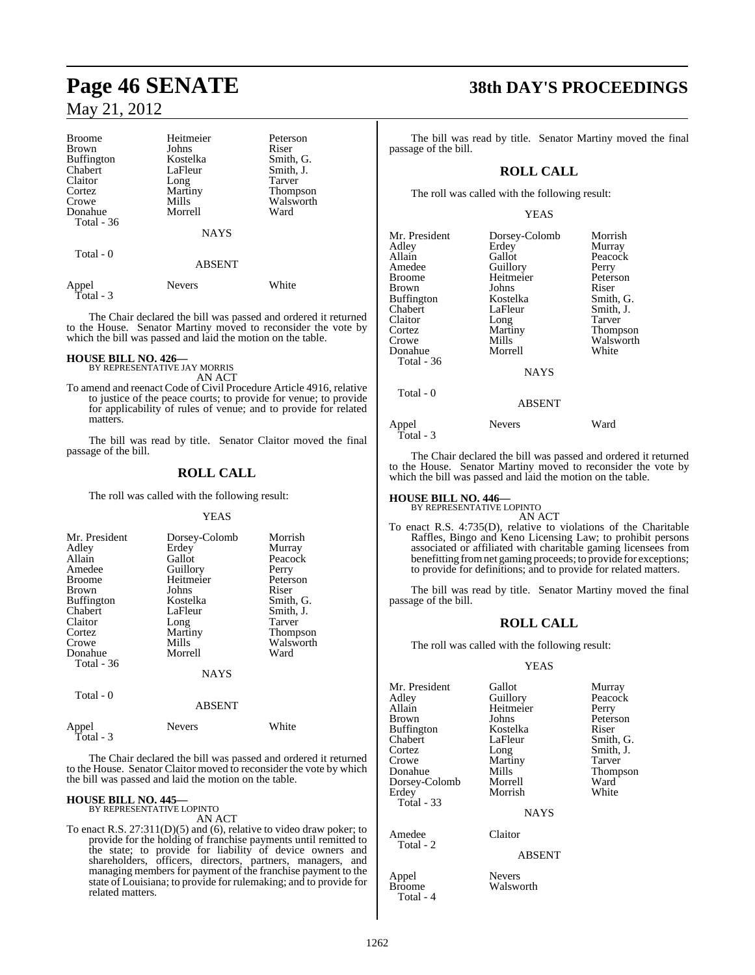| <b>Broome</b>     | Heitmeier     | Peterson        |
|-------------------|---------------|-----------------|
| <b>Brown</b>      | Johns         | Riser           |
| <b>Buffington</b> | Kostelka      | Smith, G.       |
| Chabert           | LaFleur       | Smith, J.       |
| Claitor           | Long          | Tarver          |
| Cortez            | Martiny       | <b>Thompson</b> |
| Crowe             | Mills         | Walsworth       |
| Donahue           | Morrell       | Ward            |
| Total - 36        |               |                 |
|                   | <b>NAYS</b>   |                 |
| Total - 0         |               |                 |
|                   | <b>ABSENT</b> |                 |
| Appel             | Nevers        | White           |

The Chair declared the bill was passed and ordered it returned to the House. Senator Martiny moved to reconsider the vote by which the bill was passed and laid the motion on the table.

#### **HOUSE BILL NO. 426—**

Total - 3

BY REPRESENTATIVE JAY MORRIS AN ACT

To amend and reenact Code of Civil Procedure Article 4916, relative to justice of the peace courts; to provide for venue; to provide for applicability of rules of venue; and to provide for related matters.

The bill was read by title. Senator Claitor moved the final passage of the bill.

#### **ROLL CALL**

The roll was called with the following result:

#### YEAS

| Mr. President<br>Adley<br>Allain<br>Amedee<br><b>Broome</b><br><b>Brown</b><br><b>Buffington</b><br>Chabert<br>Claitor<br>Cortez | Dorsey-Colomb<br>Erdey<br>Gallot<br>Guillory<br>Heitmeier<br>Johns<br>Kostelka<br>LaFleur<br>Long<br>Martiny | Morrish<br>Murray<br>Peacock<br>Perry<br>Peterson<br>Riser<br>Smith, G.<br>Smith, J.<br>Tarver |
|----------------------------------------------------------------------------------------------------------------------------------|--------------------------------------------------------------------------------------------------------------|------------------------------------------------------------------------------------------------|
|                                                                                                                                  |                                                                                                              | <b>Thompson</b>                                                                                |
| Crowe<br>Donahue                                                                                                                 | Mills<br>Morrell                                                                                             | Walsworth<br>Ward                                                                              |
| Total - 36                                                                                                                       | <b>NAYS</b>                                                                                                  |                                                                                                |
| Total - 0                                                                                                                        |                                                                                                              |                                                                                                |

|                    | <b>ABSENT</b> |       |
|--------------------|---------------|-------|
| Appel<br>Total - 3 | <b>Nevers</b> | White |

The Chair declared the bill was passed and ordered it returned to the House. Senator Claitor moved to reconsider the vote by which the bill was passed and laid the motion on the table.

# **HOUSE BILL NO. 445—** BY REPRESENTATIVE LOPINTO

AN ACT

To enact R.S. 27:311(D)(5) and (6), relative to video draw poker; to provide for the holding of franchise payments until remitted to the state; to provide for liability of device owners and shareholders, officers, directors, partners, managers, and managing members for payment of the franchise payment to the state of Louisiana; to provide for rulemaking; and to provide for related matters.

# **Page 46 SENATE 38th DAY'S PROCEEDINGS**

The bill was read by title. Senator Martiny moved the final passage of the bill.

## **ROLL CALL**

The roll was called with the following result:

#### YEAS

| Mr. President<br>Adley<br>Allain<br>Amedee<br>Broome<br>Brown<br>Buffington<br>Chabert<br>Claitor<br>Cortez<br>Crowe<br>Donahue<br>Total - 36<br>Total - 0 | Dorsey-Colomb<br>Erdey<br>Gallot<br>Guillory<br>Heitmeier<br>Johns<br>Kostelka<br>LaFleur<br>Long<br>Martiny<br>Mills<br>Morrell<br><b>NAYS</b><br><b>ABSENT</b> | Morrish<br>Murray<br>Peacock<br>Perry<br>Peterson<br>Riser<br>Smith, G.<br>Smith, J.<br>Tarver<br>Thompson<br>Walsworth<br>White |
|------------------------------------------------------------------------------------------------------------------------------------------------------------|------------------------------------------------------------------------------------------------------------------------------------------------------------------|----------------------------------------------------------------------------------------------------------------------------------|
| Appel                                                                                                                                                      | <b>Nevers</b>                                                                                                                                                    | Ward                                                                                                                             |
| Total - 3                                                                                                                                                  |                                                                                                                                                                  |                                                                                                                                  |

The Chair declared the bill was passed and ordered it returned to the House. Senator Martiny moved to reconsider the vote by which the bill was passed and laid the motion on the table.

# **HOUSE BILL NO. 446—** BY REPRESENTATIVE LOPINTO

AN ACT To enact R.S. 4:735(D), relative to violations of the Charitable Raffles, Bingo and Keno Licensing Law; to prohibit persons associated or affiliated with charitable gaming licensees from benefitting fromnet gaming proceeds; to provide for exceptions; to provide for definitions; and to provide for related matters.

The bill was read by title. Senator Martiny moved the final passage of the bill.

## **ROLL CALL**

The roll was called with the following result:

#### YEAS

Thompson

| Mr. President     | Gallot      | Murray         |
|-------------------|-------------|----------------|
| Adley             | Guillory    | Peacock        |
| Allain            | Heitmeier   | Perry          |
| <b>Brown</b>      | Johns       | Peterson       |
| <b>Buffington</b> | Kostelka    | Riser          |
| Chabert           | LaFleur     | Smith, G.      |
| Cortez            | Long        | Smith, J.      |
| Crowe             | Martiny     | Tarver         |
| Donahue           | Mills       | <b>Thompso</b> |
| Dorsey-Colomb     | Morrell     | Ward           |
| Erdey             | Morrish     | White          |
| Total - 33        |             |                |
|                   | <b>NAYS</b> |                |
| Amedee            | Claitor     |                |

ABSENT

Appel Nevers<br>Broome Walsw Walsworth

Total - 2

Total - 4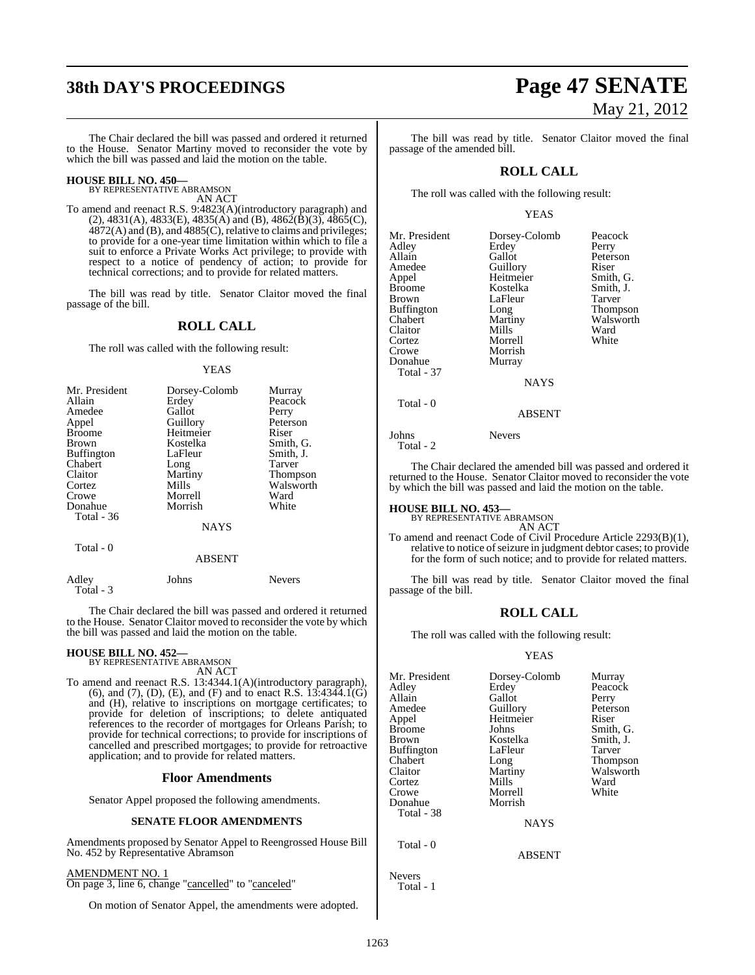# **38th DAY'S PROCEEDINGS Page 47 SENATE**

The Chair declared the bill was passed and ordered it returned to the House. Senator Martiny moved to reconsider the vote by which the bill was passed and laid the motion on the table.

# **HOUSE BILL NO. 450—** BY REPRESENTATIVE ABRAMSON

AN ACT

To amend and reenact R.S. 9:4823(A)(introductory paragraph) and  $(2)$ , 4831(A), 4833(E), 4835(A) and (B), 4862(B)(3), 4865(C),  $4872(A)$  and (B), and  $4885(C)$ , relative to claims and privileges; to provide for a one-year time limitation within which to file a suit to enforce a Private Works Act privilege; to provide with respect to a notice of pendency of action; to provide for technical corrections; and to provide for related matters.

The bill was read by title. Senator Claitor moved the final passage of the bill.

#### **ROLL CALL**

The roll was called with the following result:

#### YEAS

| Mr. President<br>Allain | Dorsey-Colomb<br>Erdey | Murray<br>Peacock |
|-------------------------|------------------------|-------------------|
| Amedee                  | Gallot                 | Perry             |
| Appel<br><b>Broome</b>  | Guillory<br>Heitmeier  | Peterson<br>Riser |
| <b>Brown</b>            | Kostelka               | Smith, G.         |
| <b>Buffington</b>       | LaFleur                | Smith, J.         |
| Chabert                 | Long                   | Tarver            |
| Claitor                 | Martiny                | <b>Thompson</b>   |
| Cortez                  | Mills                  | Walsworth         |
| Crowe                   | Morrell                | Ward              |
| Donahue                 | Morrish                | White             |
| <b>Total - 36</b>       |                        |                   |
|                         | <b>NAYS</b>            |                   |
| Total - 0               | <b>ABSENT</b>          |                   |

Adley Johns Nevers Total - 3

The Chair declared the bill was passed and ordered it returned to the House. Senator Claitor moved to reconsider the vote by which the bill was passed and laid the motion on the table.

#### **HOUSE BILL NO. 452—**

BY REPRESENTATIVE ABRAMSON AN ACT

To amend and reenact R.S. 13:4344.1(A)(introductory paragraph), (6), and (7), (D), (E), and (F) and to enact R.S.  $13:4344.1(G)$ and (H), relative to inscriptions on mortgage certificates; to provide for deletion of inscriptions; to delete antiquated references to the recorder of mortgages for Orleans Parish; to provide for technical corrections; to provide for inscriptions of cancelled and prescribed mortgages; to provide for retroactive application; and to provide for related matters.

#### **Floor Amendments**

Senator Appel proposed the following amendments.

#### **SENATE FLOOR AMENDMENTS**

Amendments proposed by Senator Appel to Reengrossed House Bill No. 452 by Representative Abramson

AMENDMENT NO. 1

On page 3, line 6, change "cancelled" to "canceled"

On motion of Senator Appel, the amendments were adopted.

# May 21, 2012

The bill was read by title. Senator Claitor moved the final passage of the amended bill.

#### **ROLL CALL**

The roll was called with the following result:

#### YEAS

| Mr. President<br>Adley<br>Allain<br>Amedee<br>Appel<br><b>Broome</b><br><b>Brown</b><br>Buffington<br>Chabert<br>Claitor<br>Cortez<br>Crowe<br>Donahue<br>Total - 37 | Dorsey-Colomb<br>Erdey<br>Gallot<br>Guillory<br>Heitmeier<br>Kostelka<br>LaFleur<br>Long<br>Martiny<br>Mills<br>Morrell<br>Morrish<br>Murray | Peacock<br>Perry<br>Peterson<br>Riser<br>Smith, G.<br>Smith, J.<br>Tarver<br>Thompson<br>Walsworth<br>Ward<br>White |
|----------------------------------------------------------------------------------------------------------------------------------------------------------------------|----------------------------------------------------------------------------------------------------------------------------------------------|---------------------------------------------------------------------------------------------------------------------|
|                                                                                                                                                                      | NAYS                                                                                                                                         |                                                                                                                     |
| Total - 0                                                                                                                                                            |                                                                                                                                              |                                                                                                                     |

Johns Nevers Total - 2

The Chair declared the amended bill was passed and ordered it returned to the House. Senator Claitor moved to reconsider the vote by which the bill was passed and laid the motion on the table.

ABSENT

**HOUSE BILL NO. 453—** BY REPRESENTATIVE ABRAMSON AN ACT

To amend and reenact Code of Civil Procedure Article 2293(B)(1), relative to notice of seizure in judgment debtor cases; to provide for the form of such notice; and to provide for related matters.

The bill was read by title. Senator Claitor moved the final passage of the bill.

#### **ROLL CALL**

The roll was called with the following result:

#### YEAS

| Mr. President<br>Adley<br>Allain<br>Amedee<br>Appel<br><b>Broome</b><br>Brown<br><b>Buffington</b><br>Chabert<br>Claitor<br>Cortez<br>Crowe<br>Donahue | Dorsey-Colomb<br>Erdey<br>Gallot<br>Guillory<br>Heitmeier<br>Johns<br>Kostelka<br>LaFleur<br>Long<br>Martiny<br>Mills<br>Morrell<br>Morrish | Murray<br>Peacock<br>Perry<br>Peterson<br>Riser<br>Smith, G.<br>Smith, J.<br>Tarver<br>Thompson<br>Walsworth<br>Ward<br>White |
|--------------------------------------------------------------------------------------------------------------------------------------------------------|---------------------------------------------------------------------------------------------------------------------------------------------|-------------------------------------------------------------------------------------------------------------------------------|
| Total - 38                                                                                                                                             | <b>NAYS</b>                                                                                                                                 |                                                                                                                               |
| Total - 0                                                                                                                                              | <b>ABSENT</b>                                                                                                                               |                                                                                                                               |
| <b>Nevers</b>                                                                                                                                          |                                                                                                                                             |                                                                                                                               |

Total - 1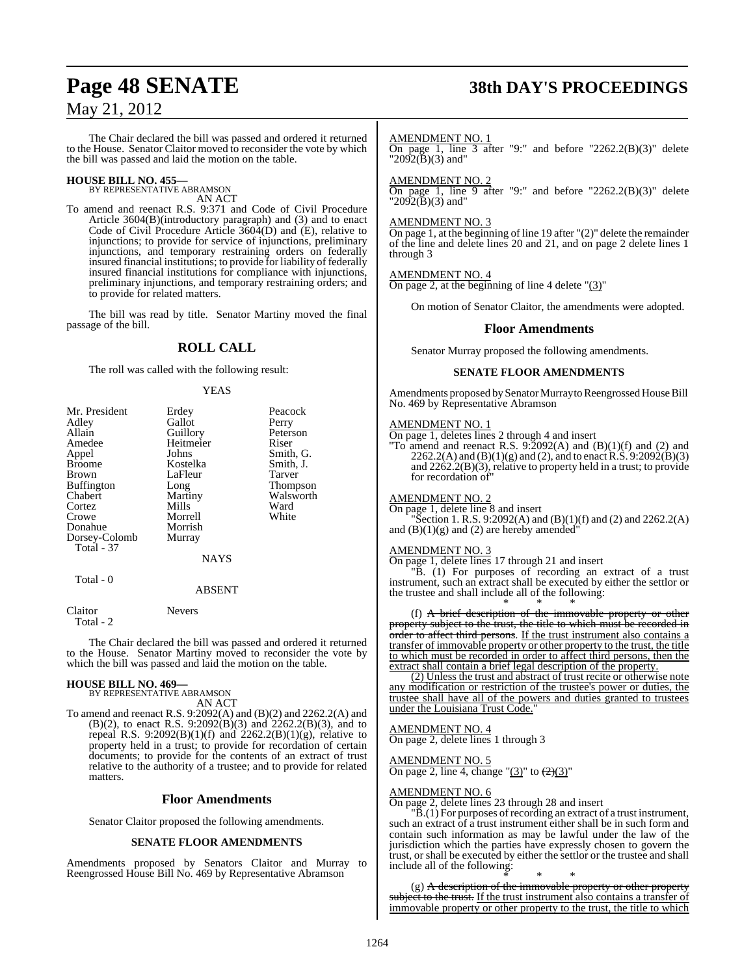The Chair declared the bill was passed and ordered it returned to the House. Senator Claitor moved to reconsider the vote by which the bill was passed and laid the motion on the table.

# **HOUSE BILL NO. 455—** BY REPRESENTATIVE ABRAMSON

AN ACT

To amend and reenact R.S. 9:371 and Code of Civil Procedure Article 3604(B)(introductory paragraph) and (3) and to enact Code of Civil Procedure Article  $360\dot{4}$ (D) and (E), relative to injunctions; to provide for service of injunctions, preliminary injunctions, and temporary restraining orders on federally insured financial institutions; to provide for liability of federally insured financial institutions for compliance with injunctions, preliminary injunctions, and temporary restraining orders; and to provide for related matters.

The bill was read by title. Senator Martiny moved the final passage of the bill.

## **ROLL CALL**

The roll was called with the following result:

#### YEAS

| Mr. President     | Erdey         | Peacock   |
|-------------------|---------------|-----------|
| Adley             | Gallot        | Perry     |
| Allain            | Guillory      | Peterson  |
|                   |               |           |
| Amedee            | Heitmeier     | Riser     |
| Appel             | Johns         | Smith, G. |
| <b>Broome</b>     | Kostelka      | Smith, J. |
| Brown             | LaFleur       | Tarver    |
| <b>Buffington</b> | Long          | Thompson  |
| Chabert           | Martiny       | Walsworth |
| Cortez            | Mills         | Ward      |
| Crowe             | Morrell       | White     |
| Donahue           | Morrish       |           |
| Dorsey-Colomb     | Murray        |           |
| <b>Total - 37</b> |               |           |
|                   | <b>NAYS</b>   |           |
| Total - 0         |               |           |
|                   | <b>ABSENT</b> |           |

Claitor Nevers Total - 2

The Chair declared the bill was passed and ordered it returned to the House. Senator Martiny moved to reconsider the vote by which the bill was passed and laid the motion on the table.

#### **HOUSE BILL NO. 469—**

BY REPRESENTATIVE ABRAMSON AN ACT

To amend and reenact R.S. 9:2092(A) and (B)(2) and 2262.2(A) and (B)(2), to enact R.S. 9:2092(B)(3) and 2262.2(B)(3), and to repeal R.S. 9:2092(B)(1)(f) and 2262.2(B)(1)(g), relative to property held in a trust; to provide for recordation of certain documents; to provide for the contents of an extract of trust relative to the authority of a trustee; and to provide for related matters.

#### **Floor Amendments**

Senator Claitor proposed the following amendments.

#### **SENATE FLOOR AMENDMENTS**

Amendments proposed by Senators Claitor and Murray to Reengrossed House Bill No. 469 by Representative Abramson

# **Page 48 SENATE 38th DAY'S PROCEEDINGS**

#### AMENDMENT NO. 1

On page 1, line  $\overline{3}$  after "9:" and before "2262.2(B)(3)" delete  $"2092(B)(3)$  and"

#### AMENDMENT NO. 2

On page 1, line 9 after "9:" and before "2262.2(B)(3)" delete " $2092(B)(3)$  and"

#### AMENDMENT NO. 3

On page 1, at the beginning of line 19 after "(2)" delete the remainder of the line and delete lines 20 and 21, and on page 2 delete lines 1 through 3

#### AMENDMENT NO. 4

On page 2, at the beginning of line 4 delete  $(3)$ "

On motion of Senator Claitor, the amendments were adopted.

#### **Floor Amendments**

Senator Murray proposed the following amendments.

#### **SENATE FLOOR AMENDMENTS**

Amendments proposed bySenator Murray to Reengrossed House Bill No. 469 by Representative Abramson

#### AMENDMENT NO. 1

On page 1, deletes lines 2 through 4 and insert

"To amend and reenact R.S.  $9.2092(A)$  and  $(B)(1)(f)$  and  $(2)$  and  $2262.2(A)$  and  $(B)(1)(g)$  and  $(2)$ , and to enact R.S.  $9:2092(B)(3)$ and 2262.2(B)(3), relative to property held in a trust; to provide for recordation of"

#### AMENDMENT NO. 2

On page 1, delete line 8 and insert  $\text{Section 1. R.S. } 9:2092(\text{A}) \text{ and } (\text{B})(1)(\text{f}) \text{ and } (2) \text{ and } 2262.2(\text{A})$ and  $(B)(1)(g)$  and  $(2)$  are hereby amended

#### AMENDMENT NO. 3

On page 1, delete lines 17 through 21 and insert

"B. (1) For purposes of recording an extract of a trust instrument, such an extract shall be executed by either the settlor or the trustee and shall include all of the following:

\* \* \* (f) A brief description of the immovable property or other property subject to the trust, the title to which must be recorded in order to affect third persons. If the trust instrument also contains a transfer of immovable property or other property to the trust, the title to which must be recorded in order to affect third persons, then the extract shall contain a brief legal description of the property.

(2) Unless the trust and abstract of trust recite or otherwise note any modification or restriction of the trustee's power or duties, the trustee shall have all of the powers and duties granted to trustees under the Louisiana Trust Code."

#### AMENDMENT NO. 4

On page 2, delete lines 1 through 3

#### AMENDMENT NO. 5

On page 2, line 4, change " $(3)$ " to  $(2)(3)$ "

#### AMENDMENT NO. 6

On page 2, delete lines 23 through 28 and insert

 $\mathbb{B}(1)$  For purposes of recording an extract of a trust instrument, such an extract of a trust instrument either shall be in such form and contain such information as may be lawful under the law of the jurisdiction which the parties have expressly chosen to govern the trust, or shall be executed by either the settlor or the trustee and shall include all of the following:

\* \* \* (g) A description of the immovable property or other property subject to the trust. If the trust instrument also contains a transfer of immovable property or other property to the trust, the title to which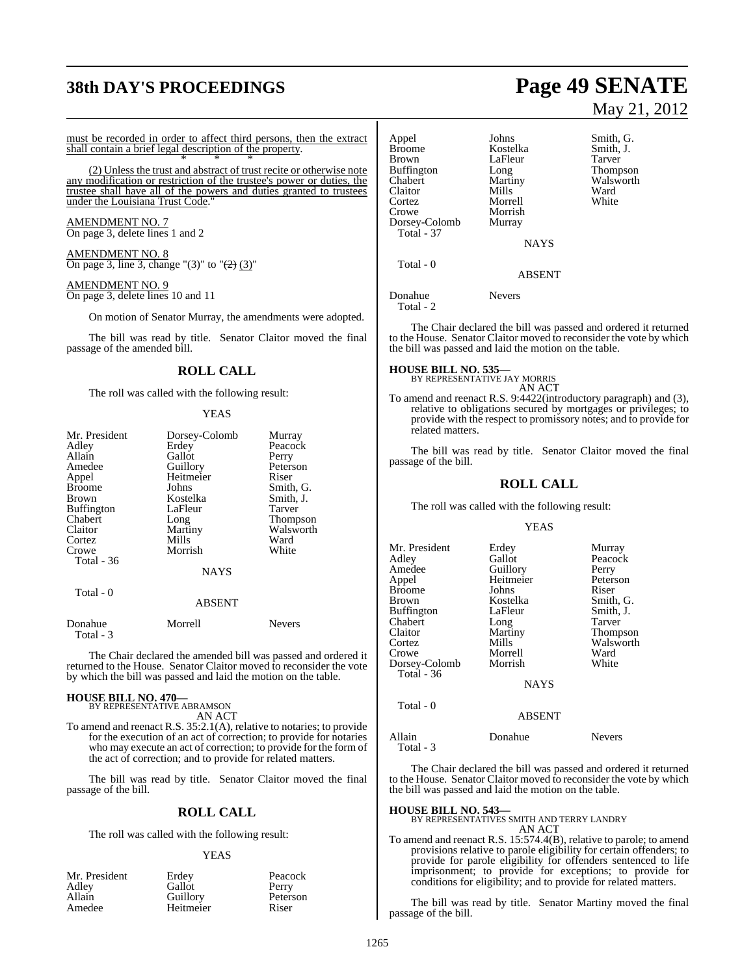# **38th DAY'S PROCEEDINGS Page 49 SENATE**

must be recorded in order to affect third persons, then the extract shall contain a brief legal description of the property. \* \* \*

(2) Unless the trust and abstract of trust recite or otherwise note any modification or restriction of the trustee's power or duties, the trustee shall have all of the powers and duties granted to trustees under the Louisiana Trust Code.

AMENDMENT NO. 7 On page 3, delete lines 1 and 2

AMENDMENT NO. 8 On page 3, line 3, change "(3)" to " $\left(\frac{2}{2}\right)$  (3)"

#### AMENDMENT NO. 9 On page 3, delete lines 10 and 11

On motion of Senator Murray, the amendments were adopted.

The bill was read by title. Senator Claitor moved the final passage of the amended bill.

#### **ROLL CALL**

The roll was called with the following result:

#### YEAS

| Mr. President        | Dorsey-Colomb | Murray        |
|----------------------|---------------|---------------|
| Adley                | Erdey         | Peacock       |
| Allain               | Gallot        | Perry         |
| Amedee               | Guillory      | Peterson      |
| Appel                | Heitmeier     | Riser         |
| <b>Broome</b>        | Johns         | Smith, G.     |
| Brown                | Kostelka      | Smith, J.     |
| <b>Buffington</b>    | LaFleur       | Tarver        |
| Chabert              | Long          | Thompson      |
| Claitor              | Martiny       | Walsworth     |
| Cortez               | Mills         | Ward          |
| Crowe                | Morrish       | White         |
| Total - 36           |               |               |
|                      | <b>NAYS</b>   |               |
| Total - 0            |               |               |
|                      | <b>ABSENT</b> |               |
| Donahue<br>Total - 3 | Morrell       | <b>Nevers</b> |

The Chair declared the amended bill was passed and ordered it returned to the House. Senator Claitor moved to reconsider the vote by which the bill was passed and laid the motion on the table.

#### **HOUSE BILL NO. 470—**

BY REPRESENTATIVE ABRAMSON AN ACT

To amend and reenact R.S. 35:2.1(A), relative to notaries; to provide for the execution of an act of correction; to provide for notaries who may execute an act of correction; to provide for the form of the act of correction; and to provide for related matters.

The bill was read by title. Senator Claitor moved the final passage of the bill.

#### **ROLL CALL**

The roll was called with the following result:

#### YEAS

| Mr. President |  |
|---------------|--|
| Adley         |  |
| Allain        |  |
| Amedee        |  |

Erdey Peacock<br>Gallot Perry Gallot<br>Guillory Heitmeier

Peterson<br>Riser

# May 21, 2012

Appel Johns Smith, G.<br>Broome Kostelka Smith, J. Broome Kostelka Smith, J.<br>Brown LaFleur Tarver Brown LaFleur<br>Buffington Long Buffington Long Thompson<br>Chabert Martiny Walsworth Martiny Walsworth<br>
Mills Ward Claitor Mills Ward<br>Cortez Morrell White Cortez Morrell<br>Crowe Morrish Morrish<br>Murray Dorsey-Colomb Total - 37 **NAYS**  Total - 0 **ABSENT** Donahue Nevers Total - 2

The Chair declared the bill was passed and ordered it returned to the House. Senator Claitor moved to reconsider the vote by which the bill was passed and laid the motion on the table.

**HOUSE BILL NO. 535—** BY REPRESENTATIVE JAY MORRIS

AN ACT

To amend and reenact R.S. 9:4422(introductory paragraph) and (3), relative to obligations secured by mortgages or privileges; to provide with the respect to promissory notes; and to provide for related matters.

The bill was read by title. Senator Claitor moved the final passage of the bill.

#### **ROLL CALL**

The roll was called with the following result:

#### YEAS

| Erdey       | Murray                     |
|-------------|----------------------------|
| Gallot      | Peacock                    |
| Guillory    | Perry                      |
|             | Peterson                   |
| Johns       | Riser                      |
| Kostelka    | Smith, G.                  |
| LaFleur     | Smith, J.                  |
|             | Tarver                     |
| Martiny     | Thompson                   |
|             | Walsworth                  |
| Morrell     | Ward                       |
| Morrish     | White                      |
|             |                            |
| <b>NAYS</b> |                            |
|             | Heitmeier<br>Long<br>Mills |

Total - 0

Allain

ABSENT

| llain     | Donahue | <b>Nevers</b> |
|-----------|---------|---------------|
| Total - 3 |         |               |

The Chair declared the bill was passed and ordered it returned to the House. Senator Claitor moved to reconsider the vote by which the bill was passed and laid the motion on the table.

**HOUSE BILL NO. 543—** BY REPRESENTATIVES SMITH AND TERRY LANDRY AN ACT

To amend and reenact R.S. 15:574.4(B), relative to parole; to amend provisions relative to parole eligibility for certain offenders; to provide for parole eligibility for offenders sentenced to life imprisonment; to provide for exceptions; to provide for conditions for eligibility; and to provide for related matters.

The bill was read by title. Senator Martiny moved the final passage of the bill.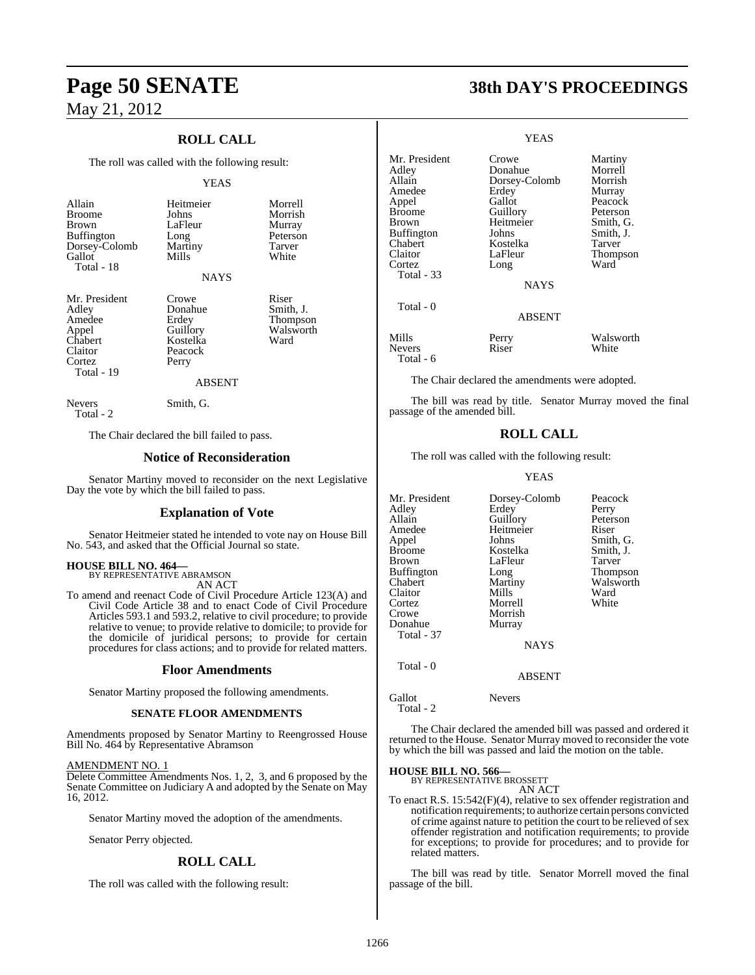### **ROLL CALL**

The roll was called with the following result:

#### YEAS

| Allain        | Heitmeier     | Morrell   |
|---------------|---------------|-----------|
| <b>Broome</b> | Johns         | Morrish   |
| <b>Brown</b>  | LaFleur       | Murray    |
| Buffington    | Long          | Peterson  |
| Dorsey-Colomb | Martiny       | Tarver    |
| Gallot        | Mills         | White     |
| Total - 18    |               |           |
|               | <b>NAYS</b>   |           |
| Mr. President | Crowe         | Riser     |
| Adley         | Donahue       | Smith, J. |
| Amedee        | Erdey         | Thompson  |
| Appel         | Guillory      | Walsworth |
| Chabert       | Kostelka      | Ward      |
| Claitor       | Peacock       |           |
| Cortez        | Perry         |           |
| Total - 19    |               |           |
|               | <b>ABSENT</b> |           |
| <b>Nevers</b> | Smith, G.     |           |

Total - 2

The Chair declared the bill failed to pass.

#### **Notice of Reconsideration**

Senator Martiny moved to reconsider on the next Legislative Day the vote by which the bill failed to pass.

#### **Explanation of Vote**

Senator Heitmeier stated he intended to vote nay on House Bill No. 543, and asked that the Official Journal so state.

# **HOUSE BILL NO. 464—** BY REPRESENTATIVE ABRAMSON

AN ACT

To amend and reenact Code of Civil Procedure Article 123(A) and Civil Code Article 38 and to enact Code of Civil Procedure Articles 593.1 and 593.2, relative to civil procedure; to provide relative to venue; to provide relative to domicile; to provide for the domicile of juridical persons; to provide for certain procedures for class actions; and to provide for related matters.

#### **Floor Amendments**

Senator Martiny proposed the following amendments.

#### **SENATE FLOOR AMENDMENTS**

Amendments proposed by Senator Martiny to Reengrossed House Bill No. 464 by Representative Abramson

#### AMENDMENT NO. 1

Delete Committee Amendments Nos. 1, 2, 3, and 6 proposed by the Senate Committee on Judiciary A and adopted by the Senate on May 16, 2012.

Senator Martiny moved the adoption of the amendments.

Senator Perry objected.

#### **ROLL CALL**

The roll was called with the following result:

# **Page 50 SENATE 38th DAY'S PROCEEDINGS**

|                                                                                                                                                  | YEAS                                                                                                                  |                                                                                                                        |
|--------------------------------------------------------------------------------------------------------------------------------------------------|-----------------------------------------------------------------------------------------------------------------------|------------------------------------------------------------------------------------------------------------------------|
| Mr. President<br>Adley<br>Allain<br>Amedee<br>Appel<br><b>Broome</b><br>Brown<br><b>Buffington</b><br>Chabert<br>Claitor<br>Cortez<br>Total - 33 | Crowe<br>Donahue<br>Dorsey-Colomb<br>Erdey<br>Gallot<br>Guillory<br>Heitmeier<br>Johns<br>Kostelka<br>LaFleur<br>Long | Martiny<br>Morrell<br>Morrish<br>Murray<br>Peacock<br>Peterson<br>Smith, G.<br>Smith, J.<br>Tarver<br>Thompson<br>Ward |
|                                                                                                                                                  | NAYS                                                                                                                  |                                                                                                                        |
| Total - 0                                                                                                                                        | <b>ABSENT</b>                                                                                                         |                                                                                                                        |
| Mills<br><b>Nevers</b><br>Total - 6                                                                                                              | Perry<br>Riser                                                                                                        | Walsworth<br>White                                                                                                     |

The Chair declared the amendments were adopted.

The bill was read by title. Senator Murray moved the final passage of the amended bill.

#### **ROLL CALL**

The roll was called with the following result:

YEAS

| Mr. President<br>Adley<br>Allain<br>Amedee<br>Appel<br>Broome<br>Brown<br>Buffington<br>Chabert<br>Claitor<br>Cortez<br>Crowe<br>Donahue<br>Total - 37 | Dorsey-Colomb<br>Erdey<br>Guillory<br>Heitmeier<br>Johns<br>Kostelka<br>LaFleur<br>Long<br>Martiny<br>Mills<br>Morrell<br>Morrish<br>Murray<br><b>NAYS</b> | Peacock<br>Perry<br>Peterson<br>Riser<br>Smith, G.<br>Smith, J.<br>Tarver<br>Thompson<br>Walsworth<br>Ward<br>White |
|--------------------------------------------------------------------------------------------------------------------------------------------------------|------------------------------------------------------------------------------------------------------------------------------------------------------------|---------------------------------------------------------------------------------------------------------------------|
| Total - 0                                                                                                                                              | <b>ABSENT</b>                                                                                                                                              |                                                                                                                     |

Gallot Nevers Total - 2

The Chair declared the amended bill was passed and ordered it returned to the House. Senator Murray moved to reconsider the vote by which the bill was passed and laid the motion on the table.

#### **HOUSE BILL NO. 566—**

BY REPRESENTATIVE BROSSETT AN ACT

To enact R.S. 15:542(F)(4), relative to sex offender registration and notification requirements; to authorize certain persons convicted of crime against nature to petition the court to be relieved of sex offender registration and notification requirements; to provide for exceptions; to provide for procedures; and to provide for related matters.

The bill was read by title. Senator Morrell moved the final passage of the bill.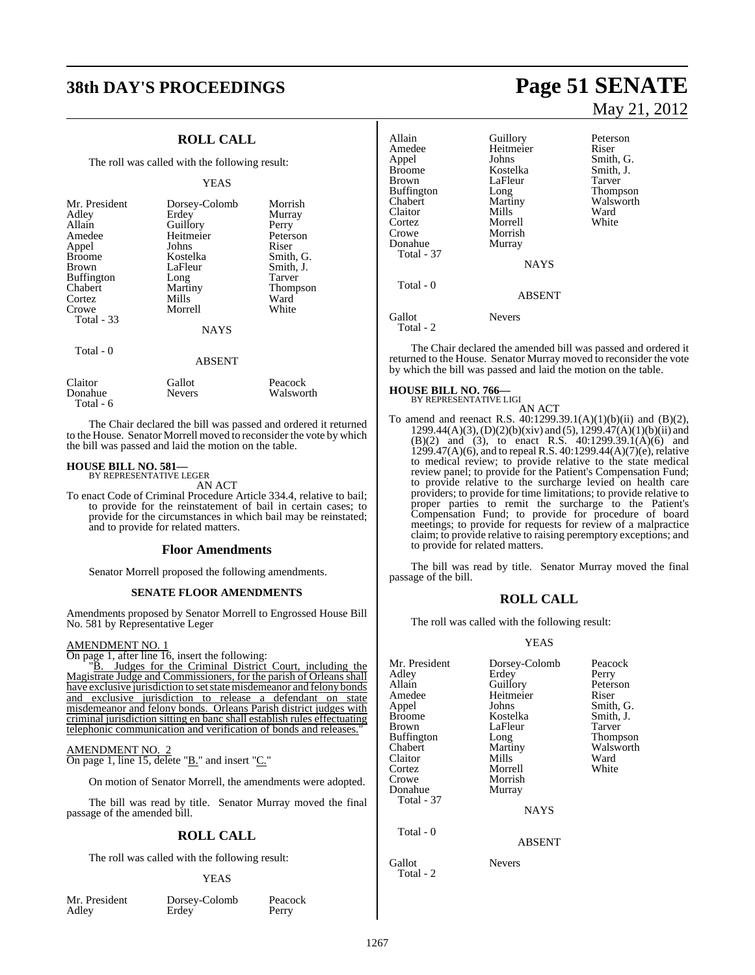# **38th DAY'S PROCEEDINGS Page 51 SENATE**

### **ROLL CALL**

The roll was called with the following result:

#### YEAS

| Mr. President<br>Adley<br>Allain<br>Amedee<br>Appel<br><b>Broome</b><br><b>Brown</b><br><b>Buffington</b><br>Chabert<br>Cortez<br>Crowe<br>Total - 33 | Dorsey-Colomb<br>Erdey<br>Guillory<br>Heitmeier<br>Johns<br>Kostelka<br>LaFleur<br>Long<br>Martiny<br>Mills<br>Morrell<br><b>NAYS</b> | Morrish<br>Murray<br>Perry<br>Peterson<br>Riser<br>Smith, G.<br>Smith, J.<br>Tarver<br>Thompson<br>Ward<br>White |
|-------------------------------------------------------------------------------------------------------------------------------------------------------|---------------------------------------------------------------------------------------------------------------------------------------|------------------------------------------------------------------------------------------------------------------|
| Total - 0                                                                                                                                             | <b>ABSENT</b>                                                                                                                         |                                                                                                                  |
| Claitor                                                                                                                                               | Gallot                                                                                                                                | Peacock                                                                                                          |

Donahue Nevers Walsworth Total - 6

The Chair declared the bill was passed and ordered it returned to the House. Senator Morrell moved to reconsider the vote by which the bill was passed and laid the motion on the table.

# **HOUSE BILL NO. 581—** BY REPRESENTATIVE LEGER

AN ACT

To enact Code of Criminal Procedure Article 334.4, relative to bail; to provide for the reinstatement of bail in certain cases; to provide for the circumstances in which bail may be reinstated; and to provide for related matters.

#### **Floor Amendments**

Senator Morrell proposed the following amendments.

#### **SENATE FLOOR AMENDMENTS**

Amendments proposed by Senator Morrell to Engrossed House Bill No. 581 by Representative Leger

#### AMENDMENT NO. 1

On page 1, after line 16, insert the following:

"B. Judges for the Criminal District Court, including the Magistrate Judge and Commissioners, for the parish of Orleans shall have exclusive jurisdiction to set state misdemeanor and felony bonds and exclusive jurisdiction to release a defendant on state misdemeanor and felony bonds. Orleans Parish district judges with criminal jurisdiction sitting en banc shall establish rules effectuating telephonic communication and verification of bonds and releases.

#### AMENDMENT NO. 2 On page 1, line 15, delete "B." and insert "C."

On motion of Senator Morrell, the amendments were adopted.

The bill was read by title. Senator Murray moved the final passage of the amended bill.

#### **ROLL CALL**

The roll was called with the following result:

#### YEAS

|       | Mr. President |  |
|-------|---------------|--|
| Adley |               |  |
|       |               |  |

President Dorsey-Colomb Peacock<br>
Perry Erdey Perry Adley Erdey Perry

May 21, 2012

Allain Guillory Peterson<br>Amedee Heitmeier Riser Amedee Heitmeier<br>Appel Johns Appel  $\begin{array}{ccc} \text{Johns} & \text{Smith, G.} \\ \text{Broome} & \text{Kostelka} & \text{Smith, J.} \end{array}$ Broome Kostelka Smith, J.<br>Brown I.aFleur Tarver LaFleur Tarver<br>
Long Thompson Buffington Long<br>Chabert Martiny Martiny Walsworth<br>
Mills Ward Claitor Mills Ward<br>Cortez Morrell White Cortez Morrell<br>Crowe Morrish Morrish<br>Murray Donahue Total - 37 **NAYS**  Total - 0 ABSENT Gallot Nevers Total - 2

The Chair declared the amended bill was passed and ordered it returned to the House. Senator Murray moved to reconsider the vote by which the bill was passed and laid the motion on the table.

#### **HOUSE BILL NO. 766—**

BY REPRESENTATIVE LIGI

AN ACT To amend and reenact R.S. 40:1299.39.1(A)(1)(b)(ii) and (B)(2),  $1299.44(A)(3)$ ,  $(D)(2)(b)(xiv)$  and  $(5)$ ,  $1299.47(A)(1)(b)(ii)$  and (B)(2) and (3), to enact R.S. 40:1299.39.1(A)(6) and 1299.47(A)(6), and to repeal R.S. 40:1299.44(A)(7)(e), relative to medical review; to provide relative to the state medical review panel; to provide for the Patient's Compensation Fund; to provide relative to the surcharge levied on health care providers; to provide for time limitations; to provide relative to proper parties to remit the surcharge to the Patient's Compensation Fund; to provide for procedure of board meetings; to provide for requests for review of a malpractice claim; to provide relative to raising peremptory exceptions; and to provide for related matters.

The bill was read by title. Senator Murray moved the final passage of the bill.

#### **ROLL CALL**

The roll was called with the following result:

#### YEAS

| Mr. President        | Dorsey-Colomb | Peacock   |
|----------------------|---------------|-----------|
| Adley                | Erdey         | Perry     |
| Allain               | Guillory      | Peterson  |
| Amedee               | Heitmeier     | Riser     |
| Appel                | Johns         | Smith, G. |
| Broome               | Kostelka      | Smith, J. |
| Brown                | LaFleur       | Tarver    |
| Buffington           | Long          | Thompson  |
| Chabert              | Martiny       | Walsworth |
| Claitor              | Mills         | Ward      |
| Cortez               | Morrell       | White     |
| Crowe                | Morrish       |           |
| Donahue              | Murray        |           |
| Total - 37           |               |           |
|                      | <b>NAYS</b>   |           |
| Total - 0            |               |           |
|                      | <b>ABSENT</b> |           |
| Gallot<br>Total $-2$ | <b>Nevers</b> |           |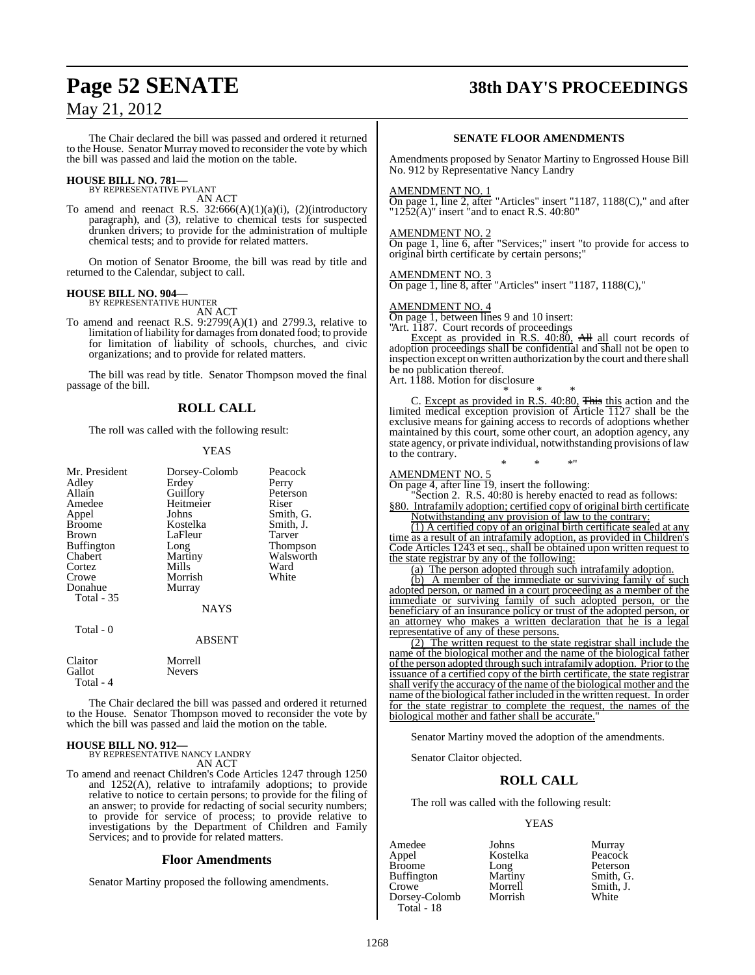# **Page 52 SENATE 38th DAY'S PROCEEDINGS**

## May 21, 2012

The Chair declared the bill was passed and ordered it returned to the House. Senator Murray moved to reconsider the vote by which the bill was passed and laid the motion on the table.

# **HOUSE BILL NO. 781—** BY REPRESENTATIVE PYLANT

AN ACT

To amend and reenact R.S. 32:666(A)(1)(a)(i), (2)(introductory paragraph), and (3), relative to chemical tests for suspected drunken drivers; to provide for the administration of multiple chemical tests; and to provide for related matters.

On motion of Senator Broome, the bill was read by title and returned to the Calendar, subject to call.

#### **HOUSE BILL NO. 904—**

BY REPRESENTATIVE HUNTER AN ACT

To amend and reenact R.S. 9:2799(A)(1) and 2799.3, relative to limitation of liability for damages from donated food; to provide for limitation of liability of schools, churches, and civic organizations; and to provide for related matters.

The bill was read by title. Senator Thompson moved the final passage of the bill.

#### **ROLL CALL**

The roll was called with the following result:

#### YEAS

| Mr. President<br>Adley<br>Allain<br>Amedee<br>Appel<br><b>Broome</b><br>Brown<br><b>Buffington</b><br>Chabert<br>Cortez<br>Crowe | Dorsey-Colomb<br>Erdey<br>Guillory<br>Heitmeier<br>Johns<br>Kostelka<br>LaFleur<br>Long<br>Martiny<br>Mills<br>Morrish | Peacock<br>Perry<br>Peterson<br>Riser<br>Smith, G.<br>Smith, J.<br>Tarver<br>Thompson<br>Walsworth<br>Ward<br>White |
|----------------------------------------------------------------------------------------------------------------------------------|------------------------------------------------------------------------------------------------------------------------|---------------------------------------------------------------------------------------------------------------------|
| Donahue<br>Total - 35<br>Total - 0                                                                                               | Murray<br><b>NAYS</b>                                                                                                  |                                                                                                                     |
|                                                                                                                                  | <b>ABSENT</b>                                                                                                          |                                                                                                                     |
| Claitor<br>Gallot                                                                                                                | Morrell<br>Nevers                                                                                                      |                                                                                                                     |

The Chair declared the bill was passed and ordered it returned to the House. Senator Thompson moved to reconsider the vote by which the bill was passed and laid the motion on the table.

# **HOUSE BILL NO. 912—** BY REPRESENTATIVE NANCY LANDRY

Total - 4

AN ACT

To amend and reenact Children's Code Articles 1247 through 1250 and 1252(A), relative to intrafamily adoptions; to provide relative to notice to certain persons; to provide for the filing of an answer; to provide for redacting of social security numbers; to provide for service of process; to provide relative to investigations by the Department of Children and Family Services; and to provide for related matters.

#### **Floor Amendments**

Senator Martiny proposed the following amendments.

#### **SENATE FLOOR AMENDMENTS**

Amendments proposed by Senator Martiny to Engrossed House Bill No. 912 by Representative Nancy Landry

#### AMENDMENT NO. 1

On page 1, line 2, after "Articles" insert "1187, 1188(C)," and after " $12\overline{5}2\overline{A}$ )" insert "and to enact R.S. 40:80"

#### AMENDMENT NO. 2

On page 1, line 6, after "Services;" insert "to provide for access to original birth certificate by certain persons;"

#### AMENDMENT NO. 3

On page 1, line 8, after "Articles" insert "1187, 1188(C),"

#### AMENDMENT NO. 4

On page 1, between lines 9 and 10 insert:

"Art. 1187. Court records of proceedings Except as provided in R.S. 40:80, All all court records of adoption proceedings shall be confidential and shall not be open to inspection except on written authorization by the court and there shall be no publication thereof.

Art. 1188. Motion for disclosure

\* \* \* C. Except as provided in R.S. 40:80, This this action and the limited medical exception provision of Article 1127 shall be the exclusive means for gaining access to records of adoptions whether maintained by this court, some other court, an adoption agency, any state agency, or private individual, notwithstanding provisions of law to the contrary.

\* \* \*"

## AMENDMENT NO. 5

On page 4, after line 19, insert the following:

Section 2. R.S. 40:80 is hereby enacted to read as follows: §80. Intrafamily adoption; certified copy of original birth certificate

Notwithstanding any provision of law to the contrary:

(1) A certified copy of an original birth certificate sealed at any time as a result of an intrafamily adoption, as provided in Children's Code Articles 1243 et seq., shall be obtained upon written request to the state registrar by any of the following:

(a) The person adopted through such intrafamily adoption.

(b) A member of the immediate or surviving family of such adopted person, or named in a court proceeding as a member of the immediate or surviving family of such adopted person, or the beneficiary of an insurance policy or trust of the adopted person, or an attorney who makes a written declaration that he is a legal representative of any of these persons.

(2) The written request to the state registrar shall include the name of the biological mother and the name of the biological father ofthe person adopted through such intrafamily adoption. Prior to the issuance of a certified copy of the birth certificate, the state registrar shall verify the accuracy of the name of the biological mother and the name of the biological father included in the written request. In order for the state registrar to complete the request, the names of the biological mother and father shall be accurate.

Senator Martiny moved the adoption of the amendments.

Senator Claitor objected.

#### **ROLL CALL**

The roll was called with the following result:

#### YEAS

Amedee Johns Murray<br>Appel Kostelka Peacock Broome Long Peterson<br>Buffington Martiny Smith, G. Buffington Martiny<br>Crowe Morrell Dorsey-Colomb Total - 18

Kostelka Peacock<br>Long Peterson Morrell Smith, J.<br>
Morrish White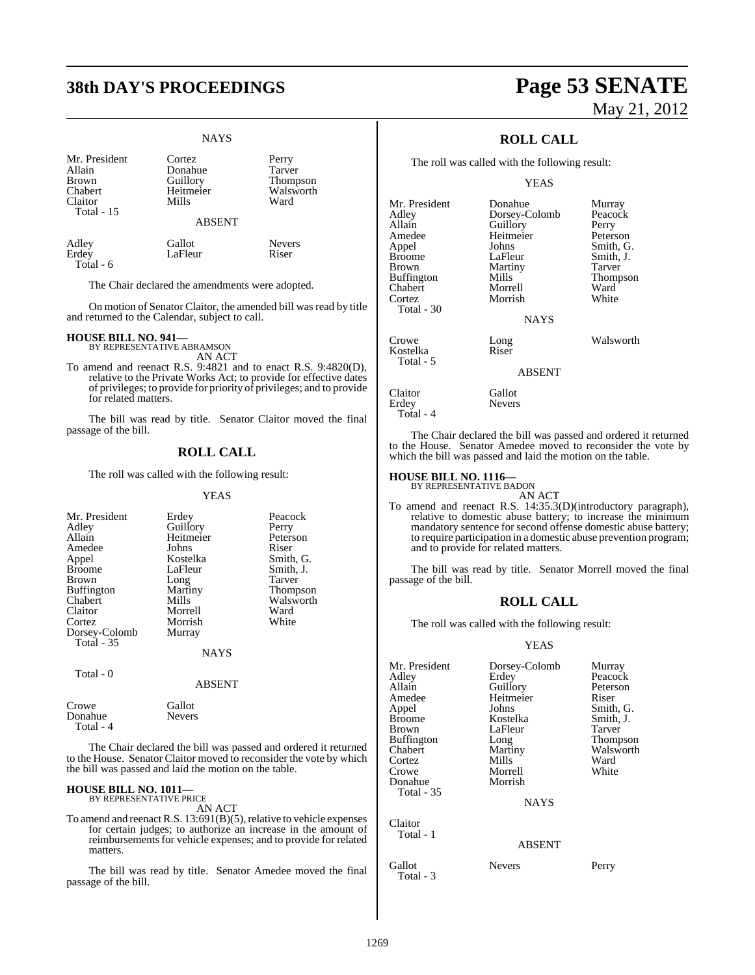#### NAYS

| Mr. President                    | Cortez             | Perry             |
|----------------------------------|--------------------|-------------------|
| Allain                           | Donahue            | Tarver            |
| <b>Brown</b>                     | Guillory           | <b>Thompson</b>   |
| Chabert<br>Claitor<br>Total - 15 | Heitmeier<br>Mills | Walsworth<br>Ward |
|                                  | <b>ABSENT</b>      |                   |
| Adley                            | Gallot             | <b>Nevers</b>     |
| Erdey                            | LaFleur            | Riser             |

Total - 6

The Chair declared the amendments were adopted.

On motion of Senator Claitor, the amended bill was read by title and returned to the Calendar, subject to call.

#### **HOUSE BILL NO. 941—**

BY REPRESENTATIVE ABRAMSON AN ACT

To amend and reenact R.S. 9:4821 and to enact R.S. 9:4820(D), relative to the Private Works Act; to provide for effective dates of privileges; to provide for priority of privileges; and to provide for related matters.

The bill was read by title. Senator Claitor moved the final passage of the bill.

### **ROLL CALL**

The roll was called with the following result:

#### YEAS

| Mr. President<br>Adley<br>Allain<br>Amedee<br>Appel<br><b>Broome</b><br><b>Brown</b><br><b>Buffington</b><br>Chabert<br>Claitor<br>Cortez<br>Dorsey-Colomb<br>Total $-35$ | Erdey<br>Guillory<br>Heitmeier<br>Johns<br>Kostelka<br>LaFleur<br>Long<br>Martiny<br>Mills<br>Morrell<br>Morrish<br>Murray<br><b>NAYS</b> | Peacock<br>Perry<br>Peterson<br>Riser<br>Smith, G.<br>Smith, J.<br>Tarver<br><b>Thompson</b><br>Walsworth<br>Ward<br>White |
|---------------------------------------------------------------------------------------------------------------------------------------------------------------------------|-------------------------------------------------------------------------------------------------------------------------------------------|----------------------------------------------------------------------------------------------------------------------------|
| Total - 0                                                                                                                                                                 | <b>ABSENT</b>                                                                                                                             |                                                                                                                            |
| Crowe                                                                                                                                                                     | Gallot                                                                                                                                    |                                                                                                                            |

| Crowe     | станог        |  |
|-----------|---------------|--|
| Donahue   | <b>Nevers</b> |  |
| Total - 4 |               |  |
|           |               |  |

The Chair declared the bill was passed and ordered it returned to the House. Senator Claitor moved to reconsider the vote by which the bill was passed and laid the motion on the table.

#### **HOUSE BILL NO. 1011—**

BY REPRESENTATIVE PRICE AN ACT

To amend and reenact R.S.  $13:691(B)(5)$ , relative to vehicle expenses for certain judges; to authorize an increase in the amount of reimbursements for vehicle expenses; and to provide for related matters.

The bill was read by title. Senator Amedee moved the final passage of the bill.

# **38th DAY'S PROCEEDINGS Page 53 SENATE** May 21, 2012

## **ROLL CALL**

The roll was called with the following result:

YEAS

| Mr. President     | Donahue       | Murray    |
|-------------------|---------------|-----------|
| Adley             | Dorsey-Colomb | Peacock   |
| Allain            | Guillory      | Perry     |
| Amedee            | Heitmeier     | Peterson  |
| Appel             | Johns         | Smith, G. |
| <b>Broome</b>     | LaFleur       | Smith, J. |
| Brown             | Martiny       | Tarver    |
| <b>Buffington</b> | Mills         | Thompson  |
| Chabert           | Morrell       | Ward      |
| Cortez            | Morrish       | White     |
| Total - 30        |               |           |
|                   | <b>NAYS</b>   |           |
| Crowe             | Long          | Walsworth |
| Kostelka          | Riser         |           |
| Total - 5         | <b>ABSENT</b> |           |
| Claitor           | Gallot        |           |
| $\mathbf{r}$ 1    | $\mathbf{r}$  |           |

Erdey Nevers Total - 4

The Chair declared the bill was passed and ordered it returned to the House. Senator Amedee moved to reconsider the vote by which the bill was passed and laid the motion on the table.

# **HOUSE BILL NO. 1116—** BY REPRESENTATIVE BADON

AN ACT

To amend and reenact R.S. 14:35.3(D)(introductory paragraph), relative to domestic abuse battery; to increase the minimum mandatory sentence for second offense domestic abuse battery; to require participation in a domestic abuse prevention program; and to provide for related matters.

The bill was read by title. Senator Morrell moved the final passage of the bill.

#### **ROLL CALL**

The roll was called with the following result:

#### YEAS

| Mr. President     | Dorsey-Colomb | Murray    |
|-------------------|---------------|-----------|
| Adley             | Erdey         | Peacock   |
| Allain            | Guillory      | Peterson  |
| Amedee            | Heitmeier     | Riser     |
| Appel             | Johns         | Smith, G. |
| <b>Broome</b>     | Kostelka      | Smith, J. |
| Brown             | LaFleur       | Tarver    |
| <b>Buffington</b> | Long          | Thompson  |
| Chabert           | Martiny       | Walsworth |
| Cortez            | Mills         | Ward      |
| Crowe             | Morrell       | White     |
| Donahue           | Morrish       |           |
| <b>Total - 35</b> |               |           |
|                   | <b>NAYS</b>   |           |
| Claitor           |               |           |
| Total - 1         |               |           |
|                   | <b>ABSENT</b> |           |
| Gallot            | Nevers        | Perry     |

Total - 3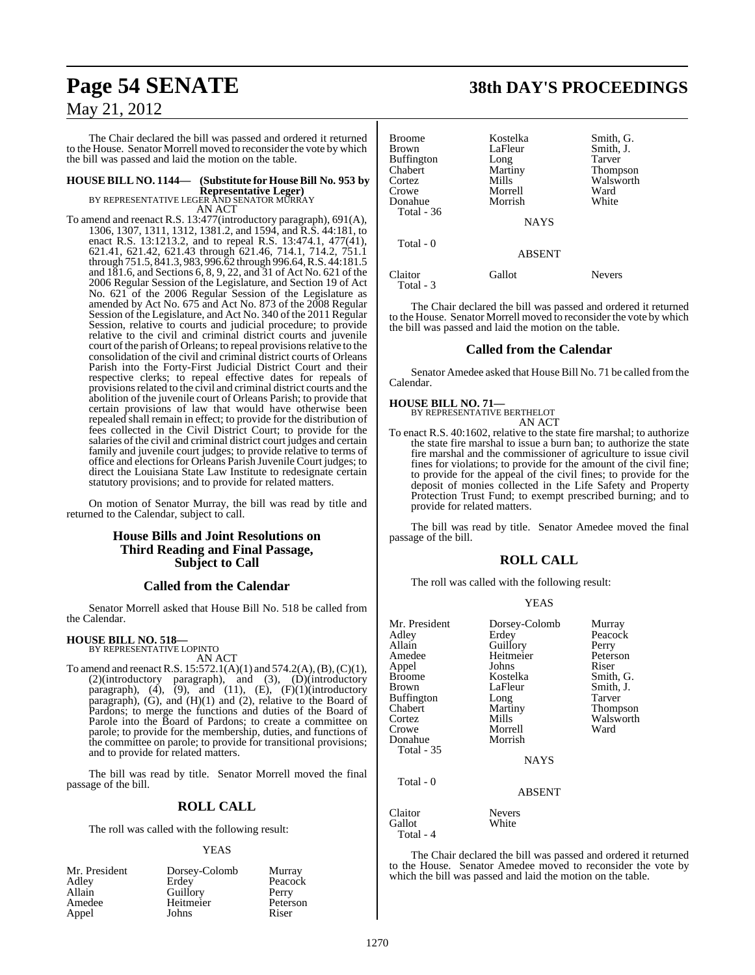The Chair declared the bill was passed and ordered it returned to the House. Senator Morrell moved to reconsider the vote by which the bill was passed and laid the motion on the table.

# **HOUSE BILL NO. 1144— (Substitute for HouseBill No. 953 by Representative Leger)**<br>BY REPRESENTATIVE LEGER AND SENATOR MURRAY<br>AN ACT

To amend and reenact R.S. 13:477(introductory paragraph), 691(A), 1306, 1307, 1311, 1312, 1381.2, and 1594, and R.S. 44:181, to enact R.S. 13:1213.2, and to repeal R.S. 13:474.1, 477(41), 621.41, 621.42, 621.43 through 621.46, 714.1, 714.2, 751.1 through 751.5, 841.3, 983, 996.62 through 996.64, R.S. 44:181.5 and 181.6, and Sections 6, 8, 9, 22, and 31 of Act No. 621 of the 2006 Regular Session of the Legislature, and Section 19 of Act No. 621 of the 2006 Regular Session of the Legislature as amended by Act No. 675 and Act No. 873 of the 2008 Regular Session of the Legislature, and Act No. 340 of the 2011 Regular Session, relative to courts and judicial procedure; to provide relative to the civil and criminal district courts and juvenile court of the parish of Orleans; to repeal provisions relative to the consolidation of the civil and criminal district courts of Orleans Parish into the Forty-First Judicial District Court and their respective clerks; to repeal effective dates for repeals of provisions related to the civil and criminal district courts and the abolition of the juvenile court of Orleans Parish; to provide that certain provisions of law that would have otherwise been repealed shall remain in effect; to provide for the distribution of fees collected in the Civil District Court; to provide for the salaries of the civil and criminal district court judges and certain family and juvenile court judges; to provide relative to terms of office and electionsfor Orleans Parish Juvenile Court judges; to direct the Louisiana State Law Institute to redesignate certain statutory provisions; and to provide for related matters.

On motion of Senator Murray, the bill was read by title and returned to the Calendar, subject to call.

#### **House Bills and Joint Resolutions on Third Reading and Final Passage, Subject to Call**

#### **Called from the Calendar**

Senator Morrell asked that House Bill No. 518 be called from the Calendar.

#### **HOUSE BILL NO. 518—**

BY REPRESENTATIVE LOPINTO

AN ACT To amend and reenactR.S. 15:572.1(A)(1) and 574.2(A),(B),(C)(1), (2)(introductory paragraph), and (3), (D)(introductory paragraph),  $(4)$ ,  $(9)$ , and  $(11)$ ,  $(E)$ ,  $(F)(1)$ (introductory paragraph), (G), and (H)(1) and (2), relative to the Board of Pardons; to merge the functions and duties of the Board of Parole into the Board of Pardons; to create a committee on parole; to provide for the membership, duties, and functions of the committee on parole; to provide for transitional provisions; and to provide for related matters.

The bill was read by title. Senator Morrell moved the final passage of the bill.

## **ROLL CALL**

The roll was called with the following result:

#### YEAS

| Mr. President | Dorsey-Colomb | Murray   |
|---------------|---------------|----------|
| Adley         | Erdey         | Peacock  |
| Allain        | Guillory      | Perry    |
| Amedee        | Heitmeier     | Peterson |
| Appel         | Johns         | Riser    |

# **Page 54 SENATE 38th DAY'S PROCEEDINGS**

| Broome<br>Brown<br>Buffington<br>Chabert<br>Cortez<br>Crowe<br>Donahue<br>Total - 36 | Kostelka<br>LaFleur<br>Long<br>Martiny<br>Mills<br>Morrell<br>Morrish<br><b>NAYS</b> | Smith, G.<br>Smith, J.<br>Tarver<br><b>Thompson</b><br>Walsworth<br>Ward<br>White |
|--------------------------------------------------------------------------------------|--------------------------------------------------------------------------------------|-----------------------------------------------------------------------------------|
| Total - 0                                                                            | <b>ABSENT</b>                                                                        |                                                                                   |
| Claitor<br>Total - 3                                                                 | Gallot                                                                               | <b>Nevers</b>                                                                     |

The Chair declared the bill was passed and ordered it returned to the House. Senator Morrell moved to reconsider the vote by which the bill was passed and laid the motion on the table.

#### **Called from the Calendar**

Senator Amedee asked that House Bill No. 71 be called fromthe Calendar.

# **HOUSE BILL NO. 71—** BY REPRESENTATIVE BERTHELOT

AN ACT

To enact R.S. 40:1602, relative to the state fire marshal; to authorize the state fire marshal to issue a burn ban; to authorize the state fire marshal and the commissioner of agriculture to issue civil fines for violations; to provide for the amount of the civil fine; to provide for the appeal of the civil fines; to provide for the deposit of monies collected in the Life Safety and Property Protection Trust Fund; to exempt prescribed burning; and to provide for related matters.

The bill was read by title. Senator Amedee moved the final passage of the bill.

#### **ROLL CALL**

The roll was called with the following result:

#### YEAS

| Mr. President<br>Adley<br>Allain<br>Amedee<br>Appel<br><b>Broome</b><br>Brown<br><b>Buffington</b><br>Chabert<br>Cortez<br>Crowe<br>Donahue<br><b>Total - 35</b> | Dorsey-Colomb<br>Erdey<br>Guillory<br>Heitmeier<br>Johns<br>Kostelka<br>LaFleur<br>Long<br>Martiny<br>Mills<br>Morrell<br>Morrish<br><b>NAYS</b> | Murray<br>Peacock<br>Perry<br>Peterson<br>Riser<br>Smith, G.<br>Smith, J.<br>Tarver<br>Thompson<br>Walsworth<br>Ward |
|------------------------------------------------------------------------------------------------------------------------------------------------------------------|--------------------------------------------------------------------------------------------------------------------------------------------------|----------------------------------------------------------------------------------------------------------------------|
| Total - 0                                                                                                                                                        | <b>ABSENT</b>                                                                                                                                    |                                                                                                                      |
| Claitor<br>Gallot                                                                                                                                                | <b>Nevers</b><br>White                                                                                                                           |                                                                                                                      |

Total - 4

The Chair declared the bill was passed and ordered it returned to the House. Senator Amedee moved to reconsider the vote by which the bill was passed and laid the motion on the table.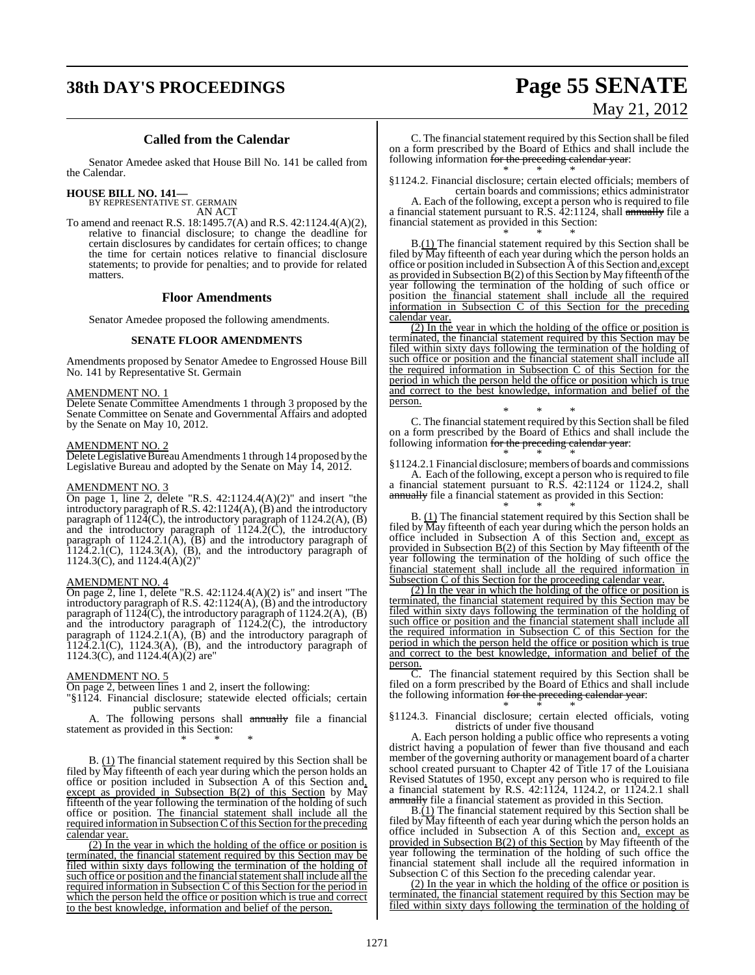# **38th DAY'S PROCEEDINGS Page 55 SENATE**

# May 21, 2012

#### **Called from the Calendar**

Senator Amedee asked that House Bill No. 141 be called from the Calendar.

**HOUSE BILL NO. 141—**

BY REPRESENTATIVE ST. GERMAIN AN ACT

To amend and reenact R.S. 18:1495.7(A) and R.S. 42:1124.4(A)(2), relative to financial disclosure; to change the deadline for certain disclosures by candidates for certain offices; to change the time for certain notices relative to financial disclosure statements; to provide for penalties; and to provide for related matters.

#### **Floor Amendments**

Senator Amedee proposed the following amendments.

#### **SENATE FLOOR AMENDMENTS**

Amendments proposed by Senator Amedee to Engrossed House Bill No. 141 by Representative St. Germain

#### AMENDMENT NO. 1

Delete Senate Committee Amendments 1 through 3 proposed by the Senate Committee on Senate and Governmental Affairs and adopted by the Senate on May 10, 2012.

#### AMENDMENT NO. 2

Delete Legislative Bureau Amendments 1 through 14 proposed by the Legislative Bureau and adopted by the Senate on May 14, 2012.

#### AMENDMENT NO. 3

On page 1, line 2, delete "R.S. 42:1124.4(A)(2)" and insert "the introductory paragraph of R.S. 42:1124(A), (B) and the introductory paragraph of  $112\tilde{4}$ (C), the introductory paragraph of  $1124.2(A)$ , (B) and the introductory paragraph of  $1124.2(\dot{C})$ , the introductory paragraph of 1124.2.1(A),  $\overline{(B)}$  and the introductory paragraph of  $1124.2.1(C)$ ,  $1124.3(A)$ ,  $(B)$ , and the introductory paragraph of 1124.3(C), and 1124.4(A)(2)"

#### AMENDMENT NO. 4

On page 2, line 1, delete "R.S.  $42:1124.4(A)(2)$  is" and insert "The introductory paragraph of R.S. 42:1124(A), (B) and the introductory paragraph of  $112\overline{4}$ (C), the introductory paragraph of  $1124.2(A)$ , (B) and the introductory paragraph of  $1124.2(\hat{C})$ , the introductory paragraph of  $1124.2.1(A)$ ,  $\overline{(B)}$  and the introductory paragraph of  $1124.2.1(C)$ ,  $1124.3(A)$ ,  $(B)$ , and the introductory paragraph of 1124.3(C), and 1124.4(A)(2) are"

#### AMENDMENT NO. 5

On page 2, between lines 1 and 2, insert the following:

"§1124. Financial disclosure; statewide elected officials; certain public servants

A. The following persons shall annually file a financial statement as provided in this Section:

\* \* \* B. (1) The financial statement required by this Section shall be filed by  $\overline{M}$ ay fifteenth of each year during which the person holds an office or position included in Subsection A of this Section and, except as provided in Subsection B(2) of this Section by May fifteenth of the year following the termination of the holding of such office or position. The financial statement shall include all the required information in Subsection C of this Section for the preceding calendar year.

(2) In the year in which the holding of the office or position is terminated, the financial statement required by this Section may be filed within sixty days following the termination of the holding of such office or position and the financial statement shall include all the required information in Subsection C of this Section for the period in which the person held the office or position which is true and correct to the best knowledge, information and belief of the person.

C. The financial statement required by this Section shall be filed on a form prescribed by the Board of Ethics and shall include the following information <del>for the preceding calendar year</del>: \* \* \*

§1124.2. Financial disclosure; certain elected officials; members of certain boards and commissions; ethics administrator

A. Each of the following, except a person who is required to file a financial statement pursuant to R.S. 42:1124, shall annually file a financial statement as provided in this Section: \* \* \*

B.(1) The financial statement required by this Section shall be filed by  $\overline{M}$ ay fifteenth of each year during which the person holds an office or position included in Subsection A of this Section and, except as provided in Subsection  $B(2)$  of this Section by May fifteenth of the year following the termination of the holding of such office or position the financial statement shall include all the required information in Subsection C of this Section for the preceding calendar year.

(2) In the year in which the holding of the office or position is terminated, the financial statement required by this Section may be filed within sixty days following the termination of the holding of such office or position and the financial statement shall include all the required information in Subsection C of this Section for the period in which the person held the office or position which is true and correct to the best knowledge, information and belief of the person.

\* \* \* C. The financial statement required by this Section shall be filed on a form prescribed by the Board of Ethics and shall include the following information for the preceding calendar year: \* \* \*

§1124.2.1 Financial disclosure; members of boards and commissions A. Each of the following, except a person who is required to file

a financial statement pursuant to R.S. 42:1124 or 1124.2, shall annually file a financial statement as provided in this Section: \* \* \*

B. (1) The financial statement required by this Section shall be filed by  $\overline{M}$ ay fifteenth of each year during which the person holds an office included in Subsection A of this Section and, except as provided in Subsection B(2) of this Section by May fifteenth of the year following the termination of the holding of such office the financial statement shall include all the required information in Subsection C of this Section for the proceeding calendar year.

(2) In the year in which the holding of the office or position is terminated, the financial statement required by this Section may be filed within sixty days following the termination of the holding of such office or position and the financial statement shall include all the required information in Subsection C of this Section for the period in which the person held the office or position which is true and correct to the best knowledge, information and belief of the person.

 $\overline{C}$ . The financial statement required by this Section shall be filed on a form prescribed by the Board of Ethics and shall include the following information for the preceding calendar year: \* \* \*

§1124.3. Financial disclosure; certain elected officials, voting districts of under five thousand

A. Each person holding a public office who represents a voting district having a population of fewer than five thousand and each member of the governing authority or management board of a charter school created pursuant to Chapter 42 of Title 17 of the Louisiana Revised Statutes of 1950, except any person who is required to file a financial statement by R.S. 42:1124, 1124.2, or 1124.2.1 shall annually file a financial statement as provided in this Section.

 $B(\underline{1})$  The financial statement required by this Section shall be filed by  $\overline{M}$ ay fifteenth of each year during which the person holds an office included in Subsection A of this Section and, except as provided in Subsection B(2) of this Section by May fifteenth of the year following the termination of the holding of such office the financial statement shall include all the required information in Subsection C of this Section fo the preceding calendar year.

(2) In the year in which the holding of the office or position is terminated, the financial statement required by this Section may be filed within sixty days following the termination of the holding of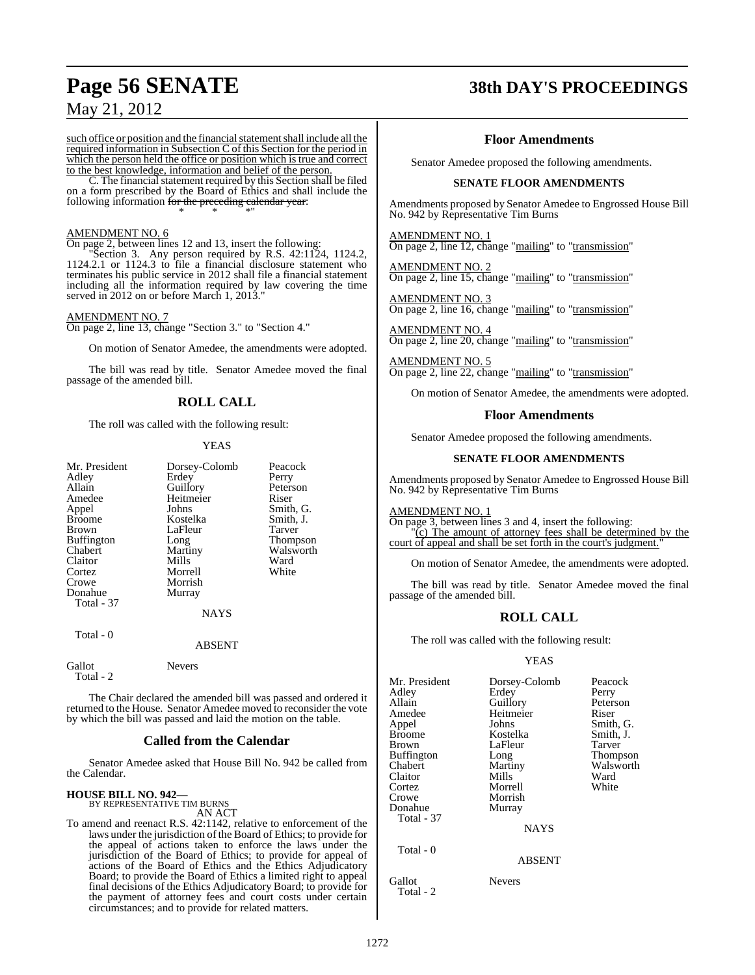such office or position and the financial statement shall include all the required information in Subsection C of this Section for the period in which the person held the office or position which is true and correct to the best knowledge, information and belief of the person.

C. The financial statement required by this Section shall be filed on a form prescribed by the Board of Ethics and shall include the following information <del>for the preceding calendar year</del>: \* \* \*"

#### AMENDMENT NO. 6

On page 2, between lines 12 and 13, insert the following:

"Section 3. Any person required by R.S. 42:1124, 1124.2, 1124.2.1 or 1124.3 to file a financial disclosure statement who terminates his public service in 2012 shall file a financial statement including all the information required by law covering the time served in 2012 on or before March 1, 2013."

#### AMENDMENT NO. 7

On page 2, line 13, change "Section 3." to "Section 4."

On motion of Senator Amedee, the amendments were adopted.

The bill was read by title. Senator Amedee moved the final passage of the amended bill.

## **ROLL CALL**

The roll was called with the following result:

#### YEAS

| Mr. President<br>Adley<br>Allain<br>Amedee<br>Appel<br><b>Broome</b><br>Brown<br><b>Buffington</b><br>Chabert<br>Claitor | Dorsey-Colomb<br>Erdey<br>Guillory<br>Heitmeier<br>Johns<br>Kostelka<br>LaFleur<br>Long<br>Martiny<br>Mills | Peacock<br>Perry<br>Peterson<br>Riser<br>Smith, G.<br>Smith, J.<br>Tarver<br>Thompson<br>Walsworth<br>Ward |
|--------------------------------------------------------------------------------------------------------------------------|-------------------------------------------------------------------------------------------------------------|------------------------------------------------------------------------------------------------------------|
| Cortez<br>Crowe<br>Donahue<br>Total - 37                                                                                 | Morrell<br>Morrish<br>Murray                                                                                | White                                                                                                      |
| Total - 0                                                                                                                | <b>NAYS</b><br>ARSENT                                                                                       |                                                                                                            |

Nevers

| Gallot |  |
|--------|--|
| Total  |  |

The Chair declared the amended bill was passed and ordered it returned to the House. Senator Amedee moved to reconsider the vote by which the bill was passed and laid the motion on the table.

#### **Called from the Calendar**

Senator Amedee asked that House Bill No. 942 be called from the Calendar.

# **HOUSE BILL NO. 942—** BY REPRESENTATIVE TIM BURNS

AN ACT

To amend and reenact R.S. 42:1142, relative to enforcement of the laws under the jurisdiction of the Board of Ethics; to provide for the appeal of actions taken to enforce the laws under the jurisdiction of the Board of Ethics; to provide for appeal of actions of the Board of Ethics and the Ethics Adjudicatory Board; to provide the Board of Ethics a limited right to appeal final decisions of the Ethics Adjudicatory Board; to provide for the payment of attorney fees and court costs under certain circumstances; and to provide for related matters.

# **Page 56 SENATE 38th DAY'S PROCEEDINGS**

#### **Floor Amendments**

Senator Amedee proposed the following amendments.

#### **SENATE FLOOR AMENDMENTS**

Amendments proposed by Senator Amedee to Engrossed House Bill No. 942 by Representative Tim Burns

AMENDMENT NO. 1

On page 2, line 12, change "mailing" to "transmission"

AMENDMENT NO. 2 On page 2, line 15, change "mailing" to "transmission"

AMENDMENT NO. 3 On page 2, line 16, change "mailing" to "transmission"

AMENDMENT NO. 4 On page 2, line 20, change "mailing" to "transmission"

AMENDMENT NO. 5 On page 2, line 22, change "mailing" to "transmission"

On motion of Senator Amedee, the amendments were adopted.

#### **Floor Amendments**

Senator Amedee proposed the following amendments.

#### **SENATE FLOOR AMENDMENTS**

Amendments proposed by Senator Amedee to Engrossed House Bill No. 942 by Representative Tim Burns

AMENDMENT NO. 1

On page 3, between lines 3 and 4, insert the following: "(c) The amount of attorney fees shall be determined by the court of appeal and shall be set forth in the court's judgment.

On motion of Senator Amedee, the amendments were adopted.

The bill was read by title. Senator Amedee moved the final passage of the amended bill.

#### **ROLL CALL**

The roll was called with the following result:

#### YEAS

| Mr. President<br>Adley<br>Allain<br>Amedee<br>Appel<br>Broome<br>Brown<br>Buffington<br>Chabert<br>Claitor<br>Cortez<br>Crowe<br>Donahue<br><b>Total - 37</b><br>Total - 0 | Dorsey-Colomb<br>Erdey<br>Guillory<br>Heitmeier<br>Johns<br>Kostelka<br>LaFleur<br>Long<br>Martiny<br>Mills<br>Morrell<br>Morrish<br>Murray<br><b>NAYS</b><br><b>ABSENT</b> | Peacock<br>Perry<br>Peterson<br>Riser<br>Smith, G.<br>Smith, J.<br>Tarver<br>Thompson<br>Walsworth<br>Ward<br>White |
|----------------------------------------------------------------------------------------------------------------------------------------------------------------------------|-----------------------------------------------------------------------------------------------------------------------------------------------------------------------------|---------------------------------------------------------------------------------------------------------------------|
| Gallot                                                                                                                                                                     | <b>Nevers</b>                                                                                                                                                               |                                                                                                                     |
| Total - 2                                                                                                                                                                  |                                                                                                                                                                             |                                                                                                                     |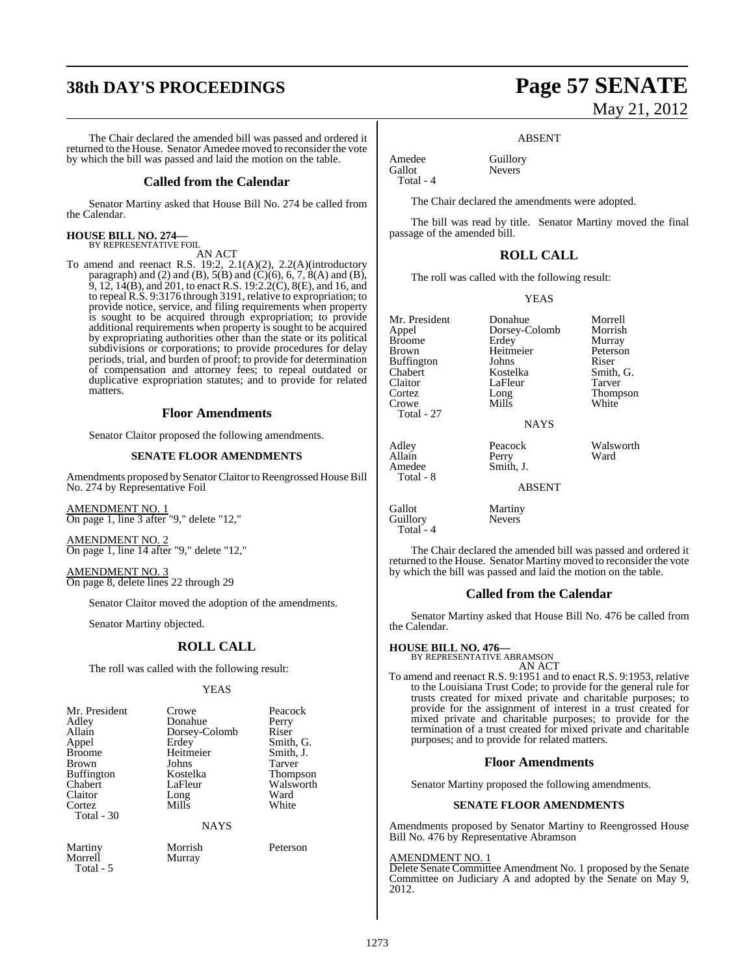# **38th DAY'S PROCEEDINGS Page 57 SENATE**

The Chair declared the amended bill was passed and ordered it returned to the House. Senator Amedee moved to reconsider the vote by which the bill was passed and laid the motion on the table.

#### **Called from the Calendar**

Senator Martiny asked that House Bill No. 274 be called from the Calendar.

# **HOUSE BILL NO. 274—** BY REPRESENTATIVE FOIL

AN ACT

To amend and reenact R.S. 19:2, 2.1(A)(2), 2.2(A)(introductory paragraph) and (2) and (B),  $5(B)$  and (C)(6), 6, 7, 8(A) and (B), 9, 12, 14(B), and 201, to enact R.S. 19:2.2(C), 8(E), and 16, and to repeal R.S. 9:3176 through 3191, relative to expropriation; to provide notice, service, and filing requirements when property is sought to be acquired through expropriation; to provide additional requirements when property is sought to be acquired by expropriating authorities other than the state or its political subdivisions or corporations; to provide procedures for delay periods, trial, and burden of proof; to provide for determination of compensation and attorney fees; to repeal outdated or duplicative expropriation statutes; and to provide for related matters.

#### **Floor Amendments**

Senator Claitor proposed the following amendments.

#### **SENATE FLOOR AMENDMENTS**

Amendments proposed by Senator Claitor to Reengrossed House Bill No. 274 by Representative Foil

AMENDMENT NO. 1 On page 1, line 3 after "9," delete "12,"

AMENDMENT NO. 2 On page 1, line 14 after "9," delete "12,"

AMENDMENT NO. 3 On page 8, delete lines 22 through 29

Senator Claitor moved the adoption of the amendments.

Senator Martiny objected.

#### **ROLL CALL**

The roll was called with the following result:

YEAS

| Crowe       | Peacock               |
|-------------|-----------------------|
| Donahue     | Perry                 |
|             | Riser                 |
| Erdey       | Smith, G.             |
| Heitmeier   | Smith, J.             |
| Johns       | Tarver                |
| Kostelka    | Thompson              |
| LaFleur     | Walsworth             |
|             | Ward                  |
| Mills       | White                 |
|             |                       |
| <b>NAYS</b> |                       |
|             | Dorsey-Colomb<br>Long |

Total - 5

Martiny Morrish Peterson Murray

# May 21, 2012

#### ABSENT

Amedee Guillory<br>Gallot Nevers Total - 4

The Chair declared the amendments were adopted.

**Nevers** 

The bill was read by title. Senator Martiny moved the final passage of the amended bill.

#### **ROLL CALL**

The roll was called with the following result:

YEAS

Mr. President Donahue Morrell<br>
Appel Dorsey-Colomb Morrish Broome Erdey Murray<br>Brown Heitmeier Peterson Buffington Chabert Kostelka Smith, G. Claitor LaFleur<br>Cortez Long Crowe Mills Total - 27 Adley **Peacock** Walsworth<br>Allain Perry Ward

Dorsey-Colomb Morrish<br>Erdey Murray Heitmeier Peters<br>
Iohns Riser

Thompson<br>White

Allain Perry<br>Amedee Smith Smith, J.

ABSENT

NAYS

Gallot Martiny Guillory Nevers Total - 4

Total - 8

The Chair declared the amended bill was passed and ordered it returned to the House. Senator Martiny moved to reconsider the vote by which the bill was passed and laid the motion on the table.

#### **Called from the Calendar**

Senator Martiny asked that House Bill No. 476 be called from the Calendar.

#### **HOUSE BILL NO. 476—**

BY REPRESENTATIVE ABRAMSON AN ACT

To amend and reenact R.S. 9:1951 and to enact R.S. 9:1953, relative to the Louisiana Trust Code; to provide for the general rule for trusts created for mixed private and charitable purposes; to provide for the assignment of interest in a trust created for mixed private and charitable purposes; to provide for the termination of a trust created for mixed private and charitable purposes; and to provide for related matters.

#### **Floor Amendments**

Senator Martiny proposed the following amendments.

#### **SENATE FLOOR AMENDMENTS**

Amendments proposed by Senator Martiny to Reengrossed House Bill No. 476 by Representative Abramson

#### AMENDMENT NO. 1

Delete Senate Committee Amendment No. 1 proposed by the Senate Committee on Judiciary A and adopted by the Senate on May 9, 2012.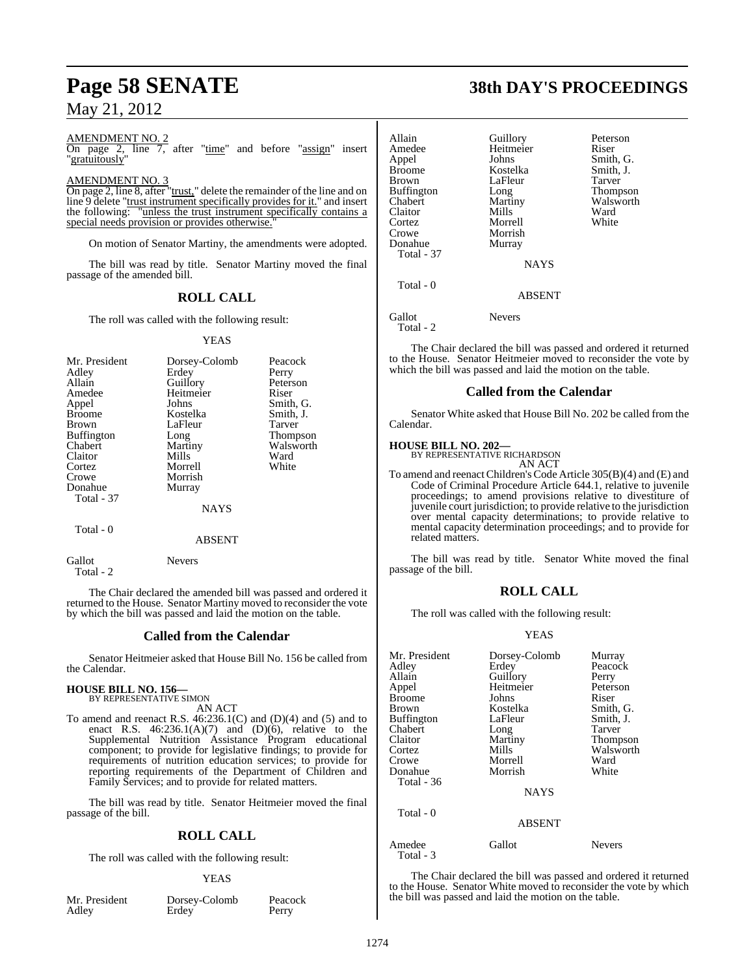#### AMENDMENT NO. 2

On page 2, line 7, after "time" and before "assign" insert "gratuitously"

#### AMENDMENT NO. 3

On page 2, line 8, after "trust," delete the remainder of the line and on line 9 delete "trust instrument specifically provides for it." and insert the following: "unless the trust instrument specifically contains a special needs provision or provides otherwise."

On motion of Senator Martiny, the amendments were adopted.

The bill was read by title. Senator Martiny moved the final passage of the amended bill.

#### **ROLL CALL**

The roll was called with the following result:

#### YEAS

| Mr. President     | Dorsey-Colomb | Peacock   |
|-------------------|---------------|-----------|
| Adley             | Erdey         | Perry     |
| Allain            | Guillory      | Peterson  |
| Amedee            | Heitmeier     | Riser     |
| Appel             | Johns         | Smith, G. |
| <b>Broome</b>     | Kostelka      | Smith, J. |
| Brown             | LaFleur       | Tarver    |
| <b>Buffington</b> | Long          | Thompson  |
| Chabert           | Martiny       | Walsworth |
| Claitor           | Mills         | Ward      |
| Cortez            | Morrell       | White     |
| Crowe             | Morrish       |           |
| Donahue           | Murray        |           |
| Total - 37        |               |           |
|                   | <b>NAYS</b>   |           |
| Total - 0         |               |           |
|                   | ABSENT        |           |

Gallot Nevers Total - 2

The Chair declared the amended bill was passed and ordered it returned to the House. Senator Martiny moved to reconsider the vote by which the bill was passed and laid the motion on the table.

#### **Called from the Calendar**

Senator Heitmeier asked that House Bill No. 156 be called from the Calendar.

#### **HOUSE BILL NO. 156—** BY REPRESENTATIVE SIMON

AN ACT

To amend and reenact R.S. 46:236.1(C) and (D)(4) and (5) and to enact R.S.  $46:236.1(A)(7)$  and  $(D)(6)$ , relative to the Supplemental Nutrition Assistance Program educational component; to provide for legislative findings; to provide for requirements of nutrition education services; to provide for reporting requirements of the Department of Children and Family Services; and to provide for related matters.

The bill was read by title. Senator Heitmeier moved the final passage of the bill.

## **ROLL CALL**

The roll was called with the following result:

#### YEAS

| Mr. President |  |
|---------------|--|
| Adley         |  |

Dorsey-Colomb Peacock<br>Erdey Perry **Erdey** 

# **Page 58 SENATE 38th DAY'S PROCEEDINGS**

| Allain<br>Amedee<br>Appel<br><b>Broome</b><br><b>Brown</b><br><b>Buffington</b><br>Chabert<br>Claitor<br>Cortez<br>Crowe<br>Donahue<br><b>Total - 37</b> | Guillory<br>Heitmeier<br>Johns<br>Kostelka<br>LaFleur<br>Long<br>Martiny<br>Mills<br>Morrell<br>Morrish<br>Murray | Peterson<br>Riser<br>Smith, G.<br>Smith, J.<br>Tarver<br>Thompson<br>Walsworth<br>Ward<br>White |
|----------------------------------------------------------------------------------------------------------------------------------------------------------|-------------------------------------------------------------------------------------------------------------------|-------------------------------------------------------------------------------------------------|
|                                                                                                                                                          | <b>NAYS</b>                                                                                                       |                                                                                                 |
| Total - 0                                                                                                                                                | <b>ABSENT</b>                                                                                                     |                                                                                                 |
| Gallot                                                                                                                                                   | <b>Nevers</b>                                                                                                     |                                                                                                 |

 $Total - 2$ 

The Chair declared the bill was passed and ordered it returned to the House. Senator Heitmeier moved to reconsider the vote by which the bill was passed and laid the motion on the table.

#### **Called from the Calendar**

Senator White asked that House Bill No. 202 be called from the Calendar.

#### **HOUSE BILL NO. 202—**

BY REPRESENTATIVE RICHARDSON AN ACT

To amend and reenact Children's Code Article 305(B)(4) and (E) and Code of Criminal Procedure Article 644.1, relative to juvenile proceedings; to amend provisions relative to divestiture of juvenile court jurisdiction; to provide relative to the jurisdiction over mental capacity determinations; to provide relative to mental capacity determination proceedings; and to provide for related matters.

The bill was read by title. Senator White moved the final passage of the bill.

#### **ROLL CALL**

The roll was called with the following result:

#### YEAS

| Mr. President       | Dorsey-Colomb | Murray        |
|---------------------|---------------|---------------|
| Adley               | Erdey         | Peacock       |
| Allain              | Guillory      | Perry         |
| Appel               | Heitmeier     | Peterson      |
|                     |               | Riser         |
| <b>Broome</b>       | Johns         |               |
| Brown               | Kostelka      | Smith, G.     |
| <b>Buffington</b>   | LaFleur       | Smith, J.     |
| Chabert             | Long          | Tarver        |
| Claitor             | Martiny       | Thompson      |
| Cortez              | Mills         | Walsworth     |
| Crowe               | Morrell       | Ward          |
| Donahue             | Morrish       | White         |
| Total - 36          |               |               |
|                     | <b>NAYS</b>   |               |
| Total - 0           |               |               |
|                     | <b>ABSENT</b> |               |
| Amedee<br>Total - 3 | Gallot        | <b>Nevers</b> |

The Chair declared the bill was passed and ordered it returned to the House. Senator White moved to reconsider the vote by which the bill was passed and laid the motion on the table.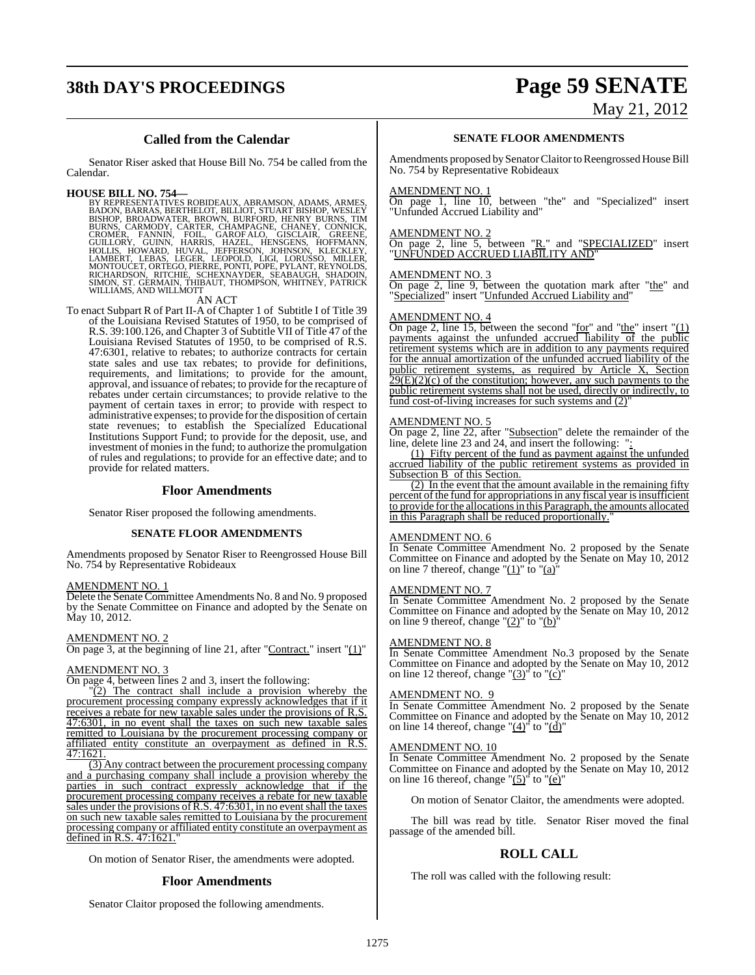# **38th DAY'S PROCEEDINGS Page 59 SENATE**

# May 21, 2012

#### **Called from the Calendar**

Senator Riser asked that House Bill No. 754 be called from the Calendar.

HOUSE BILL NO. 754—<br>
BY REPRESENTATIVES ROBIDEAUX, ABRAMSON, ADAMS, ARMES, BADON, BARRAS, BERTHELOT, BILLIOT, STUART BISHOP, WESLEY<br>
BISHOP, BROADWATER, BROWN, BURFORD, HENRY BURNS, TIM<br>
BURNS, CARMODY, CARTER, CHAMPAGNE,

AN ACT<br>To enact Subpart R of Part II-A of Chapter 1 of Subtitle I of Title 39 of the Louisiana Revised Statutes of 1950, to be comprised of R.S. 39:100.126, and Chapter 3 of Subtitle VII of Title 47 of the Louisiana Revised Statutes of 1950, to be comprised of R.S. 47:6301, relative to rebates; to authorize contracts for certain state sales and use tax rebates; to provide for definitions, requirements, and limitations; to provide for the amount, approval, and issuance of rebates; to provide for the recapture of rebates under certain circumstances; to provide relative to the payment of certain taxes in error; to provide with respect to administrative expenses; to provide forthe disposition of certain state revenues; to establish the Specialized Educational Institutions Support Fund; to provide for the deposit, use, and investment of monies in the fund; to authorize the promulgation of rules and regulations; to provide for an effective date; and to provide for related matters.

#### **Floor Amendments**

Senator Riser proposed the following amendments.

#### **SENATE FLOOR AMENDMENTS**

Amendments proposed by Senator Riser to Reengrossed House Bill No. 754 by Representative Robideaux

#### AMENDMENT NO. 1

Delete the Senate Committee Amendments No. 8 and No. 9 proposed by the Senate Committee on Finance and adopted by the Senate on May 10, 2012.

#### AMENDMENT NO. 2

On page 3, at the beginning of line 21, after "Contract." insert "(1)"

#### AMENDMENT NO. 3

On page 4, between lines 2 and 3, insert the following:

 $\sqrt{2}$ ) The contract shall include a provision whereby the procurement processing company expressly acknowledges that if it receives a rebate for new taxable sales under the provisions of R.S. 47:6301, in no event shall the taxes on such new taxable sales remitted to Louisiana by the procurement processing company or affiliated entity constitute an overpayment as defined in R.S. 47:1621.

(3) Any contract between the procurement processing company and a purchasing company shall include a provision whereby the parties in such contract expressly acknowledge that if the procurement processing company receives a rebate for new taxable sales under the provisions of R.S. 47:6301, in no event shall the taxes on such new taxable sales remitted to Louisiana by the procurement processing company or affiliated entity constitute an overpayment as defined in R.S. 47:1621.

On motion of Senator Riser, the amendments were adopted.

#### **Floor Amendments**

Senator Claitor proposed the following amendments.

#### **SENATE FLOOR AMENDMENTS**

Amendments proposed by Senator Claitor to Reengrossed House Bill No. 754 by Representative Robideaux

#### AMENDMENT NO. 1

On page 1, line 10, between "the" and "Specialized" insert "Unfunded Accrued Liability and"

#### AMENDMENT NO. 2

On page 2, line 5, between "R." and "SPECIALIZED" insert "UNFUNDED ACCRUED LIABILITY AND"

#### AMENDMENT NO. 3

On page 2, line 9, between the quotation mark after "the" and "Specialized" insert "Unfunded Accrued Liability and"

#### AMENDMENT NO. 4

On page 2, line 15, between the second "for" and "the" insert "(1) payments against the unfunded accrued liability of the public retirement systems which are in addition to any payments required for the annual amortization of the unfunded accrued liability of the public retirement systems, as required by Article X, Section  $29(E)(2)(c)$  of the constitution; however, any such payments to the public retirement systems shall not be used, directly or indirectly, to fund cost-of-living increases for such systems and (2)"

#### AMENDMENT NO. 5

On page 2, line 22, after "Subsection" delete the remainder of the line, delete line 23 and 24, and insert the following: ":

(1) Fifty percent of the fund as payment against the unfunded accrued liability of the public retirement systems as provided in Subsection B of this Section.

(2) In the event that the amount available in the remaining fifty percent of the fund for appropriations in any fiscal year is insufficient to provide forthe allocationsin this Paragraph, the amounts allocated in this Paragraph shall be reduced proportionally.

#### AMENDMENT NO. 6

In Senate Committee Amendment No. 2 proposed by the Senate Committee on Finance and adopted by the Senate on May 10, 2012 on line 7 thereof, change " $(1)$ " to " $(a)$ "

#### AMENDMENT NO. 7

In Senate Committee Amendment No. 2 proposed by the Senate Committee on Finance and adopted by the Senate on May 10, 2012 on line 9 thereof, change " $(2)$ " to " $(b)$ "

#### AMENDMENT NO. 8

In Senate Committee Amendment No.3 proposed by the Senate Committee on Finance and adopted by the Senate on May 10, 2012 on line 12 thereof, change " $(3)$ " to " $(c)$ "

#### AMENDMENT NO. 9

In Senate Committee Amendment No. 2 proposed by the Senate Committee on Finance and adopted by the Senate on May 10, 2012 on line 14 thereof, change " $(4)$ " to " $(d)$ "

#### AMENDMENT NO. 10

In Senate Committee Amendment No. 2 proposed by the Senate Committee on Finance and adopted by the Senate on May 10, 2012 on line 16 thereof, change " $(5)$ " to " $(e)$ "

On motion of Senator Claitor, the amendments were adopted.

The bill was read by title. Senator Riser moved the final passage of the amended bill.

#### **ROLL CALL**

The roll was called with the following result: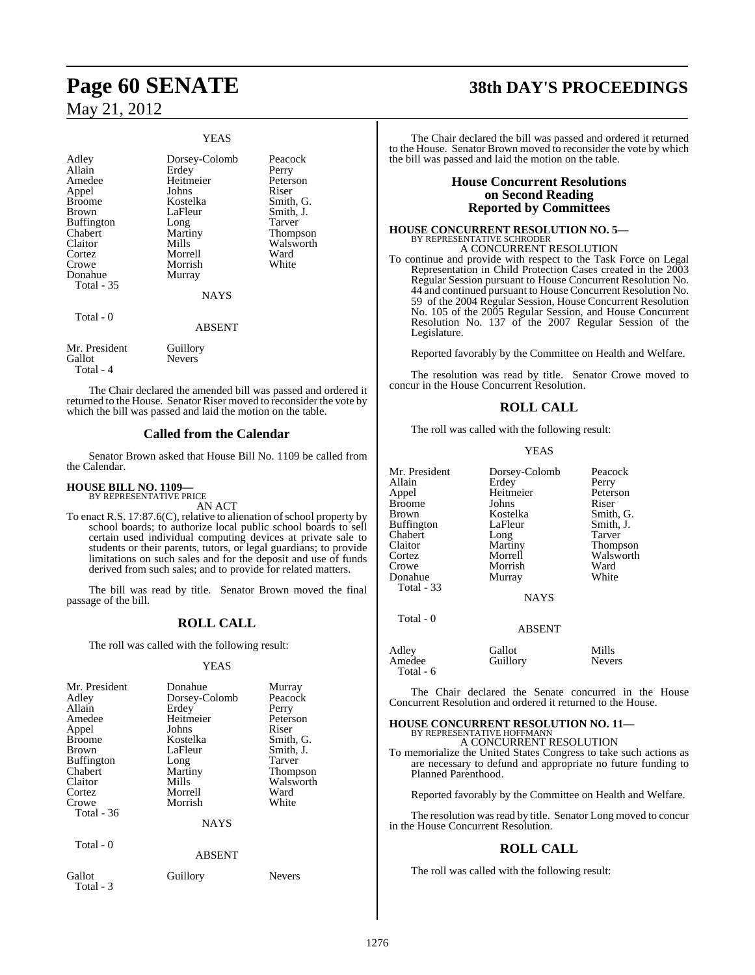#### YEAS

| Adley<br>Allain<br>Amedee<br>Appel<br><b>Broome</b><br>Brown<br><b>Buffington</b><br>Chabert<br>Claitor<br>Cortez<br>Crowe<br>Donahue<br>Total - 35 | Dorsey-Colomb<br>Erdey<br>Heitmeier<br>Johns<br>Kostelka<br>LaFleur<br>Long<br>Martiny<br>Mills<br>Morrell<br>Morrish<br>Murray<br><b>NAYS</b> | Peacock<br>Perry<br>Peterson<br>Riser<br>Smith, G.<br>Smith, J.<br>Tarver<br>Thompson<br>Walsworth<br>Ward<br>White |
|-----------------------------------------------------------------------------------------------------------------------------------------------------|------------------------------------------------------------------------------------------------------------------------------------------------|---------------------------------------------------------------------------------------------------------------------|
| Total - 0                                                                                                                                           | <b>ABSENT</b>                                                                                                                                  |                                                                                                                     |
| Mr. President<br>Gallot<br>Total - 4                                                                                                                | Guillory<br><b>Nevers</b>                                                                                                                      |                                                                                                                     |

The Chair declared the amended bill was passed and ordered it returned to the House. Senator Riser moved to reconsider the vote by which the bill was passed and laid the motion on the table.

#### **Called from the Calendar**

Senator Brown asked that House Bill No. 1109 be called from the Calendar.

#### **HOUSE BILL NO. 1109—** BY REPRESENTATIVE PRICE

AN ACT

To enact R.S.  $17:87.6(C)$ , relative to alienation of school property by school boards; to authorize local public school boards to sell certain used individual computing devices at private sale to students or their parents, tutors, or legal guardians; to provide limitations on such sales and for the deposit and use of funds derived from such sales; and to provide for related matters.

The bill was read by title. Senator Brown moved the final passage of the bill.

## **ROLL CALL**

The roll was called with the following result:

#### YEAS

| Mr. President<br>Adley<br>Allain<br>Amedee<br>Appel<br><b>Broome</b><br>Brown<br><b>Buffington</b><br>Chabert<br>Claitor<br>Cortez<br>Crowe<br>Total $-36$ | Donahue<br>Dorsey-Colomb<br>Erdey<br>Heitmeier<br>Johns<br>Kostelka<br>LaFleur<br>Long<br>Martiny<br>Mills<br>Morrell<br>Morrish | Murray<br>Peacock<br>Perry<br>Peterson<br>Riser<br>Smith, G.<br>Smith, J.<br>Tarver<br>Thompson<br>Walsworth<br>Ward<br>White |
|------------------------------------------------------------------------------------------------------------------------------------------------------------|----------------------------------------------------------------------------------------------------------------------------------|-------------------------------------------------------------------------------------------------------------------------------|
|                                                                                                                                                            | <b>NAYS</b>                                                                                                                      |                                                                                                                               |
| Total - 0                                                                                                                                                  | <b>ABSENT</b>                                                                                                                    |                                                                                                                               |
| Gallot                                                                                                                                                     | Guillory                                                                                                                         | <b>Nevers</b>                                                                                                                 |

# Total - 3

# **Page 60 SENATE 38th DAY'S PROCEEDINGS**

The Chair declared the bill was passed and ordered it returned to the House. Senator Brown moved to reconsider the vote by which the bill was passed and laid the motion on the table.

#### **House Concurrent Resolutions on Second Reading Reported by Committees**

#### **HOUSE CONCURRENT RESOLUTION NO. 5—** BY REPRESENTATIVE SCHRODER A CONCURRENT RESOLUTION

To continue and provide with respect to the Task Force on Legal Representation in Child Protection Cases created in the 2003 Regular Session pursuant to House Concurrent Resolution No. 44 and continued pursuant to House Concurrent Resolution No. 59 of the 2004 Regular Session, House Concurrent Resolution No. 105 of the 2005 Regular Session, and House Concurrent Resolution No. 137 of the 2007 Regular Session of the Legislature.

Reported favorably by the Committee on Health and Welfare.

The resolution was read by title. Senator Crowe moved to concur in the House Concurrent Resolution.

#### **ROLL CALL**

The roll was called with the following result:

#### YEAS

| Mr. President<br>Allain<br>Appel<br>Broome<br>Brown<br>Buffington<br>Chabert | Dorsey-Colomb<br>Erdey<br>Heitmeier<br>Johns<br>Kostelka<br>LaFleur<br>Long | Peacock<br>Perry<br>Peterson<br>Riser<br>Smith, G.<br>Smith, J.<br>Tarver |
|------------------------------------------------------------------------------|-----------------------------------------------------------------------------|---------------------------------------------------------------------------|
| Claitor                                                                      | Martiny                                                                     | <b>Thompson</b>                                                           |
| Cortez                                                                       | Morrell                                                                     | Walsworth                                                                 |
| Crowe                                                                        | Morrish                                                                     | Ward                                                                      |
| Donahue                                                                      | Murray                                                                      | White                                                                     |
| Total - 33                                                                   |                                                                             |                                                                           |
|                                                                              | <b>NAYS</b>                                                                 |                                                                           |
| Total - 0                                                                    | <b>ABSENT</b>                                                               |                                                                           |
|                                                                              |                                                                             |                                                                           |

| Adley     | Gallot   | Mills         |
|-----------|----------|---------------|
| Amedee    | Guillory | <b>Nevers</b> |
| Total - 6 |          |               |

The Chair declared the Senate concurred in the House Concurrent Resolution and ordered it returned to the House.

#### **HOUSE CONCURRENT RESOLUTION NO. 11—** BY REPRESENTATIVE HOFFMANN

A CONCURRENT RESOLUTION

To memorialize the United States Congress to take such actions as are necessary to defund and appropriate no future funding to Planned Parenthood.

Reported favorably by the Committee on Health and Welfare.

The resolution was read by title. Senator Long moved to concur in the House Concurrent Resolution.

#### **ROLL CALL**

The roll was called with the following result: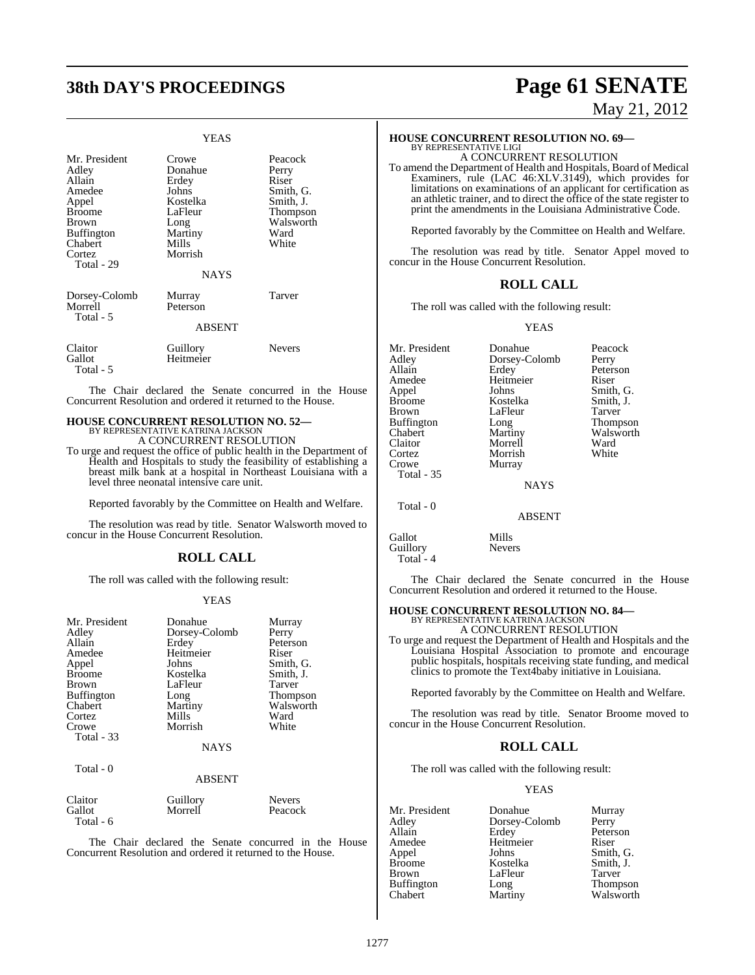# **38th DAY'S PROCEEDINGS Page 61 SENATE**

#### YEAS

| Mr. President<br>Adley<br>Allain<br>Amedee<br>Appel<br><b>Broome</b><br>Brown<br><b>Buffington</b><br>Chabert<br>Cortez<br>Total - 29 | Crowe<br>Donahue<br>Erdey<br>Johns<br>Kostelka<br>LaFleur<br>Long<br>Martiny<br>Mills<br>Morrish<br><b>NAYS</b> | Peacock<br>Perry<br>Riser<br>Smith, G.<br>Smith, J.<br>Thompson<br>Walsworth<br>Ward<br>White |
|---------------------------------------------------------------------------------------------------------------------------------------|-----------------------------------------------------------------------------------------------------------------|-----------------------------------------------------------------------------------------------|
| Dorsey-Colomb<br>Morrell<br>Total - 5                                                                                                 | Murray<br>Peterson<br><b>ABSENT</b>                                                                             | Tarver                                                                                        |
| Claitor<br>Gallot<br>Total - 5                                                                                                        | Guillory<br>Heitmeier                                                                                           | <b>Nevers</b>                                                                                 |

The Chair declared the Senate concurred in the House Concurrent Resolution and ordered it returned to the House.

# **HOUSE CONCURRENT RESOLUTION NO. 52—** BY REPRESENTATIVE KATRINA JACKSON

A CONCURRENT RESOLUTION

To urge and request the office of public health in the Department of Health and Hospitals to study the feasibility of establishing a breast milk bank at a hospital in Northeast Louisiana with a level three neonatal intensive care unit.

Reported favorably by the Committee on Health and Welfare.

The resolution was read by title. Senator Walsworth moved to concur in the House Concurrent Resolution.

#### **ROLL CALL**

The roll was called with the following result:

#### YEAS

| Mr. President     | Donahue       | Murray    |
|-------------------|---------------|-----------|
| Adley             | Dorsey-Colomb | Perry     |
| Allain            | Erdey         | Peterson  |
| Amedee            | Heitmeier     | Riser     |
| Appel             | Johns         | Smith, G. |
| <b>Broome</b>     | Kostelka      | Smith, J. |
| Brown             | LaFleur       | Tarver    |
| <b>Buffington</b> | Long          | Thompson  |
| Chabert           | Martiny       | Walsworth |
| Cortez            | Mills         | Ward      |
| Crowe             | Morrish       | White     |
| Total - 33        |               |           |
|                   | <b>NAYS</b>   |           |
| Total - 0         |               |           |
|                   | <b>ABSENT</b> |           |
| Claitor           | Guillory      | Nevers    |
| Gallot            | Morrell       | Peacock   |

The Chair declared the Senate concurred in the House Concurrent Resolution and ordered it returned to the House.

Total - 6

Peacock

# May 21, 2012

#### **HOUSE CONCURRENT RESOLUTION NO. 69—**

BY REPRESENTATIVE LIGI A CONCURRENT RESOLUTION

To amend the Department of Health and Hospitals, Board of Medical Examiners, rule (LAC 46:XLV.3149), which provides for limitations on examinations of an applicant for certification as an athletic trainer, and to direct the office of the state register to print the amendments in the Louisiana Administrative Code.

Reported favorably by the Committee on Health and Welfare.

The resolution was read by title. Senator Appel moved to concur in the House Concurrent Resolution.

#### **ROLL CALL**

The roll was called with the following result:

YEAS

| Mr. President     | Donahue       | Peacock   |
|-------------------|---------------|-----------|
| Adley             | Dorsey-Colomb | Perry     |
| Allain            | Erdey         | Peterson  |
| Amedee            | Heitmeier     | Riser     |
| Appel             | Johns         | Smith, G. |
| <b>Broome</b>     | Kostelka      | Smith, J. |
| Brown             | LaFleur       | Tarver    |
| <b>Buffington</b> | Long          | Thompson  |
| Chabert           | Martiny       | Walsworth |
| Claitor           | Morrell       | Ward      |
| Cortez            | Morrish       | White     |
| Crowe             | Murray        |           |
| <b>Total - 35</b> |               |           |
|                   | <b>NAYS</b>   |           |
| Total - 0         |               |           |
|                   | <b>ABSENT</b> |           |
| Gallot            | Mills         |           |
| Guillory          | <b>Nevers</b> |           |

Total - 4

The Chair declared the Senate concurred in the House Concurrent Resolution and ordered it returned to the House.

# **HOUSE CONCURRENT RESOLUTION NO. 84—** BY REPRESENTATIVE KATRINA JACKSON

A CONCURRENT RESOLUTION

To urge and request the Department of Health and Hospitals and the Louisiana Hospital Association to promote and encourage public hospitals, hospitals receiving state funding, and medical clinics to promote the Text4baby initiative in Louisiana.

Reported favorably by the Committee on Health and Welfare.

The resolution was read by title. Senator Broome moved to concur in the House Concurrent Resolution.

#### **ROLL CALL**

The roll was called with the following result:

#### YEAS

Mr. President Donahue Murray<br>Adley Dorsey-Colomb Perry Adley Dorsey-Colomb Perry Allain Erdey Peterson<br>Amedee Heitmeier Riser Heitmeier<br>Johns Appel Johns Smith, G.<br>Broome Kostelka Smith, J. Broome Kostelka Smith,<br>Brown LaFleur Tarver Buffington Long<br>Chabert Marti

LaFleur Tarver<br>
Long Thompson Martiny Walsworth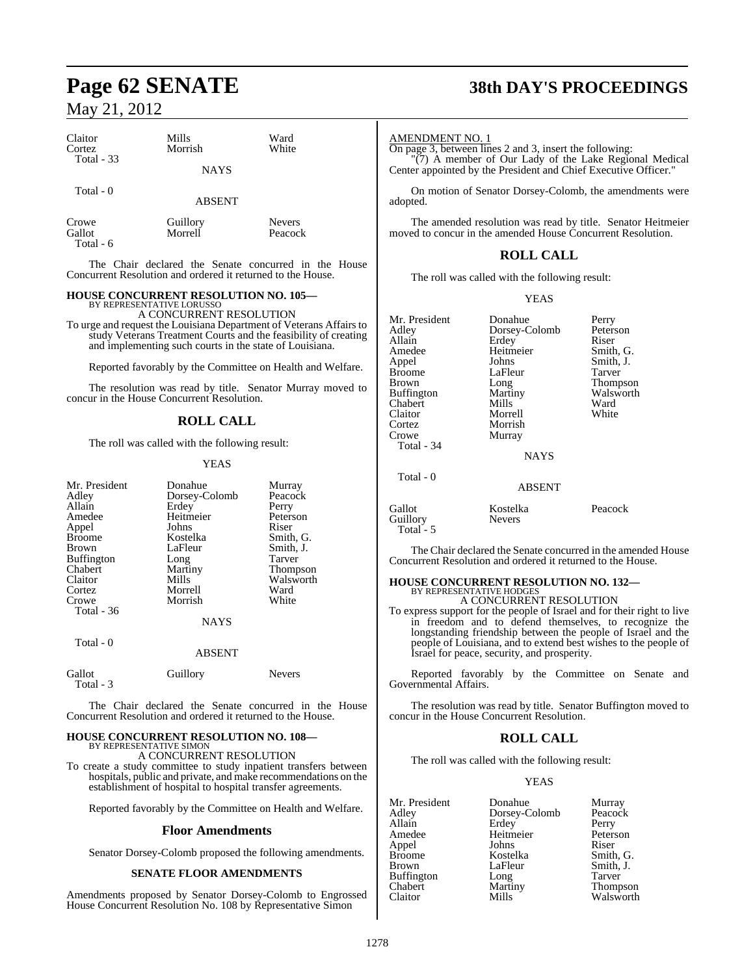| Claitor<br>Cortez<br>Total $-33$ | Mills<br>Morrish<br><b>NAYS</b> | Ward<br>White            |  |
|----------------------------------|---------------------------------|--------------------------|--|
| Total - 0                        | <b>ABSENT</b>                   |                          |  |
| Crowe<br>Gallot<br>Total - 6     | Guillory<br>Morrell             | <b>Nevers</b><br>Peacock |  |

The Chair declared the Senate concurred in the House Concurrent Resolution and ordered it returned to the House.

#### **HOUSE CONCURRENT RESOLUTION NO. 105—**

BY REPRESENTATIVE LORUSSO A CONCURRENT RESOLUTION

To urge and request the Louisiana Department of Veterans Affairs to study Veterans Treatment Courts and the feasibility of creating and implementing such courts in the state of Louisiana.

Reported favorably by the Committee on Health and Welfare.

The resolution was read by title. Senator Murray moved to concur in the House Concurrent Resolution.

## **ROLL CALL**

The roll was called with the following result:

#### YEAS

| Mr. President<br>Adley<br>Allain<br>Amedee<br>Appel<br><b>Broome</b><br>Brown<br><b>Buffington</b><br>Chabert<br>Claitor<br>Cortez<br>Crowe<br>Total - 36<br>Total - 0 | Donahue<br>Dorsey-Colomb<br>Erdey<br>Heitmeier<br>Johns<br>Kostelka<br>LaFleur<br>Long<br>Martiny<br>Mills<br>Morrell<br>Morrish<br><b>NAYS</b><br>ABSENT | Murray<br>Peacock<br>Perry<br>Peterson<br>Riser<br>Smith, G.<br>Smith, J.<br>Tarver<br>Thompson<br>Walsworth<br>Ward<br>White |
|------------------------------------------------------------------------------------------------------------------------------------------------------------------------|-----------------------------------------------------------------------------------------------------------------------------------------------------------|-------------------------------------------------------------------------------------------------------------------------------|
|                                                                                                                                                                        |                                                                                                                                                           |                                                                                                                               |
| Gallot<br>Total - 3                                                                                                                                                    | Guillory                                                                                                                                                  | Nevers                                                                                                                        |

The Chair declared the Senate concurred in the House Concurrent Resolution and ordered it returned to the House.

#### **HOUSE CONCURRENT RESOLUTION NO. 108—** BY REPRESENTATIVE SIMON

A CONCURRENT RESOLUTION

To create a study committee to study inpatient transfers between hospitals, public and private, and make recommendations on the establishment of hospital to hospital transfer agreements.

Reported favorably by the Committee on Health and Welfare.

#### **Floor Amendments**

Senator Dorsey-Colomb proposed the following amendments.

#### **SENATE FLOOR AMENDMENTS**

Amendments proposed by Senator Dorsey-Colomb to Engrossed House Concurrent Resolution No. 108 by Representative Simon

# **Page 62 SENATE 38th DAY'S PROCEEDINGS**

#### AMENDMENT NO. 1

Total - 5

On page 3, between lines 2 and 3, insert the following: "(7) A member of Our Lady of the Lake Regional Medical Center appointed by the President and Chief Executive Officer."

On motion of Senator Dorsey-Colomb, the amendments were adopted.

The amended resolution was read by title. Senator Heitmeier moved to concur in the amended House Concurrent Resolution.

#### **ROLL CALL**

The roll was called with the following result:

#### YEAS

| Mr. President<br>Adley<br>Allain<br>Amedee<br>Appel<br><b>Broome</b><br>Brown<br><b>Buffington</b><br>Chabert<br>Claitor<br>Cortez<br>Crowe<br>Total - 34 | Donahue<br>Dorsey-Colomb<br>Erdey<br>Heitmeier<br>Johns<br>LaFleur<br>Long<br>Martiny<br>Mills<br>Morrell<br>Morrish<br>Murray<br><b>NAYS</b> | Perry<br>Peterson<br>Riser<br>Smith, G.<br>Smith, J.<br>Tarver<br>Thompson<br>Walsworth<br>Ward<br>White |
|-----------------------------------------------------------------------------------------------------------------------------------------------------------|-----------------------------------------------------------------------------------------------------------------------------------------------|----------------------------------------------------------------------------------------------------------|
| Total - 0                                                                                                                                                 | <b>ABSENT</b>                                                                                                                                 |                                                                                                          |
| Gallot<br>Guillory                                                                                                                                        | Kostelka<br><b>Nevers</b>                                                                                                                     | Peacock                                                                                                  |

The Chair declared the Senate concurred in the amended House Concurrent Resolution and ordered it returned to the House.

## **HOUSE CONCURRENT RESOLUTION NO. 132—** BY REPRESENTATIVE HODGES A CONCURRENT RESOLUTION

To express support for the people of Israel and for their right to live in freedom and to defend themselves, to recognize the longstanding friendship between the people of Israel and the people of Louisiana, and to extend best wishes to the people of Israel for peace, security, and prosperity.

Reported favorably by the Committee on Senate and Governmental Affairs.

The resolution was read by title. Senator Buffington moved to concur in the House Concurrent Resolution.

#### **ROLL CALL**

The roll was called with the following result:

#### YEAS

Mr. President Donahue Murray<br>Adlev Dorsey-Colomb Peacock Adley Dorsey-Colomb Peacc<br>Allain Erdev Perry Allain Erdey Perry<br>
Amedee Heitmeier Peterson Heitmeier Peters<br>
Johns Riser Appel Johns<br>Broome Kostelka Broome Kostelka Smith, G.<br>Brown LaFleur Smith, J. LaFleur Smith, J.<br>Long Tarver Buffington Long<br>Chabert Martiny Chabert Martiny Thompson<br>Claitor Mills Walsworth

Walsworth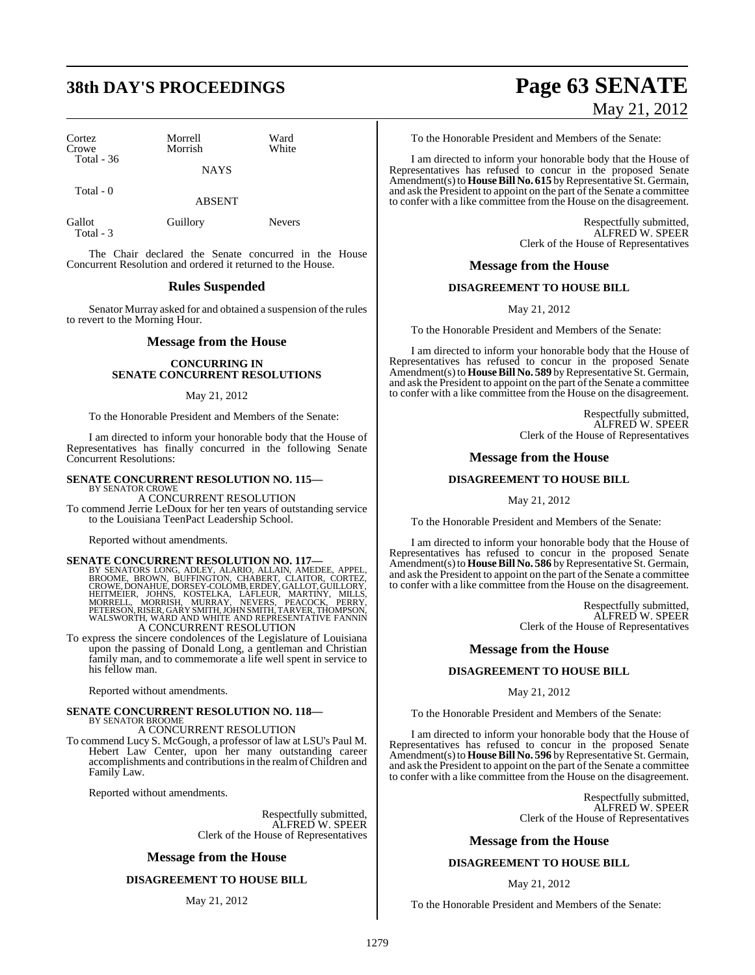# **38th DAY'S PROCEEDINGS Page 63 SENATE**

| Cortez<br>Crowe   | Morrell<br>Morrish | Ward<br>White |
|-------------------|--------------------|---------------|
| <b>Total - 36</b> | <b>NAYS</b>        |               |
| Total - 0         |                    |               |

ABSENT

| Gallot    | Guillory | Nevers |
|-----------|----------|--------|
| Total - 3 |          |        |

The Chair declared the Senate concurred in the House Concurrent Resolution and ordered it returned to the House.

#### **Rules Suspended**

Senator Murray asked for and obtained a suspension of the rules to revert to the Morning Hour.

#### **Message from the House**

#### **CONCURRING IN SENATE CONCURRENT RESOLUTIONS**

#### May 21, 2012

To the Honorable President and Members of the Senate:

I am directed to inform your honorable body that the House of Representatives has finally concurred in the following Senate Concurrent Resolutions:

#### **SENATE CONCURRENT RESOLUTION NO. 115—**

BY SENATOR CROWE A CONCURRENT RESOLUTION To commend Jerrie LeDoux for her ten years of outstanding service to the Louisiana TeenPact Leadership School.

Reported without amendments.

SENATE CONCURRENT RESOLUTION NO. 117—<br>BY SENATORS LONG, ADLEY, ALARIO, ALLAIN, AMEDEE, APPEL, BROOME, BROWE, DORNAHUE, DORSEY-COLOMB, ERDEY, CLAITOR, CORTEZ,<br>CROWE, DONAHUE, DORSEY-COLOMB, ERDEY, GALLOT, GUILLORY,<br>HEITMEIE A CONCURRENT RESOLUTION

To express the sincere condolences of the Legislature of Louisiana upon the passing of Donald Long, a gentleman and Christian family man, and to commemorate a life well spent in service to his fellow man.

Reported without amendments.

## **SENATE CONCURRENT RESOLUTION NO. 118—** BY SENATOR BROOME A CONCURRENT RESOLUTION

To commend Lucy S. McGough, a professor of law at LSU's Paul M. Hebert Law Center, upon her many outstanding career accomplishments and contributionsin the realmofChildren and Family Law.

Reported without amendments.

Respectfully submitted, ALFRED W. SPEER Clerk of the House of Representatives

#### **Message from the House**

#### **DISAGREEMENT TO HOUSE BILL**

May 21, 2012

# May 21, 2012

To the Honorable President and Members of the Senate:

I am directed to inform your honorable body that the House of Representatives has refused to concur in the proposed Senate Amendment(s) to **House Bill No. 615** by Representative St. Germain, and ask the President to appoint on the part of the Senate a committee to confer with a like committee from the House on the disagreement.

> Respectfully submitted, ALFRED W. SPEER Clerk of the House of Representatives

#### **Message from the House**

#### **DISAGREEMENT TO HOUSE BILL**

May 21, 2012

To the Honorable President and Members of the Senate:

I am directed to inform your honorable body that the House of Representatives has refused to concur in the proposed Senate Amendment(s) to **House Bill No. 589** by Representative St. Germain, and ask the President to appoint on the part of the Senate a committee to confer with a like committee from the House on the disagreement.

> Respectfully submitted, ALFRED W. SPEER Clerk of the House of Representatives

#### **Message from the House**

#### **DISAGREEMENT TO HOUSE BILL**

May 21, 2012

To the Honorable President and Members of the Senate:

I am directed to inform your honorable body that the House of Representatives has refused to concur in the proposed Senate Amendment(s) to **House Bill No. 586** by Representative St. Germain, and ask the President to appoint on the part of the Senate a committee to confer with a like committee from the House on the disagreement.

> Respectfully submitted, ALFRED W. SPEER Clerk of the House of Representatives

#### **Message from the House**

#### **DISAGREEMENT TO HOUSE BILL**

May 21, 2012

To the Honorable President and Members of the Senate:

I am directed to inform your honorable body that the House of Representatives has refused to concur in the proposed Senate Amendment(s) to **House Bill No. 596** by Representative St. Germain, and ask the President to appoint on the part of the Senate a committee to confer with a like committee from the House on the disagreement.

> Respectfully submitted, ALFRED W. SPEER Clerk of the House of Representatives

#### **Message from the House**

#### **DISAGREEMENT TO HOUSE BILL**

#### May 21, 2012

To the Honorable President and Members of the Senate: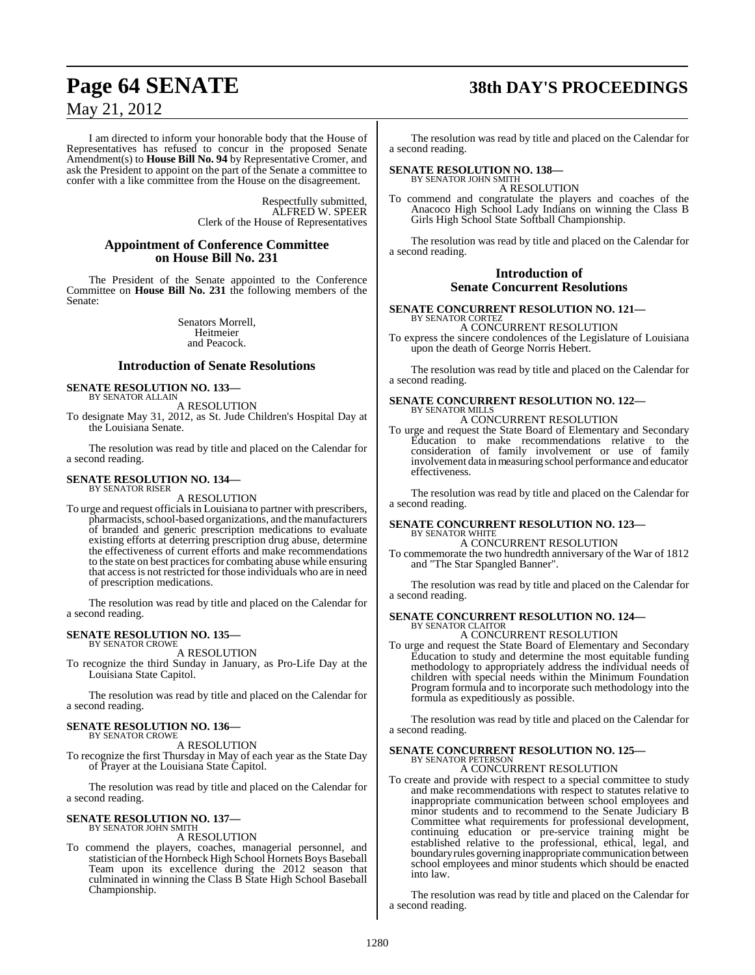# **Page 64 SENATE 38th DAY'S PROCEEDINGS**

## May 21, 2012

I am directed to inform your honorable body that the House of Representatives has refused to concur in the proposed Senate Amendment(s) to **House Bill No. 94** by Representative Cromer, and ask the President to appoint on the part of the Senate a committee to confer with a like committee from the House on the disagreement.

> Respectfully submitted, ALFRED W. SPEER Clerk of the House of Representatives

#### **Appointment of Conference Committee on House Bill No. 231**

The President of the Senate appointed to the Conference Committee on **House Bill No. 231** the following members of the Senate:

> Senators Morrell, Heitmeier and Peacock.

#### **Introduction of Senate Resolutions**

#### **SENATE RESOLUTION NO. 133—** BY SENATOR ALLAIN

A RESOLUTION

To designate May 31, 2012, as St. Jude Children's Hospital Day at the Louisiana Senate.

The resolution was read by title and placed on the Calendar for a second reading.

#### **SENATE RESOLUTION NO. 134—** BY SENATOR RISER

A RESOLUTION

To urge and request officials in Louisiana to partner with prescribers, pharmacists, school-based organizations, and the manufacturers of branded and generic prescription medications to evaluate existing efforts at deterring prescription drug abuse, determine the effectiveness of current efforts and make recommendations to the state on best practices for combating abuse while ensuring that accessis not restricted for those individuals who are in need of prescription medications.

The resolution was read by title and placed on the Calendar for a second reading.

# **SENATE RESOLUTION NO. 135—** BY SENATOR CROWE

A RESOLUTION

To recognize the third Sunday in January, as Pro-Life Day at the Louisiana State Capitol.

The resolution was read by title and placed on the Calendar for a second reading.

## **SENATE RESOLUTION NO. 136—**

BY SENATOR CROWE A RESOLUTION

To recognize the first Thursday in May of each year as the State Day of Prayer at the Louisiana State Capitol.

The resolution was read by title and placed on the Calendar for a second reading.

#### **SENATE RESOLUTION NO. 137—** BY SENATOR JOHN SMITH

A RESOLUTION

To commend the players, coaches, managerial personnel, and statistician ofthe Hornbeck High School Hornets Boys Baseball Team upon its excellence during the 2012 season that culminated in winning the Class B State High School Baseball Championship.

The resolution was read by title and placed on the Calendar for a second reading.

# **SENATE RESOLUTION NO. 138—** BY SENATOR JOHN SMITH

A RESOLUTION

To commend and congratulate the players and coaches of the Anacoco High School Lady Indians on winning the Class B Girls High School State Softball Championship.

The resolution was read by title and placed on the Calendar for a second reading.

#### **Introduction of Senate Concurrent Resolutions**

#### **SENATE CONCURRENT RESOLUTION NO. 121—**

BY SENATOR CORTEZ A CONCURRENT RESOLUTION

To express the sincere condolences of the Legislature of Louisiana upon the death of George Norris Hebert.

The resolution was read by title and placed on the Calendar for a second reading.

#### **SENATE CONCURRENT RESOLUTION NO. 122—** BY SENATOR MILLS

#### A CONCURRENT RESOLUTION

To urge and request the State Board of Elementary and Secondary Education to make recommendations relative to the consideration of family involvement or use of family involvement data in measuring school performance and educator effectiveness.

The resolution was read by title and placed on the Calendar for a second reading.

# **SENATE CONCURRENT RESOLUTION NO. 123—** BY SENATOR WHITE

A CONCURRENT RESOLUTION

To commemorate the two hundredth anniversary of the War of 1812 and "The Star Spangled Banner".

The resolution was read by title and placed on the Calendar for a second reading.

## **SENATE CONCURRENT RESOLUTION NO. 124—** BY SENATOR CLAITOR A CONCURRENT RESOLUTION

To urge and request the State Board of Elementary and Secondary Education to study and determine the most equitable funding methodology to appropriately address the individual needs of children with special needs within the Minimum Foundation Program formula and to incorporate such methodology into the formula as expeditiously as possible.

The resolution was read by title and placed on the Calendar for a second reading.

#### **SENATE CONCURRENT RESOLUTION NO. 125—** BY SENATOR PETERSON

#### A CONCURRENT RESOLUTION

To create and provide with respect to a special committee to study and make recommendations with respect to statutes relative to inappropriate communication between school employees and minor students and to recommend to the Senate Judiciary B Committee what requirements for professional development, continuing education or pre-service training might be established relative to the professional, ethical, legal, and boundary rules governing inappropriate communication between school employees and minor students which should be enacted into law.

The resolution was read by title and placed on the Calendar for a second reading.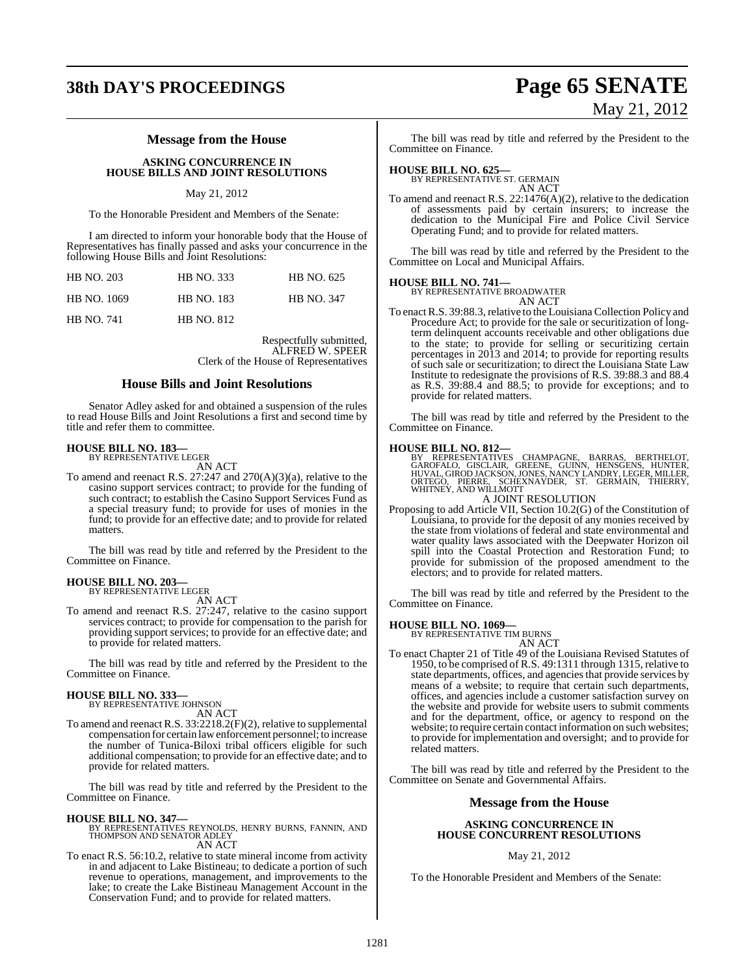# **38th DAY'S PROCEEDINGS Page 65 SENATE**

## **Message from the House**

**ASKING CONCURRENCE IN HOUSE BILLS AND JOINT RESOLUTIONS**

#### May 21, 2012

To the Honorable President and Members of the Senate:

I am directed to inform your honorable body that the House of Representatives has finally passed and asks your concurrence in the following House Bills and Joint Resolutions:

| <b>HB NO. 203</b> | <b>HB NO. 333</b> | HB NO. 625        |
|-------------------|-------------------|-------------------|
| HB NO. 1069       | <b>HB NO. 183</b> | <b>HB NO. 347</b> |
| <b>HB NO. 741</b> | <b>HB NO. 812</b> |                   |

Respectfully submitted, ALFRED W. SPEER Clerk of the House of Representatives

#### **House Bills and Joint Resolutions**

Senator Adley asked for and obtained a suspension of the rules to read House Bills and Joint Resolutions a first and second time by title and refer them to committee.

#### **HOUSE BILL NO. 183—** BY REPRESENTATIVE LEGER

AN ACT

To amend and reenact R.S. 27:247 and 270(A)(3)(a), relative to the casino support services contract; to provide for the funding of such contract; to establish the Casino Support Services Fund as a special treasury fund; to provide for uses of monies in the fund; to provide for an effective date; and to provide for related matters.

The bill was read by title and referred by the President to the Committee on Finance.

#### **HOUSE BILL NO. 203—**

BY REPRESENTATIVE LEGER AN ACT

To amend and reenact R.S. 27:247, relative to the casino support services contract; to provide for compensation to the parish for providing support services; to provide for an effective date; and to provide for related matters.

The bill was read by title and referred by the President to the Committee on Finance.

# **HOUSE BILL NO. 333—** BY REPRESENTATIVE JOHNSON

AN ACT

To amend and reenact R.S. 33:2218.2(F)(2), relative to supplemental compensation for certain lawenforcement personnel; to increase the number of Tunica-Biloxi tribal officers eligible for such additional compensation; to provide for an effective date; and to provide for related matters.

The bill was read by title and referred by the President to the Committee on Finance.

#### **HOUSE BILL NO. 347—**

BY REPRESENTATIVES REYNOLDS, HENRY BURNS, FANNIN, AND THOMPSON AND SENATOR ADLEY AN ACT

To enact R.S. 56:10.2, relative to state mineral income from activity in and adjacent to Lake Bistineau; to dedicate a portion of such revenue to operations, management, and improvements to the lake; to create the Lake Bistineau Management Account in the Conservation Fund; and to provide for related matters.

May 21, 2012

The bill was read by title and referred by the President to the Committee on Finance.

# **HOUSE BILL NO. 625—** BY REPRESENTATIVE ST. GERMAIN

AN ACT

To amend and reenact R.S. 22:1476(A)(2), relative to the dedication of assessments paid by certain insurers; to increase the dedication to the Municipal Fire and Police Civil Service Operating Fund; and to provide for related matters.

The bill was read by title and referred by the President to the Committee on Local and Municipal Affairs.

#### **HOUSE BILL NO. 741—**

BY REPRESENTATIVE BROADWATER AN ACT

To enactR.S. 39:88.3,relative to the Louisiana Collection Policy and Procedure Act; to provide for the sale or securitization of longterm delinquent accounts receivable and other obligations due to the state; to provide for selling or securitizing certain percentages in 2013 and 2014; to provide for reporting results of such sale or securitization; to direct the Louisiana State Law Institute to redesignate the provisions of R.S. 39:88.3 and 88.4 as R.S. 39:88.4 and 88.5; to provide for exceptions; and to provide for related matters.

The bill was read by title and referred by the President to the Committee on Finance.

**HOUSE BILL NO. 812—**<br>BY REPRESENTATIVES CHAMPAGNE, BARRAS, BERTHELOT,<br>GAROFALO, GISCLAIR, GREENE, GUINN, HENSGENS, HUNTER,<br>HUVAL, GIROD JACKSON, JONES, NANCY LANDRY, LEGER, MILLER,<br>ORTEGO, PIERRE, SCHEXNAYDER, ST. GERMAIN

#### A JOINT RESOLUTION

Proposing to add Article VII, Section 10.2(G) of the Constitution of Louisiana, to provide for the deposit of any monies received by the state from violations of federal and state environmental and water quality laws associated with the Deepwater Horizon oil spill into the Coastal Protection and Restoration Fund; to provide for submission of the proposed amendment to the electors; and to provide for related matters.

The bill was read by title and referred by the President to the Committee on Finance.

# **HOUSE BILL NO. 1069—** BY REPRESENTATIVE TIM BURNS

AN ACT

To enact Chapter 21 of Title 49 of the Louisiana Revised Statutes of 1950, to be comprised of R.S. 49:1311 through 1315, relative to state departments, offices, and agencies that provide services by means of a website; to require that certain such departments, offices, and agencies include a customer satisfaction survey on the website and provide for website users to submit comments and for the department, office, or agency to respond on the website; to require certain contact information on such websites; to provide for implementation and oversight; and to provide for related matters.

The bill was read by title and referred by the President to the Committee on Senate and Governmental Affairs.

#### **Message from the House**

#### **ASKING CONCURRENCE IN HOUSE CONCURRENT RESOLUTIONS**

#### May 21, 2012

To the Honorable President and Members of the Senate: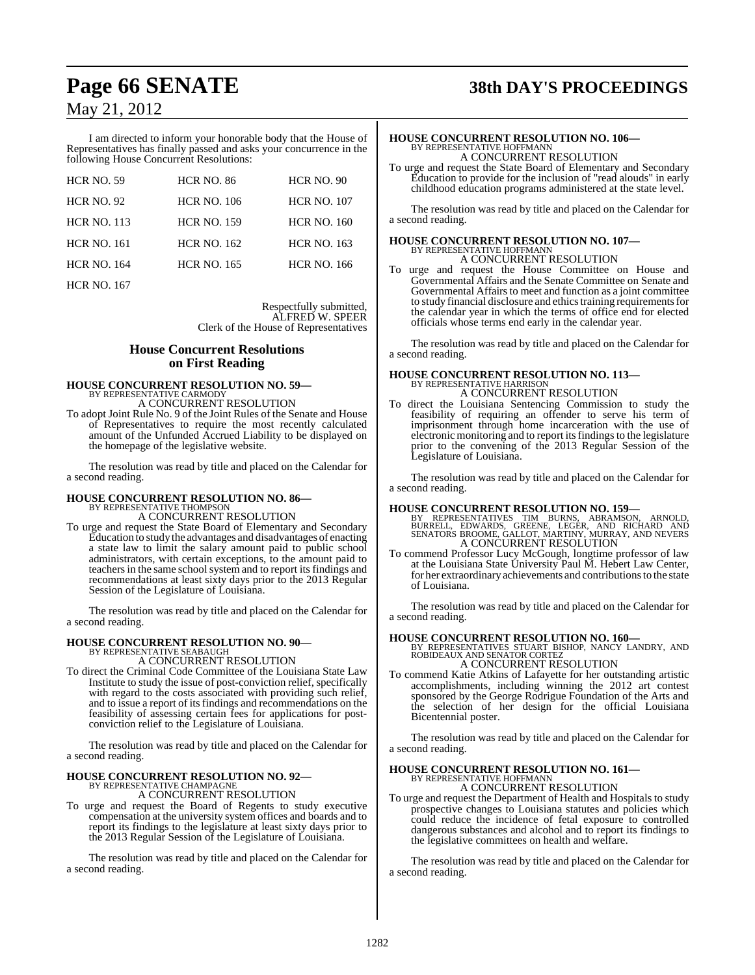I am directed to inform your honorable body that the House of Representatives has finally passed and asks your concurrence in the following House Concurrent Resolutions:

| <b>HCR NO. 59</b>  | <b>HCR NO. 86</b>  | <b>HCR NO. 90</b>  |
|--------------------|--------------------|--------------------|
| <b>HCR NO. 92</b>  | <b>HCR NO. 106</b> | <b>HCR NO. 107</b> |
| <b>HCR NO. 113</b> | <b>HCR NO. 159</b> | <b>HCR NO. 160</b> |
| <b>HCR NO. 161</b> | <b>HCR NO. 162</b> | <b>HCR NO. 163</b> |
| <b>HCR NO. 164</b> | <b>HCR NO. 165</b> | <b>HCR NO. 166</b> |
|                    |                    |                    |

HCR NO. 167

Respectfully submitted, ALFRED W. SPEER Clerk of the House of Representatives

#### **House Concurrent Resolutions on First Reading**

## **HOUSE CONCURRENT RESOLUTION NO. 59—** BY REPRESENTATIVE CARMODY A CONCURRENT RESOLUTION

To adopt Joint Rule No. 9 of the Joint Rules of the Senate and House of Representatives to require the most recently calculated amount of the Unfunded Accrued Liability to be displayed on the homepage of the legislative website.

The resolution was read by title and placed on the Calendar for a second reading.

# **HOUSE CONCURRENT RESOLUTION NO. 86—** BY REPRESENTATIVE THOMPSON

A CONCURRENT RESOLUTION

To urge and request the State Board of Elementary and Secondary Education to study the advantages and disadvantages of enacting a state law to limit the salary amount paid to public school administrators, with certain exceptions, to the amount paid to teachers in the same school system and to report its findings and recommendations at least sixty days prior to the 2013 Regular Session of the Legislature of Louisiana.

The resolution was read by title and placed on the Calendar for a second reading.

#### **HOUSE CONCURRENT RESOLUTION NO. 90—**

BY REPRESENTATIVE SEABAUGH A CONCURRENT RESOLUTION

To direct the Criminal Code Committee of the Louisiana State Law Institute to study the issue of post-conviction relief, specifically with regard to the costs associated with providing such relief, and to issue a report of itsfindings and recommendations on the feasibility of assessing certain fees for applications for postconviction relief to the Legislature of Louisiana.

The resolution was read by title and placed on the Calendar for a second reading.

#### **HOUSE CONCURRENT RESOLUTION NO. 92—** BY REPRESENTATIVE CHAMPAGNE A CONCURRENT RESOLUTION

To urge and request the Board of Regents to study executive compensation at the university system offices and boards and to report its findings to the legislature at least sixty days prior to the 2013 Regular Session of the Legislature of Louisiana.

The resolution was read by title and placed on the Calendar for a second reading.

# **Page 66 SENATE 38th DAY'S PROCEEDINGS**

### **HOUSE CONCURRENT RESOLUTION NO. 106—** BY REPRESENTATIVE HOFFMANN A CONCURRENT RESOLUTION

To urge and request the State Board of Elementary and Secondary Education to provide for the inclusion of "read alouds" in early childhood education programs administered at the state level.

The resolution was read by title and placed on the Calendar for a second reading.

# **HOUSE CONCURRENT RESOLUTION NO. 107—** BY REPRESENTATIVE HOFFMANN

A CONCURRENT RESOLUTION

To urge and request the House Committee on House and Governmental Affairs and the Senate Committee on Senate and Governmental Affairs to meet and function as a joint committee to study financial disclosure and ethics training requirements for the calendar year in which the terms of office end for elected officials whose terms end early in the calendar year.

The resolution was read by title and placed on the Calendar for a second reading.

## **HOUSE CONCURRENT RESOLUTION NO. 113—** BY REPRESENTATIVE HARRISON A CONCURRENT RESOLUTION

To direct the Louisiana Sentencing Commission to study the feasibility of requiring an offender to serve his term of imprisonment through home incarceration with the use of electronic monitoring and to report its findings to the legislature prior to the convening of the 2013 Regular Session of the Legislature of Louisiana.

The resolution was read by title and placed on the Calendar for a second reading.

- **HOUSE CONCURRENT RESOLUTION NO. 159**—<br>BY REPRESENTATIVES TIM BURNS, ABRAMSON, ARNOLD,<br>BURRELL, EDWARDS, GREENE, LEGER, AND RICHARD AND<br>SENATORS BROOME, GALLOT, MARTINY, MURRAY, AND NEVERS<br>A CONCURRENT RESOLUTION
- To commend Professor Lucy McGough, longtime professor of law at the Louisiana State University Paul M. Hebert Law Center, for her extraordinary achievements and contributions to the state of Louisiana.

The resolution was read by title and placed on the Calendar for a second reading.

**HOUSE CONCURRENT RESOLUTION NO. 160—** BY REPRESENTATIVES STUART BISHOP, NANCY LANDRY, AND ROBIDEAUX AND SENATOR CORTEZ A CONCURRENT RESOLUTION

To commend Katie Atkins of Lafayette for her outstanding artistic accomplishments, including winning the 2012 art contest sponsored by the George Rodrigue Foundation of the Arts and the selection of her design for the official Louisiana Bicentennial poster.

The resolution was read by title and placed on the Calendar for a second reading.

#### **HOUSE CONCURRENT RESOLUTION NO. 161—** BY REPRESENTATIVE HOFFMANN

A CONCURRENT RESOLUTION

To urge and request the Department of Health and Hospitals to study prospective changes to Louisiana statutes and policies which could reduce the incidence of fetal exposure to controlled dangerous substances and alcohol and to report its findings to the legislative committees on health and welfare.

The resolution was read by title and placed on the Calendar for a second reading.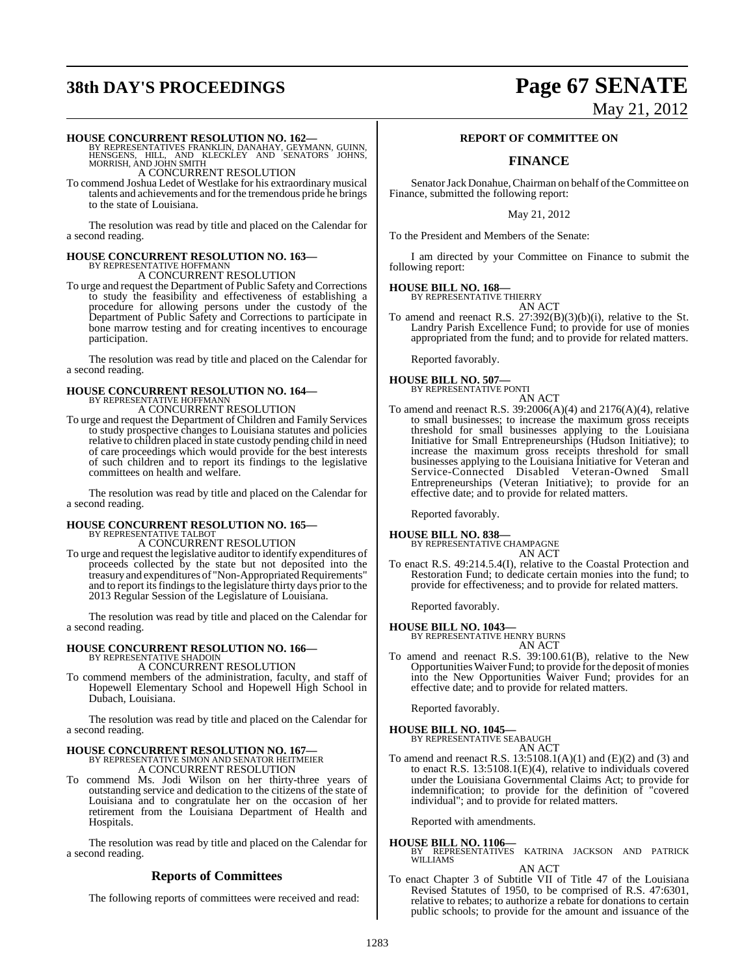# **38th DAY'S PROCEEDINGS Page 67 SENATE**

# May 21, 2012

**HOUSE CONCURRENT RESOLUTION NO. 162—**<br>BY REPRESENTATIVES FRANKLIN, DANAHAY, GEYMANN, GUINN,<br>HENSGENS, HILL, AND KLECKLEY AND SENATORS JOHNS,<br>MORRISH, AND JOHN SMITH A CONCURRENT RESOLUTION

To commend Joshua Ledet of Westlake for his extraordinary musical talents and achievements and for the tremendous pride he brings to the state of Louisiana.

The resolution was read by title and placed on the Calendar for a second reading.

#### **HOUSE CONCURRENT RESOLUTION NO. 163—** BY REPRESENTATIVE HOFFMANN

A CONCURRENT RESOLUTION

To urge and request the Department of Public Safety and Corrections to study the feasibility and effectiveness of establishing a procedure for allowing persons under the custody of the Department of Public Safety and Corrections to participate in bone marrow testing and for creating incentives to encourage participation.

The resolution was read by title and placed on the Calendar for a second reading.

## **HOUSE CONCURRENT RESOLUTION NO. 164—** BY REPRESENTATIVE HOFFMANN A CONCURRENT RESOLUTION

To urge and request the Department of Children and Family Services to study prospective changes to Louisiana statutes and policies relative to children placed in state custody pending child in need of care proceedings which would provide for the best interests of such children and to report its findings to the legislative committees on health and welfare.

The resolution was read by title and placed on the Calendar for a second reading.

# **HOUSE CONCURRENT RESOLUTION NO. 165—** BY REPRESENTATIVE TALBOT

A CONCURRENT RESOLUTION

To urge and request the legislative auditor to identify expenditures of proceeds collected by the state but not deposited into the treasury and expenditures of "Non-Appropriated Requirements" and to report its findings to the legislature thirty days prior to the 2013 Regular Session of the Legislature of Louisiana.

The resolution was read by title and placed on the Calendar for a second reading.

## **HOUSE CONCURRENT RESOLUTION NO. 166—** BY REPRESENTATIVE SHADOIN A CONCURRENT RESOLUTION

To commend members of the administration, faculty, and staff of Hopewell Elementary School and Hopewell High School in Dubach, Louisiana.

The resolution was read by title and placed on the Calendar for a second reading.

# **HOUSE CONCURRENT RESOLUTION NO. 167—**<br>BY REPRESENTATIVE SIMON AND SENATOR HEITMEIER<br>A CONCURRENT RESOLUTION

To commend Ms. Jodi Wilson on her thirty-three years of outstanding service and dedication to the citizens of the state of Louisiana and to congratulate her on the occasion of her retirement from the Louisiana Department of Health and Hospitals.

The resolution was read by title and placed on the Calendar for a second reading.

#### **Reports of Committees**

The following reports of committees were received and read:

#### **REPORT OF COMMITTEE ON**

## **FINANCE**

Senator Jack Donahue, Chairman on behalf of the Committee on Finance, submitted the following report:

May 21, 2012

To the President and Members of the Senate:

I am directed by your Committee on Finance to submit the following report:

#### **HOUSE BILL NO. 168—**

BY REPRESENTATIVE THIERRY AN ACT

To amend and reenact R.S. 27:392(B)(3)(b)(i), relative to the St. Landry Parish Excellence Fund; to provide for use of monies appropriated from the fund; and to provide for related matters.

Reported favorably.

#### **HOUSE BILL NO. 507—** BY REPRESENTATIVE PONTI

AN ACT To amend and reenact R.S.  $39:2006(A)(4)$  and  $2176(A)(4)$ , relative to small businesses; to increase the maximum gross receipts threshold for small businesses applying to the Louisiana Initiative for Small Entrepreneurships (Hudson Initiative); to increase the maximum gross receipts threshold for small businesses applying to the Louisiana Initiative for Veteran and Service-Connected Disabled Veteran-Owned Small Entrepreneurships (Veteran Initiative); to provide for an effective date; and to provide for related matters.

Reported favorably.

#### **HOUSE BILL NO. 838—**

BY REPRESENTATIVE CHAMPAGNE AN ACT

To enact R.S. 49:214.5.4(I), relative to the Coastal Protection and Restoration Fund; to dedicate certain monies into the fund; to provide for effectiveness; and to provide for related matters.

Reported favorably.

#### **HOUSE BILL NO. 1043—**

BY REPRESENTATIVE HENRY BURNS AN ACT

To amend and reenact R.S. 39:100.61(B), relative to the New Opportunities Waiver Fund; to provide for the deposit of monies into the New Opportunities Waiver Fund; provides for an effective date; and to provide for related matters.

Reported favorably.

#### **HOUSE BILL NO. 1045—** BY REPRESENTATIVE SEABAUGH

AN ACT

To amend and reenact R.S.  $13:5108.1(A)(1)$  and  $(E)(2)$  and  $(3)$  and to enact R.S. 13:5108.1(E)(4), relative to individuals covered under the Louisiana Governmental Claims Act; to provide for indemnification; to provide for the definition of "covered individual"; and to provide for related matters.

Reported with amendments.

**HOUSE BILL NO. 1106—** BY REPRESENTATIVES KATRINA JACKSON AND PATRICK WILLIAMS AN ACT

To enact Chapter 3 of Subtitle VII of Title 47 of the Louisiana Revised Statutes of 1950, to be comprised of R.S. 47:6301, relative to rebates; to authorize a rebate for donations to certain public schools; to provide for the amount and issuance of the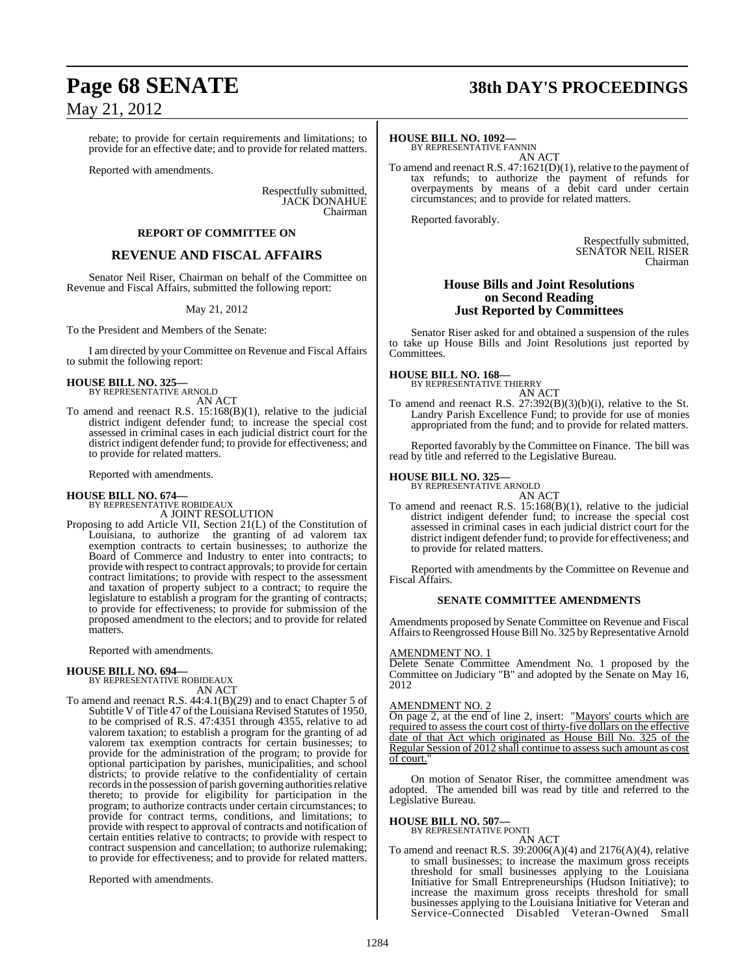rebate; to provide for certain requirements and limitations; to provide for an effective date; and to provide for related matters.

Reported with amendments.

Respectfully submitted, JACK DONAHUE Chairman

#### **REPORT OF COMMITTEE ON**

## **REVENUE AND FISCAL AFFAIRS**

Senator Neil Riser, Chairman on behalf of the Committee on Revenue and Fiscal Affairs, submitted the following report:

#### May 21, 2012

To the President and Members of the Senate:

I am directed by your Committee on Revenue and Fiscal Affairs to submit the following report:

#### **HOUSE BILL NO. 325—** BY REPRESENTATIVE ARNOLD

AN ACT

To amend and reenact R.S. 15:168(B)(1), relative to the judicial district indigent defender fund; to increase the special cost assessed in criminal cases in each judicial district court for the district indigent defender fund; to provide for effectiveness; and to provide for related matters.

Reported with amendments.

# **HOUSE BILL NO. 674—** BY REPRESENTATIVE ROBIDEAUX

A JOINT RESOLUTION

Proposing to add Article VII, Section 21(L) of the Constitution of Louisiana, to authorize the granting of ad valorem tax exemption contracts to certain businesses; to authorize the Board of Commerce and Industry to enter into contracts; to provide with respect to contract approvals; to provide for certain contract limitations; to provide with respect to the assessment and taxation of property subject to a contract; to require the legislature to establish a program for the granting of contracts; to provide for effectiveness; to provide for submission of the proposed amendment to the electors; and to provide for related matters.

Reported with amendments.

#### **HOUSE BILL NO. 694—**

BY REPRESENTATIVE ROBIDEAUX AN ACT

To amend and reenact R.S. 44:4.1(B)(29) and to enact Chapter 5 of Subtitle V of Title 47 of the Louisiana Revised Statutes of 1950, to be comprised of R.S. 47:4351 through 4355, relative to ad valorem taxation; to establish a program for the granting of ad valorem tax exemption contracts for certain businesses; to provide for the administration of the program; to provide for optional participation by parishes, municipalities, and school districts; to provide relative to the confidentiality of certain records in the possession of parish governing authorities relative thereto; to provide for eligibility for participation in the program; to authorize contracts under certain circumstances; to provide for contract terms, conditions, and limitations; to provide with respect to approval of contracts and notification of certain entities relative to contracts; to provide with respect to contract suspension and cancellation; to authorize rulemaking; to provide for effectiveness; and to provide for related matters.

Reported with amendments.

# **Page 68 SENATE 38th DAY'S PROCEEDINGS**

#### **HOUSE BILL NO. 1092—**

BY REPRESENTATIVE FANNIN AN ACT

To amend and reenact R.S. 47:1621(D)(1), relative to the payment of tax refunds; to authorize the payment of refunds for overpayments by means of a debit card under certain circumstances; and to provide for related matters.

Reported favorably.

Respectfully submitted, SENATOR NEIL RISER Chairman

#### **House Bills and Joint Resolutions on Second Reading Just Reported by Committees**

Senator Riser asked for and obtained a suspension of the rules to take up House Bills and Joint Resolutions just reported by Committees.

# **HOUSE BILL NO. 168—** BY REPRESENTATIVE THIERRY

AN ACT

To amend and reenact R.S. 27:392(B)(3)(b)(i), relative to the St. Landry Parish Excellence Fund; to provide for use of monies appropriated from the fund; and to provide for related matters.

Reported favorably by the Committee on Finance. The bill was read by title and referred to the Legislative Bureau.

#### **HOUSE BILL NO. 325—**

BY REPRESENTATIVE ARNOLD AN ACT

To amend and reenact R.S. 15:168(B)(1), relative to the judicial district indigent defender fund; to increase the special cost assessed in criminal cases in each judicial district court for the district indigent defender fund; to provide for effectiveness; and to provide for related matters.

Reported with amendments by the Committee on Revenue and Fiscal Affairs.

#### **SENATE COMMITTEE AMENDMENTS**

Amendments proposed by Senate Committee on Revenue and Fiscal Affairs to Reengrossed House Bill No. 325 by Representative Arnold

#### AMENDMENT NO. 1

Delete Senate Committee Amendment No. 1 proposed by the Committee on Judiciary "B" and adopted by the Senate on May 16, 2012

#### AMENDMENT NO. 2

On page 2, at the end of line 2, insert: "Mayors' courts which are required to assess the court cost of thirty-five dollars on the effective date of that Act which originated as House Bill No. 325 of the Regular Session of 2012 shall continue to assess such amount as cost of court.

On motion of Senator Riser, the committee amendment was adopted. The amended bill was read by title and referred to the Legislative Bureau.

#### **HOUSE BILL NO. 507—**

BY REPRESENTATIVE PONTI

AN ACT To amend and reenact R.S.  $39:2006(A)(4)$  and  $2176(A)(4)$ , relative to small businesses; to increase the maximum gross receipts threshold for small businesses applying to the Louisiana Initiative for Small Entrepreneurships (Hudson Initiative); to increase the maximum gross receipts threshold for small businesses applying to the Louisiana Initiative for Veteran and Service-Connected Disabled Veteran-Owned Small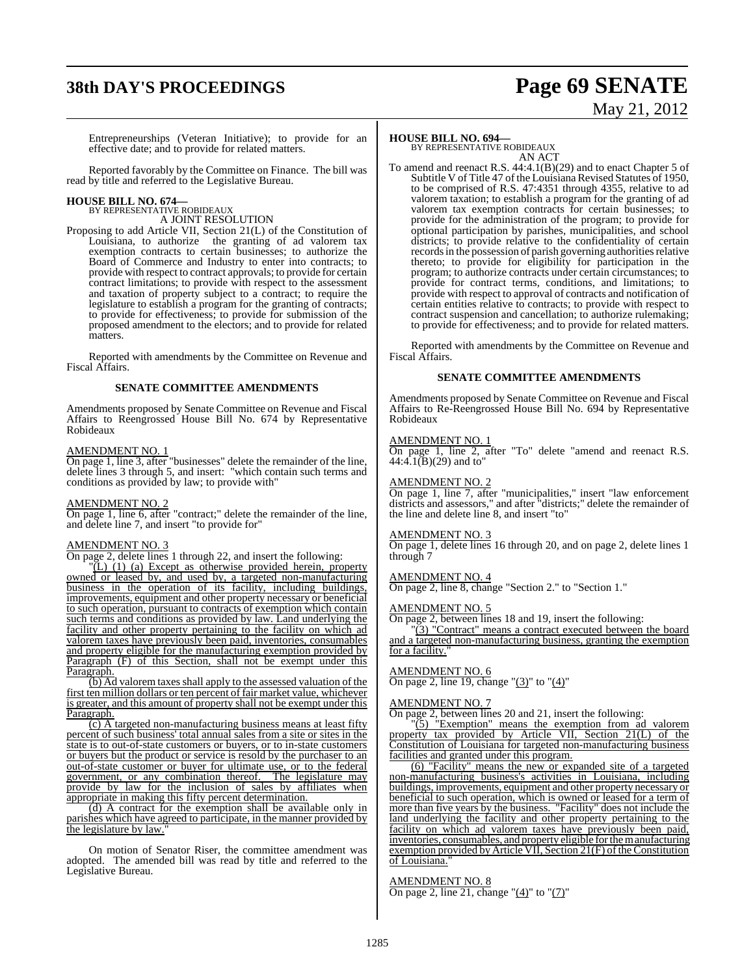# **38th DAY'S PROCEEDINGS Page 69 SENATE**

# May 21, 2012

Entrepreneurships (Veteran Initiative); to provide for an effective date; and to provide for related matters.

Reported favorably by the Committee on Finance. The bill was read by title and referred to the Legislative Bureau.

# **HOUSE BILL NO. 674—** BY REPRESENTATIVE ROBIDEAUX

A JOINT RESOLUTION

Proposing to add Article VII, Section 21(L) of the Constitution of Louisiana, to authorize the granting of ad valorem tax exemption contracts to certain businesses; to authorize the Board of Commerce and Industry to enter into contracts; to provide with respect to contract approvals; to provide for certain contract limitations; to provide with respect to the assessment and taxation of property subject to a contract; to require the legislature to establish a program for the granting of contracts; to provide for effectiveness; to provide for submission of the proposed amendment to the electors; and to provide for related matters.

Reported with amendments by the Committee on Revenue and Fiscal Affairs.

#### **SENATE COMMITTEE AMENDMENTS**

Amendments proposed by Senate Committee on Revenue and Fiscal Affairs to Reengrossed House Bill No. 674 by Representative Robideaux

#### AMENDMENT NO. 1

On page 1, line 3, after "businesses" delete the remainder of the line, delete lines 3 through 5, and insert: "which contain such terms and conditions as provided by law; to provide with"

#### AMENDMENT NO. 2

On page 1, line 6, after "contract;" delete the remainder of the line, and delete line 7, and insert "to provide for"

#### AMENDMENT NO. 3

On page 2, delete lines 1 through 22, and insert the following:

"(L) (1) (a) Except as otherwise provided herein, property owned or leased by, and used by, a targeted non-manufacturing business in the operation of its facility, including buildings, improvements, equipment and other property necessary or beneficial to such operation, pursuant to contracts of exemption which contain such terms and conditions as provided by law. Land underlying the facility and other property pertaining to the facility on which ad valorem taxes have previously been paid, inventories, consumables and property eligible for the manufacturing exemption provided by Paragraph (F) of this Section, shall not be exempt under this Paragraph.

(b) Ad valorem taxes shall apply to the assessed valuation of the first ten million dollars or ten percent of fair market value, whichever is greater, and this amount of property shall not be exempt under this Paragraph.

 $(c)$  A targeted non-manufacturing business means at least fifty percent of such business' total annual sales from a site or sites in the state is to out-of-state customers or buyers, or to in-state customers or buyers but the product or service is resold by the purchaser to an out-of-state customer or buyer for ultimate use, or to the federal government, or any combination thereof. The legislature may provide by law for the inclusion of sales by affiliates when appropriate in making this fifty percent determination.

(d) A contract for the exemption shall be available only in parishes which have agreed to participate, in the manner provided by the legislature by law.

On motion of Senator Riser, the committee amendment was adopted. The amended bill was read by title and referred to the Legislative Bureau.

#### **HOUSE BILL NO. 694—**

BY REPRESENTATIVE ROBIDEAUX AN ACT

To amend and reenact R.S. 44:4.1(B)(29) and to enact Chapter 5 of Subtitle V of Title 47 of the Louisiana Revised Statutes of 1950, to be comprised of R.S. 47:4351 through 4355, relative to ad valorem taxation; to establish a program for the granting of ad valorem tax exemption contracts for certain businesses; to provide for the administration of the program; to provide for optional participation by parishes, municipalities, and school districts; to provide relative to the confidentiality of certain records in the possession of parish governing authorities relative thereto; to provide for eligibility for participation in the program; to authorize contracts under certain circumstances; to provide for contract terms, conditions, and limitations; to provide with respect to approval of contracts and notification of certain entities relative to contracts; to provide with respect to contract suspension and cancellation; to authorize rulemaking; to provide for effectiveness; and to provide for related matters.

Reported with amendments by the Committee on Revenue and Fiscal Affairs.

#### **SENATE COMMITTEE AMENDMENTS**

Amendments proposed by Senate Committee on Revenue and Fiscal Affairs to Re-Reengrossed House Bill No. 694 by Representative Robideaux

#### AMENDMENT NO. 1

On page 1, line 2, after "To" delete "amend and reenact R.S.  $44:4.1(B)(29)$  and to"

#### AMENDMENT NO. 2

On page 1, line 7, after "municipalities," insert "law enforcement districts and assessors," and after "districts;" delete the remainder of the line and delete line 8, and insert "to"

#### AMENDMENT NO. 3

On page 1, delete lines 16 through 20, and on page 2, delete lines 1 through 7

#### AMENDMENT NO. 4

On page 2, line 8, change "Section 2." to "Section 1."

#### AMENDMENT NO. 5

On page 2, between lines 18 and 19, insert the following:

"(3) "Contract" means a contract executed between the board and a targeted non-manufacturing business, granting the exemption for a facility.

#### AMENDMENT NO. 6

On page 2, line 19, change "(3)" to "(4)"

#### AMENDMENT NO. 7

On page 2, between lines 20 and 21, insert the following:

"(5) "Exemption" means the exemption from ad valorem property tax provided by Article VII, Section 21(L) of the Constitution of Louisiana for targeted non-manufacturing business facilities and granted under this program.

(6) "Facility" means the new or expanded site of a targeted non-manufacturing business's activities in Louisiana, including buildings, improvements, equipment and other property necessary or beneficial to such operation, which is owned or leased for a term of more than five years by the business. "Facility" does not include the land underlying the facility and other property pertaining to the facility on which ad valorem taxes have previously been paid, inventories, consumables, and property eligible for the manufacturing exemption provided by Article VII, Section  $21(F)$  of the Constitution of Louisiana."

#### AMENDMENT NO. 8

On page 2, line 21, change " $(4)$ " to " $(7)$ "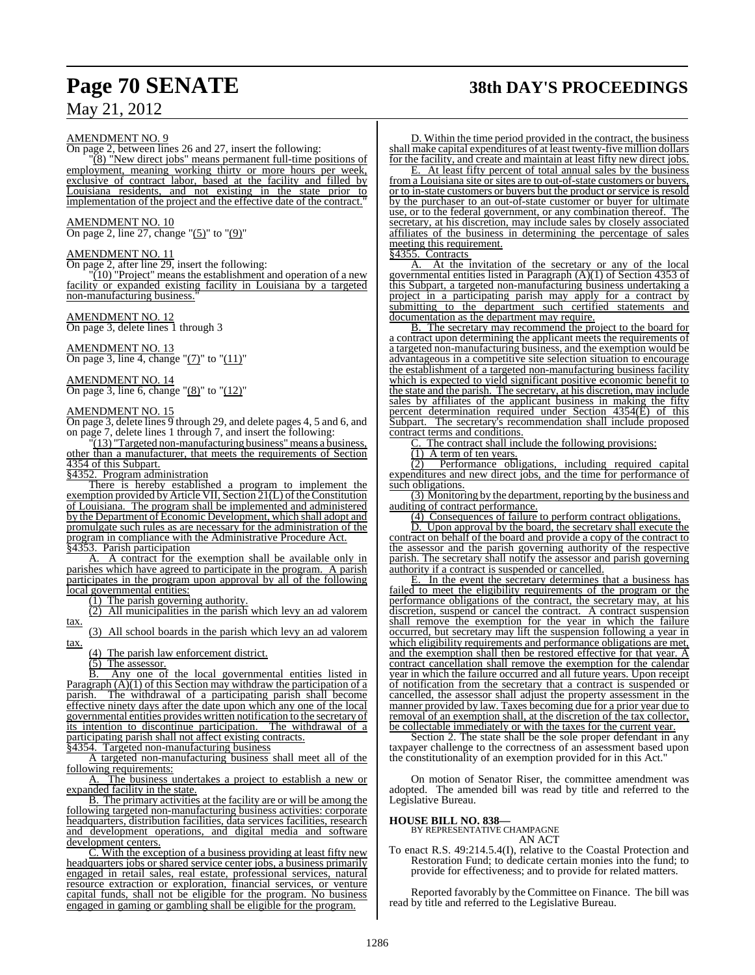# **Page 70 SENATE 38th DAY'S PROCEEDINGS**

## May 21, 2012

#### AMENDMENT NO. 9

On page 2, between lines 26 and 27, insert the following:

"(8) "New direct jobs" means permanent full-time positions of employment, meaning working thirty or more hours per week, exclusive of contract labor, based at the facility and filled by Louisiana residents, and not existing in the state prior to implementation of the project and the effective date of the contract."

#### AMENDMENT NO. 10

On page 2, line 27, change "(5)" to "(9)"

#### AMENDMENT NO. 11

On page 2, after line 29, insert the following:

 $(10)$  "Project" means the establishment and operation of a new facility or expanded existing facility in Louisiana by a targeted non-manufacturing business."

#### AMENDMENT NO. 12

On page 3, delete lines 1 through 3

#### AMENDMENT NO. 13

On page 3, line 4, change "(7)" to "(11)"

#### AMENDMENT NO. 14

On page 3, line 6, change "(8)" to "(12)"

#### AMENDMENT NO. 15

On page 3, delete lines 9 through 29, and delete pages 4, 5 and 6, and on page 7, delete lines 1 through 7, and insert the following:

 $(13)$  "Targeted non-manufacturing business" means a business, other than a manufacturer, that meets the requirements of Section 4354 of this Subpart.

§4352. Program administration

There is hereby established a program to implement the exemption provided by Article VII, Section 21(L) of the Constitution of Louisiana. The program shall be implemented and administered by the Department of Economic Development, which shall adopt and promulgate such rules as are necessary for the administration of the program in compliance with the Administrative Procedure Act. §4353. Parish participation

A. A contract for the exemption shall be available only in parishes which have agreed to participate in the program. A parish participates in the program upon approval by all of the following local governmental entities:

(1) The parish governing authority.

(2) All municipalities in the parish which levy an ad valorem tax.

(3) All school boards in the parish which levy an ad valorem tax.

(4) The parish law enforcement district.

(5) The assessor.

B. Any one of the local governmental entities listed in Paragraph  $(A)(1)$  of this Section may withdraw the participation of a parish. The withdrawal of a participating parish shall become effective ninety days after the date upon which any one of the local governmental entities provides written notification to the secretary of its intention to discontinue participation. The withdrawal of a its intention to discontinue participation. participating parish shall not affect existing contracts.<br>84354 Targeted non-manufacturing business

Targeted non-manufacturing business

A targeted non-manufacturing business shall meet all of the following requirements:

A. The business undertakes a project to establish a new or expanded facility in the state.

B. The primary activities at the facility are or will be among the following targeted non-manufacturing business activities: corporate headquarters, distribution facilities, data services facilities, research and development operations, and digital media and software development centers.

C. With the exception of a business providing at least fifty new headquarters jobs or shared service center jobs, a business primarily engaged in retail sales, real estate, professional services, natural resource extraction or exploration, financial services, or venture capital funds, shall not be eligible for the program. No business engaged in gaming or gambling shall be eligible for the program.

D. Within the time period provided in the contract, the business shall make capital expenditures of at least twenty-five million dollars for the facility, and create and maintain at least fifty new direct jobs.<br>E. At least fifty percent of total annual sales by the business

At least fifty percent of total annual sales by the business from a Louisiana site or sites are to out-of-state customers or buyers, or to in-state customers or buyers but the product or service is resold by the purchaser to an out-of-state customer or buyer for ultimate use, or to the federal government, or any combination thereof. The secretary, at his discretion, may include sales by closely associated affiliates of the business in determining the percentage of sales meeting this requirement.<br>§4355. Contracts

#### Contracts

A. At the invitation of the secretary or any of the local governmental entities listed in Paragraph (A)(1) of Section 4353 of this Subpart, a targeted non-manufacturing business undertaking a project in a participating parish may apply for a contract by submitting to the department such certified statements and documentation as the department may require.

B. The secretary may recommend the project to the board for a contract upon determining the applicant meets the requirements of a targeted non-manufacturing business, and the exemption would be advantageous in a competitive site selection situation to encourage the establishment of a targeted non-manufacturing business facility which is expected to yield significant positive economic benefit to the state and the parish. The secretary, at his discretion, may include sales by affiliates of the applicant business in making the fifty percent determination required under Section 4354(E) of this Subpart. The secretary's recommendation shall include proposed The secretary's recommendation shall include proposed contract terms and conditions.

C. The contract shall include the following provisions:

 $(1)$  A term of ten years.

(2) Performance obligations, including required capital expenditures and new direct jobs, and the time for performance of such obligations.

(3) Monitoring by the department, reporting by the business and auditing of contract performance.

(4) Consequences of failure to perform contract obligations.

D. Upon approval by the board, the secretary shall execute the contract on behalf of the board and provide a copy of the contract to the assessor and the parish governing authority of the respective parish. The secretary shall notify the assessor and parish governing authority if a contract is suspended or cancelled.

E. In the event the secretary determines that a business has failed to meet the eligibility requirements of the program or the performance obligations of the contract, the secretary may, at his discretion, suspend or cancel the contract. A contract suspension shall remove the exemption for the year in which the failure occurred, but secretary may lift the suspension following a year in which eligibility requirements and performance obligations are met, and the exemption shall then be restored effective for that year. A contract cancellation shall remove the exemption for the calendar year in which the failure occurred and all future years. Upon receipt of notification from the secretary that a contract is suspended or cancelled, the assessor shall adjust the property assessment in the manner provided by law. Taxes becoming due for a prior year due to removal of an exemption shall, at the discretion of the tax collector, be collectable immediately or with the taxes for the current year.

Section 2. The state shall be the sole proper defendant in any taxpayer challenge to the correctness of an assessment based upon the constitutionality of an exemption provided for in this Act."

On motion of Senator Riser, the committee amendment was adopted. The amended bill was read by title and referred to the Legislative Bureau.

#### **HOUSE BILL NO. 838—**

BY REPRESENTATIVE CHAMPAGNE AN ACT

To enact R.S. 49:214.5.4(I), relative to the Coastal Protection and Restoration Fund; to dedicate certain monies into the fund; to provide for effectiveness; and to provide for related matters.

Reported favorably by the Committee on Finance. The bill was read by title and referred to the Legislative Bureau.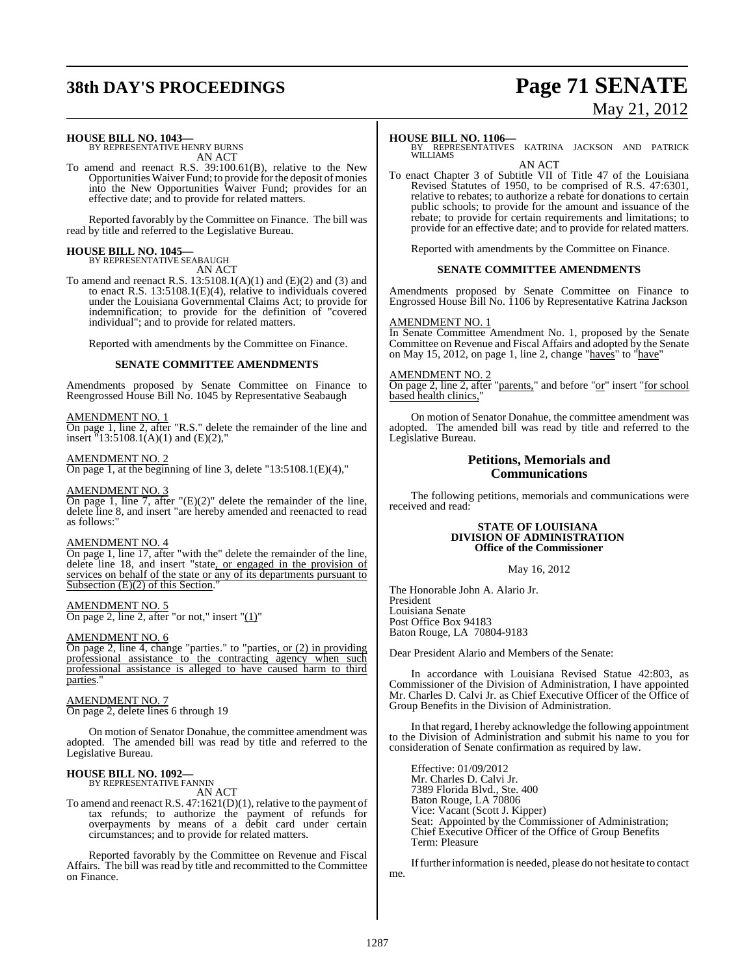# **38th DAY'S PROCEEDINGS Page 71 SENATE**

# May 21, 2012

#### **HOUSE BILL NO. 1043—**

BY REPRESENTATIVE HENRY BURNS AN ACT

To amend and reenact R.S. 39:100.61(B), relative to the New Opportunities Waiver Fund; to provide for the deposit of monies into the New Opportunities Waiver Fund; provides for an effective date; and to provide for related matters.

Reported favorably by the Committee on Finance. The bill was read by title and referred to the Legislative Bureau.

# **HOUSE BILL NO. 1045—** BY REPRESENTATIVE SEABAUGH

AN ACT

To amend and reenact R.S. 13:5108.1(A)(1) and (E)(2) and (3) and to enact R.S. 13:5108.1(E)(4), relative to individuals covered under the Louisiana Governmental Claims Act; to provide for indemnification; to provide for the definition of "covered individual"; and to provide for related matters.

Reported with amendments by the Committee on Finance.

#### **SENATE COMMITTEE AMENDMENTS**

Amendments proposed by Senate Committee on Finance to Reengrossed House Bill No. 1045 by Representative Seabaugh

#### AMENDMENT NO. 1

On page 1, line 2, after "R.S." delete the remainder of the line and insert  $\frac{1}{3}$ :5108.1(A)(1) and (E)(2),"

#### AMENDMENT NO. 2

On page 1, at the beginning of line 3, delete "13:5108.1(E)(4),"

#### AMENDMENT NO. 3

On page 1, line 7, after "(E)(2)" delete the remainder of the line, delete line 8, and insert "are hereby amended and reenacted to read as follows:"

#### AMENDMENT NO. 4

On page 1, line 17, after "with the" delete the remainder of the line, delete line 18, and insert "state, or engaged in the provision of services on behalf of the state or any of its departments pursuant to Subsection  $(E)(2)$  of this Section.

#### AMENDMENT NO. 5

On page 2, line 2, after "or not," insert " $(1)$ "

#### AMENDMENT NO. 6

On page 2, line 4, change "parties." to "parties, or (2) in providing professional assistance to the contracting agency when such professional assistance is alleged to have caused harm to third parties.

#### AMENDMENT NO. 7

On page 2, delete lines 6 through 19

On motion of Senator Donahue, the committee amendment was adopted. The amended bill was read by title and referred to the Legislative Bureau.

# **HOUSE BILL NO. 1092—** BY REPRESENTATIVE FANNIN AN ACT

To amend and reenact R.S. 47:1621(D)(1), relative to the payment of tax refunds; to authorize the payment of refunds for overpayments by means of a debit card under certain circumstances; and to provide for related matters.

Reported favorably by the Committee on Revenue and Fiscal Affairs. The bill was read by title and recommitted to the Committee on Finance.

#### **HOUSE BILL NO. 1106—**

BY REPRESENTATIVES KATRINA JACKSON AND PATRICK WILLIAMS AN ACT

To enact Chapter 3 of Subtitle VII of Title 47 of the Louisiana Revised Statutes of 1950, to be comprised of R.S. 47:6301, relative to rebates; to authorize a rebate for donations to certain public schools; to provide for the amount and issuance of the rebate; to provide for certain requirements and limitations; to provide for an effective date; and to provide for related matters.

Reported with amendments by the Committee on Finance.

#### **SENATE COMMITTEE AMENDMENTS**

Amendments proposed by Senate Committee on Finance to Engrossed House Bill No. 1106 by Representative Katrina Jackson

#### AMENDMENT NO. 1

In Senate Committee Amendment No. 1, proposed by the Senate Committee on Revenue and Fiscal Affairs and adopted by the Senate on May 15, 2012, on page 1, line 2, change "haves" to "have"

#### AMENDMENT NO. 2

On page 2, line 2, after "parents," and before "or" insert "for school based health clinics,"

On motion of Senator Donahue, the committee amendment was adopted. The amended bill was read by title and referred to the Legislative Bureau.

#### **Petitions, Memorials and Communications**

The following petitions, memorials and communications were received and read:

#### **STATE OF LOUISIANA DIVISION OF ADMINISTRATION Office of the Commissioner**

May 16, 2012

The Honorable John A. Alario Jr. President Louisiana Senate Post Office Box 94183 Baton Rouge, LA 70804-9183

Dear President Alario and Members of the Senate:

In accordance with Louisiana Revised Statue 42:803, as Commissioner of the Division of Administration, I have appointed Mr. Charles D. Calvi Jr. as Chief Executive Officer of the Office of Group Benefits in the Division of Administration.

In that regard, I hereby acknowledge the following appointment to the Division of Administration and submit his name to you for consideration of Senate confirmation as required by law.

Effective: 01/09/2012 Mr. Charles D. Calvi Jr. 7389 Florida Blvd., Ste. 400 Baton Rouge, LA 70806 Vice: Vacant (Scott J. Kipper) Seat: Appointed by the Commissioner of Administration; Chief Executive Officer of the Office of Group Benefits Term: Pleasure

If further information is needed, please do not hesitate to contact me.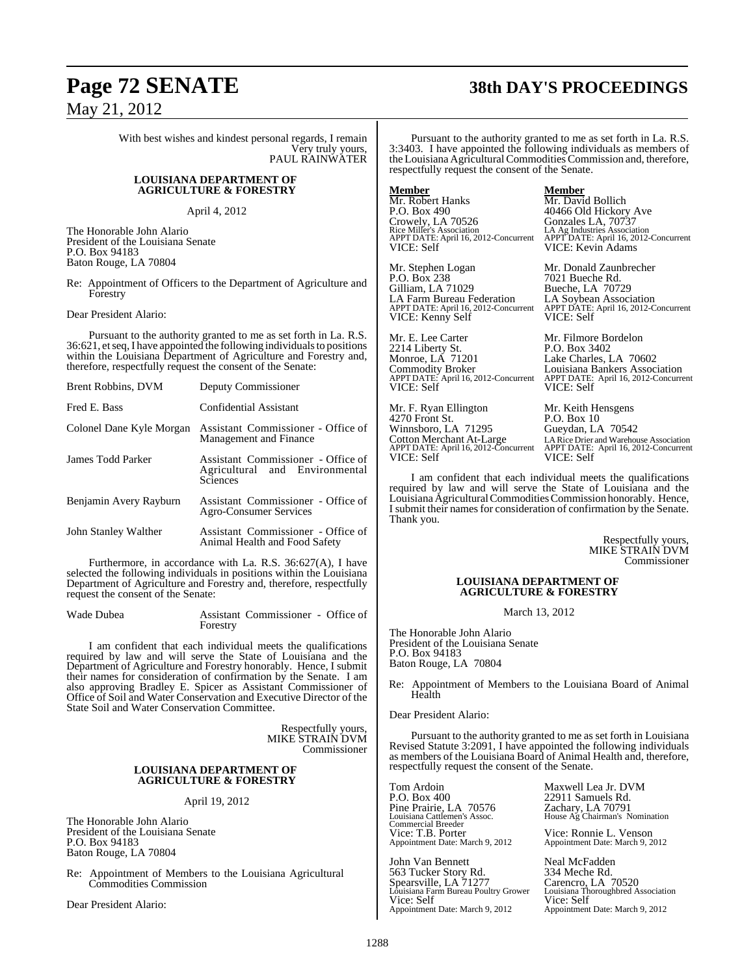# **Page 72 SENATE 38th DAY'S PROCEEDINGS**

With best wishes and kindest personal regards, I remain Very truly yours, PAUL RAINWATER

#### **LOUISIANA DEPARTMENT OF AGRICULTURE & FORESTRY**

April 4, 2012

The Honorable John Alario President of the Louisiana Senate P.O. Box 94183 Baton Rouge, LA 70804

Re: Appointment of Officers to the Department of Agriculture and Forestry

Dear President Alario:

Pursuant to the authority granted to me as set forth in La. R.S. 36:621, et seq, I have appointed the following individuals to positions within the Louisiana Department of Agriculture and Forestry and, therefore, respectfully request the consent of the Senate:

| <b>Brent Robbins, DVM</b> | Deputy Commissioner                                                              |
|---------------------------|----------------------------------------------------------------------------------|
| Fred E. Bass              | Confidential Assistant                                                           |
| Colonel Dane Kyle Morgan  | Assistant Commissioner - Office of<br>Management and Finance                     |
| James Todd Parker         | Assistant Commissioner - Office of<br>Agricultural and Environmental<br>Sciences |
| Benjamin Avery Rayburn    | Assistant Commissioner - Office of<br>Agro-Consumer Services                     |
| John Stanley Walther      | Assistant Commissioner - Office of<br>Animal Health and Food Safety              |

Furthermore, in accordance with La. R.S. 36:627(A), I have selected the following individuals in positions within the Louisiana Department of Agriculture and Forestry and, therefore, respectfully request the consent of the Senate:

Wade Dubea Assistant Commissioner - Office of Forestry

I am confident that each individual meets the qualifications required by law and will serve the State of Louisiana and the Department of Agriculture and Forestry honorably. Hence, I submit their names for consideration of confirmation by the Senate. I am also approving Bradley E. Spicer as Assistant Commissioner of Office of Soil and Water Conservation and Executive Director of the State Soil and Water Conservation Committee.

> Respectfully yours, MIKE STRAIN DVM Commissioner

#### **LOUISIANA DEPARTMENT OF AGRICULTURE & FORESTRY**

April 19, 2012

The Honorable John Alario President of the Louisiana Senate P.O. Box 94183 Baton Rouge, LA 70804

Re: Appointment of Members to the Louisiana Agricultural Commodities Commission

Dear President Alario:

Pursuant to the authority granted to me as set forth in La. R.S. 3:3403. I have appointed the following individuals as members of the Louisiana AgriculturalCommodities Commission and, therefore, respectfully request the consent of the Senate.

**Member Member** Mr. Robert Hanks Mr. David Bollich<br>P.O. Box 490 40466 Old Hickory

Mr. Stephen Logan Mr. Donald Zaunbrecher<br>P.O. Box 238 7021 Bueche Rd. P.O. Box 238 7021 Bueche Rd.<br>Gilliam, LA 71029 Bueche, LA 707 LA Farm Bureau Federation<br>APPT DATE: April 16, 2012-Concurrent VICE: Kenny Self

Mr. E. Lee Carter Mr. Filmore Bordelon<br>2214 Liberty St. P.O. Box 3402 2214 Liberty St.<br>Monroe, LA 71201 Commodity Broker Louisiana Bankers Association VICE: Self VICE: Self

Mr. F. Ryan Ellington Mr. Keith Hensgens<br>4270 Front St. P.O. Box 10 4270 Front St. <br>Winnsboro, LA 71295 Gueydan, LA 70542 Winnsboro, LA 71295<br>Cotton Merchant At-Large APPT DATE: April 16, 2012-Concurrent APPT DATE:<br>VICE: Self VICE: Self

# 40466 Old Hickory Ave<br>Gonzales LA, 70737

Crowely, LA 70526 Gonzales LA, 70737 Rice Miller's Association LA Ag Industries Association APPT DATE: April 16, 2012-Concurrent APPT DATE: April 16, 2012-Concurrent VICE: Self VICE: Kevin Adams

> Bueche, LA 70729<br>LA Soybean Association APPT DATE: April 16, 2012-Concurrent APPT DATE: April 16, 2012-Concurrent

Lake Charles, LA 70602 APPT DATE: April 16, 2012-Concurrent APPT DATE: April 16, 2012-Concurrent

Cotton Merchant At-Large LARice Drier and Warehouse Association APPT DATE: April 16, 2012-Concurrent APPT DATE: April 16, 2012-Concurrent

I am confident that each individual meets the qualifications required by law and will serve the State of Louisiana and the Louisiana Agricultural Commodities Commission honorably. Hence, I submit their names for consideration of confirmation by the Senate. Thank you.

> Respectfully yours, MIKE STRAIN DVM Commissioner

#### **LOUISIANA DEPARTMENT OF AGRICULTURE & FORESTRY**

March 13, 2012

The Honorable John Alario President of the Louisiana Senate P.O. Box 94183 Baton Rouge, LA 70804

Re: Appointment of Members to the Louisiana Board of Animal Health

Dear President Alario:

Pursuant to the authority granted to me as set forth in Louisiana Revised Statute 3:2091, I have appointed the following individuals as members of the Louisiana Board of Animal Health and, therefore, respectfully request the consent of the Senate.

Pine Prairie, LA 70576<br>Louisiana Cattlemen's Assoc. Commercial Breeder<br>Vice: T.B. Porter Appointment Date: March 9, 2012

John Van Bennett<br>
563 Tucker Story Rd.<br>
334 Meche Rd. 563 Tucker Story Rd.<br>Spearsville, LA 71277 Louisiana Farm Bureau Poultry Grower Louisiana Thoroughbred Association Vice: Self Vice: Self Appointment Date: March 9, 2012 Appointment Date: March 9, 2012

Tom Ardoin Maxwell Lea Jr. DVM<br>P.O. Box 400 22911 Samuels Rd. 22911 Samuels Rd. Zz2711 Sunners<br>
Cachary, LA 70791<br>
House Ag Chairman's Nomination

Vice: Ronnie L. Venson<br>Appointment Date: March 9, 2012

Carencro, LA 70520<br>Louisiana Thoroughbred Association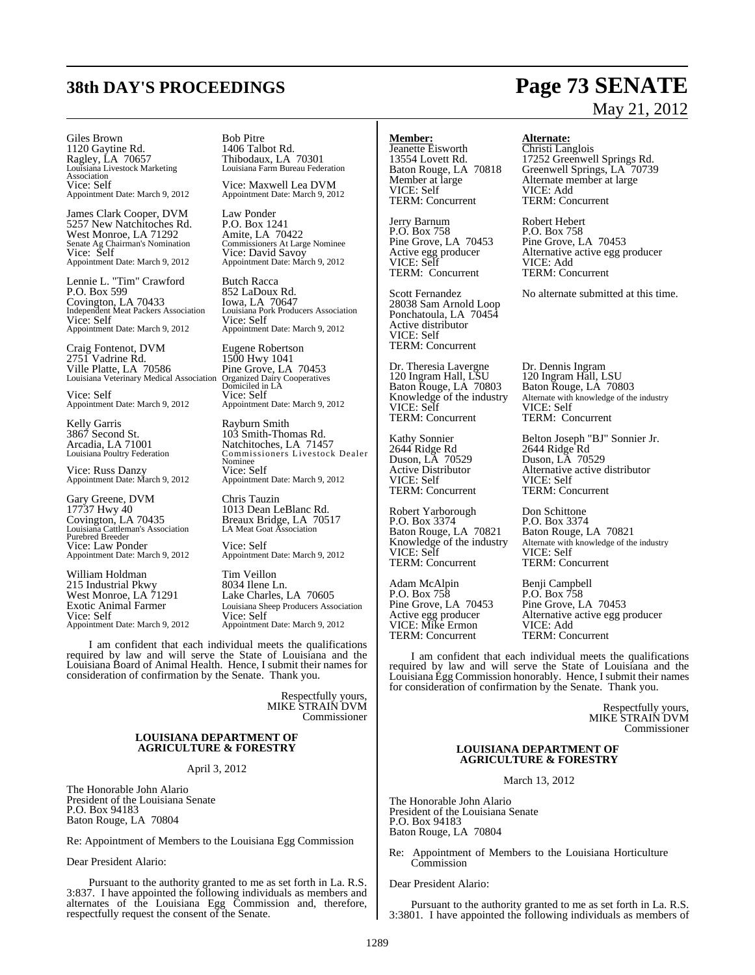# **38th DAY'S PROCEEDINGS Page 73 SENATE**

Giles Brown Bob Pitre 1120 Gaytine Rd.<br>Ragley, LA 70657 Ragley, LA 70657 Thibodaux, LA 70301<br>
Louisiana Livestock Marketing Louisiana Farm Bureau Fede Association<br>Vice: Self Appointment Date: March 9, 2012 Appointment Date: March 9, 2012

James Clark Cooper, DVM Law Ponder<br>5257 New Natchitoches Rd. P.O. Box 1241 5257 New Natchitoches Rd. West Monroe, LA 71292 Amite, LA 70422 Vice: Self Vice: David Savoy Appointment Date: March 9, 2012 Appointment Date: March 9, 2012

Lennie L. "Tim" Crawford Butch Racca<br>
P.O. Box 599 852 LaDoux Covington, LA 70433 Iowa, LA 70647 Independent Meat Packers Association Louisiana Pork Producers Association Independent Meat Packers Association<br>
Vice: Self<br>
Vice: Self<br>
Appointment Date: March 9, 2012<br>
Appointment Date: March 9, 2012<br>
Appointment Date: March 9, 2012

Craig Fontenot, DVM Eugene Robertson<br>
2751 Vadrine Rd. 1500 Hwy 1041 2751 Vadrine Rd.<br>Ville Platte, LA 70586 Louisiana Veterinary Medical Association

Vice: Self<br>
Appointment Date: March 9, 2012 <br>
Appointment Date: March 9, 2012

Kelly Garris **Rayburn Smith 3867** Second St. **Rayburn Smith** 103 Smith-Tho

Vice: Russ Danzy<br>Appointment Date: March 9, 2012

Gary Greene, DVM Chris Tauzin<br>17737 Hwy 40 1013 Dean L Covington, LA 70435 Breaux Bridge, LA 70517 Louisiana Cattleman's Association LA Meat Goat Association Purebred Breeder Vice: Law Ponder Vice: Self<br>Appointment Date: March 9, 2012 Appointment

William Holdman Tim Veillon<br>
215 Industrial Pkwy 8034 Ilene Ln. 215 Industrial Pkwy 8034 Ilene Ln. West Monroe, LA 71291 Lake Charles, LA 70605 Appointment Date: March 9, 2012

Louisiana Farm Bureau Federation

Vice: Maxwell Lea DVM<br>Appointment Date: March 9, 2012

Amite, LA 70422<br>Commissioners At Large Nominee<br>Vice: David Savoy

852 LaDoux Rd.<br>Iowa, LA 70647 Appointment Date: March 9, 2012 Appointment Date: March 9, 2012

Pine Grove, LA 70453 Organized Dairy Cooperatives<br>Domiciled in LA<br>Vice: Self

3867 Second St. 103 Smith-Thomas Rd. Arcadia, LA 71001 Natchitoches, LA 71457<br>
Louisiana Poultry Federation Commissioners Livestock Commissioners Livestock Dealer Nominee<br>Vice: Self Appointment Date: March 9, 2012 Appointment Date: March 9, 2012

1013 Dean LeBlanc Rd.<br>Breaux Bridge, LA 70517<br>LA Meat Goat Association

Appointment Date: March 9, 2012

Exotic Animal Farmer<br>
Vice: Self<br>
Vice: Self<br>
Vice: Self Appointment Date: March 9, 2012

I am confident that each individual meets the qualifications required by law and will serve the State of Louisiana and the Louisiana Board of Animal Health. Hence, I submit their names for consideration of confirmation by the Senate. Thank you.

> Respectfully yours, MIKE STRAIN DVM Commissioner

### **LOUISIANA DEPARTMENT OF AGRICULTURE & FORESTRY**

#### April 3, 2012

The Honorable John Alario President of the Louisiana Senate P.O. Box 94183 Baton Rouge, LA 70804

Re: Appointment of Members to the Louisiana Egg Commission

Dear President Alario:

Pursuant to the authority granted to me as set forth in La. R.S. 3:837. I have appointed the following individuals as members and alternates of the Louisiana Egg Commission and, therefore, respectfully request the consent of the Senate.

### **Member: Alternate:**

Jeanette Eisworth Christi Langlois TERM: Concurrent

Jerry Barnum Robert Hebert Pine Grove, LA 70453 VICE: Self VICE: Add TERM: Concurrent

28038 Sam Arnold Loop Ponchatoula, LA 70454 Active distributor VICE: Self TERM: Concurrent

Dr. Theresia Lavergne Dr. Dennis Ingram<br>120 Ingram Hall, LSU 120 Ingram Hall, LSU 120 Ingram Hall, LSU<br>Baton Rouge, LA 70803 Enowledge of the industry<br>VICE: Self<br>TERM: Concurrent

2644 Ridge Rd 2644 Ridge Rd Duson, LA 70529 Duson, LA 70529 VICE: Self VICE: Self TERM: Concurrent TERM: Concurrent

Robert Yarborough Don Schittone<br>P.O. Box 3374 P.O. Box 3374 P.O. Box 3374<br>Baton Rouge, LA 70821 Baton Rouge, LA 70821 Baton Rouge, LA 70821<br>Knowledge of the industry Alternate with knowledge of the VICE: Self VICE: Self<br>TERM: Concurrent TERM: Concurrent TERM: Concurrent TERM: Concurrent

Adam McAlpin Benji Campbell<br>
P.O. Box 758 P.O. Box 758 Pine Grove, LA 70453 Active egg producer<br>VICE: Mike Ermon<br>TERM: Concurrent

# May 21, 2012

13554 Lovett Rd. 17252 Greenwell Springs Rd. Baton Rouge, LA 70818 Greenwell Springs, LA 70739 Member at large **Alternate member at large**<br>
VICE: Add<br>
VICE: Add VICE: Add<br>TERM: Concurrent

P.O. Box 758 P.O. Box 758<br>Pine Grove, LA 70453 Pine Grove, LA 70453 Alternative active egg producer<br>VICE: Add

Scott Fernandez No alternate submitted at this time.

Baton Rouge, LA 70803 Alternate with knowledge of the industry<br>VICE: Self TERM: Concurrent

Kathy Sonnier Belton Joseph "BJ" Sonnier Jr. Active Distributor Alternative active distributor

Alternate with knowledge of the industry<br>VICE: Self

P.O. Box 758<br>Pine Grove, LA 70453 Alternative active egg producer<br>VICE: Add TERM: Concurrent

I am confident that each individual meets the qualifications required by law and will serve the State of Louisiana and the Louisiana Egg Commission honorably. Hence, I submit their names for consideration of confirmation by the Senate. Thank you.

> Respectfully yours, MIKE STRAIN DVM Commissioner

### **LOUISIANA DEPARTMENT OF AGRICULTURE & FORESTRY**

March 13, 2012

The Honorable John Alario President of the Louisiana Senate P.O. Box 94183 Baton Rouge, LA 70804

Re: Appointment of Members to the Louisiana Horticulture **Commission** 

Dear President Alario:

Pursuant to the authority granted to me as set forth in La. R.S. 3:3801. I have appointed the following individuals as members of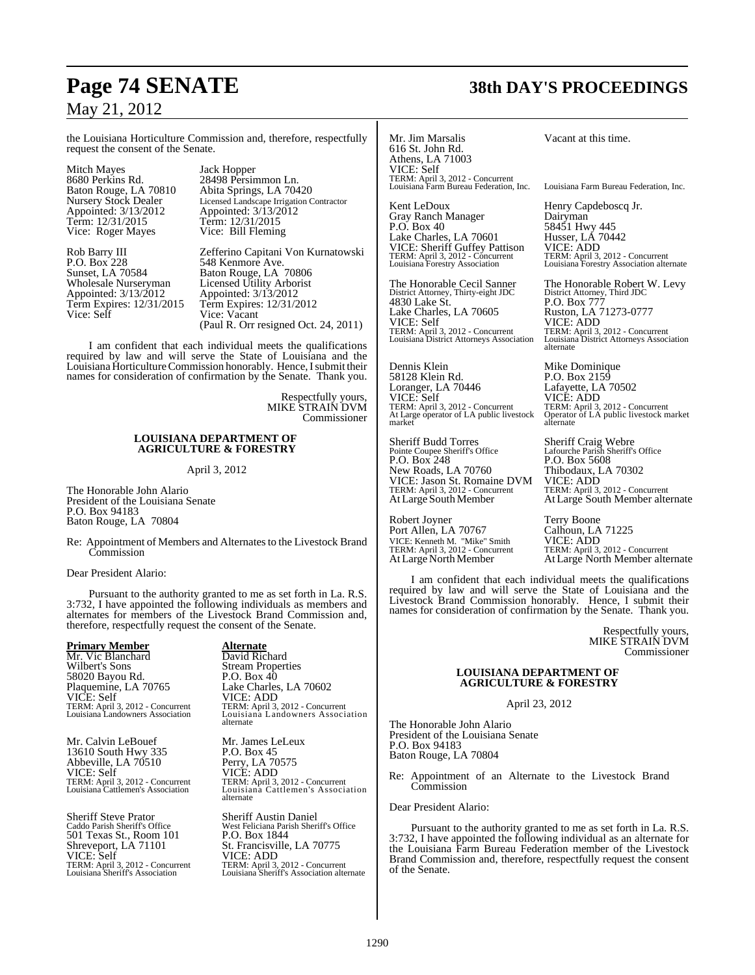the Louisiana Horticulture Commission and, therefore, respectfully request the consent of the Senate.

Mitch Mayes<br>
8680 Perkins Rd. 28498 Persin 8680 Perkins Rd. 28498 Persimmon Ln. Baton Rouge, LA 70810 Abita Springs, LA 70420 Appointed: 3/13/2012 Appointed: 3/13/2012 Term: 12/31/2015 Term: 12/31/2015 Vice: Roger Mayes Vice: Bill Fleming

P.O. Box 228 548 Kenmore Ave.<br>Sunset, LA 70584 Baton Rouge, LA Sunset, LA 70584 Baton Rouge, LA 70806<br>Wholesale Nurseryman Licensed Utility Arborist Wholesale Nurseryman Licensed Utility Arborist<br>Appointed:  $3/13/2012$  Appointed:  $3/13/2012$ Appointed: 3/13/2012 <br>
Term Expires: 12/31/2015 <br>
Term Expires: 12/31/2 Term Expires: 12/31/2015 Term Expires: 12/31/2012<br>Vice: Self Vice: Vacant

Nursery Stock Dealer Licensed Landscape Irrigation Contractor

Rob Barry III Zefferino Capitani Von Kurnatowski<br>P.O. Box 228 548 Kenmore Ave. Vice: Vacant (Paul R. Orr resigned Oct. 24, 2011)

I am confident that each individual meets the qualifications required by law and will serve the State of Louisiana and the Louisiana Horticulture Commission honorably. Hence, I submit their names for consideration of confirmation by the Senate. Thank you.

> Respectfully yours, MIKE STRAIN DVM Commissioner

### **LOUISIANA DEPARTMENT OF AGRICULTURE & FORESTRY**

April 3, 2012

The Honorable John Alario President of the Louisiana Senate P.O. Box 94183 Baton Rouge, LA 70804

Re: Appointment of Members and Alternates to the Livestock Brand **Commission** 

Dear President Alario:

Pursuant to the authority granted to me as set forth in La. R.S. 3:732, I have appointed the following individuals as members and alternates for members of the Livestock Brand Commission and, therefore, respectfully request the consent of the Senate.

**Primary Member**<br> **Alternate**<br> **Alternate**<br> **David Richard** Mr. Vic Blanchard David Richard Wilbert's Sons Stream Properties 58020 Bayou Rd. P.O. Box 40 Plaquemine, LA 70765 Lake Charles, LA 70602<br>VICE: ADD<br>VICE: ADD VICE: Self<br>TERM: April 3, 2012 - Concurrent<br>Louisiana Landowners Association

Mr. Calvin LeBouef Mr. James LeLeux<br>13610 South Hwy 335 P.O. Box 45 13610 South Hwy 335 Abbeville, LA 70510<br>VICE: Self

Sheriff Steve Prator Sheriff Austin Daniel<br>Caddo Parish Sheriff's Office West Feliciana Parish Sheri 501 Texas St., Room 101 TERM: April 3, 2012 - Concurrent TERM: April 3, 2012 - Concurrent

TERM: April 3, 2012 - Concurrent TERM: April 3, 2012 - Concurrent Louisiana Landowners Association Louisiana Landowners Association alternate

VICE: Self VICE: ADD TERM: April 3, 2012 - Concurrent TERM: April 3, 2012 - Concurrent Louisiana Cattlemen's Association Louisiana Cattlemen's Association alternate

West Feliciana Parish Sheriff's Office<br>P.O. Box 1844 St. Francisville, LA 70775<br>VICE: ADD Shreveport, LA 71101<br>
St. Francisville, LA 70775<br>
VICE: Self<br>
TERM: April 3, 2012 - Concurrent<br>
TERM: April 3, 2012 - Concurrent<br>
TERM: April 3, 2012 - Concurrent Louisiana Sheriff's Association alternate Mr. Jim Marsalis Vacant at this time. 616 St. John Rd. Athens, LA 71003 VICE: Self TERM: April 3, 2012 - Concurrent Louisiana Farm Bureau Federation, Inc. Louisiana Farm Bureau Federation, Inc.

Kent LeDoux **Henry Capdeboscq Jr.**<br>Gray Ranch Manager **Dairyman** Gray Ranch Manager<br>P.O. Box 40 Lake Charles, LA 70601 VICE: Sheriff Guffey Pattison<br>TERM: April 3, 2012 - Concurrent<br>Louisiana Forestry Association

The Honorable Cecil Sanner The Honorable Robert W. Levy District Attorney, Thirty-eight JDC<br>4830 Lake St. Lake Charles, LA 70605<br>VICE: Self VICE: Self VICE: ADD TERM: April 3, 2012 - Concurrent TERM: April 3, 2012 - Concurrent

Dennis Klein<br>
58128 Klein Rd.<br>
P.O. Box 2159 58128 Klein Rd. P.O. Box 2159 Loranger, LA 70446 VICE: Self<br>TERM: April 3, 2012 - Concurrent At Large operator of LA public livestock<br>market

Sheriff Budd Torres Sheriff Craig Webre Pointe Coupee Sheriff's Office Lafourche Parish Sheriff's Office Pointe Coupee Sheriff's Office<br>
P.O. Box 248 P.O. Box 5608<br>
New Roads, LA 70760 Thibodaux, LA 70302 New Roads, LA 70760 Thibodaux, LA 70302<br>
VICE: Jason St. Romaine DVM VICE: ADD<br>
TERM: April 3, 2012 - Concurrent TERM: April 3, 2012 - Concurrent VICE: Jason St. Romaine DVM VICE: ADD TERM: April 3, 2012 - Concurrent TERM: April 3, 2012 - Concurrent

Robert Joyner<br>
Port Allen, LA 70767<br>
Calhoun, LA 71225 Port Allen, LA 70767 VICE: Kenneth M. "Mike" Smith<br>TERM: April 3, 2012 - Concurrent

58451 Hwy 445<br>Husser, LA 70442 TERM: April 3, 2012 - Concurrent TERM: April 3, 2012 - Concurrent Louisiana Forestry Association Louisiana Forestry Association alternate

> The Holodale Robert<br>District Attorney, Third JDC<br>P.O. Box 777<br>Ruston, LA 71273-0777 NUCE: ADD<br>TERM: April 3, 2012 - Concurrent<br>Louisiana District Attorneys Association alternate

TERM: April 3, 2012 - Concurrent TERM: April 3, 2012 - Concurrent At Large operator of LA public livestock Operator of LA public livestock market

AtLarge South Member AtLarge South Member alternate

VICE: Kenneth M. "Mike" Smith VICE: ADD<br>TERM: April 3, 2012 - Concurrent TERM: April 3, 2012 - Concurrent<br>At Large North Member At Large North Member alte At Large North Member alternate

I am confident that each individual meets the qualifications required by law and will serve the State of Louisiana and the Livestock Brand Commission honorably. Hence, I submit their names for consideration of confirmation by the Senate. Thank you.

> Respectfully yours, MIKE STRAIN DVM Commissioner

### **LOUISIANA DEPARTMENT OF AGRICULTURE & FORESTRY**

April 23, 2012

The Honorable John Alario President of the Louisiana Senate P.O. Box 94183 Baton Rouge, LA 70804

Re: Appointment of an Alternate to the Livestock Brand **Commission** 

Dear President Alario:

Pursuant to the authority granted to me as set forth in La. R.S. 3:732, I have appointed the following individual as an alternate for the Louisiana Farm Bureau Federation member of the Livestock Brand Commission and, therefore, respectfully request the consent of the Senate.

## **Page 74 SENATE 38th DAY'S PROCEEDINGS**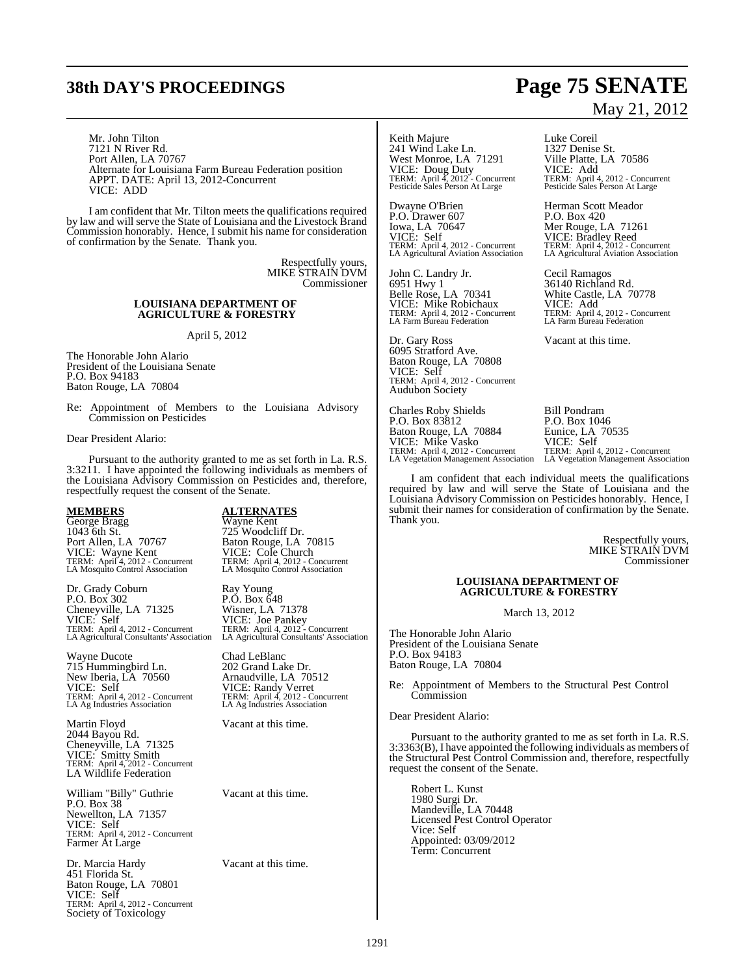# **38th DAY'S PROCEEDINGS Page 75 SENATE**

Mr. John Tilton 7121 N River Rd. Port Allen, LA 70767 Alternate for Louisiana Farm Bureau Federation position APPT. DATE: April 13, 2012-Concurrent VICE: ADD

I am confident that Mr. Tilton meets the qualifications required by law and will serve the State of Louisiana and the Livestock Brand Commission honorably. Hence, I submit his name for consideration of confirmation by the Senate. Thank you.

> Respectfully yours, MIKE STRAIN DVM Commissioner

### **LOUISIANA DEPARTMENT OF AGRICULTURE & FORESTRY**

April 5, 2012

The Honorable John Alario President of the Louisiana Senate P.O. Box 94183 Baton Rouge, LA 70804

Re: Appointment of Members to the Louisiana Advisory Commission on Pesticides

Dear President Alario:

Pursuant to the authority granted to me as set forth in La. R.S. 3:3211. I have appointed the following individuals as members of the Louisiana Advisory Commission on Pesticides and, therefore, respectfully request the consent of the Senate.

**MEMBERS ALTERNATES** George Bragg<br>1043 6th St. 1043 6th St. 725 Woodcliff Dr.<br>Port Allen, LA 70767 Baton Rouge, LA VICE: Wayne Kent VICE: Cole Church LA Mosquito Control Association LA Mosquito Control Association

Dr. Grady Coburn Ray Young P.O. Box 302 P.O. Box 648 Dr. Grady Coburn<br>
P.O. Box 302<br>
Cheneyville, LA 71325<br>
VICE: Self<br>
VICE: Joe Pankey VICE: Self VICE: Joe Pankey TERM: April 4, 2012 - Concurrent TERM: April 4, 2012 - Concurrent

Wayne Ducote Chad LeBlanc<br>
715 Hummingbird Ln. 202 Grand Lake Dr. 715 Hummingbird Ln.<br>New Iberia, LA 70560 VICE: Self VICE: Randy Verret TERM: April 4, 2012 - Concurrent TERM: April 4, 2012 - Concurrent LA Ag Industries Association LA Ag Industries Association

Martin Floyd Vacant at this time. 2044 Bayou Rd. Cheneyville, LA 71325 VICE: Smitty Smith TERM: April 4, 2012 - Concurrent LA Wildlife Federation

William "Billy" Guthrie Vacant at this time. P.O. Box 38 Newellton, LA 71357 VICE: Self TERM: April 4, 2012 - Concurrent Farmer At Large

Dr. Marcia Hardy Vacant at this time. 451 Florida St. Baton Rouge, LA 70801 VICE: Self TERM: April 4, 2012 - Concurrent Society of Toxicology

Baton Rouge, LA 70815 TERM: April 4, 2012 - Concurrent TERM: April 4, 2012 - Concurrent

LA Agricultural Consultants' Association LA Agricultural Consultants' Association

Arnaudville, LA 70512<br>VICE: Randy Verret<br>TERM: April 4, 2012 - Concurrent<br>LA Ag Industries Association

Keith Majure<br>
241 Wind Lake Ln.<br>
1327 Denise St. 241 Wind Lake Ln. 1327 Denise St.<br>West Monroe, LA 71291 Ville Platte, LA 70586 West Monroe, LA 71291 Ville Platte, LA 70586<br>
VICE: Doug Duty VICE: Add<br>
TERM: April 4, 2012 - Concurrent TERM: April 4, 2012 - Concurrent<br>
Pesticide Sales Person At Large Pesticide Sales Person At Large VICE: Doug Duty VICE: Add TERM: April 4, 2012 - Concurrent TERM: April 4, 2012 - Concurrent Pesticide Sales Person At Large Pesticide Sales Person At Large

Dwayne O'Brien Flerman Scott Meador<br>
P.O. Drawer 607 P.O. Box 420 P.O. Drawer 607<br>Iowa, LA 70647 VICE: Self VICE: Bradley Reed TERM: April 4, 2012 - Concurrent TERM: April 4, 2012 - Concurrent

John C. Landry Jr. Cecil Ramagos<br>6951 Hwy 1 36140 Richland 6951 Hwy 1 36140 Richland Rd.<br>Belle Rose, LA 70341 White Castle, LA 7

Dr. Gary Ross Vacant at this time. 6095 Stratford Ave. Baton Rouge, LA 70808 VICE: Self TERM: April 4, 2012 - Concurrent Audubon Society

Charles Roby Shields Bill Pondram P.O. Box 83812 Baton Rouge, LA 70884 VICE: Mike Vasko VICE: Self TERM: April 4, 2012 - Concurrent TERM: April 4, 2012 - Concurrent

# May 21, 2012

Mer Rouge, LA 71261 VICE: Bradley Reed<br>TERM: April 4, 2012 - Concurrent<br>LA Agricultural Aviation Association

White Castle, LA 70778<br>VICE: Add<br>TERM: April 4, 2012 - Concurrent<br>LA Farm Bureau Federation VICE: Mike Robichaux VICE: Add TERM: April 4, 2012 - Concurrent TERM: April 4, 2012 - Concurrent LA Farm Bureau Federation LA Farm Bureau Federation

F.O. DOS TO-0<br>
Eurice, LA 70535<br>
VICE: Self<br>
TERM: April 4, 2012 - Concurrent<br>
LA Vegetation Management Association

I am confident that each individual meets the qualifications required by law and will serve the State of Louisiana and the Louisiana Advisory Commission on Pesticides honorably. Hence, I submit their names for consideration of confirmation by the Senate. Thank you.

> Respectfully yours, MIKE STRAIN DVM Commissioner

### **LOUISIANA DEPARTMENT OF AGRICULTURE & FORESTRY**

March 13, 2012

The Honorable John Alario President of the Louisiana Senate P.O. Box 94183 Baton Rouge, LA 70804

Appointment of Members to the Structural Pest Control **Commission** 

Dear President Alario:

Pursuant to the authority granted to me as set forth in La. R.S. 3:3363(B), I have appointed the following individuals as members of the Structural Pest Control Commission and, therefore, respectfully request the consent of the Senate.

Robert L. Kunst 1980 Surgi Dr. Mandeville, LA 70448 Licensed Pest Control Operator Vice: Self Appointed: 03/09/2012 Term: Concurrent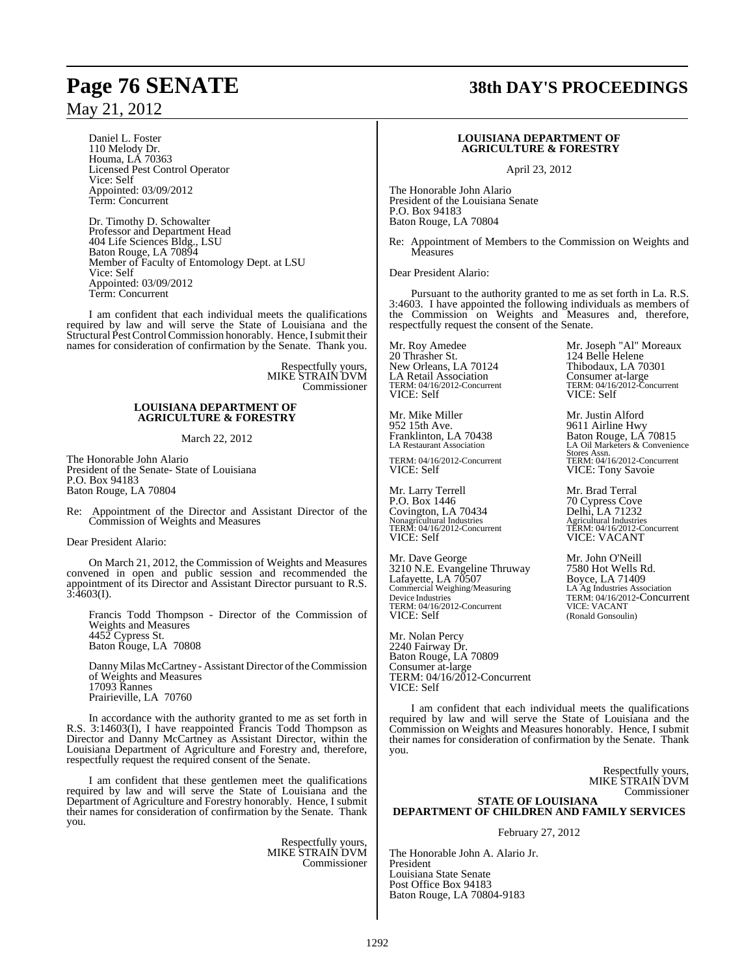Daniel L. Foster 110 Melody Dr. Houma, LA 70363 Licensed Pest Control Operator Vice: Self Appointed: 03/09/2012 Term: Concurrent

Dr. Timothy D. Schowalter Professor and Department Head 404 Life Sciences Bldg., LSU Baton Rouge, LA 70894 Member of Faculty of Entomology Dept. at LSU Vice: Self Appointed: 03/09/2012 Term: Concurrent

I am confident that each individual meets the qualifications required by law and will serve the State of Louisiana and the Structural Pest Control Commission honorably. Hence, I submit their names for consideration of confirmation by the Senate. Thank you.

> Respectfully yours, MIKE STRAIN DVM Commissioner

### **LOUISIANA DEPARTMENT OF AGRICULTURE & FORESTRY**

March 22, 2012

The Honorable John Alario President of the Senate- State of Louisiana P.O. Box 94183 Baton Rouge, LA 70804

Re: Appointment of the Director and Assistant Director of the Commission of Weights and Measures

Dear President Alario:

On March 21, 2012, the Commission of Weights and Measures convened in open and public session and recommended the appointment of its Director and Assistant Director pursuant to R.S.  $3:4603(I)$ .

Francis Todd Thompson - Director of the Commission of Weights and Measures 4452 Cypress St. Baton Rouge, LA 70808

Danny Milas McCartney - Assistant Director of the Commission of Weights and Measures 17093 Rannes Prairieville, LA 70760

In accordance with the authority granted to me as set forth in R.S. 3:14603(I), I have reappointed Francis Todd Thompson as Director and Danny McCartney as Assistant Director, within the Louisiana Department of Agriculture and Forestry and, therefore, respectfully request the required consent of the Senate.

I am confident that these gentlemen meet the qualifications required by law and will serve the State of Louisiana and the Department of Agriculture and Forestry honorably. Hence, I submit their names for consideration of confirmation by the Senate. Thank you.

> Respectfully yours, MIKE STRAIN DVM Commissioner

# **Page 76 SENATE 38th DAY'S PROCEEDINGS**

### **LOUISIANA DEPARTMENT OF AGRICULTURE & FORESTRY**

April 23, 2012

The Honorable John Alario President of the Louisiana Senate P.O. Box 94183 Baton Rouge, LA 70804

Re: Appointment of Members to the Commission on Weights and **Measures** 

Dear President Alario:

Pursuant to the authority granted to me as set forth in La. R.S. 3:4603. I have appointed the following individuals as members of the Commission on Weights and Measures and, therefore, respectfully request the consent of the Senate.

Mr. Roy Amedee Mr. Joseph "Al" Moreaux 20 Thrasher St. 124 Belle Helene 20 Thrasher St. (2012)<br>New Orleans, LA 70124 Thibodaux, LA 70301 LA Retail Association<br>TERM: 04/16/2012-Concurrent TERM: 04/16/2012-Concurrent<br>
TERM: 04/16/2012-Concurrent<br>
TERM: 04/16/2012-Concurrent<br>
VICE: Self<br>
VICE: Self

Mr. Mike Miller Mr. Justin Alford<br>952 15th Ave. 9611 Airline Hwy 952 15th Ave.<br>
Franklinton, LA 70438 Baton Rouge, LA<br>
LA Restaurant Association LA Oil Marketers & C

TERM: 04/16/2012-Concurrent<br>VICE: Self

Mr. Larry Terrell Mr. Brad Terral<br>
P.O. Box 1446 70 Cypress Cove Covington, LA 70434 Nonagricultural Industries<br>TERM: 04/16/2012-Concurrent VICE: Self VICE: VACANT

Mr. Dave George Mr. John O'Neill<br>3210 N.E. Evangeline Thruway 7580 Hot Wells Rd. 3210 N.E. Evangeline Thruway 7580 Hot Wells R<br>Lafayette, LA 70507 Boyce, LA 71409 Lafayette, LA 70507<br>Commercial Weighing/Measuring LA Ag Industries Association Device Industries<br>TERM: 04/16/2012-Concurrent<br>VICE: Self

Mr. Nolan Percy 2240 Fairway Dr. Baton Rouge, LA 70809 Consumer at-large TERM: 04/16/2012-Concurrent VICE: Self

I am confident that each individual meets the qualifications required by law and will serve the State of Louisiana and the Commission on Weights and Measures honorably. Hence, I submit their names for consideration of confirmation by the Senate. Thank you.

> Respectfully yours, MIKE STRAIN DVM Commissioner

### **STATE OF LOUISIANA DEPARTMENT OF CHILDREN AND FAMILY SERVICES**

February 27, 2012

The Honorable John A. Alario Jr. President Louisiana State Senate Post Office Box 94183 Baton Rouge, LA 70804-9183

VICE: Self

Franklinton, LA 70438 Baton Rouge, LA 70815 LA Restaurant Association LA Oil Marketers & Convenience Stores Assn.<br>TERM: 04/16/2012-Concurrent VICE: Tony Savoie

> 70 Cypress Cove<br>Delhi, LA 71232 TERM: 04/16/2012-Concurrent TERM: 04/16/2012-Concurrent

LA Ag Industries Association<br>TERM: 04/16/2012-Concurrent<br>VICE: VACANT (Ronald Gonsoulin)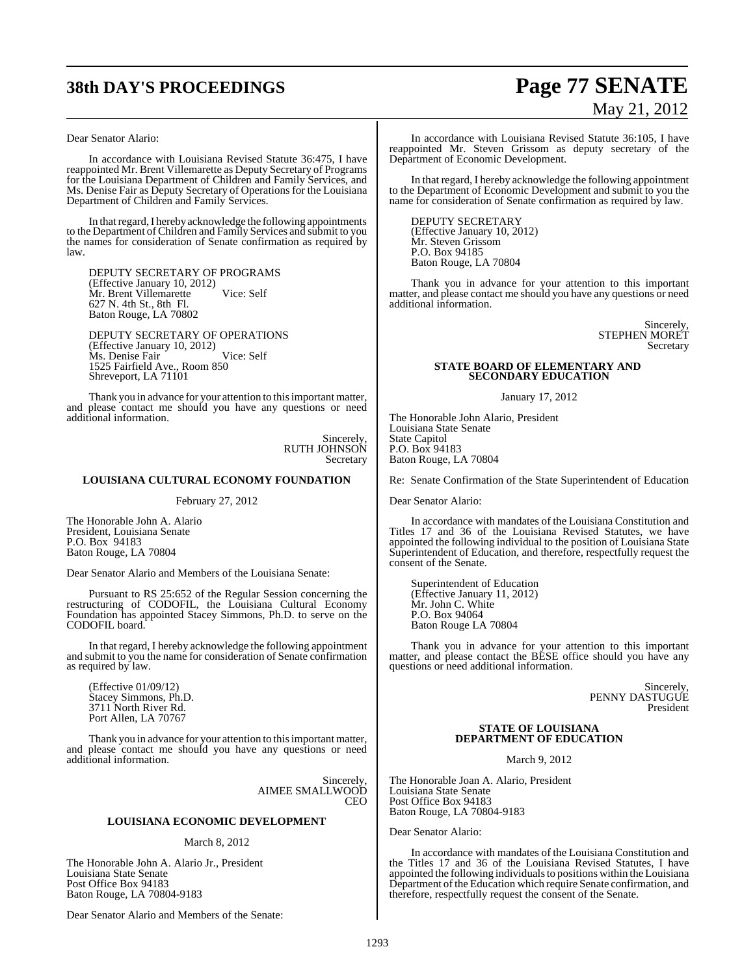# **38th DAY'S PROCEEDINGS Page 77 SENATE**

# May 21, 2012

Dear Senator Alario:

In accordance with Louisiana Revised Statute 36:475, I have reappointed Mr. Brent Villemarette as Deputy Secretary of Programs for the Louisiana Department of Children and Family Services, and Ms. Denise Fair as Deputy Secretary of Operations for the Louisiana Department of Children and Family Services.

In that regard, I hereby acknowledge the following appointments to the Department ofChildren and Family Services and submit to you the names for consideration of Senate confirmation as required by law.

DEPUTY SECRETARY OF PROGRAMS (Effective January 10, 2012) Mr. Brent Villemarette Vice: Self 627 N. 4th St., 8th Fl. Baton Rouge, LA 70802

DEPUTY SECRETARY OF OPERATIONS (Effective January 10, 2012) Ms. Denise Fair Vice: Self 1525 Fairfield Ave., Room 850 Shreveport, LA 71101

Thank you in advance for your attention to this important matter, and please contact me should you have any questions or need additional information.

> **Sincerely** RUTH JOHNSON Secretary

### **LOUISIANA CULTURAL ECONOMY FOUNDATION**

February 27, 2012

The Honorable John A. Alario President, Louisiana Senate P.O. Box 94183 Baton Rouge, LA 70804

Dear Senator Alario and Members of the Louisiana Senate:

Pursuant to RS 25:652 of the Regular Session concerning the restructuring of CODOFIL, the Louisiana Cultural Economy Foundation has appointed Stacey Simmons, Ph.D. to serve on the CODOFIL board.

In that regard, I hereby acknowledge the following appointment and submit to you the name for consideration of Senate confirmation as required by law.

(Effective 01/09/12) Stacey Simmons, Ph.D. 3711 North River Rd. Port Allen, LA 70767

Thank you in advance for your attention to thisimportant matter, and please contact me should you have any questions or need additional information.

> Sincerely, AIMEE SMALLWOOD CEO

### **LOUISIANA ECONOMIC DEVELOPMENT**

### March 8, 2012

The Honorable John A. Alario Jr., President Louisiana State Senate Post Office Box 94183 Baton Rouge, LA 70804-9183

Dear Senator Alario and Members of the Senate:

In accordance with Louisiana Revised Statute 36:105, I have reappointed Mr. Steven Grissom as deputy secretary of the Department of Economic Development.

In that regard, I hereby acknowledge the following appointment to the Department of Economic Development and submit to you the name for consideration of Senate confirmation as required by law.

DEPUTY SECRETARY (Effective January 10, 2012) Mr. Steven Grissom P.O. Box 94185 Baton Rouge, LA 70804

Thank you in advance for your attention to this important matter, and please contact me should you have any questions or need additional information.

> Sincerely, STEPHEN MORET Secretary

### **STATE BOARD OF ELEMENTARY AND SECONDARY EDUCATION**

January 17, 2012

The Honorable John Alario, President Louisiana State Senate State Capitol P.O. Box 94183 Baton Rouge, LA 70804

Re: Senate Confirmation of the State Superintendent of Education

Dear Senator Alario:

In accordance with mandates of the Louisiana Constitution and Titles 17 and 36 of the Louisiana Revised Statutes, we have appointed the following individual to the position of Louisiana State Superintendent of Education, and therefore, respectfully request the consent of the Senate.

Superintendent of Education (Effective January 11, 2012) Mr. John C. White P.O. Box 94064 Baton Rouge LA 70804

Thank you in advance for your attention to this important matter, and please contact the BESE office should you have any questions or need additional information.

> Sincerely, PENNY DASTUGUE President

### **STATE OF LOUISIANA DEPARTMENT OF EDUCATION**

March 9, 2012

The Honorable Joan A. Alario, President Louisiana State Senate Post Office Box 94183 Baton Rouge, LA 70804-9183

Dear Senator Alario:

In accordance with mandates of the Louisiana Constitution and the Titles 17 and 36 of the Louisiana Revised Statutes, I have appointed the following individualsto positions within the Louisiana Department of the Education which require Senate confirmation, and therefore, respectfully request the consent of the Senate.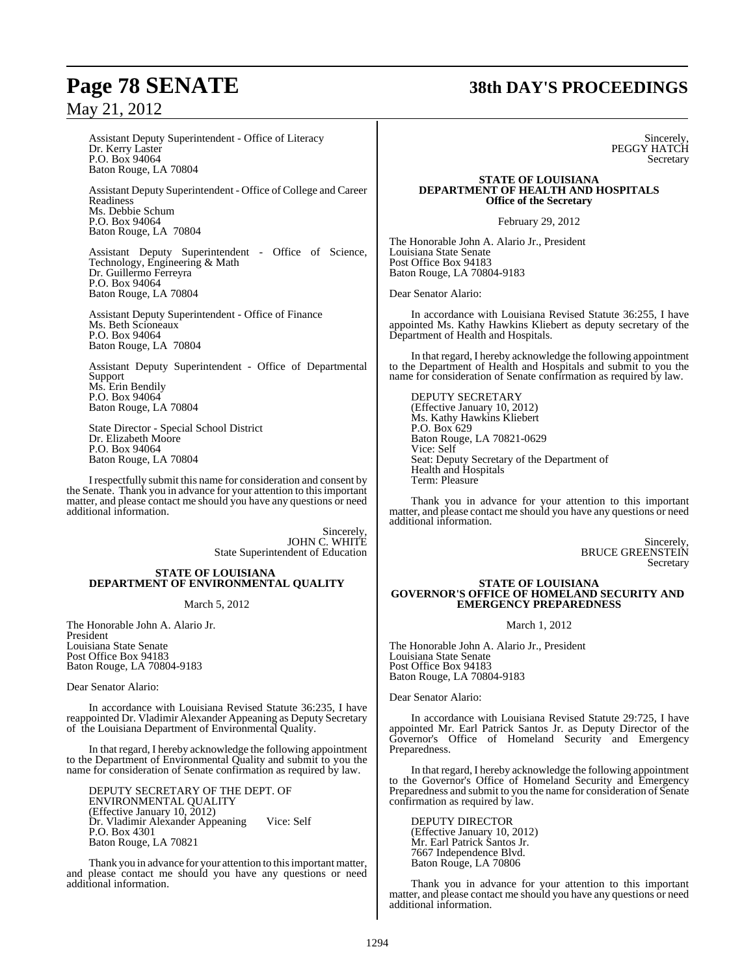### **Page 78 SENATE 38th DAY'S PROCEEDINGS**

### May 21, 2012

Assistant Deputy Superintendent - Office of Literacy Dr. Kerry Laster P.O. Box 94064 Baton Rouge, LA 70804

Assistant Deputy Superintendent - Office of College and Career Readiness Ms. Debbie Schum P.O. Box 94064 Baton Rouge, LA 70804

Assistant Deputy Superintendent - Office of Science, Technology, Engineering & Math Dr. Guillermo Ferreyra P.O. Box 94064 Baton Rouge, LA 70804

Assistant Deputy Superintendent - Office of Finance Ms. Beth Scioneaux P.O. Box 94064 Baton Rouge, LA 70804

Assistant Deputy Superintendent - Office of Departmental Support Ms. Erin Bendily P.O. Box 94064 Baton Rouge, LA 70804

State Director - Special School District Dr. Elizabeth Moore P.O. Box 94064 Baton Rouge, LA 70804

I respectfully submit this name for consideration and consent by the Senate. Thank you in advance for your attention to this important matter, and please contact me should you have any questions or need additional information.

> Sincerely, JOHN C. WHITE State Superintendent of Education

### **STATE OF LOUISIANA DEPARTMENT OF ENVIRONMENTAL QUALITY**

### March 5, 2012

The Honorable John A. Alario Jr. President Louisiana State Senate Post Office Box 94183 Baton Rouge, LA 70804-9183

Dear Senator Alario:

In accordance with Louisiana Revised Statute 36:235, I have reappointed Dr. Vladimir Alexander Appeaning as Deputy Secretary of the Louisiana Department of Environmental Quality.

In that regard, I hereby acknowledge the following appointment to the Department of Environmental Quality and submit to you the name for consideration of Senate confirmation as required by law.

DEPUTY SECRETARY OF THE DEPT. OF ENVIRONMENTAL QUALITY (Effective January 10, 2012) Dr. Vladimir Alexander Appeaning Vice: Self P.O. Box 4301 Baton Rouge, LA 70821

Thank you in advance for your attention to this important matter, and please contact me should you have any questions or need additional information.

**Sincerely** PEGGY HATCH Secretary

#### **STATE OF LOUISIANA DEPARTMENT OF HEALTH AND HOSPITALS Office of the Secretary**

February 29, 2012

The Honorable John A. Alario Jr., President Louisiana State Senate Post Office Box 94183 Baton Rouge, LA 70804-9183

Dear Senator Alario:

In accordance with Louisiana Revised Statute 36:255, I have appointed Ms. Kathy Hawkins Kliebert as deputy secretary of the Department of Health and Hospitals.

In that regard, I hereby acknowledge the following appointment to the Department of Health and Hospitals and submit to you the name for consideration of Senate confirmation as required by law.

DEPUTY SECRETARY (Effective January 10, 2012) Ms. Kathy Hawkins Kliebert P.O. Box 629 Baton Rouge, LA 70821-0629 Vice: Self Seat: Deputy Secretary of the Department of Health and Hospitals Term: Pleasure

Thank you in advance for your attention to this important matter, and please contact me should you have any questions or need additional information.

> Sincerely, BRUCE GREENSTEIN Secretary

#### **STATE OF LOUISIANA GOVERNOR'S OFFICE OF HOMELAND SECURITY AND EMERGENCY PREPAREDNESS**

March 1, 2012

The Honorable John A. Alario Jr., President Louisiana State Senate Post Office Box 94183 Baton Rouge, LA 70804-9183

Dear Senator Alario:

In accordance with Louisiana Revised Statute 29:725, I have appointed Mr. Earl Patrick Santos Jr. as Deputy Director of the Governor's Office of Homeland Security and Emergency Preparedness.

In that regard, I hereby acknowledge the following appointment to the Governor's Office of Homeland Security and Emergency Preparedness and submit to you the name for consideration of Senate confirmation as required by law.

DEPUTY DIRECTOR (Effective January 10, 2012) Mr. Earl Patrick Santos Jr. 7667 Independence Blvd. Baton Rouge, LA 70806

Thank you in advance for your attention to this important matter, and please contact me should you have any questions or need additional information.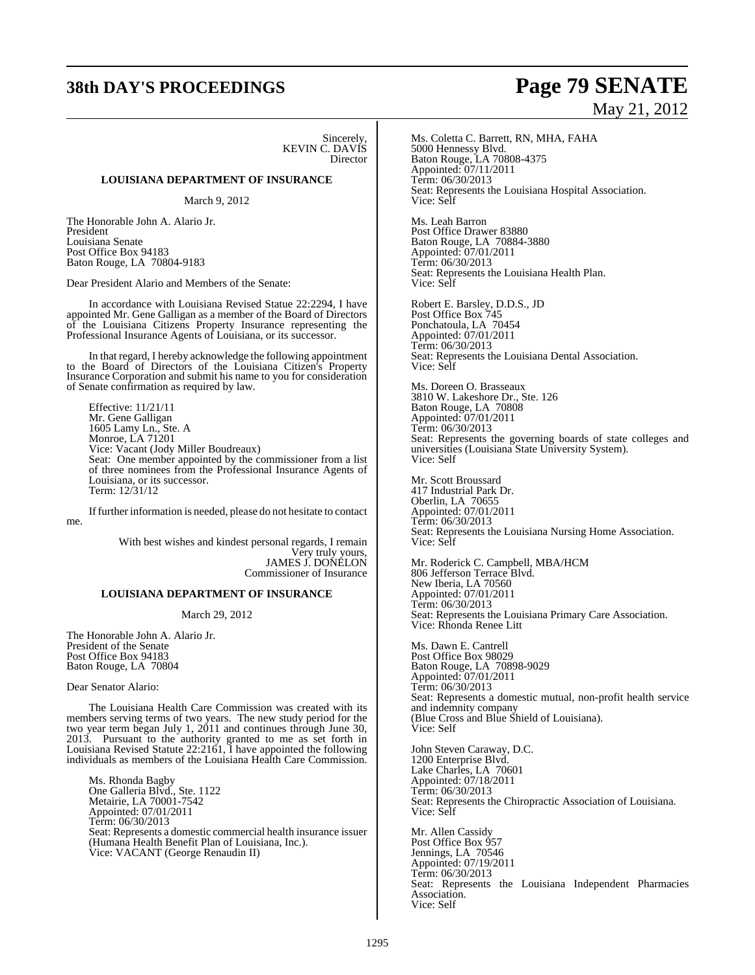## **38th DAY'S PROCEEDINGS Page 79 SENATE**

Sincerely, KEVIN C. DAVIS Director

### **LOUISIANA DEPARTMENT OF INSURANCE**

March 9, 2012

The Honorable John A. Alario Jr. President Louisiana Senate Post Office Box 94183 Baton Rouge, LA 70804-9183

Dear President Alario and Members of the Senate:

In accordance with Louisiana Revised Statue 22:2294, I have appointed Mr. Gene Galligan as a member of the Board of Directors of the Louisiana Citizens Property Insurance representing the Professional Insurance Agents of Louisiana, or its successor.

In that regard, I hereby acknowledge the following appointment to the Board of Directors of the Louisiana Citizen's Property Insurance Corporation and submit his name to you for consideration of Senate confirmation as required by law.

Effective: 11/21/11 Mr. Gene Galligan 1605 Lamy Ln., Ste. A Monroe, LA 71201 Vice: Vacant (Jody Miller Boudreaux) Seat: One member appointed by the commissioner from a list of three nominees from the Professional Insurance Agents of Louisiana, or its successor. Term: 12/31/12

Iffurther information is needed, please do not hesitate to contact me.

> With best wishes and kindest personal regards, I remain Very truly yours, JAMES J. DONELON Commissioner of Insurance

### **LOUISIANA DEPARTMENT OF INSURANCE**

March 29, 2012

The Honorable John A. Alario Jr. President of the Senate Post Office Box 94183 Baton Rouge, LA 70804

Dear Senator Alario:

The Louisiana Health Care Commission was created with its members serving terms of two years. The new study period for the two year term began July 1, 2011 and continues through June 30, 2013. Pursuant to the authority granted to me as set forth in Louisiana Revised Statute 22:2161, I have appointed the following individuals as members of the Louisiana Health Care Commission.

Ms. Rhonda Bagby One Galleria Blvd., Ste. 1122 Metairie, LA 70001-7542 Appointed: 07/01/2011 Term: 06/30/2013 Seat: Represents a domestic commercial health insurance issuer (Humana Health Benefit Plan of Louisiana, Inc.). Vice: VACANT (George Renaudin II)

# May 21, 2012

Ms. Coletta C. Barrett, RN, MHA, FAHA 5000 Hennessy Blvd. Baton Rouge, LA 70808-4375 Appointed: 07/11/2011 Term: 06/30/2013 Seat: Represents the Louisiana Hospital Association. Vice: Self

Ms. Leah Barron Post Office Drawer 83880 Baton Rouge, LA 70884-3880 Appointed: 07/01/2011 Term: 06/30/2013 Seat: Represents the Louisiana Health Plan. Vice: Self

Robert E. Barsley, D.D.S., JD Post Office Box 745 Ponchatoula, LA 70454 Appointed: 07/01/2011 Term: 06/30/2013 Seat: Represents the Louisiana Dental Association. Vice: Self

Ms. Doreen O. Brasseaux 3810 W. Lakeshore Dr., Ste. 126 Baton Rouge, LA 70808 Appointed: 07/01/2011 Term: 06/30/2013 Seat: Represents the governing boards of state colleges and universities (Louisiana State University System). Vice: Self

Mr. Scott Broussard 417 Industrial Park Dr. Oberlin, LA 70655 Appointed: 07/01/2011 Term: 06/30/2013 Seat: Represents the Louisiana Nursing Home Association. Vice: Self

Mr. Roderick C. Campbell, MBA/HCM 806 Jefferson Terrace Blvd. New Iberia, LA 70560 Appointed: 07/01/2011 Term: 06/30/2013 Seat: Represents the Louisiana Primary Care Association. Vice: Rhonda Renee Litt

Ms. Dawn E. Cantrell Post Office Box 98029 Baton Rouge, LA 70898-9029 Appointed: 07/01/2011 Term: 06/30/2013 Seat: Represents a domestic mutual, non-profit health service and indemnity company (Blue Cross and Blue Shield of Louisiana). Vice: Self

John Steven Caraway, D.C. 1200 Enterprise Blvd. Lake Charles, LA 70601 Appointed: 07/18/2011 Term: 06/30/2013 Seat: Represents the Chiropractic Association of Louisiana. Vice: Self

Mr. Allen Cassidy Post Office Box 957 Jennings, LA 70546 Appointed: 07/19/2011 Term: 06/30/2013 Seat: Represents the Louisiana Independent Pharmacies Association. Vice: Self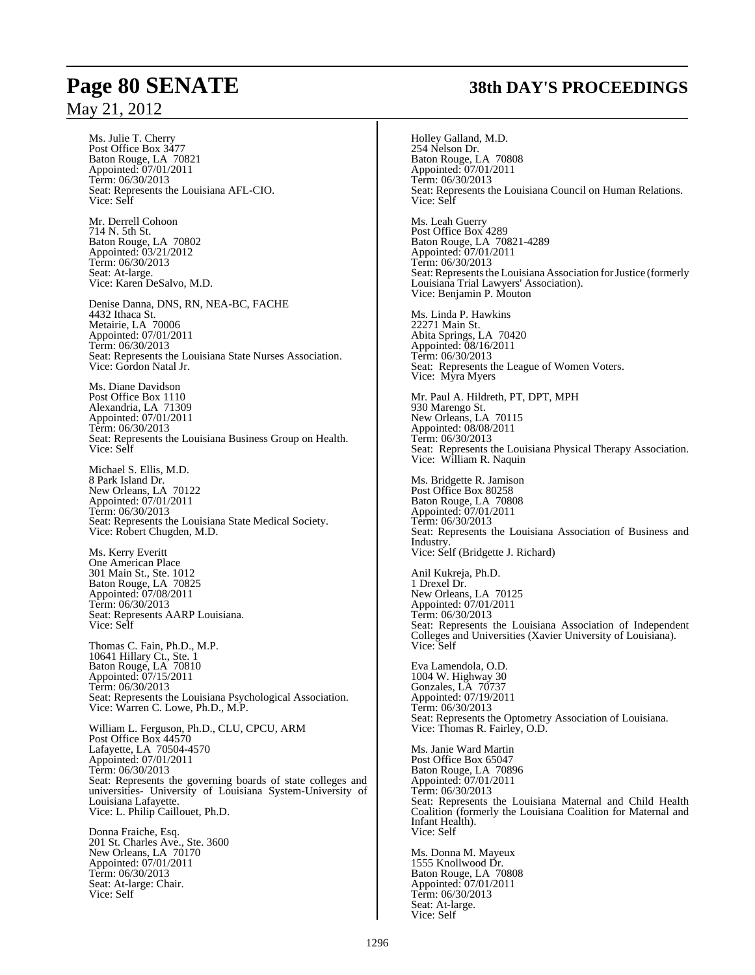Ms. Julie T. Cherry Post Office Box 3477 Baton Rouge, LA 70821 Appointed: 07/01/2011 Term: 06/30/2013 Seat: Represents the Louisiana AFL-CIO. Vice: Self

Mr. Derrell Cohoon 714 N. 5th St. Baton Rouge, LA 70802 Appointed: 03/21/2012 Term: 06/30/2013 Seat: At-large. Vice: Karen DeSalvo, M.D.

Denise Danna, DNS, RN, NEA-BC, FACHE 4432 Ithaca St. Metairie, LA 70006 Appointed: 07/01/2011 Term: 06/30/2013 Seat: Represents the Louisiana State Nurses Association. Vice: Gordon Natal Jr.

Ms. Diane Davidson Post Office Box 1110 Alexandria, LA 71309 Appointed: 07/01/2011 Term: 06/30/2013 Seat: Represents the Louisiana Business Group on Health. Vice: Self

Michael S. Ellis, M.D. 8 Park Island Dr. New Orleans, LA 70122 Appointed: 07/01/2011 Term: 06/30/2013 Seat: Represents the Louisiana State Medical Society. Vice: Robert Chugden, M.D.

Ms. Kerry Everitt One American Place 301 Main St., Ste. 1012 Baton Rouge, LA 70825 Appointed: 07/08/2011 Term: 06/30/2013 Seat: Represents AARP Louisiana. Vice: Self

Thomas C. Fain, Ph.D., M.P. 10641 Hillary Ct., Ste. 1 Baton Rouge, LA 70810 Appointed: 07/15/2011 Term: 06/30/2013 Seat: Represents the Louisiana Psychological Association. Vice: Warren C. Lowe, Ph.D., M.P.

William L. Ferguson, Ph.D., CLU, CPCU, ARM Post Office Box 44570 Lafayette, LA 70504-4570 Appointed: 07/01/2011 Term: 06/30/2013 Seat: Represents the governing boards of state colleges and universities- University of Louisiana System-University of Louisiana Lafayette. Vice: L. Philip Caillouet, Ph.D.

Donna Fraiche, Esq. 201 St. Charles Ave., Ste. 3600 New Orleans, LA 70170 Appointed: 07/01/2011 Term: 06/30/2013 Seat: At-large: Chair. Vice: Self

# **Page 80 SENATE 38th DAY'S PROCEEDINGS**

Holley Galland, M.D. 254 Nelson Dr. Baton Rouge, LA 70808 Appointed: 07/01/2011 Term: 06/30/2013 Seat: Represents the Louisiana Council on Human Relations. Vice: Self Ms. Leah Guerry Post Office Box 4289 Baton Rouge, LA 70821-4289 Appointed: 07/01/2011 Term: 06/30/2013 Seat: Represents the Louisiana Association for Justice (formerly Louisiana Trial Lawyers' Association). Vice: Benjamin P. Mouton Ms. Linda P. Hawkins 22271 Main St. Abita Springs, LA 70420 Appointed: 08/16/2011 Term: 06/30/2013 Seat: Represents the League of Women Voters. Vice: Myra Myers Mr. Paul A. Hildreth, PT, DPT, MPH 930 Marengo St. New Orleans, LA 70115 Appointed: 08/08/2011 Term: 06/30/2013 Seat: Represents the Louisiana Physical Therapy Association. Vice: William R. Naquin Ms. Bridgette R. Jamison Post Office Box 80258 Baton Rouge, LA 70808 Appointed: 07/01/2011 Term: 06/30/2013 Seat: Represents the Louisiana Association of Business and **Industry** Vice: Self (Bridgette J. Richard) Anil Kukreja, Ph.D. 1 Drexel Dr. New Orleans, LA 70125 Appointed: 07/01/2011 Term: 06/30/2013 Seat: Represents the Louisiana Association of Independent Colleges and Universities (Xavier University of Louisiana). Vice: Self Eva Lamendola, O.D. 1004 W. Highway 30 Gonzales, LA 70737 Appointed: 07/19/2011 Term: 06/30/2013 Seat: Represents the Optometry Association of Louisiana. Vice: Thomas R. Fairley, O.D. Ms. Janie Ward Martin Post Office Box 65047 Baton Rouge, LA 70896 Appointed: 07/01/2011 Term: 06/30/2013 Seat: Represents the Louisiana Maternal and Child Health Coalition (formerly the Louisiana Coalition for Maternal and Infant Health). Vice: Self Ms. Donna M. Mayeux 1555 Knollwood Dr. Baton Rouge, LA 70808 Appointed: 07/01/2011 Term: 06/30/2013 Seat: At-large.

Vice: Self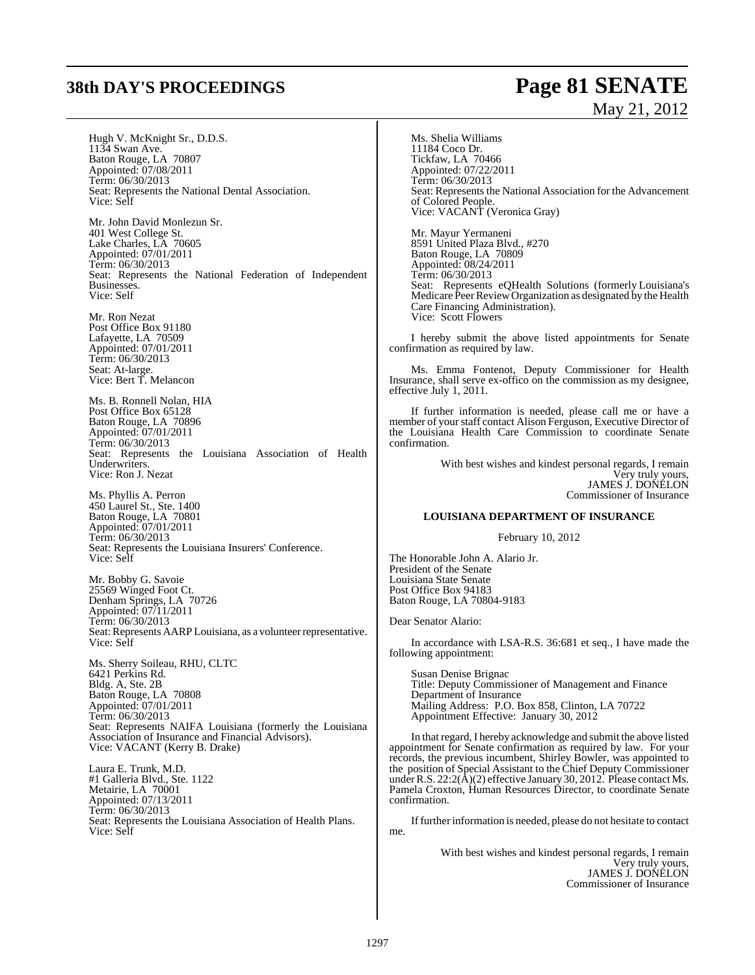# **38th DAY'S PROCEEDINGS Page 81 SENATE**

# May 21, 2012

Hugh V. McKnight Sr., D.D.S. 1134 Swan Ave. Baton Rouge, LA 70807 Appointed: 07/08/2011 Term: 06/30/2013 Seat: Represents the National Dental Association. Vice: Self

Mr. John David Monlezun Sr. 401 West College St. Lake Charles, LA 70605 Appointed: 07/01/2011 Term: 06/30/2013 Seat: Represents the National Federation of Independent Businesses. Vice: Self

Mr. Ron Nezat Post Office Box 91180 Lafayette, LA 70509 Appointed: 07/01/2011 Term: 06/30/2013 Seat: At-large. Vice: Bert T. Melancon

Ms. B. Ronnell Nolan, HIA Post Office Box 65128 Baton Rouge, LA 70896 Appointed: 07/01/2011 Term: 06/30/2013 Seat: Represents the Louisiana Association of Health Underwriters. Vice: Ron J. Nezat

Ms. Phyllis A. Perron 450 Laurel St., Ste. 1400 Baton Rouge, LA 70801 Appointed: 07/01/2011 Term: 06/30/2013 Seat: Represents the Louisiana Insurers' Conference. Vice: Self

Mr. Bobby G. Savoie 25569 Winged Foot Ct. Denham Springs, LA 70726 Appointed: 07/11/2011 Term: 06/30/2013 Seat: Represents AARP Louisiana, as a volunteer representative. Vice: Self

Ms. Sherry Soileau, RHU, CLTC 6421 Perkins Rd. Bldg. A, Ste. 2B Baton Rouge, LA 70808 Appointed: 07/01/2011 Term: 06/30/2013 Seat: Represents NAIFA Louisiana (formerly the Louisiana Association of Insurance and Financial Advisors). Vice: VACANT (Kerry B. Drake)

Laura E. Trunk, M.D. #1 Galleria Blvd., Ste. 1122 Metairie, LA 70001 Appointed: 07/13/2011 Term: 06/30/2013 Seat: Represents the Louisiana Association of Health Plans. Vice: Self

Tickfaw, LA 70466 Appointed: 07/22/2011 Term: 06/30/2013 Seat: Represents the National Association for the Advancement of Colored People. Vice: VACANT (Veronica Gray) Mr. Mayur Yermaneni 8591 United Plaza Blvd., #270 Baton Rouge, LA 70809 Appointed: 08/24/2011 Term: 06/30/2013 Seat: Represents eQHealth Solutions (formerly Louisiana's Medicare Peer Review Organization as designated by the Health Care Financing Administration).

I hereby submit the above listed appointments for Senate confirmation as required by law.

Ms. Emma Fontenot, Deputy Commissioner for Health Insurance, shall serve ex-offico on the commission as my designee, effective July 1, 2011.

If further information is needed, please call me or have a member of your staff contact Alison Ferguson, Executive Director of the Louisiana Health Care Commission to coordinate Senate confirmation.

> With best wishes and kindest personal regards, I remain Very truly yours, JAMES J. DONELON Commissioner of Insurance

### **LOUISIANA DEPARTMENT OF INSURANCE**

February 10, 2012

The Honorable John A. Alario Jr. President of the Senate Louisiana State Senate Post Office Box 94183 Baton Rouge, LA 70804-9183

Ms. Shelia Williams 11184 Coco Dr.

Vice: Scott Flowers

Dear Senator Alario:

In accordance with LSA-R.S. 36:681 et seq., I have made the following appointment:

Susan Denise Brignac Title: Deputy Commissioner of Management and Finance Department of Insurance Mailing Address: P.O. Box 858, Clinton, LA 70722 Appointment Effective: January 30, 2012

In that regard, I hereby acknowledge and submit the above listed appointment for Senate confirmation as required by law. For your records, the previous incumbent, Shirley Bowler, was appointed to the position of Special Assistant to the Chief Deputy Commissioner underR.S. 22:2(A)(2) effective January 30, 2012. Please contact Ms. Pamela Croxton, Human Resources Director, to coordinate Senate confirmation.

If further information is needed, please do not hesitate to contact me.

> With best wishes and kindest personal regards, I remain Very truly yours, JAMES J. DONELON Commissioner of Insurance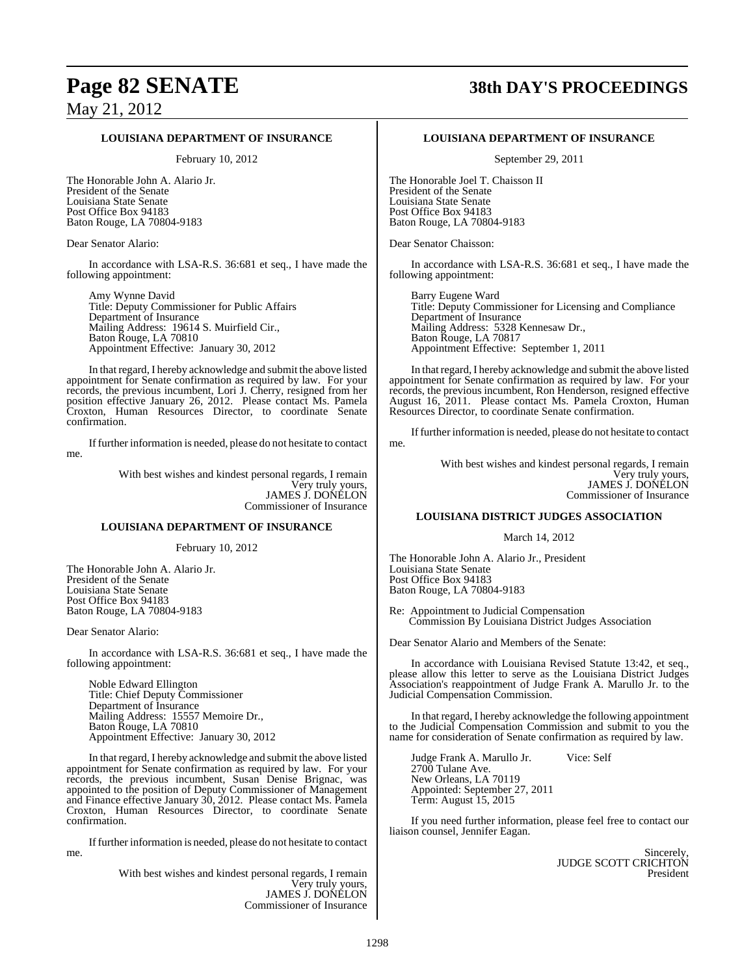### **LOUISIANA DEPARTMENT OF INSURANCE**

February 10, 2012

The Honorable John A. Alario Jr. President of the Senate Louisiana State Senate Post Office Box 94183 Baton Rouge, LA 70804-9183

Dear Senator Alario:

In accordance with LSA-R.S. 36:681 et seq., I have made the following appointment:

Amy Wynne David Title: Deputy Commissioner for Public Affairs Department of Insurance Mailing Address: 19614 S. Muirfield Cir., Baton Rouge, LA 70810 Appointment Effective: January 30, 2012

In that regard, I hereby acknowledge and submit the above listed appointment for Senate confirmation as required by law. For your records, the previous incumbent, Lori J. Cherry, resigned from her position effective January 26, 2012. Please contact Ms. Pamela Croxton, Human Resources Director, to coordinate Senate confirmation.

Iffurther information is needed, please do not hesitate to contact me.

> With best wishes and kindest personal regards, I remain Very truly yours, JAMES J. DONELON Commissioner of Insurance

### **LOUISIANA DEPARTMENT OF INSURANCE**

February 10, 2012

The Honorable John A. Alario Jr. President of the Senate Louisiana State Senate Post Office Box 94183 Baton Rouge, LA 70804-9183

Dear Senator Alario:

In accordance with LSA-R.S. 36:681 et seq., I have made the following appointment:

Noble Edward Ellington Title: Chief Deputy Commissioner Department of Insurance Mailing Address: 15557 Memoire Dr., Baton Rouge, LA 70810 Appointment Effective: January 30, 2012

In that regard, I hereby acknowledge and submit the above listed appointment for Senate confirmation as required by law. For your records, the previous incumbent, Susan Denise Brignac, was appointed to the position of Deputy Commissioner of Management and Finance effective January 30, 2012. Please contact Ms. Pamela Croxton, Human Resources Director, to coordinate Senate confirmation.

Iffurther information is needed, please do not hesitate to contact me.

> With best wishes and kindest personal regards, I remain Very truly yours, JAMES J. DONELON Commissioner of Insurance

### **Page 82 SENATE 38th DAY'S PROCEEDINGS**

#### **LOUISIANA DEPARTMENT OF INSURANCE**

September 29, 2011

The Honorable Joel T. Chaisson II President of the Senate Louisiana State Senate Post Office Box 94183 Baton Rouge, LA 70804-9183

Dear Senator Chaisson:

In accordance with LSA-R.S. 36:681 et seq., I have made the following appointment:

Barry Eugene Ward Title: Deputy Commissioner for Licensing and Compliance Department of Insurance Mailing Address: 5328 Kennesaw Dr., Baton Rouge, LA 70817 Appointment Effective: September 1, 2011

In that regard, I hereby acknowledge and submit the above listed appointment for Senate confirmation as required by law. For your records, the previous incumbent, Ron Henderson, resigned effective August 16, 2011. Please contact Ms. Pamela Croxton, Human Resources Director, to coordinate Senate confirmation.

Iffurther information is needed, please do not hesitate to contact me.

> With best wishes and kindest personal regards, I remain Very truly yours, JAMES J. DONELON Commissioner of Insurance

### **LOUISIANA DISTRICT JUDGES ASSOCIATION**

March 14, 2012

The Honorable John A. Alario Jr., President Louisiana State Senate Post Office Box 94183 Baton Rouge, LA 70804-9183

Re: Appointment to Judicial Compensation Commission By Louisiana District Judges Association

Dear Senator Alario and Members of the Senate:

In accordance with Louisiana Revised Statute 13:42, et seq., please allow this letter to serve as the Louisiana District Judges Association's reappointment of Judge Frank A. Marullo Jr. to the Judicial Compensation Commission.

In that regard, I hereby acknowledge the following appointment to the Judicial Compensation Commission and submit to you the name for consideration of Senate confirmation as required by law.

Judge Frank A. Marullo Jr. Vice: Self 2700 Tulane Ave. New Orleans, LA 70119 Appointed: September 27, 2011 Term: August 15, 2015

If you need further information, please feel free to contact our liaison counsel, Jennifer Eagan.

> **Sincerely** JUDGE SCOTT CRICHTON President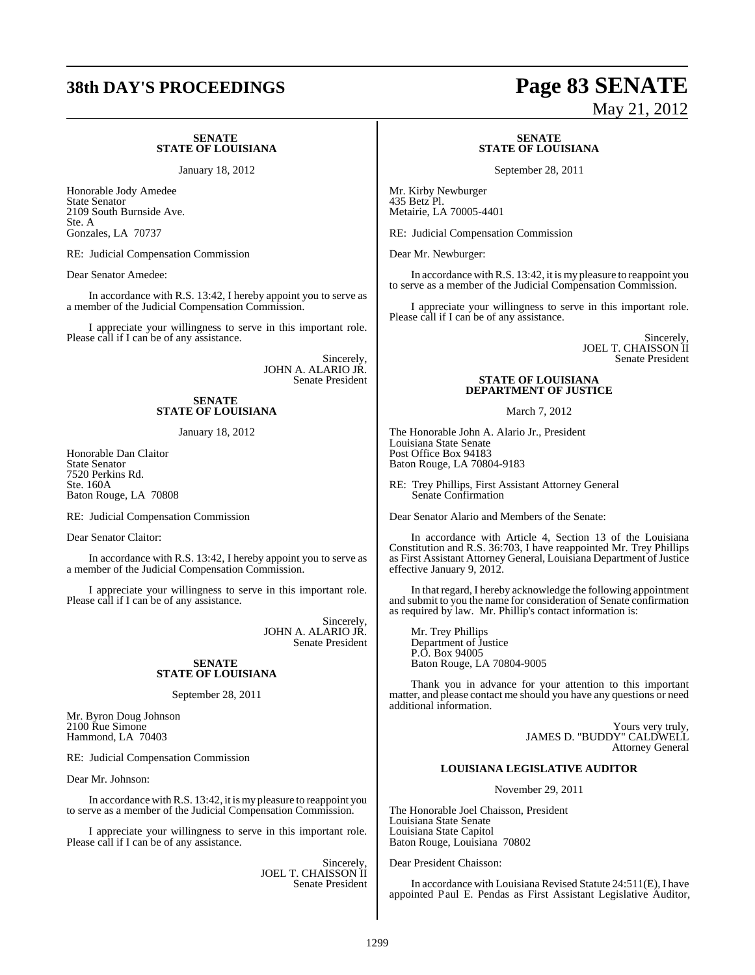#### **SENATE STATE OF LOUISIANA**

January 18, 2012

Honorable Jody Amedee State Senator 2109 South Burnside Ave. Ste. A Gonzales, LA 70737

RE: Judicial Compensation Commission

Dear Senator Amedee:

In accordance with R.S. 13:42, I hereby appoint you to serve as a member of the Judicial Compensation Commission.

I appreciate your willingness to serve in this important role. Please call if I can be of any assistance.

> Sincerely, JOHN A. ALARIO JR. Senate President

### **SENATE STATE OF LOUISIANA**

January 18, 2012

Honorable Dan Claitor State Senator 7520 Perkins Rd. Ste. 160A Baton Rouge, LA 70808

RE: Judicial Compensation Commission

Dear Senator Claitor:

In accordance with R.S. 13:42, I hereby appoint you to serve as a member of the Judicial Compensation Commission.

I appreciate your willingness to serve in this important role. Please call if I can be of any assistance.

> Sincerely, JOHN A. ALARIO JR. Senate President

### **SENATE STATE OF LOUISIANA**

September 28, 2011

Mr. Byron Doug Johnson 2100 Rue Simone Hammond, LA 70403

RE: Judicial Compensation Commission

Dear Mr. Johnson:

In accordance with R.S. 13:42, it is my pleasure to reappoint you to serve as a member of the Judicial Compensation Commission.

I appreciate your willingness to serve in this important role. Please call if I can be of any assistance.

> Sincerely, JOEL T. CHAISSON II Senate President

## **38th DAY'S PROCEEDINGS Page 83 SENATE** May 21, 2012

#### **SENATE STATE OF LOUISIANA**

September 28, 2011

Mr. Kirby Newburger 435 Betz Pl. Metairie, LA 70005-4401

RE: Judicial Compensation Commission

Dear Mr. Newburger:

In accordance with R.S. 13:42, it is my pleasure to reappoint you to serve as a member of the Judicial Compensation Commission.

I appreciate your willingness to serve in this important role. Please call if I can be of any assistance.

> Sincerely, JOEL T. CHAISSON II Senate President

### **STATE OF LOUISIANA DEPARTMENT OF JUSTICE**

March 7, 2012

The Honorable John A. Alario Jr., President Louisiana State Senate Post Office Box 94183 Baton Rouge, LA 70804-9183

RE: Trey Phillips, First Assistant Attorney General Senate Confirmation

Dear Senator Alario and Members of the Senate:

In accordance with Article 4, Section 13 of the Louisiana Constitution and R.S. 36:703, I have reappointed Mr. Trey Phillips as First Assistant Attorney General, Louisiana Department of Justice effective January 9, 2012.

In that regard, I hereby acknowledge the following appointment and submit to you the name for consideration of Senate confirmation as required by law. Mr. Phillip's contact information is:

Mr. Trey Phillips Department of Justice P.O. Box 94005 Baton Rouge, LA 70804-9005

Thank you in advance for your attention to this important matter, and please contact me should you have any questions or need additional information.

> Yours very truly, JAMES D. "BUDDY" CALDWELL Attorney General

### **LOUISIANA LEGISLATIVE AUDITOR**

November 29, 2011

The Honorable Joel Chaisson, President Louisiana State Senate Louisiana State Capitol Baton Rouge, Louisiana 70802

Dear President Chaisson:

In accordance with Louisiana Revised Statute 24:511(E), I have appointed Paul E. Pendas as First Assistant Legislative Auditor,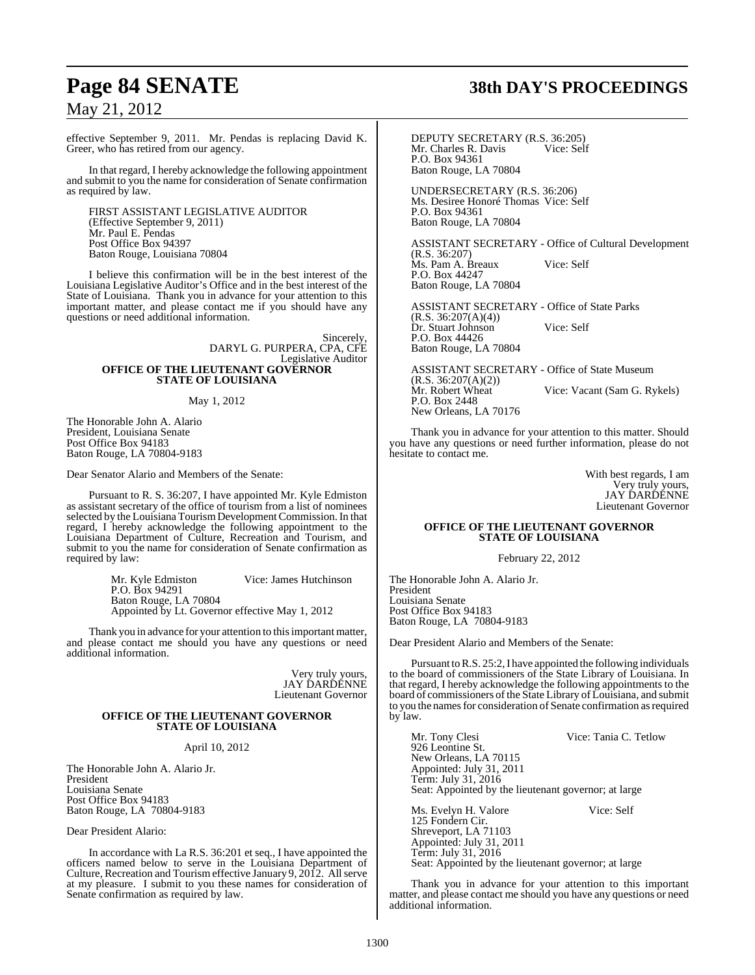effective September 9, 2011. Mr. Pendas is replacing David K. Greer, who has retired from our agency.

In that regard, I hereby acknowledge the following appointment and submit to you the name for consideration of Senate confirmation as required by law.

FIRST ASSISTANT LEGISLATIVE AUDITOR (Effective September 9, 2011) Mr. Paul E. Pendas Post Office Box 94397 Baton Rouge, Louisiana 70804

I believe this confirmation will be in the best interest of the Louisiana Legislative Auditor's Office and in the best interest of the State of Louisiana. Thank you in advance for your attention to this important matter, and please contact me if you should have any questions or need additional information.

> Sincerely, DARYL G. PURPERA, CPA, CFE Legislative Auditor **OFFICE OF THE LIEUTENANT GOVERNOR STATE OF LOUISIANA**

### May 1, 2012

The Honorable John A. Alario President, Louisiana Senate Post Office Box 94183 Baton Rouge, LA 70804-9183

Dear Senator Alario and Members of the Senate:

Pursuant to R. S. 36:207, I have appointed Mr. Kyle Edmiston as assistant secretary of the office of tourism from a list of nominees selected by the Louisiana Tourism Development Commission. In that regard, I hereby acknowledge the following appointment to the Louisiana Department of Culture, Recreation and Tourism, and submit to you the name for consideration of Senate confirmation as required by law:

> Mr. Kyle Edmiston Vice: James Hutchinson P.O. Box 94291 Baton Rouge, LA 70804 Appointed by Lt. Governor effective May 1, 2012

Thank you in advance for your attention to thisimportant matter, and please contact me should you have any questions or need additional information.

> Very truly yours, JAY DARDENNE Lieutenant Governor

### **OFFICE OF THE LIEUTENANT GOVERNOR STATE OF LOUISIANA**

#### April 10, 2012

The Honorable John A. Alario Jr. President Louisiana Senate Post Office Box 94183 Baton Rouge, LA 70804-9183

Dear President Alario:

In accordance with La R.S. 36:201 et seq., I have appointed the officers named below to serve in the Louisiana Department of Culture, Recreation and Tourism effective January 9, 2012. All serve at my pleasure. I submit to you these names for consideration of Senate confirmation as required by law.

## **Page 84 SENATE 38th DAY'S PROCEEDINGS**

DEPUTY SECRETARY (R.S. 36:205)<br>Mr. Charles R. Davis Vice: Self Mr. Charles R. Davis P.O. Box 94361 Baton Rouge, LA 70804

UNDERSECRETARY (R.S. 36:206) Ms. Desiree Honoré Thomas Vice: Self P.O. Box 94361 Baton Rouge, LA 70804

ASSISTANT SECRETARY - Office of Cultural Development (R.S. 36:207) Ms. Pam A. Breaux Vice: Self P.O. Box 44247 Baton Rouge, LA 70804

ASSISTANT SECRETARY - Office of State Parks  $(R.S. 36:207(A)(4))$ Dr. Stuart Johnson Vice: Self P.O. Box 44426 Baton Rouge, LA 70804

ASSISTANT SECRETARY - Office of State Museum (R.S. 36:207(A)(2)) Vice: Vacant (Sam G. Rykels) P.O. Box 2448 New Orleans, LA 70176

Thank you in advance for your attention to this matter. Should you have any questions or need further information, please do not hesitate to contact me.

> With best regards, I am Very truly yours, JAY DARDENNE Lieutenant Governor

### **OFFICE OF THE LIEUTENANT GOVERNOR STATE OF LOUISIANA**

February 22, 2012

The Honorable John A. Alario Jr. President Louisiana Senate Post Office Box 94183 Baton Rouge, LA 70804-9183

Dear President Alario and Members of the Senate:

Pursuant to R.S. 25:2, I have appointed the following individuals to the board of commissioners of the State Library of Louisiana. In that regard, I hereby acknowledge the following appointments to the board of commissioners of the State Library of Louisiana, and submit to you the namesfor consideration of Senate confirmation asrequired by law.

Mr. Tony Clesi Vice: Tania C. Tetlow 926 Leontine St. New Orleans, LA 70115 Appointed: July 31, 2011 Term: July 31, 2016 Seat: Appointed by the lieutenant governor; at large

Ms. Evelyn H. Valore Vice: Self 125 Fondern Cir. Shreveport, LA 71103 Appointed: July 31, 2011 Term: July 31, 2016 Seat: Appointed by the lieutenant governor; at large

Thank you in advance for your attention to this important matter, and please contact me should you have any questions or need additional information.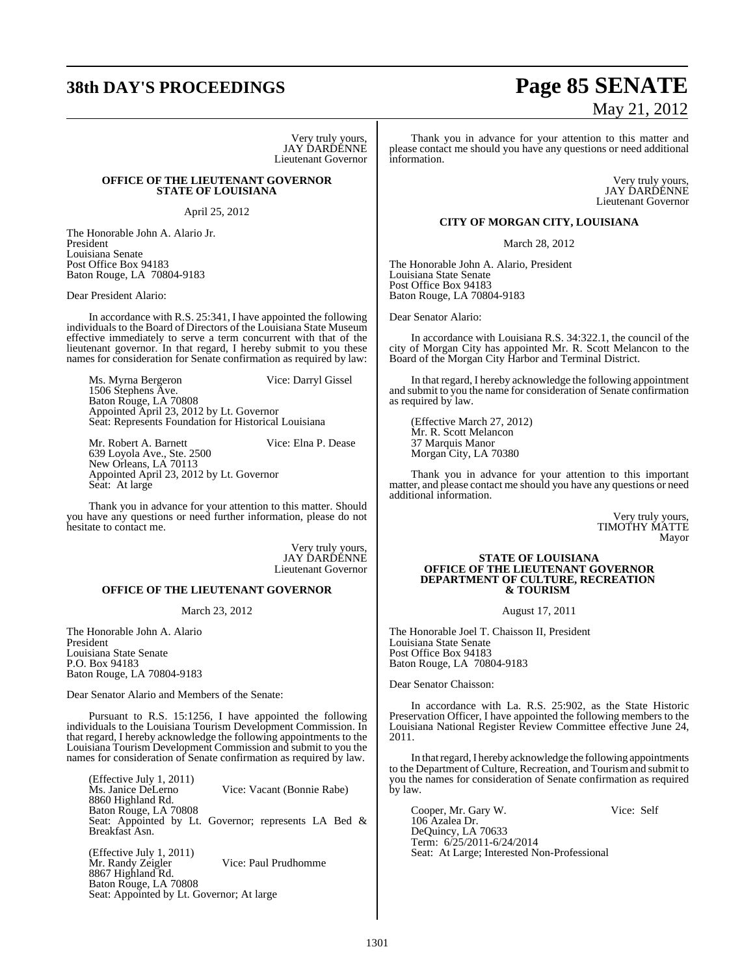Very truly yours, JAY DARDENNE Lieutenant Governor

### **OFFICE OF THE LIEUTENANT GOVERNOR STATE OF LOUISIANA**

April 25, 2012

The Honorable John A. Alario Jr. President Louisiana Senate Post Office Box 94183 Baton Rouge, LA 70804-9183

Dear President Alario:

In accordance with R.S. 25:341, I have appointed the following individuals to the Board of Directors of the Louisiana State Museum effective immediately to serve a term concurrent with that of the lieutenant governor. In that regard, I hereby submit to you these names for consideration for Senate confirmation as required by law:

Ms. Myrna Bergeron Vice: Darryl Gissel 1506 Stephens Ave. Baton Rouge, LA 70808 Appointed April 23, 2012 by Lt. Governor Seat: Represents Foundation for Historical Louisiana

Mr. Robert A. Barnett Vice: Elna P. Dease 639 Loyola Ave., Ste. 2500 New Orleans, LA 70113 Appointed April 23, 2012 by Lt. Governor Seat: At large

Thank you in advance for your attention to this matter. Should you have any questions or need further information, please do not hesitate to contact me.

> Very truly yours, JAY DARDENNE Lieutenant Governor

### **OFFICE OF THE LIEUTENANT GOVERNOR**

March 23, 2012

The Honorable John A. Alario President Louisiana State Senate P.O. Box 94183 Baton Rouge, LA 70804-9183

Dear Senator Alario and Members of the Senate:

Pursuant to R.S. 15:1256, I have appointed the following individuals to the Louisiana Tourism Development Commission. In that regard, I hereby acknowledge the following appointments to the Louisiana Tourism Development Commission and submit to you the names for consideration of Senate confirmation as required by law.

(Effective July 1, 2011)<br>Ms. Janice DeLerno Vice: Vacant (Bonnie Rabe) 8860 Highland Rd. Baton Rouge, LA 70808 Seat: Appointed by Lt. Governor; represents LA Bed & Breakfast Asn.

(Effective July 1, 2011)<br>Mr. Randy Zeigler Vice: Paul Prudhomme 8867 Highland Rd. Baton Rouge, LA 70808 Seat: Appointed by Lt. Governor; At large

## **38th DAY'S PROCEEDINGS Page 85 SENATE** May 21, 2012

Thank you in advance for your attention to this matter and please contact me should you have any questions or need additional information.

> Very truly yours, JAY DARDENNE Lieutenant Governor

### **CITY OF MORGAN CITY, LOUISIANA**

March 28, 2012

The Honorable John A. Alario, President Louisiana State Senate Post Office Box 94183 Baton Rouge, LA 70804-9183

Dear Senator Alario:

In accordance with Louisiana R.S. 34:322.1, the council of the city of Morgan City has appointed Mr. R. Scott Melancon to the Board of the Morgan City Harbor and Terminal District.

In that regard, I hereby acknowledge the following appointment and submit to you the name for consideration of Senate confirmation as required by law.

(Effective March 27, 2012) Mr. R. Scott Melancon 37 Marquis Manor Morgan City, LA 70380

Thank you in advance for your attention to this important matter, and please contact me should you have any questions or need additional information.

> Very truly yours, TIMOTHY MATTE Mayor

#### **STATE OF LOUISIANA OFFICE OF THE LIEUTENANT GOVERNOR DEPARTMENT OF CULTURE, RECREATION & TOURISM**

August 17, 2011

The Honorable Joel T. Chaisson II, President Louisiana State Senate Post Office Box 94183 Baton Rouge, LA 70804-9183

Dear Senator Chaisson:

In accordance with La. R.S. 25:902, as the State Historic Preservation Officer, I have appointed the following members to the Louisiana National Register Review Committee effective June 24, 2011.

In thatregard,I hereby acknowledge the following appointments to the Department of Culture, Recreation, and Tourism and submit to you the names for consideration of Senate confirmation as required by law.

Cooper, Mr. Gary W. Vice: Self 106 Azalea Dr. DeQuincy, LA 70633 Term: 6/25/2011-6/24/2014 Seat: At Large; Interested Non-Professional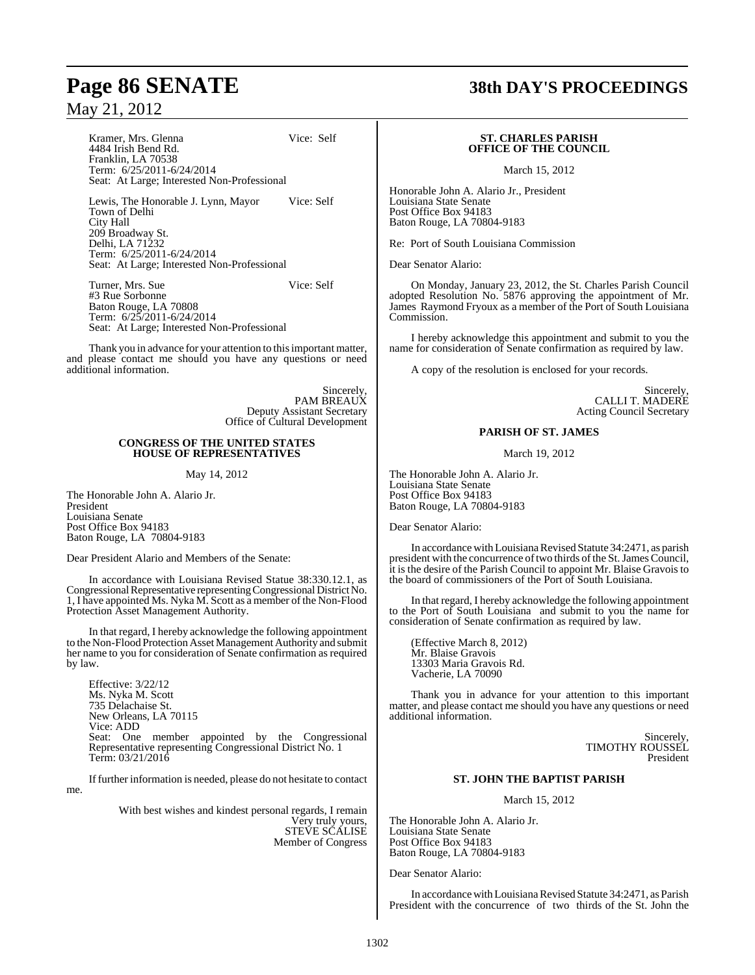Kramer, Mrs. Glenna Vice: Self

4484 Irish Bend Rd. Franklin, LA 70538 Term: 6/25/2011-6/24/2014 Seat: At Large; Interested Non-Professional

Lewis, The Honorable J. Lynn, Mayor Vice: Self Town of Delhi City Hall 209 Broadway St. Delhi, LA 71232 Term: 6/25/2011-6/24/2014 Seat: At Large; Interested Non-Professional

Turner, Mrs. Sue Vice: Self #3 Rue Sorbonne Baton Rouge, LA 70808 Term: 6/25/2011-6/24/2014 Seat: At Large; Interested Non-Professional

Thank you in advance for your attention to this important matter, and please contact me should you have any questions or need additional information.

> Sincerely, PAM BREAUX Deputy Assistant Secretary Office of Cultural Development

### **CONGRESS OF THE UNITED STATES HOUSE OF REPRESENTATIVES**

### May 14, 2012

The Honorable John A. Alario Jr. President Louisiana Senate Post Office Box 94183 Baton Rouge, LA 70804-9183

Dear President Alario and Members of the Senate:

In accordance with Louisiana Revised Statue 38:330.12.1, as Congressional Representative representing Congressional District No. 1, I have appointed Ms. Nyka M. Scott as a member of the Non-Flood Protection Asset Management Authority.

In that regard, I hereby acknowledge the following appointment to the Non-Flood Protection Asset Management Authority and submit her name to you for consideration of Senate confirmation as required by law.

Effective: 3/22/12 Ms. Nyka M. Scott 735 Delachaise St. New Orleans, LA 70115 Vice: ADD Seat: One member appointed by the Congressional Representative representing Congressional District No. 1 Term: 03/21/2016

Iffurther information is needed, please do not hesitate to contact me.

> With best wishes and kindest personal regards, I remain Very truly yours, STEVE SCALISE Member of Congress

## **Page 86 SENATE 38th DAY'S PROCEEDINGS**

### **ST. CHARLES PARISH OFFICE OF THE COUNCIL**

March 15, 2012

Honorable John A. Alario Jr., President Louisiana State Senate Post Office Box 94183 Baton Rouge, LA 70804-9183

Re: Port of South Louisiana Commission

Dear Senator Alario:

On Monday, January 23, 2012, the St. Charles Parish Council adopted Resolution No. 5876 approving the appointment of Mr. James Raymond Fryoux as a member of the Port of South Louisiana Commission.

I hereby acknowledge this appointment and submit to you the name for consideration of Senate confirmation as required by law.

A copy of the resolution is enclosed for your records.

Sincerely, CALLI T. MADERE Acting Council Secretary

### **PARISH OF ST. JAMES**

March 19, 2012

The Honorable John A. Alario Jr. Louisiana State Senate Post Office Box 94183 Baton Rouge, LA 70804-9183

Dear Senator Alario:

In accordance with Louisiana Revised Statute 34:2471, as parish president with the concurrence of two thirds of the St. James Council, it is the desire of the Parish Council to appoint Mr. Blaise Gravois to the board of commissioners of the Port of South Louisiana.

In that regard, I hereby acknowledge the following appointment to the Port of South Louisiana and submit to you the name for consideration of Senate confirmation as required by law.

(Effective March 8, 2012) Mr. Blaise Gravois 13303 Maria Gravois Rd. Vacherie, LA 70090

Thank you in advance for your attention to this important matter, and please contact me should you have any questions or need additional information.

> Sincerely, TIMOTHY ROUSSEL President

### **ST. JOHN THE BAPTIST PARISH**

March 15, 2012

The Honorable John A. Alario Jr. Louisiana State Senate Post Office Box 94183 Baton Rouge, LA 70804-9183

Dear Senator Alario:

In accordance with Louisiana Revised Statute 34:2471, as Parish President with the concurrence of two thirds of the St. John the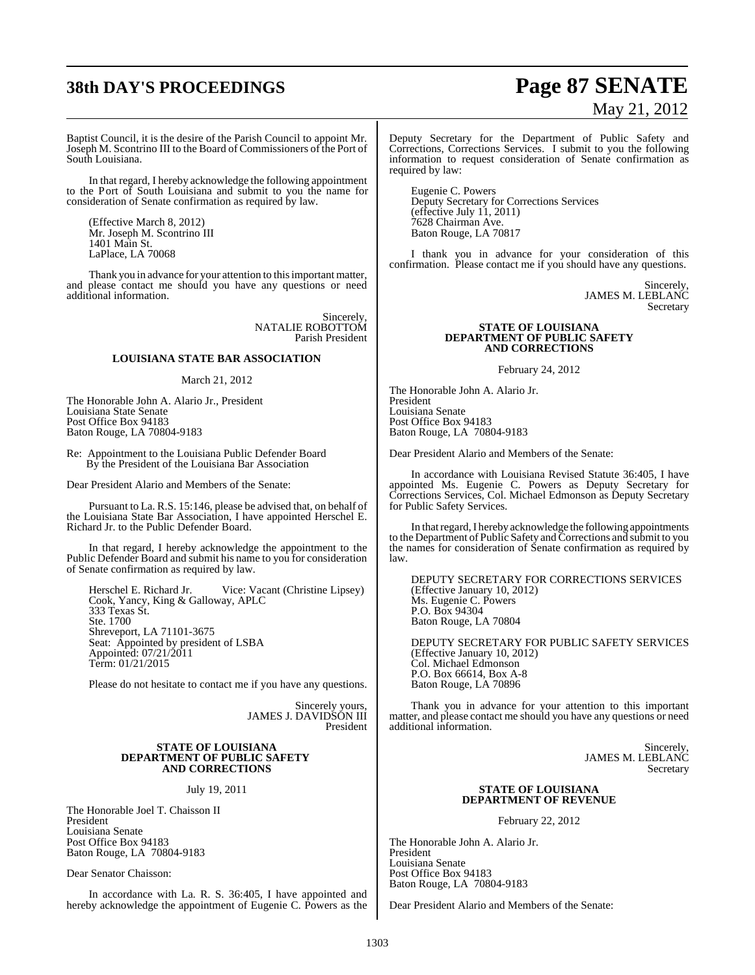# **38th DAY'S PROCEEDINGS Page 87 SENATE**

# May 21, 2012

Baptist Council, it is the desire of the Parish Council to appoint Mr. Joseph M. Scontrino III to the Board of Commissioners of the Port of South Louisiana.

In that regard, I hereby acknowledge the following appointment to the Port of South Louisiana and submit to you the name for consideration of Senate confirmation as required by law.

(Effective March 8, 2012) Mr. Joseph M. Scontrino III 1401 Main St. LaPlace, LA 70068

Thank you in advance for your attention to this important matter, and please contact me should you have any questions or need additional information.

> Sincerely, NATALIE ROBOTTOM Parish President

### **LOUISIANA STATE BAR ASSOCIATION**

March 21, 2012

The Honorable John A. Alario Jr., President Louisiana State Senate Post Office Box 94183 Baton Rouge, LA 70804-9183

Re: Appointment to the Louisiana Public Defender Board By the President of the Louisiana Bar Association

Dear President Alario and Members of the Senate:

Pursuant to La. R.S. 15:146, please be advised that, on behalf of the Louisiana State Bar Association, I have appointed Herschel E. Richard Jr. to the Public Defender Board.

In that regard, I hereby acknowledge the appointment to the Public Defender Board and submit his name to you for consideration of Senate confirmation as required by law.

Herschel E. Richard Jr. Vice: Vacant (Christine Lipsey) Cook, Yancy, King & Galloway, APLC 333 Texas St. Ste. 1700 Shreveport, LA 71101-3675 Seat: Appointed by president of LSBA Appointed: 07/21/2011 Term: 01/21/2015

Please do not hesitate to contact me if you have any questions.

Sincerely yours, JAMES J. DAVIDSON III President

#### **STATE OF LOUISIANA DEPARTMENT OF PUBLIC SAFETY AND CORRECTIONS**

July 19, 2011

The Honorable Joel T. Chaisson II President Louisiana Senate Post Office Box 94183 Baton Rouge, LA 70804-9183

Dear Senator Chaisson:

In accordance with La. R. S. 36:405, I have appointed and hereby acknowledge the appointment of Eugenie C. Powers as the

Deputy Secretary for the Department of Public Safety and Corrections, Corrections Services. I submit to you the following information to request consideration of Senate confirmation as required by law:

Eugenie C. Powers Deputy Secretary for Corrections Services (effective July 11, 2011) 7628 Chairman Ave. Baton Rouge, LA 70817

I thank you in advance for your consideration of this confirmation. Please contact me if you should have any questions.

> Sincerely, JAMES M. LEBLANC **Secretary**

### **STATE OF LOUISIANA DEPARTMENT OF PUBLIC SAFETY AND CORRECTIONS**

February 24, 2012

The Honorable John A. Alario Jr. President Louisiana Senate Post Office Box 94183 Baton Rouge, LA 70804-9183

Dear President Alario and Members of the Senate:

In accordance with Louisiana Revised Statute 36:405, I have appointed Ms. Eugenie C. Powers as Deputy Secretary for Corrections Services, Col. Michael Edmonson as Deputy Secretary for Public Safety Services.

In that regard, I hereby acknowledge the following appointments to the Department of Public Safety and Corrections and submit to you the names for consideration of Senate confirmation as required by law.

DEPUTY SECRETARY FOR CORRECTIONS SERVICES (Effective January 10, 2012) Ms. Eugenie C. Powers P.O. Box 94304 Baton Rouge, LA 70804

DEPUTY SECRETARY FOR PUBLIC SAFETY SERVICES (Effective January 10, 2012) Col. Michael Edmonson P.O. Box 66614, Box A-8 Baton Rouge, LA 70896

Thank you in advance for your attention to this important matter, and please contact me should you have any questions or need additional information.

> Sincerely, JAMES M. LEBLANC Secretary

### **STATE OF LOUISIANA DEPARTMENT OF REVENUE**

February 22, 2012

The Honorable John A. Alario Jr. President Louisiana Senate Post Office Box 94183 Baton Rouge, LA 70804-9183

Dear President Alario and Members of the Senate: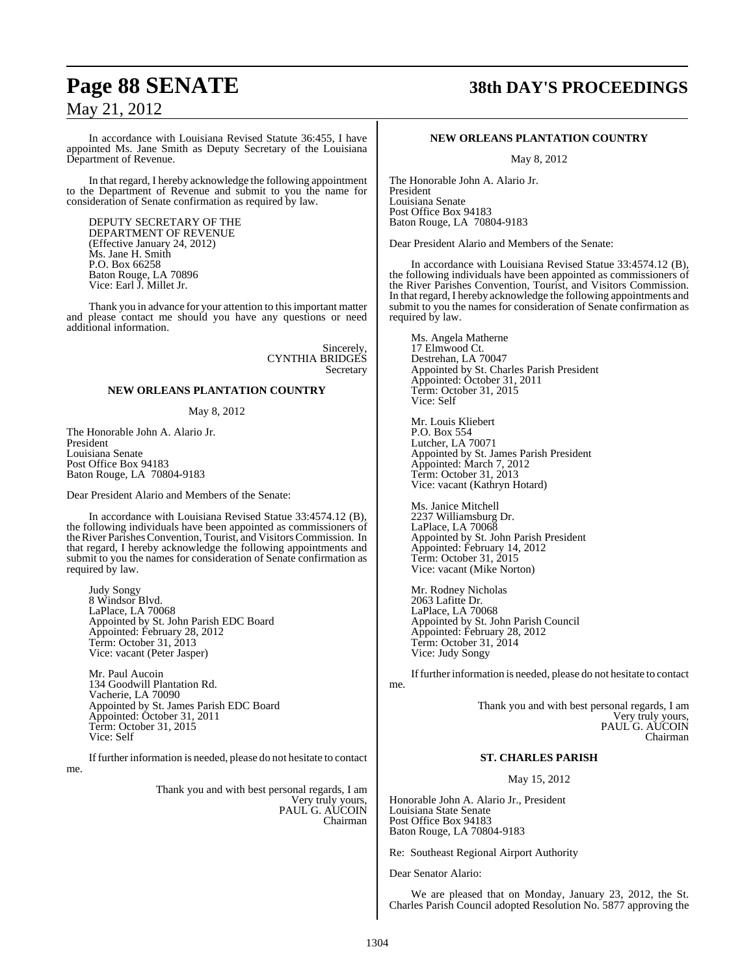In accordance with Louisiana Revised Statute 36:455, I have appointed Ms. Jane Smith as Deputy Secretary of the Louisiana Department of Revenue.

In that regard, I hereby acknowledge the following appointment to the Department of Revenue and submit to you the name for consideration of Senate confirmation as required by law.

DEPUTY SECRETARY OF THE DEPARTMENT OF REVENUE (Effective January 24, 2012) Ms. Jane H. Smith P.O. Box 66258 Baton Rouge, LA 70896 Vice: Earl J. Millet Jr.

Thank you in advance for your attention to thisimportant matter and please contact me should you have any questions or need additional information.

> Sincerely, CYNTHIA BRIDGES Secretary

### **NEW ORLEANS PLANTATION COUNTRY**

### May 8, 2012

The Honorable John A. Alario Jr. President Louisiana Senate Post Office Box 94183 Baton Rouge, LA 70804-9183

Dear President Alario and Members of the Senate:

In accordance with Louisiana Revised Statue 33:4574.12 (B), the following individuals have been appointed as commissioners of the River Parishes Convention, Tourist, and Visitors Commission. In that regard, I hereby acknowledge the following appointments and submit to you the names for consideration of Senate confirmation as required by law.

Judy Songy 8 Windsor Blvd. LaPlace, LA 70068 Appointed by St. John Parish EDC Board Appointed: February 28, 2012 Term: October 31, 2013 Vice: vacant (Peter Jasper)

Mr. Paul Aucoin 134 Goodwill Plantation Rd. Vacherie, LA 70090 Appointed by St. James Parish EDC Board Appointed: October 31, 2011 Term: October 31, 2015 Vice: Self

Iffurther information is needed, please do not hesitate to contact me.

> Thank you and with best personal regards, I am Very truly yours, PAUL G. AUCOIN Chairman

## **Page 88 SENATE 38th DAY'S PROCEEDINGS**

### **NEW ORLEANS PLANTATION COUNTRY**

May 8, 2012

The Honorable John A. Alario Jr. President Louisiana Senate Post Office Box 94183 Baton Rouge, LA 70804-9183

Dear President Alario and Members of the Senate:

In accordance with Louisiana Revised Statue 33:4574.12 (B), the following individuals have been appointed as commissioners of the River Parishes Convention, Tourist, and Visitors Commission. In that regard, I hereby acknowledge the following appointments and submit to you the names for consideration of Senate confirmation as required by law.

Ms. Angela Matherne 17 Elmwood Ct. Destrehan, LA 70047 Appointed by St. Charles Parish President Appointed: October 31, 2011 Term: October 31, 2015 Vice: Self

Mr. Louis Kliebert P.O. Box 554 Lutcher, LA 70071 Appointed by St. James Parish President Appointed: March 7, 2012 Term: October 31, 2013 Vice: vacant (Kathryn Hotard)

Ms. Janice Mitchell 2237 Williamsburg Dr. LaPlace, LA 70068 Appointed by St. John Parish President Appointed: February 14, 2012 Term: October 31, 2015 Vice: vacant (Mike Norton)

Mr. Rodney Nicholas 2063 Lafitte Dr. LaPlace, LA 70068 Appointed by St. John Parish Council Appointed: February 28, 2012 Term: October 31, 2014 Vice: Judy Songy

If further information is needed, please do not hesitate to contact

me.

Thank you and with best personal regards, I am Very truly yours, PAUL G. AUCOIN Chairman

### **ST. CHARLES PARISH**

May 15, 2012

Honorable John A. Alario Jr., President Louisiana State Senate Post Office Box 94183 Baton Rouge, LA 70804-9183

Re: Southeast Regional Airport Authority

Dear Senator Alario:

We are pleased that on Monday, January 23, 2012, the St. Charles Parish Council adopted Resolution No. 5877 approving the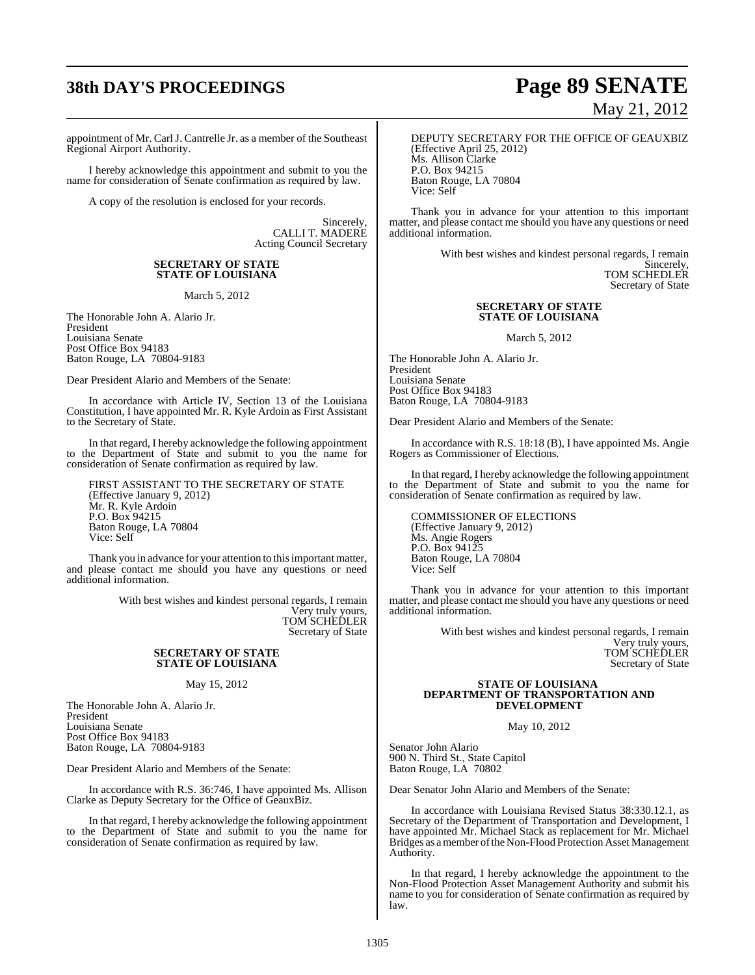# **38th DAY'S PROCEEDINGS Page 89 SENATE**

appointment of Mr. CarlJ. Cantrelle Jr. as a member of the Southeast Regional Airport Authority.

I hereby acknowledge this appointment and submit to you the name for consideration of Senate confirmation as required by law.

A copy of the resolution is enclosed for your records.

Sincerely, CALLI T. MADERE Acting Council Secretary

### **SECRETARY OF STATE STATE OF LOUISIANA**

March 5, 2012

The Honorable John A. Alario Jr. President Louisiana Senate Post Office Box 94183 Baton Rouge, LA 70804-9183

Dear President Alario and Members of the Senate:

In accordance with Article IV, Section 13 of the Louisiana Constitution, I have appointed Mr. R. Kyle Ardoin as First Assistant to the Secretary of State.

In that regard, I hereby acknowledge the following appointment to the Department of State and submit to you the name for consideration of Senate confirmation as required by law.

FIRST ASSISTANT TO THE SECRETARY OF STATE (Effective January 9, 2012) Mr. R. Kyle Ardoin P.O. Box 94215 Baton Rouge, LA 70804 Vice: Self

Thank you in advance for your attention to this important matter, and please contact me should you have any questions or need additional information.

> With best wishes and kindest personal regards, I remain Very truly yours, TOM SCHEDLER Secretary of State

### **SECRETARY OF STATE STATE OF LOUISIANA**

May 15, 2012

The Honorable John A. Alario Jr. President Louisiana Senate Post Office Box 94183 Baton Rouge, LA 70804-9183

Dear President Alario and Members of the Senate:

In accordance with R.S. 36:746, I have appointed Ms. Allison Clarke as Deputy Secretary for the Office of GeauxBiz.

In that regard, I hereby acknowledge the following appointment to the Department of State and submit to you the name for consideration of Senate confirmation as required by law.

# May 21, 2012

DEPUTY SECRETARY FOR THE OFFICE OF GEAUXBIZ (Effective April 25, 2012) Ms. Allison Clarke P.O. Box 94215 Baton Rouge, LA 70804 Vice: Self

Thank you in advance for your attention to this important matter, and please contact me should you have any questions or need additional information.

> With best wishes and kindest personal regards, I remain Sincerely, TOM SCHEDLER

Secretary of State

### **SECRETARY OF STATE STATE OF LOUISIANA**

March 5, 2012

The Honorable John A. Alario Jr. President Louisiana Senate Post Office Box 94183 Baton Rouge, LA 70804-9183

Dear President Alario and Members of the Senate:

In accordance with R.S. 18:18 (B), I have appointed Ms. Angie Rogers as Commissioner of Elections.

In that regard, I hereby acknowledge the following appointment to the Department of State and submit to you the name for consideration of Senate confirmation as required by law.

COMMISSIONER OF ELECTIONS (Effective January 9, 2012) Ms. Angie Rogers P.O. Box 94125 Baton Rouge, LA 70804 Vice: Self

Thank you in advance for your attention to this important matter, and please contact me should you have any questions or need additional information.

> With best wishes and kindest personal regards, I remain Very truly yours, TOM SCHEDLER Secretary of State

#### **STATE OF LOUISIANA DEPARTMENT OF TRANSPORTATION AND DEVELOPMENT**

May 10, 2012

Senator John Alario 900 N. Third St., State Capitol Baton Rouge, LA 70802

Dear Senator John Alario and Members of the Senate:

In accordance with Louisiana Revised Status 38:330.12.1, as Secretary of the Department of Transportation and Development, I have appointed Mr. Michael Stack as replacement for Mr. Michael Bridges as a member of the Non-Flood Protection Asset Management Authority.

In that regard, I hereby acknowledge the appointment to the Non-Flood Protection Asset Management Authority and submit his name to you for consideration of Senate confirmation as required by law.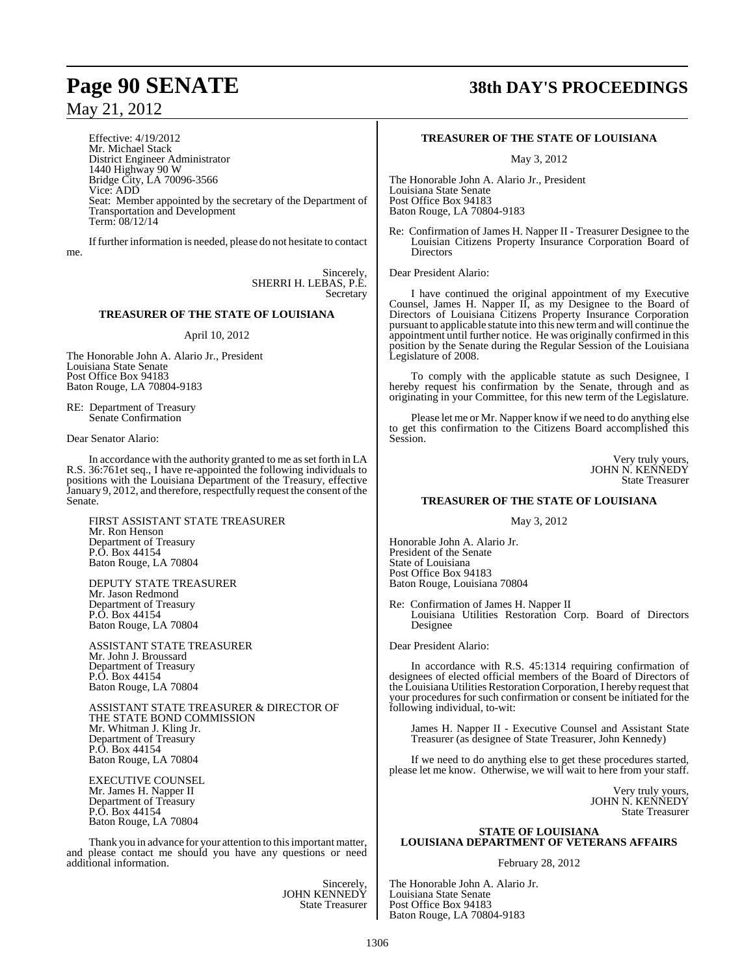Effective: 4/19/2012 Mr. Michael Stack District Engineer Administrator 1440 Highway 90 W Bridge City, LA 70096-3566 Vice: ADD Seat: Member appointed by the secretary of the Department of Transportation and Development Term: 08/12/14

Iffurther information is needed, please do not hesitate to contact me.

> Sincerely, SHERRI H. LEBAS, P.E. Secretary

### **TREASURER OF THE STATE OF LOUISIANA**

### April 10, 2012

The Honorable John A. Alario Jr., President Louisiana State Senate Post Office Box 94183 Baton Rouge, LA 70804-9183

RE: Department of Treasury Senate Confirmation

Dear Senator Alario:

In accordance with the authority granted to me as set forth in LA R.S. 36:761et seq., I have re-appointed the following individuals to positions with the Louisiana Department of the Treasury, effective January 9, 2012, and therefore, respectfully request the consent of the Senate.

FIRST ASSISTANT STATE TREASURER Mr. Ron Henson Department of Treasury P.O. Box 44154 Baton Rouge, LA 70804

DEPUTY STATE TREASURER Mr. Jason Redmond Department of Treasury P.O. Box 44154 Baton Rouge, LA 70804

ASSISTANT STATE TREASURER Mr. John J. Broussard Department of Treasury P.O. Box 44154 Baton Rouge, LA 70804

ASSISTANT STATE TREASURER & DIRECTOR OF THE STATE BOND COMMISSION Mr. Whitman J. Kling Jr. Department of Treasury P.O. Box 44154 Baton Rouge, LA 70804

EXECUTIVE COUNSEL Mr. James H. Napper II Department of Treasury P.O. Box 44154 Baton Rouge, LA 70804

Thank you in advance for your attention to thisimportant matter, and please contact me should you have any questions or need additional information.

> Sincerely, JOHN KENNEDY State Treasurer

## **Page 90 SENATE 38th DAY'S PROCEEDINGS**

### **TREASURER OF THE STATE OF LOUISIANA**

May 3, 2012

The Honorable John A. Alario Jr., President Louisiana State Senate Post Office Box 94183 Baton Rouge, LA 70804-9183

Re: Confirmation of James H. Napper II - Treasurer Designee to the Louisian Citizens Property Insurance Corporation Board of **Directors** 

Dear President Alario:

I have continued the original appointment of my Executive Counsel, James H. Napper II, as my Designee to the Board of Directors of Louisiana Citizens Property Insurance Corporation pursuant to applicable statute into this new termand will continue the appointment until further notice. He was originally confirmed in this position by the Senate during the Regular Session of the Louisiana Legislature of 2008.

To comply with the applicable statute as such Designee, I hereby request his confirmation by the Senate, through and as originating in your Committee, for this new term of the Legislature.

Please let me or Mr. Napper know if we need to do anything else to get this confirmation to the Citizens Board accomplished this Session.

> Very truly yours, JOHN N. KENNEDY State Treasurer

### **TREASURER OF THE STATE OF LOUISIANA**

May 3, 2012

Honorable John A. Alario Jr. President of the Senate State of Louisiana Post Office Box 94183 Baton Rouge, Louisiana 70804

Re: Confirmation of James H. Napper II Louisiana Utilities Restoration Corp. Board of Directors Designee

Dear President Alario:

In accordance with R.S. 45:1314 requiring confirmation of designees of elected official members of the Board of Directors of the Louisiana Utilities Restoration Corporation, I hereby request that your procedures for such confirmation or consent be initiated for the following individual, to-wit:

James H. Napper II - Executive Counsel and Assistant State Treasurer (as designee of State Treasurer, John Kennedy)

If we need to do anything else to get these procedures started, please let me know. Otherwise, we will wait to here from your staff.

> Very truly yours, JOHN N. KENNEDY State Treasurer

### **STATE OF LOUISIANA LOUISIANA DEPARTMENT OF VETERANS AFFAIRS**

#### February 28, 2012

The Honorable John A. Alario Jr. Louisiana State Senate Post Office Box 94183 Baton Rouge, LA 70804-9183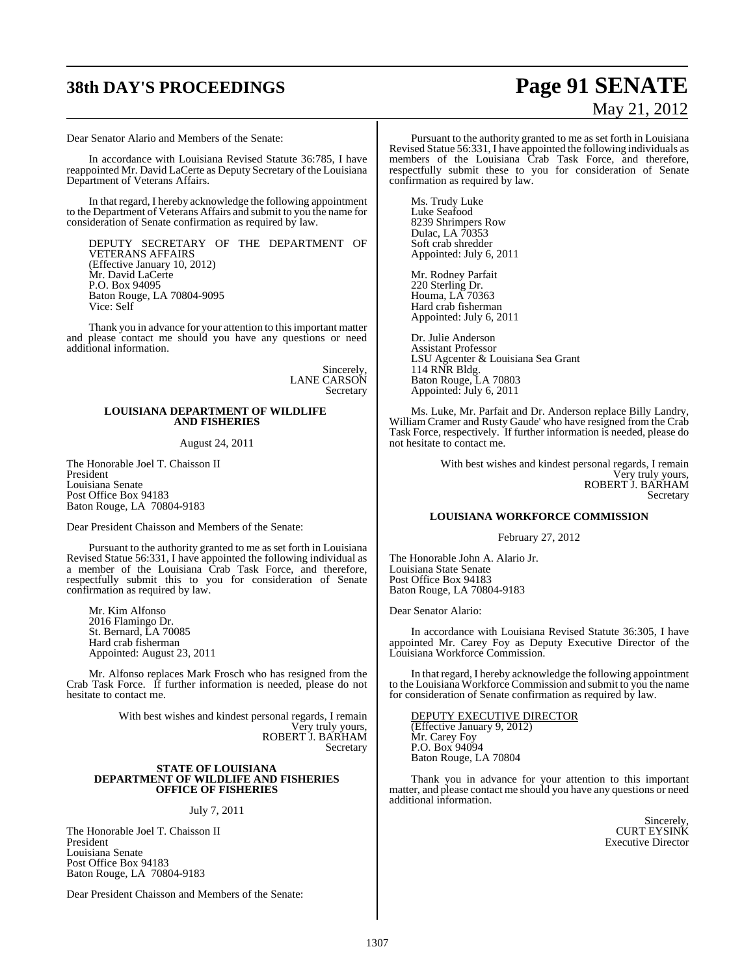# **38th DAY'S PROCEEDINGS Page 91 SENATE**

Dear Senator Alario and Members of the Senate:

In accordance with Louisiana Revised Statute 36:785, I have reappointed Mr. David LaCerte as Deputy Secretary of the Louisiana Department of Veterans Affairs.

In that regard, I hereby acknowledge the following appointment to the Department of Veterans Affairs and submit to you the name for consideration of Senate confirmation as required by law.

DEPUTY SECRETARY OF THE DEPARTMENT OF VETERANS AFFAIRS (Effective January 10, 2012) Mr. David LaCerte P.O. Box 94095 Baton Rouge, LA 70804-9095 Vice: Self

Thank you in advance for your attention to this important matter and please contact me should you have any questions or need additional information.

> Sincerely, LANE CARSON Secretary

### **LOUISIANA DEPARTMENT OF WILDLIFE AND FISHERIES**

### August 24, 2011

The Honorable Joel T. Chaisson II President Louisiana Senate Post Office Box 94183 Baton Rouge, LA 70804-9183

Dear President Chaisson and Members of the Senate:

Pursuant to the authority granted to me as set forth in Louisiana Revised Statue 56:331, I have appointed the following individual as a member of the Louisiana Crab Task Force, and therefore, respectfully submit this to you for consideration of Senate confirmation as required by law.

Mr. Kim Alfonso 2016 Flamingo Dr. St. Bernard, LA 70085 Hard crab fisherman Appointed: August 23, 2011

Mr. Alfonso replaces Mark Frosch who has resigned from the Crab Task Force. If further information is needed, please do not hesitate to contact me.

> With best wishes and kindest personal regards, I remain Very truly yours, ROBERT J. BARHAM Secretary

#### **STATE OF LOUISIANA DEPARTMENT OF WILDLIFE AND FISHERIES OFFICE OF FISHERIES**

July 7, 2011

The Honorable Joel T. Chaisson II President Louisiana Senate Post Office Box 94183 Baton Rouge, LA 70804-9183

Dear President Chaisson and Members of the Senate:

# May 21, 2012

Pursuant to the authority granted to me as set forth in Louisiana Revised Statue 56:331, I have appointed the following individuals as members of the Louisiana Crab Task Force, and therefore, respectfully submit these to you for consideration of Senate confirmation as required by law.

Ms. Trudy Luke Luke Seafood 8239 Shrimpers Row Dulac, LA 70353 Soft crab shredder Appointed: July 6, 2011

Mr. Rodney Parfait 220 Sterling Dr. Houma, LA 70363 Hard crab fisherman Appointed: July 6, 2011

Dr. Julie Anderson Assistant Professor LSU Agcenter & Louisiana Sea Grant 114 RNR Bldg. Baton Rouge, LA 70803 Appointed: July 6, 2011

Ms. Luke, Mr. Parfait and Dr. Anderson replace Billy Landry, William Cramer and Rusty Gaude' who have resigned from the Crab Task Force, respectively. If further information is needed, please do not hesitate to contact me.

> With best wishes and kindest personal regards, I remain Very truly yours, ROBERT J. BARHAM Secretary

### **LOUISIANA WORKFORCE COMMISSION**

#### February 27, 2012

The Honorable John A. Alario Jr. Louisiana State Senate Post Office Box 94183 Baton Rouge, LA 70804-9183

Dear Senator Alario:

In accordance with Louisiana Revised Statute 36:305, I have appointed Mr. Carey Foy as Deputy Executive Director of the Louisiana Workforce Commission.

In that regard, I hereby acknowledge the following appointment to the Louisiana Workforce Commission and submit to you the name for consideration of Senate confirmation as required by law.

DEPUTY EXECUTIVE DIRECTOR (Effective January 9, 2012) Mr. Carey Foy P.O. Box 94094 Baton Rouge, LA 70804

Thank you in advance for your attention to this important matter, and please contact me should you have any questions or need additional information.

> Sincerely, CURT EYSINK Executive Director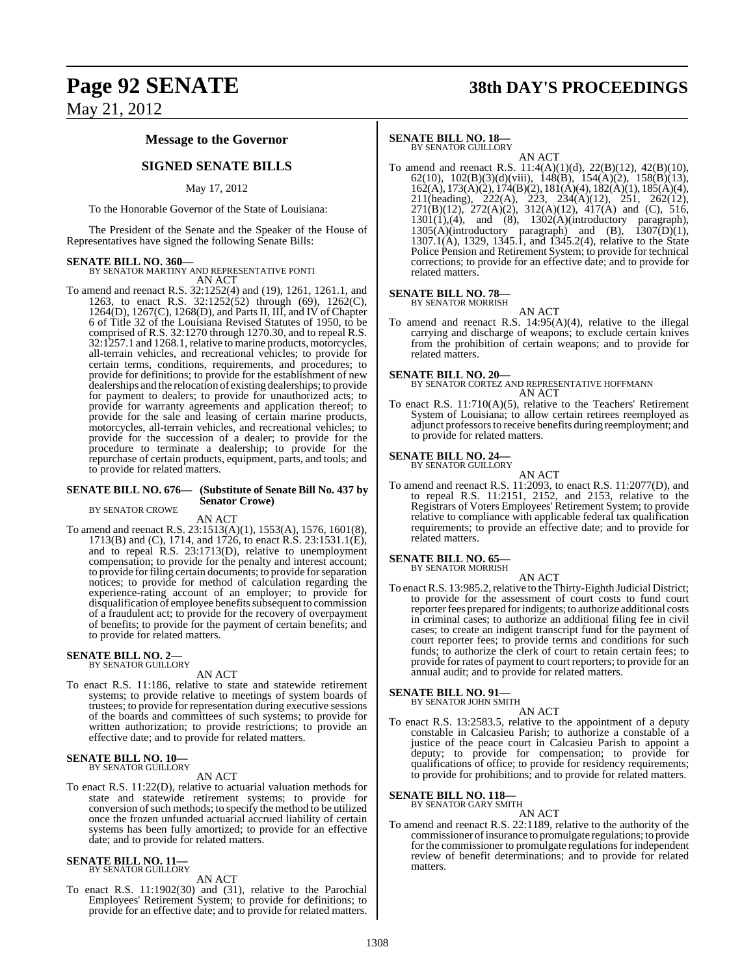# **Page 92 SENATE 38th DAY'S PROCEEDINGS**

May 21, 2012

### **Message to the Governor**

### **SIGNED SENATE BILLS**

### May 17, 2012

To the Honorable Governor of the State of Louisiana:

The President of the Senate and the Speaker of the House of Representatives have signed the following Senate Bills:

**SENATE BILL NO. 360—** BY SENATOR MARTINY AND REPRESENTATIVE PONTI AN ACT

To amend and reenact R.S. 32:1252(4) and (19), 1261, 1261.1, and 1263, to enact R.S. 32:1252(52) through (69), 1262(C), 1264(D), 1267(C), 1268(D), and Parts II, III, and IV of Chapter 6 of Title 32 of the Louisiana Revised Statutes of 1950, to be comprised of R.S. 32:1270 through 1270.30, and to repeal R.S. 32:1257.1 and 1268.1, relative to marine products, motorcycles, all-terrain vehicles, and recreational vehicles; to provide for certain terms, conditions, requirements, and procedures; to provide for definitions; to provide for the establishment of new dealerships and the relocation of existing dealerships; to provide for payment to dealers; to provide for unauthorized acts; to provide for warranty agreements and application thereof; to provide for the sale and leasing of certain marine products, motorcycles, all-terrain vehicles, and recreational vehicles; to provide for the succession of a dealer; to provide for the procedure to terminate a dealership; to provide for the repurchase of certain products, equipment, parts, and tools; and to provide for related matters.

### **SENATE BILL NO. 676— (Substitute of Senate Bill No. 437 by Senator Crowe)**

BY SENATOR CROWE

AN ACT

To amend and reenact R.S. 23:1513(A)(1), 1553(A), 1576, 1601(8), 1713(B) and (C), 1714, and 1726, to enact R.S. 23:1531.1(E), and to repeal R.S. 23:1713(D), relative to unemployment compensation; to provide for the penalty and interest account; to provide forfiling certain documents; to provide forseparation notices; to provide for method of calculation regarding the experience-rating account of an employer; to provide for disqualification of employee benefits subsequent to commission of a fraudulent act; to provide for the recovery of overpayment of benefits; to provide for the payment of certain benefits; and to provide for related matters.

### **SENATE BILL NO. 2—**<br>BY SENATOR GUILLORY

### AN ACT

To enact R.S. 11:186, relative to state and statewide retirement systems; to provide relative to meetings of system boards of trustees; to provide for representation during executive sessions of the boards and committees of such systems; to provide for written authorization; to provide restrictions; to provide an effective date; and to provide for related matters.

### **SENATE BILL NO. 10—**<br>BY SENATOR GUILLORY

### AN ACT

To enact R.S. 11:22(D), relative to actuarial valuation methods for state and statewide retirement systems; to provide for conversion of such methods; to specify the method to be utilized once the frozen unfunded actuarial accrued liability of certain systems has been fully amortized; to provide for an effective date; and to provide for related matters.

#### **SENATE BILL NO. 11—** BY SENATOR GUILLORY

AN ACT

To enact R.S. 11:1902(30) and (31), relative to the Parochial Employees' Retirement System; to provide for definitions; to provide for an effective date; and to provide for related matters.

### **SENATE BILL NO. 18—**

BY SENATOR GUILLORY AN ACT

To amend and reenact R.S. 11:4(A)(1)(d), 22(B)(12), 42(B)(10), 62(10), 102(B)(3)(d)(viii), 148(B), 154(A)(2), 158(B)(13), 162(A), 173(A)(2), 174(B)(2), 181(A)(4), 182(A)(1), 185(A)(4), 211(heading), 222(A), 223, 234(A)(12), 251, 262(12), 271(B)(12), 272(A)(2), 312(A)(12), 417(A) and (C), 516,  $1301(1)$ , (4), and (8),  $1302(A)$ (introductory paragraph),  $1305(A)(introductory)$  paragraph) and (B),  $1307(D)(1)$ , 1307.1(A), 1329, 1345.1, and 1345.2(4), relative to the State Police Pension and Retirement System; to provide for technical corrections; to provide for an effective date; and to provide for related matters.

### **SENATE BILL NO. 78—**

BY SENATOR MORRISH

AN ACT To amend and reenact R.S. 14:95(A)(4), relative to the illegal carrying and discharge of weapons; to exclude certain knives from the prohibition of certain weapons; and to provide for related matters.

**SENATE BILL NO. 20—** BY SENATOR CORTEZ AND REPRESENTATIVE HOFFMANN AN ACT

To enact R.S. 11:710(A)(5), relative to the Teachers' Retirement System of Louisiana; to allow certain retirees reemployed as adjunct professorsto receive benefits during reemployment; and to provide for related matters.

### **SENATE BILL NO. 24—**<br>BY SENATOR GUILLORY

AN ACT

To amend and reenact R.S. 11:2093, to enact R.S. 11:2077(D), and to repeal R.S. 11:2151, 2152, and 2153, relative to the Registrars of Voters Employees' Retirement System; to provide relative to compliance with applicable federal tax qualification requirements; to provide an effective date; and to provide for related matters.

#### **SENATE BILL NO. 65—** BY SENATOR MORRISH

AN ACT

To enact R.S. 13:985.2, relative to the Thirty-Eighth Judicial District; to provide for the assessment of court costs to fund court reporterfees prepared for indigents; to authorize additional costs in criminal cases; to authorize an additional filing fee in civil cases; to create an indigent transcript fund for the payment of court reporter fees; to provide terms and conditions for such funds; to authorize the clerk of court to retain certain fees; to provide for rates of payment to court reporters; to provide for an annual audit; and to provide for related matters.

### **SENATE BILL NO. 91—** BY SENATOR JOHN SMITH

AN ACT To enact R.S. 13:2583.5, relative to the appointment of a deputy constable in Calcasieu Parish; to authorize a constable of a justice of the peace court in Calcasieu Parish to appoint a deputy; to provide for compensation; to provide for qualifications of office; to provide for residency requirements; to provide for prohibitions; and to provide for related matters.

#### **SENATE BILL NO. 118—** BY SENATOR GARY SMITH

### AN ACT

To amend and reenact R.S. 22:1189, relative to the authority of the commissioner of insurance to promulgate regulations; to provide for the commissioner to promulgate regulations for independent review of benefit determinations; and to provide for related matters.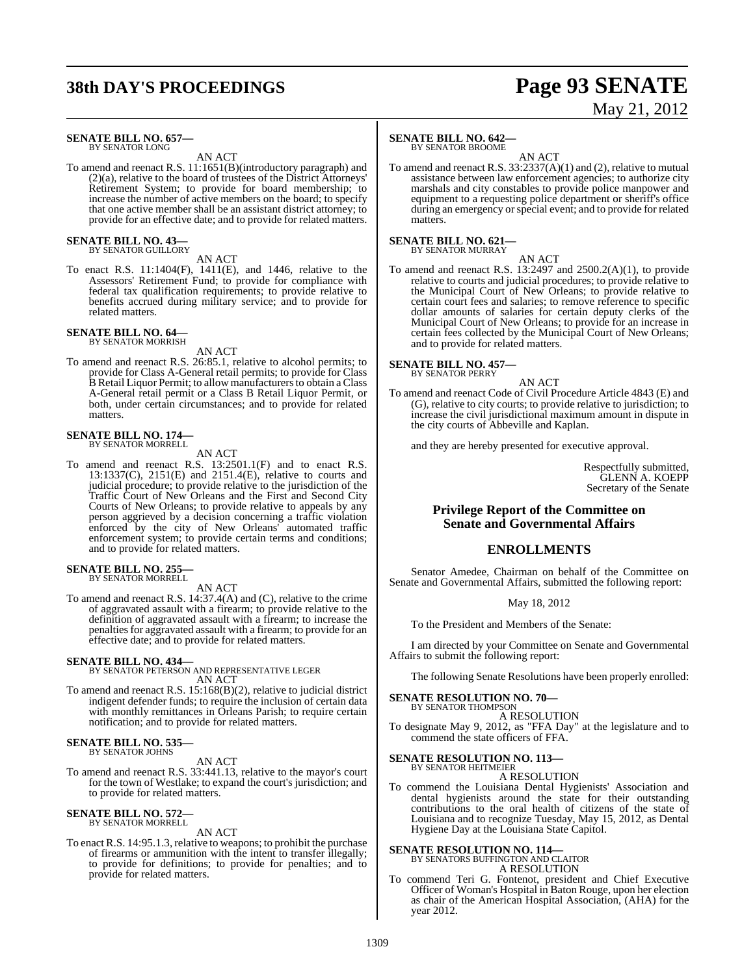# **38th DAY'S PROCEEDINGS Page 93 SENATE**

# May 21, 2012

#### **SENATE BILL NO. 657—** BY SENATOR LONG

AN ACT

To amend and reenact R.S. 11:1651(B)(introductory paragraph) and (2)(a), relative to the board of trustees of the District Attorneys' Retirement System; to provide for board membership; to increase the number of active members on the board; to specify that one active member shall be an assistant district attorney; to provide for an effective date; and to provide for related matters.

**SENATE BILL NO. 43—**<br>BY SENATOR GUILLORY

AN ACT

To enact R.S. 11:1404(F), 1411(E), and 1446, relative to the Assessors' Retirement Fund; to provide for compliance with federal tax qualification requirements; to provide relative to benefits accrued during military service; and to provide for related matters.

### **SENATE BILL NO. 64—** BY SENATOR MORRISH

AN ACT

To amend and reenact R.S. 26:85.1, relative to alcohol permits; to provide for Class A-General retail permits; to provide for Class B Retail Liquor Permit; to allow manufacturers to obtain a Class A-General retail permit or a Class B Retail Liquor Permit, or both, under certain circumstances; and to provide for related matters.

### **SENATE BILL NO. 174—** BY SENATOR MORRELL

AN ACT

To amend and reenact R.S. 13:2501.1(F) and to enact R.S. 13:1337(C), 2151(E) and 2151.4(E), relative to courts and judicial procedure; to provide relative to the jurisdiction of the Traffic Court of New Orleans and the First and Second City Courts of New Orleans; to provide relative to appeals by any person aggrieved by a decision concerning a traffic violation enforced by the city of New Orleans' automated traffic enforcement system; to provide certain terms and conditions; and to provide for related matters.

**SENATE BILL NO. 255** BY SENATOR MORRELL

AN ACT

To amend and reenact R.S. 14:37.4(A) and (C), relative to the crime of aggravated assault with a firearm; to provide relative to the definition of aggravated assault with a firearm; to increase the penalties for aggravated assault with a firearm; to provide for an effective date; and to provide for related matters.

**SENATE BILL NO. 434—**<br>BY SENATOR PETERSON AND REPRESENTATIVE LEGER<br>AN ACT

To amend and reenact R.S. 15:168(B)(2), relative to judicial district indigent defender funds; to require the inclusion of certain data with monthly remittances in Orleans Parish; to require certain notification; and to provide for related matters.

### **SENATE BILL NO. 535—** BY SENATOR JOHNS

AN ACT

To amend and reenact R.S. 33:441.13, relative to the mayor's court for the town of Westlake; to expand the court's jurisdiction; and to provide for related matters.

# **SENATE BILL NO. 572—** BY SENATOR MORRELL

AN ACT

To enact R.S. 14:95.1.3, relative to weapons; to prohibit the purchase of firearms or ammunition with the intent to transfer illegally; to provide for definitions; to provide for penalties; and to provide for related matters.

### **SENATE BILL NO. 642—**

BY SENATOR BROOME

AN ACT To amend and reenact R.S. 33:2337(A)(1) and (2), relative to mutual assistance between law enforcement agencies; to authorize city marshals and city constables to provide police manpower and equipment to a requesting police department or sheriff's office during an emergency orspecial event; and to provide for related matters.

### **SENATE BILL NO. 621—** BY SENATOR MURRAY

AN ACT

To amend and reenact R.S. 13:2497 and 2500.2(A)(1), to provide relative to courts and judicial procedures; to provide relative to the Municipal Court of New Orleans; to provide relative to certain court fees and salaries; to remove reference to specific dollar amounts of salaries for certain deputy clerks of the Municipal Court of New Orleans; to provide for an increase in certain fees collected by the Municipal Court of New Orleans; and to provide for related matters.

#### **SENATE BILL NO. 457—** BY SENATOR PERRY

AN ACT

To amend and reenact Code of Civil Procedure Article 4843 (E) and (G), relative to city courts; to provide relative to jurisdiction; to increase the civil jurisdictional maximum amount in dispute in the city courts of Abbeville and Kaplan.

and they are hereby presented for executive approval.

Respectfully submitted, GLENN A. KOEPP Secretary of the Senate

### **Privilege Report of the Committee on Senate and Governmental Affairs**

### **ENROLLMENTS**

Senator Amedee, Chairman on behalf of the Committee on Senate and Governmental Affairs, submitted the following report:

May 18, 2012

To the President and Members of the Senate:

I am directed by your Committee on Senate and Governmental Affairs to submit the following report:

The following Senate Resolutions have been properly enrolled:

### **SENATE RESOLUTION NO. 70—**

BY SENATOR THOMPSON A RESOLUTION

To designate May 9, 2012, as "FFA Day" at the legislature and to commend the state officers of FFA.

### **SENATE RESOLUTION NO. 113—** BY SENATOR HEITMEIER

A RESOLUTION

To commend the Louisiana Dental Hygienists' Association and dental hygienists around the state for their outstanding contributions to the oral health of citizens of the state of Louisiana and to recognize Tuesday, May 15, 2012, as Dental Hygiene Day at the Louisiana State Capitol.

### **SENATE RESOLUTION NO. 114—** BY SENATORS BUFFINGTON AND CLAITOR

A RESOLUTION

To commend Teri G. Fontenot, president and Chief Executive Officer of Woman's Hospital in Baton Rouge, upon her election as chair of the American Hospital Association, (AHA) for the year 2012.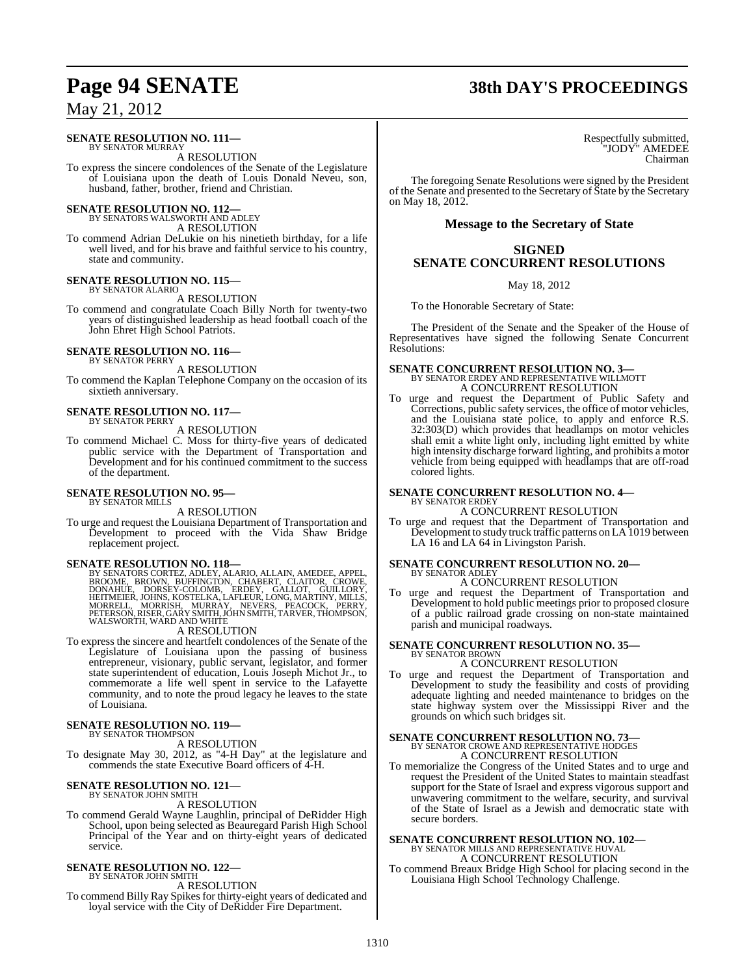#### **SENATE RESOLUTION NO. 111—** BY SENATOR MURRAY

A RESOLUTION

To express the sincere condolences of the Senate of the Legislature of Louisiana upon the death of Louis Donald Neveu, son, husband, father, brother, friend and Christian.

### **SENATE RESOLUTION NO. 112—** BY SENATORS WALSWORTH AND ADLEY

A RESOLUTION

To commend Adrian DeLukie on his ninetieth birthday, for a life well lived, and for his brave and faithful service to his country, state and community.

#### **SENATE RESOLUTION NO. 115—** BY SENATOR ALARIO

A RESOLUTION

To commend and congratulate Coach Billy North for twenty-two years of distinguished leadership as head football coach of the John Ehret High School Patriots.

#### **SENATE RESOLUTION NO. 116—** BY SENATOR PERRY

A RESOLUTION

To commend the Kaplan Telephone Company on the occasion of its sixtieth anniversary.

#### **SENATE RESOLUTION NO. 117—** BY SENATOR PERRY

A RESOLUTION

To commend Michael C. Moss for thirty-five years of dedicated public service with the Department of Transportation and Development and for his continued commitment to the success of the department.

#### **SENATE RESOLUTION NO. 95—** BY SENATOR MILLS

A RESOLUTION

To urge and request the Louisiana Department of Transportation and Development to proceed with the Vida Shaw Bridge replacement project.

SENATE RESOLUTION NO. 118—<br>BY SENATORS CORTEZ, ADLEY, ALARIO, ALLAIN, AMEDEE, APPEL, BROWIE, BROWN, BURFINGTON, CHABERT, CLAITOR, CROWE,<br>DONAHUE, DORSEY-COLOMB, ERDEY, GALLOT, GUILLORY,<br>HEITMEIER, JOHNS, KOSTELKA, LAFLEUR,

### A RESOLUTION

To express the sincere and heartfelt condolences of the Senate of the Legislature of Louisiana upon the passing of business entrepreneur, visionary, public servant, legislator, and former state superintendent of education, Louis Joseph Michot Jr., to commemorate a life well spent in service to the Lafayette community, and to note the proud legacy he leaves to the state of Louisiana.

#### **SENATE RESOLUTION NO. 119—** BY SENATOR THOMPSON

A RESOLUTION

To designate May 30, 2012, as "4-H Day" at the legislature and commends the state Executive Board officers of 4-H.

#### **SENATE RESOLUTION NO. 121—** BY SENATOR JOHN SMITH

A RESOLUTION

To commend Gerald Wayne Laughlin, principal of DeRidder High School, upon being selected as Beauregard Parish High School Principal of the Year and on thirty-eight years of dedicated service.

#### **SENATE RESOLUTION NO. 122—** BY SENATOR JOHN SMITH

A RESOLUTION

To commend Billy Ray Spikes for thirty-eight years of dedicated and loyal service with the City of DeRidder Fire Department.

# **Page 94 SENATE 38th DAY'S PROCEEDINGS**

Respectfully submitted, "JODY" AMEDEE Chairman

The foregoing Senate Resolutions were signed by the President of the Senate and presented to the Secretary of State by the Secretary on May 18, 2012.

### **Message to the Secretary of State**

### **SIGNED SENATE CONCURRENT RESOLUTIONS**

May 18, 2012

To the Honorable Secretary of State:

The President of the Senate and the Speaker of the House of Representatives have signed the following Senate Concurrent Resolutions:

### **SENATE CONCURRENT RESOLUTION NO. 3—**

BY SENATOR ERDEY AND REPRESENTATIVE WILLMOTT A CONCURRENT RESOLUTION

To urge and request the Department of Public Safety and Corrections, public safety services, the office of motor vehicles, and the Louisiana state police, to apply and enforce R.S. 32:303(D) which provides that headlamps on motor vehicles shall emit a white light only, including light emitted by white high intensity discharge forward lighting, and prohibits a motor vehicle from being equipped with headlamps that are off-road colored lights.

#### **SENATE CONCURRENT RESOLUTION NO. 4—** BY SENATOR ERDEY

### A CONCURRENT RESOLUTION

To urge and request that the Department of Transportation and Development to study truck traffic patterns on LA1019 between LA 16 and LA 64 in Livingston Parish.

# **SENATE CONCURRENT RESOLUTION NO. 20—** BY SENATOR ADLEY

A CONCURRENT RESOLUTION

To urge and request the Department of Transportation and Development to hold public meetings prior to proposed closure of a public railroad grade crossing on non-state maintained parish and municipal roadways.

# **SENATE CONCURRENT RESOLUTION NO. 35—** BY SENATOR BROWN

### A CONCURRENT RESOLUTION

To urge and request the Department of Transportation and Development to study the feasibility and costs of providing adequate lighting and needed maintenance to bridges on the state highway system over the Mississippi River and the grounds on which such bridges sit.

### **SENATE CONCURRENT RESOLUTION NO. 73—** BY SENATOR CROWE AND REPRESENTATIVE HODGES A CONCURRENT RESOLUTION

To memorialize the Congress of the United States and to urge and request the President of the United States to maintain steadfast support for the State of Israel and express vigorous support and unwavering commitment to the welfare, security, and survival of the State of Israel as a Jewish and democratic state with secure borders.

### **SENATE CONCURRENT RESOLUTION NO. 102—** BY SENATOR MILLS AND REPRESENTATIVE HUVAL A CONCURRENT RESOLUTION

To commend Breaux Bridge High School for placing second in the Louisiana High School Technology Challenge.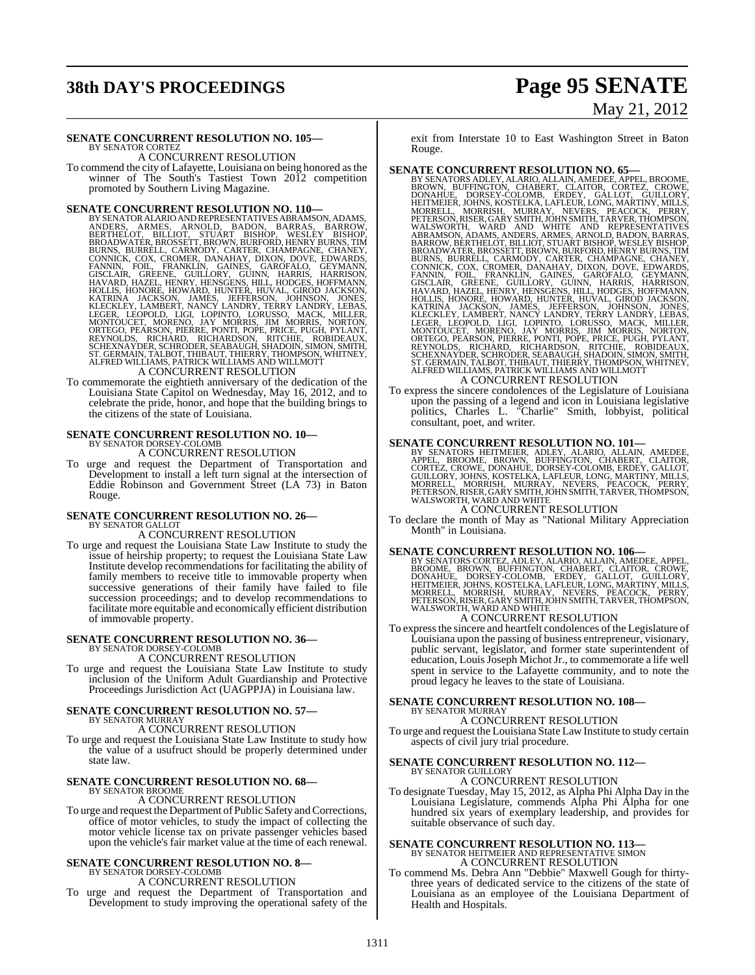# **38th DAY'S PROCEEDINGS Page 95 SENATE**

# May 21, 2012

#### **SENATE CONCURRENT RESOLUTION NO. 105—** BY SENATOR CORTEZ

A CONCURRENT RESOLUTION

To commend the city of Lafayette, Louisiana on being honored asthe winner of The South's Tastiest Town 2012 competition promoted by Southern Living Magazine.

- **SENATE CONCURRENT RESOLUTION NO. 110—**<br>BY SENATOR ALARIO ANDREPRESENTATIVES ABRAMSON, ADAMS, ANDERS, ARMES, ARNOLD, BADON, BARRAS, BARROW, BERTHELOT, BILLIOT, STUART BISHOP, WESLEY BISHOP, BROADWATER, BROSSETT, BROWN, BUR
- To commemorate the eightieth anniversary of the dedication of the Louisiana State Capitol on Wednesday, May 16, 2012, and to celebrate the pride, honor, and hope that the building brings to the citizens of the state of Louisiana.

# **SENATE CONCURRENT RESOLUTION NO. 10—** BY SENATOR DORSEY-COLOMB

A CONCURRENT RESOLUTION

To urge and request the Department of Transportation and Development to install a left turn signal at the intersection of Eddie Robinson and Government Street (LA 73) in Baton Rouge.

### **SENATE CONCURRENT RESOLUTION NO. 26—** BY SENATOR GALLOT

A CONCURRENT RESOLUTION

To urge and request the Louisiana State Law Institute to study the issue of heirship property; to request the Louisiana State Law Institute develop recommendations for facilitating the ability of family members to receive title to immovable property when successive generations of their family have failed to file succession proceedings; and to develop recommendations to facilitate more equitable and economically efficient distribution of immovable property.

# **SENATE CONCURRENT RESOLUTION NO. 36—** BY SENATOR DORSEY-COLOMB

A CONCURRENT RESOLUTION

To urge and request the Louisiana State Law Institute to study inclusion of the Uniform Adult Guardianship and Protective Proceedings Jurisdiction Act (UAGPPJA) in Louisiana law.

### **SENATE CONCURRENT RESOLUTION NO. 57—** BY SENATOR MURRAY

A CONCURRENT RESOLUTION

To urge and request the Louisiana State Law Institute to study how the value of a usufruct should be properly determined under state law.

# **SENATE CONCURRENT RESOLUTION NO. 68—** BY SENATOR BROOME

### A CONCURRENT RESOLUTION

To urge and request the Department of Public Safety and Corrections, office of motor vehicles, to study the impact of collecting the motor vehicle license tax on private passenger vehicles based upon the vehicle's fair market value at the time of each renewal.

#### **SENATE CONCURRENT RESOLUTION NO. 8—** BY SENATOR DORSEY-COLOMB

A CONCURRENT RESOLUTION

To urge and request the Department of Transportation and Development to study improving the operational safety of the

exit from Interstate 10 to East Washington Street in Baton Rouge.

- **SENATE CONCURRENT RESOLUTION NO. 65—**BY SENATORS ADLEY, ALARIO, ALIAN, AMEDER, APPEL, BROWNE, BOWAHUE, DORSEY-COLOMB, ERDEY, GALICOR, GUILLORY, GUILLORY, THEITMEIER, JOHNS, KOSTELKA, LAFLEUR, LONG, MARTINY, MILLS, MORRELL
	-
- To express the sincere condolences of the Legislature of Louisiana upon the passing of a legend and icon in Louisiana legislative politics, Charles L. "Charlie" Smith, lobbyist, political consultant, poet, and writer.

**SENATE CONCURRENT RESOLUTION NO. 101—**<br>BY SENATORS HEITMEIER, ADLEY, ALARIO, ALLAIN, AMEDEE, BROOME, BROWE, DROWE, DROWE, CORTEZ, CROWE, DROWELL DROWERT, CLAITOR,<br>CORTEZ, CROWE, DONAHUE, DORSEY-COLOMB, ERDEY, GALLOT,<br>GUIL

### A CONCURRENT RESOLUTION

To declare the month of May as "National Military Appreciation Month" in Louisiana.

- **SENATE CONCURRENT RESOLUTION NO. 106—**<br>BY SENATORS CORTEZ, ADLEY, ALARIO, ALLAIN, AMEDEE, APPEL, BROME, BROWE, BOOME, DORSEY-COLOMB, ERDEY, GLAITOR, CROWE,<br>DONAHUE, DORSEY-COLOMB, ERDEY, GALLOT, GUILLORY,<br>HEITMEIER, JOHNS A CONCURRENT RESOLUTION
- To expressthe sincere and heartfelt condolences of the Legislature of Louisiana upon the passing of business entrepreneur, visionary, public servant, legislator, and former state superintendent of education, Louis Joseph Michot Jr., to commemorate a life well spent in service to the Lafayette community, and to note the proud legacy he leaves to the state of Louisiana.

# **SENATE CONCURRENT RESOLUTION NO. 108—** BY SENATOR MURRAY

A CONCURRENT RESOLUTION

To urge and request the Louisiana State Law Institute to study certain aspects of civil jury trial procedure.

### **SENATE CONCURRENT RESOLUTION NO. 112—** BY SENATOR GUILLORY

A CONCURRENT RESOLUTION

To designate Tuesday, May 15, 2012, as Alpha Phi Alpha Day in the Louisiana Legislature, commends Alpha Phi Alpha for one hundred six years of exemplary leadership, and provides for suitable observance of such day.

# **SENATE CONCURRENT RESOLUTION NO. 113—**<br>BY SENATOR HEITMEIER AND REPRESENTATIVE SIMON A CONCURRENT RESOLUTION

To commend Ms. Debra Ann "Debbie" Maxwell Gough for thirtythree years of dedicated service to the citizens of the state of Louisiana as an employee of the Louisiana Department of Health and Hospitals.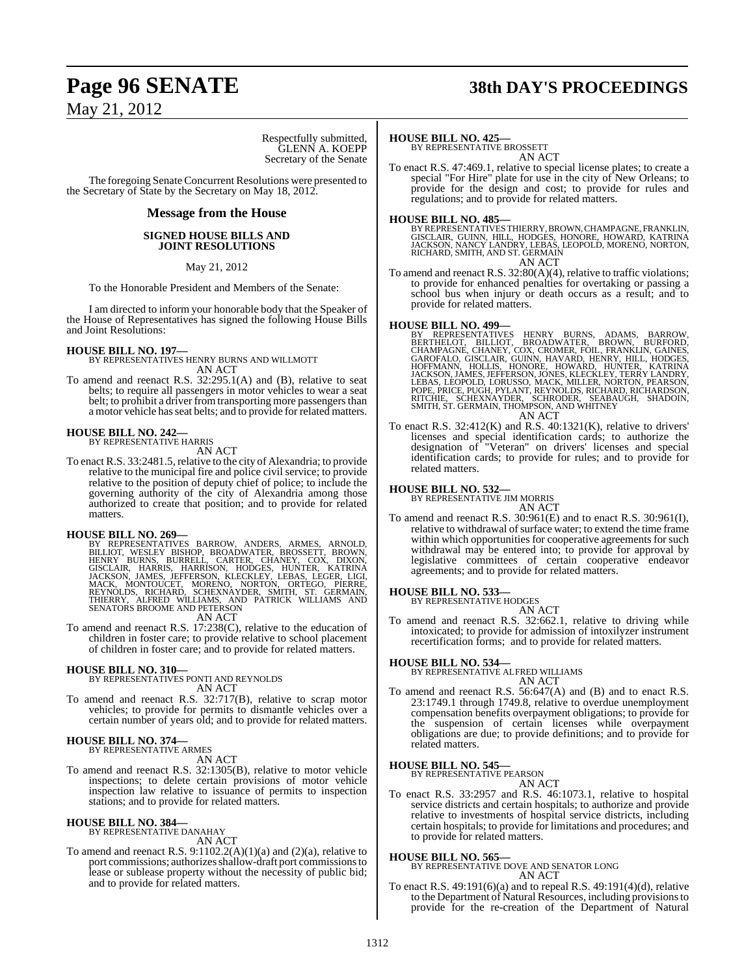# **Page 96 SENATE 38th DAY'S PROCEEDINGS**

May 21, 2012

Respectfully submitted, GLENN A. KOEPP Secretary of the Senate

The foregoing Senate Concurrent Resolutions were presented to the Secretary of State by the Secretary on May 18, 2012.

### **Message from the House**

### **SIGNED HOUSE BILLS AND JOINT RESOLUTIONS**

May 21, 2012

To the Honorable President and Members of the Senate:

I am directed to inform your honorable body that the Speaker of the House of Representatives has signed the following House Bills and Joint Resolutions:

### **HOUSE BILL NO. 197—**

BY REPRESENTATIVES HENRY BURNS AND WILLMOTT AN ACT

To amend and reenact R.S. 32:295.1(A) and (B), relative to seat belts; to require all passengers in motor vehicles to wear a seat belt; to prohibit a driver from transporting more passengers than a motor vehicle hasseat belts; and to provide for related matters.

# **HOUSE BILL NO. 242—** BY REPRESENTATIVE HARRIS

AN ACT

To enact R.S. 33:2481.5, relative to the city of Alexandria; to provide relative to the municipal fire and police civil service; to provide relative to the position of deputy chief of police; to include the governing authority of the city of Alexandria among those authorized to create that position; and to provide for related matters.

**HOUSE BILL NO. 269—**<br>BY REPRESENTATIVES BARROW, ANDERS, ARMES, ARNOLD,<br>BILLIOT, WESLEY BISHOP, BROADWATER, BROSSETT, BROWN,<br>HENRY BURNS, BURRELL, CARTER, CHANEY, COX, DIXON,<br>GISCLAIR, HARRIS, HARRISON, HODGES, HUNTER, KAT AN ACT

To amend and reenact R.S. 17:238(C), relative to the education of children in foster care; to provide relative to school placement of children in foster care; and to provide for related matters.

# **HOUSE BILL NO. 310—** BY REPRESENTATIVES PONTI AND REYNOLDS

AN ACT

To amend and reenact R.S. 32:717(B), relative to scrap motor vehicles; to provide for permits to dismantle vehicles over a certain number of years old; and to provide for related matters.

#### **HOUSE BILL NO. 374—** BY REPRESENTATIVE ARMES

AN ACT

To amend and reenact R.S. 32:1305(B), relative to motor vehicle inspections; to delete certain provisions of motor vehicle inspection law relative to issuance of permits to inspection stations; and to provide for related matters.

#### **HOUSE BILL NO. 384—** BY REPRESENTATIVE DANAHAY

AN ACT

To amend and reenact R.S.  $9:1102.2(A)(1)(a)$  and  $(2)(a)$ , relative to port commissions; authorizes shallow-draft port commissions to lease or sublease property without the necessity of public bid; and to provide for related matters.

### **HOUSE BILL NO. 425—**

BY REPRESENTATIVE BROSSETT AN ACT

To enact R.S. 47:469.1, relative to special license plates; to create a special "For Hire" plate for use in the city of New Orleans; to provide for the design and cost; to provide for rules and regulations; and to provide for related matters.

### **HOUSE BILL NO. 485—**

BY REPRESENTATIVES THIERRY, BROWN, CHAMPAGNE, FRANKLIN,<br>GISCLAIR, GUINN, HILL, HODGES, HONORE, HOWARD, KATRINA<br>JACKSON, NANCY LANDRY, LEBAS, LEOPOLD, MORENO, NORTON, RICHARD, SMITH, AND ST. GERMAIN

AN ACT

To amend and reenact R.S. 32:80(A)(4), relative to traffic violations; to provide for enhanced penalties for overtaking or passing a school bus when injury or death occurs as a result; and to provide for related matters.

### **HOUSE BILL NO. 499—**

BY REPRESENTATIVES HENRY BURNS, ADAMS, BARROW,<br>BERTHELOT, BILLIOT, BROADWATER, BROWN, BURFORD,<br>CHAMPAGNE, CHANEY, COX, CROMER, FOIL, FRANKLIN, GAINES,<br>GAROFALO, GISCLAIR, GUINN, HAVARD, HENRY, HILL, HODGES,<br>HOFFMANN, HOLLI AN ACT

To enact R.S.  $32:412(K)$  and R.S.  $40:1321(K)$ , relative to drivers' licenses and special identification cards; to authorize the designation of "Veteran" on drivers' licenses and special identification cards; to provide for rules; and to provide for related matters.

### **HOUSE BILL NO. 532—**

BY REPRESENTATIVE JIM MORRIS

AN ACT

To amend and reenact R.S. 30:961(E) and to enact R.S. 30:961(I), relative to withdrawal of surface water; to extend the time frame within which opportunities for cooperative agreements for such withdrawal may be entered into; to provide for approval by legislative committees of certain cooperative endeavor agreements; and to provide for related matters.

# **HOUSE BILL NO. 533—** BY REPRESENTATIVE HODGES

AN ACT To amend and reenact R.S. 32:662.1, relative to driving while intoxicated; to provide for admission of intoxilyzer instrument recertification forms; and to provide for related matters.

### **HOUSE BILL NO. 534—**

BY REPRESENTATIVE ALFRED WILLIAMS AN ACT

To amend and reenact R.S. 56:647(A) and (B) and to enact R.S. 23:1749.1 through 1749.8, relative to overdue unemployment compensation benefits overpayment obligations; to provide for the suspension of certain licenses while overpayment obligations are due; to provide definitions; and to provide for related matters.

### **HOUSE BILL NO. 545—** BY REPRESENTATIVE PEARSON

AN ACT

To enact R.S. 33:2957 and R.S. 46:1073.1, relative to hospital service districts and certain hospitals; to authorize and provide relative to investments of hospital service districts, including certain hospitals; to provide for limitations and procedures; and to provide for related matters.

### **HOUSE BILL NO. 565—**

BY REPRESENTATIVE DOVE AND SENATOR LONG AN ACT

To enact R.S. 49:191(6)(a) and to repeal R.S. 49:191(4)(d), relative to the Department of Natural Resources, including provisionsto provide for the re-creation of the Department of Natural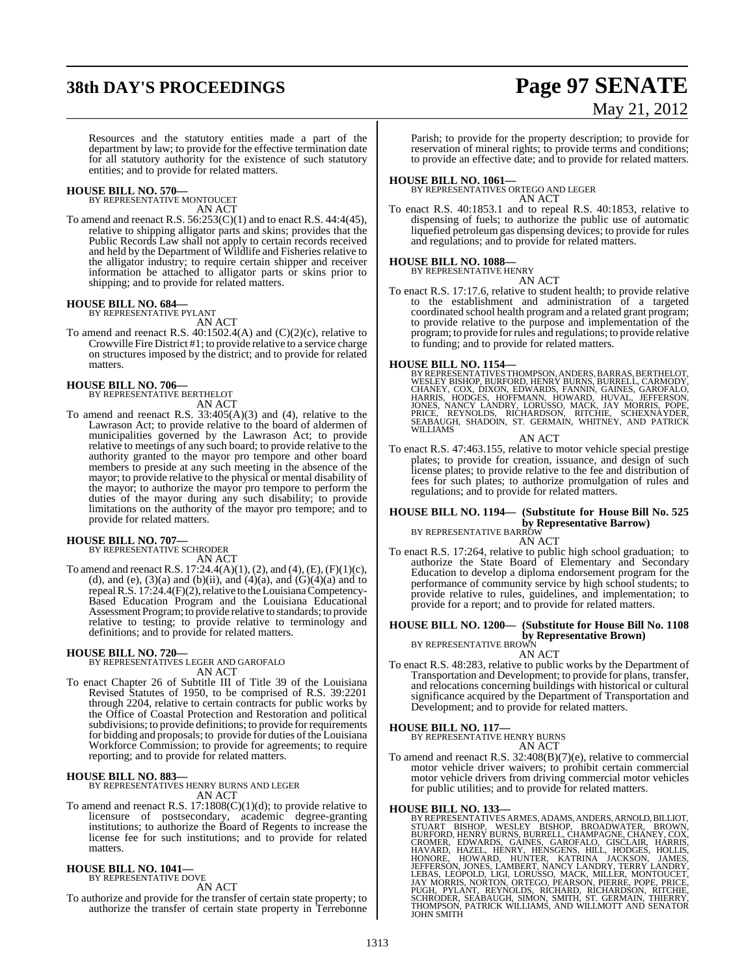# **38th DAY'S PROCEEDINGS Page 97 SENATE**

# May 21, 2012

Resources and the statutory entities made a part of the department by law; to provide for the effective termination date for all statutory authority for the existence of such statutory entities; and to provide for related matters.

#### **HOUSE BILL NO. 570—** BY REPRESENTATIVE MONTOUCET

AN ACT

To amend and reenact R.S.  $56:253(C)(1)$  and to enact R.S.  $44:4(45)$ , relative to shipping alligator parts and skins; provides that the Public Records Law shall not apply to certain records received and held by the Department of Wildlife and Fisheries relative to the alligator industry; to require certain shipper and receiver information be attached to alligator parts or skins prior to shipping; and to provide for related matters.

### **HOUSE BILL NO. 684—** BY REPRESENTATIVE PYLANT

- AN ACT
- To amend and reenact R.S. 40:1502.4(A) and (C)(2)(c), relative to Crowville Fire District #1; to provide relative to a service charge on structures imposed by the district; and to provide for related matters.

### **HOUSE BILL NO. 706—** BY REPRESENTATIVE BERTHELOT

AN ACT

To amend and reenact R.S.  $33:405(A)(3)$  and (4), relative to the Lawrason Act; to provide relative to the board of aldermen of municipalities governed by the Lawrason Act; to provide relative to meetings of any such board; to provide relative to the authority granted to the mayor pro tempore and other board members to preside at any such meeting in the absence of the mayor; to provide relative to the physical or mental disability of the mayor; to authorize the mayor pro tempore to perform the duties of the mayor during any such disability; to provide limitations on the authority of the mayor pro tempore; and to provide for related matters.

### **HOUSE BILL NO. 707—** BY REPRESENTATIVE SCHRODER

AN ACT

To amend and reenact R.S.  $17:24.4(A)(1)$ , (2), and (4), (E), (F)(1)(c), (d), and (e),  $(3)(a)$  and  $(b)(ii)$ , and  $(4)(a)$ , and  $(G)(4)(a)$  and to repealR.S. 17:24.4(F)(2), relative to the Louisiana Competency-Based Education Program and the Louisiana Educational Assessment Program; to provide relative to standards; to provide relative to testing; to provide relative to terminology and definitions; and to provide for related matters.

### **HOUSE BILL NO. 720—**

BY REPRESENTATIVES LEGER AND GAROFALO AN ACT

To enact Chapter 26 of Subtitle III of Title 39 of the Louisiana Revised Statutes of 1950, to be comprised of R.S. 39:2201 through 2204, relative to certain contracts for public works by the Office of Coastal Protection and Restoration and political subdivisions; to provide definitions; to provide for requirements for bidding and proposals; to provide for duties of the Louisiana Workforce Commission; to provide for agreements; to require reporting; and to provide for related matters.

### **HOUSE BILL NO. 883—**

BY REPRESENTATIVES HENRY BURNS AND LEGER AN ACT

To amend and reenact R.S. 17:1808(C)(1)(d); to provide relative to licensure of postsecondary, academic degree-granting institutions; to authorize the Board of Regents to increase the license fee for such institutions; and to provide for related matters.

### **HOUSE BILL NO. 1041—** BY REPRESENTATIVE DOVE

AN ACT

To authorize and provide for the transfer of certain state property; to authorize the transfer of certain state property in Terrebonne Parish; to provide for the property description; to provide for reservation of mineral rights; to provide terms and conditions; to provide an effective date; and to provide for related matters.

**HOUSE BILL NO. 1061—** BY REPRESENTATIVES ORTEGO AND LEGER AN ACT

To enact R.S. 40:1853.1 and to repeal R.S. 40:1853, relative to dispensing of fuels; to authorize the public use of automatic liquefied petroleum gas dispensing devices; to provide for rules and regulations; and to provide for related matters.

### **HOUSE BILL NO. 1088—**

BY REPRESENTATIVE HENRY AN ACT

To enact R.S. 17:17.6, relative to student health; to provide relative to the establishment and administration of a targeted coordinated school health program and a related grant program; to provide relative to the purpose and implementation of the program; to provide forrules and regulations; to provide relative to funding; and to provide for related matters.

**HOUSE BILL NO. 1154—**<br>BY REPRESENTATIVES THOMPSON, ANDERS, BARRAS, BERTHELOT, WESLEY BISHOP, BURFORD, HENRY BURNS, BURRELL, CARMODY,<br>CHANEY, COX, DIXON, EDWARDS, FANNIN, GAINES, GAROFALO,<br>HARRIS, HODGES, HOFFMANN, HOWARD,

AN ACT

To enact R.S. 47:463.155, relative to motor vehicle special prestige plates; to provide for creation, issuance, and design of such license plates; to provide relative to the fee and distribution of fees for such plates; to authorize promulgation of rules and regulations; and to provide for related matters.

#### **HOUSE BILL NO. 1194— (Substitute for House Bill No. 525 by Representative Barrow)** BY REPRESENTATIVE BARROW

AN ACT

To enact R.S. 17:264, relative to public high school graduation; to authorize the State Board of Elementary and Secondary Education to develop a diploma endorsement program for the performance of community service by high school students; to provide relative to rules, guidelines, and implementation; to provide for a report; and to provide for related matters.

### **HOUSE BILL NO. 1200— (Substitute for House Bill No. 1108 by Representative Brown)**<br>BY REPRESENTATIVE BROWN

AN ACT

To enact R.S. 48:283, relative to public works by the Department of Transportation and Development; to provide for plans, transfer, and relocations concerning buildings with historical or cultural significance acquired by the Department of Transportation and Development; and to provide for related matters.

### **HOUSE BILL NO. 117—**

BY REPRESENTATIVE HENRY BURNS AN ACT

To amend and reenact R.S. 32:408(B)(7)(e), relative to commercial motor vehicle driver waivers; to prohibit certain commercial motor vehicle drivers from driving commercial motor vehicles for public utilities; and to provide for related matters.

HOUSE BILL NO. 133—<br>BY REPRESENTATIVES ARMES, ADAMS, ANDERS, ARNOLD, BILLIOT,<br>STUART BISHOP, WESLEY BISHOP, BROADWATER, BROWN,<br>BURFORD, HENRY BURNS, GAINES, GARDELL, CHAMPAGNE, CHANEY, COX,<br>CROMER, EDWARDS, GARNES, GARDEN,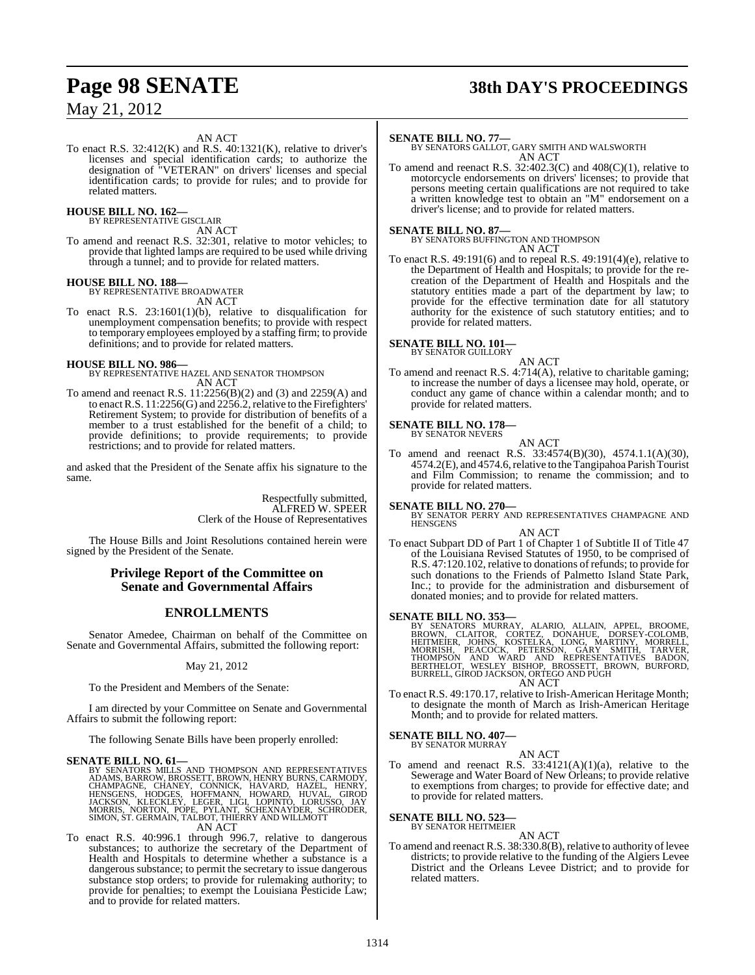# **Page 98 SENATE 38th DAY'S PROCEEDINGS**

### AN ACT

To enact R.S. 32:412(K) and R.S. 40:1321(K), relative to driver's licenses and special identification cards; to authorize the designation of "VETERAN" on drivers' licenses and special identification cards; to provide for rules; and to provide for related matters.

#### **HOUSE BILL NO. 162—** BY REPRESENTATIVE GISCLAIR

AN ACT

To amend and reenact R.S. 32:301, relative to motor vehicles; to provide that lighted lamps are required to be used while driving through a tunnel; and to provide for related matters.

### **HOUSE BILL NO. 188—** BY REPRESENTATIVE BROADWATER

AN ACT

To enact R.S. 23:1601(1)(b), relative to disqualification for unemployment compensation benefits; to provide with respect to temporary employees employed by a staffing firm; to provide definitions; and to provide for related matters.

### **HOUSE BILL NO. 986—**

BY REPRESENTATIVE HAZEL AND SENATOR THOMPSON AN ACT

To amend and reenact R.S. 11:2256(B)(2) and (3) and 2259(A) and to enact R.S. 11:2256(G) and 2256.2, relative to the Firefighters' Retirement System; to provide for distribution of benefits of a member to a trust established for the benefit of a child; to provide definitions; to provide requirements; to provide restrictions; and to provide for related matters.

and asked that the President of the Senate affix his signature to the same.

> Respectfully submitted, ALFRED W. SPEER Clerk of the House of Representatives

The House Bills and Joint Resolutions contained herein were signed by the President of the Senate.

### **Privilege Report of the Committee on Senate and Governmental Affairs**

### **ENROLLMENTS**

Senator Amedee, Chairman on behalf of the Committee on Senate and Governmental Affairs, submitted the following report:

### May 21, 2012

To the President and Members of the Senate:

I am directed by your Committee on Senate and Governmental Affairs to submit the following report:

The following Senate Bills have been properly enrolled:

**SENATE BILL NO. 61—**<br>BY SENATORS MILLS AND THOMPSON AND REPRESENTATIVES<br>ADAMS, BARROW, BROSSETT, BROWN, HENRY BURNS, CARMODY,<br>CHAMPAGNE, CHANEY, CONNICK, HAVARD, HAZEL, HENRY,<br>HENSGENS, HODGES, HOFFMANN, HOWARD, HUVAL, GI AN ACT

To enact R.S. 40:996.1 through 996.7, relative to dangerous substances; to authorize the secretary of the Department of Health and Hospitals to determine whether a substance is a dangerous substance; to permit the secretary to issue dangerous substance stop orders; to provide for rulemaking authority; to provide for penalties; to exempt the Louisiana Pesticide Law; and to provide for related matters.

**SENATE BILL NO. 77—** BY SENATORS GALLOT, GARY SMITH AND WALSWORTH AN ACT

To amend and reenact R.S. 32:402.3(C) and 408(C)(1), relative to motorcycle endorsements on drivers' licenses; to provide that persons meeting certain qualifications are not required to take a written knowledge test to obtain an "M" endorsement on a driver's license; and to provide for related matters.

### **SENATE BILL NO. 87—**

BY SENATORS BUFFINGTON AND THOMPSON AN ACT

To enact R.S. 49:191(6) and to repeal R.S. 49:191(4)(e), relative to the Department of Health and Hospitals; to provide for the recreation of the Department of Health and Hospitals and the statutory entities made a part of the department by law; to provide for the effective termination date for all statutory authority for the existence of such statutory entities; and to provide for related matters.

### **SENATE BILL NO. 101—**

BY SENATOR GUILLORY

AN ACT To amend and reenact R.S. 4:714(A), relative to charitable gaming; to increase the number of days a licensee may hold, operate, or conduct any game of chance within a calendar month; and to provide for related matters.

### **SENATE BILL NO. 178—**

BY SENATOR NEVERS AN ACT

To amend and reenact R.S. 33:4574(B)(30), 4574.1.1(A)(30), 4574.2(E), and 4574.6, relative to the Tangipahoa Parish Tourist and Film Commission; to rename the commission; and to provide for related matters.

**SENATE BILL NO. 270—**

BY SENATOR PERRY AND REPRESENTATIVES CHAMPAGNE AND HENSGENS

### AN ACT

To enact Subpart DD of Part 1 of Chapter 1 of Subtitle II of Title 47 of the Louisiana Revised Statutes of 1950, to be comprised of R.S. 47:120.102, relative to donations of refunds; to provide for such donations to the Friends of Palmetto Island State Park, Inc.; to provide for the administration and disbursement of donated monies; and to provide for related matters.

### **SENATE BILL NO. 353—**

BY SENATORS MURRAY, ALARIO, ALLAIN, APPEL, BROOME,<br>BROWN, CLAITOR, CORTEZ, DONAHUE, DORSEY-COLOMB,<br>HEITMEIER, JOHNS, KOSTELKA, LONG, MARTINY, MORRELL,<br>MORRISH, PEACOCK, PETERSON, GARY SMITH, TARVER,<br>THOMPSON AND WARD AND R AN ACT

To enact R.S. 49:170.17, relative to Irish-American Heritage Month; to designate the month of March as Irish-American Heritage Month; and to provide for related matters.

# **SENATE BILL NO. 407—** BY SENATOR MURRAY

AN ACT

To amend and reenact R.S. 33:4121(A)(1)(a), relative to the Sewerage and Water Board of New Orleans; to provide relative to exemptions from charges; to provide for effective date; and to provide for related matters.

**SENATE BILL NO. 523—**

BY SENATOR HEITMEIER

- AN ACT
- To amend and reenact R.S. 38:330.8(B), relative to authority of levee districts; to provide relative to the funding of the Algiers Levee District and the Orleans Levee District; and to provide for related matters.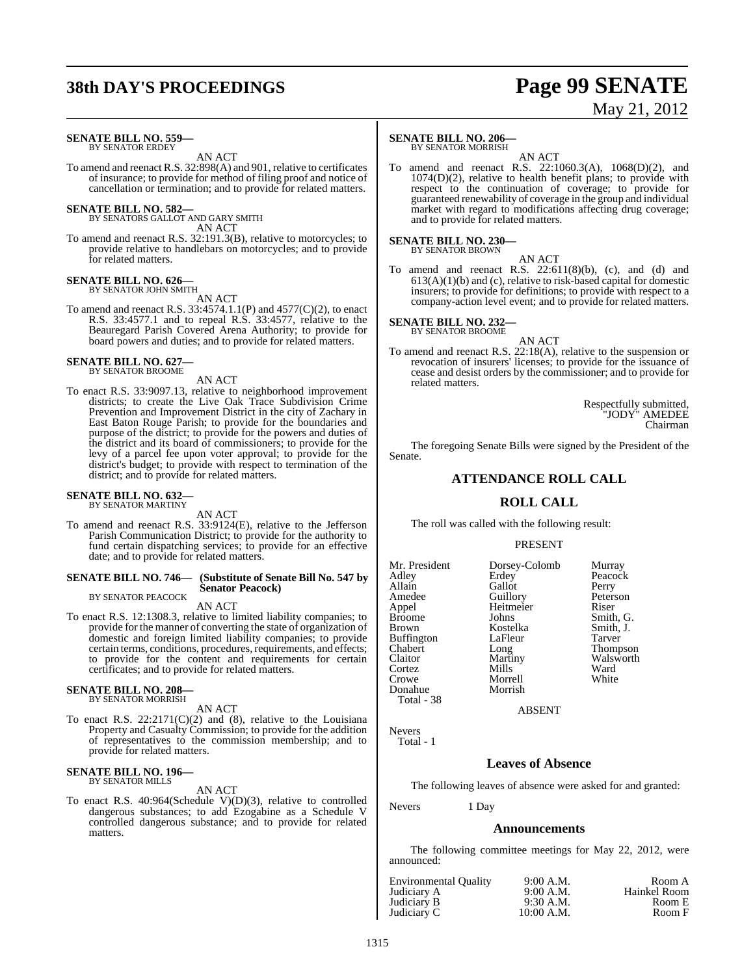# **38th DAY'S PROCEEDINGS Page 99 SENATE**

# May 21, 2012

#### **SENATE BILL NO. 559—** BY SENATOR ERDEY

AN ACT

To amend and reenact R.S. 32:898(A) and 901, relative to certificates of insurance; to provide for method of filing proof and notice of cancellation or termination; and to provide for related matters.

### **SENATE BILL NO. 582—** BY SENATORS GALLOT AND GARY SMITH

AN ACT

To amend and reenact R.S. 32:191.3(B), relative to motorcycles; to provide relative to handlebars on motorcycles; and to provide for related matters.

### **SENATE BILL NO. 626—** BY SENATOR JOHN SMITH

AN ACT

To amend and reenact R.S. 33:4574.1.1(P) and 4577(C)(2), to enact R.S. 33:4577.1 and to repeal R.S. 33:4577, relative to the Beauregard Parish Covered Arena Authority; to provide for board powers and duties; and to provide for related matters.

### **SENATE BILL NO. 627—** BY SENATOR BROOME

AN ACT

To enact R.S. 33:9097.13, relative to neighborhood improvement districts; to create the Live Oak Trace Subdivision Crime Prevention and Improvement District in the city of Zachary in East Baton Rouge Parish; to provide for the boundaries and purpose of the district; to provide for the powers and duties of the district and its board of commissioners; to provide for the levy of a parcel fee upon voter approval; to provide for the district's budget; to provide with respect to termination of the district; and to provide for related matters.

#### **SENATE BILL NO. 632—** BY SENATOR MARTINY

AN ACT

To amend and reenact R.S. 33:9124(E), relative to the Jefferson Parish Communication District; to provide for the authority to fund certain dispatching services; to provide for an effective date; and to provide for related matters.

### **SENATE BILL NO. 746— (Substitute of Senate Bill No. 547 by Senator Peacock)**

BY SENATOR PEACOCK AN ACT

To enact R.S. 12:1308.3, relative to limited liability companies; to provide for the manner of converting the state of organization of domestic and foreign limited liability companies; to provide certain terms, conditions, procedures, requirements, and effects; to provide for the content and requirements for certain certificates; and to provide for related matters.

# **SENATE BILL NO. 208—** BY SENATOR MORRISH

AN ACT

To enact R.S. 22:2171(C)(2) and (8), relative to the Louisiana Property and Casualty Commission; to provide for the addition of representatives to the commission membership; and to provide for related matters.

# **SENATE BILL NO. 196—** BY SENATOR MILLS

AN ACT

To enact R.S. 40:964(Schedule V)(D)(3), relative to controlled dangerous substances; to add Ezogabine as a Schedule V controlled dangerous substance; and to provide for related matters.

### **SENATE BILL NO. 206—**

BY SENATOR MORRISH

AN ACT To amend and reenact R.S. 22:1060.3(A), 1068(D)(2), and  $1074(D)(2)$ , relative to health benefit plans; to provide with respect to the continuation of coverage; to provide for guaranteed renewability of coverage in the group and individual market with regard to modifications affecting drug coverage; and to provide for related matters.

### **SENATE BILL NO. 230—** BY SENATOR BROWN

AN ACT

To amend and reenact R.S.  $22:611(8)(b)$ , (c), and (d) and  $613(A)(1)(b)$  and (c), relative to risk-based capital for domestic insurers; to provide for definitions; to provide with respect to a company-action level event; and to provide for related matters.

### **SENATE BILL NO. 232—** BY SENATOR BROOME

AN ACT To amend and reenact R.S. 22:18(A), relative to the suspension or revocation of insurers' licenses; to provide for the issuance of cease and desist orders by the commissioner; and to provide for related matters.

> Respectfully submitted, "JODY" AMEDEE Chairman

The foregoing Senate Bills were signed by the President of the Senate.

### **ATTENDANCE ROLL CALL**

### **ROLL CALL**

The roll was called with the following result:

### PRESENT

Mr. President Dorsey-Colomb Murray<br>Adley Erdey Peacoc Adley Erdey Peacock Allain Callot Perry<br>
Amedee Guillory Peters Appel Heitmeier Riser<br>Broome Johns Smith Broome Johns Smith, G.<br>Brown Kostelka Smith, J. Kostelka Smith,<br>LaFleur Tarver Buffington Chabert Long Thompson<br>Claitor Martiny Walsworth Cortez Mills Ward<br>Crowe Morrell White Morrell<br>Morrish Donahue

Peterson Martiny Walsworth<br>
Mills Ward

ABSENT

Nevers Total - 1

Total - 38

### **Leaves of Absence**

The following leaves of absence were asked for and granted:

Nevers 1 Day

### **Announcements**

The following committee meetings for May 22, 2012, were announced:

| <b>Environmental Quality</b> | 9:00 A.M.   | Room A       |
|------------------------------|-------------|--------------|
| Judiciary A                  | 9:00 A.M.   | Hainkel Room |
| Judiciary B                  | $9:30$ A.M. | Room E       |
| Judiciary C                  | 10:00 A.M.  | Room F       |